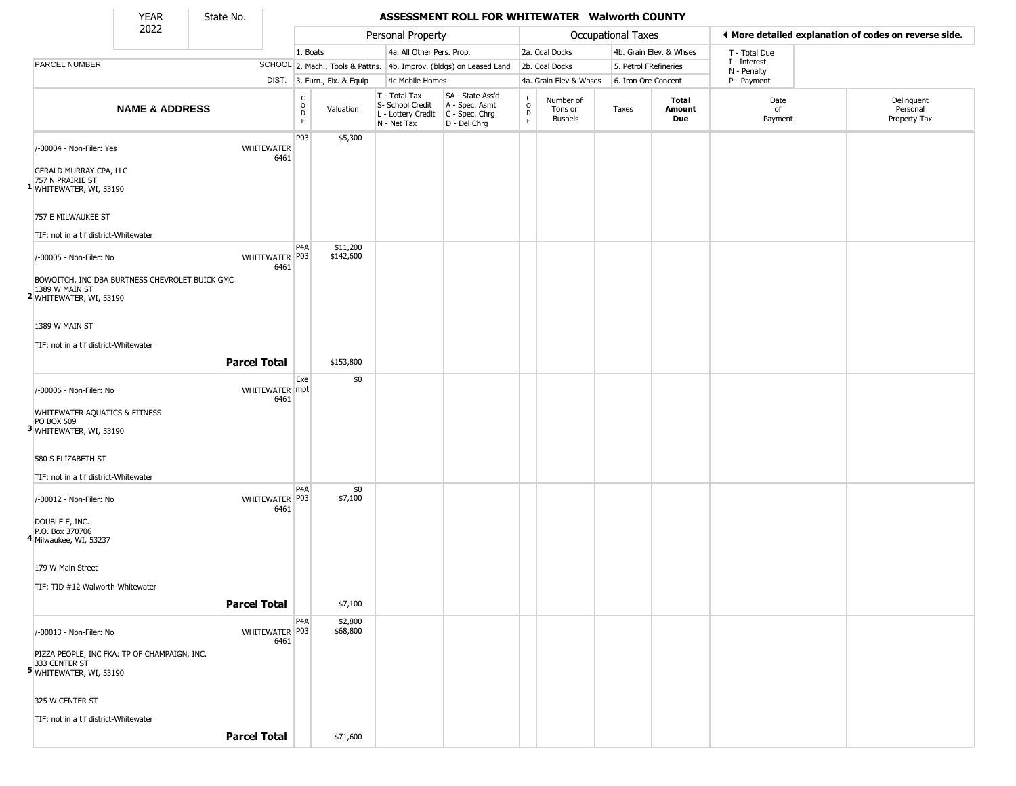State No.

Г

### YEAR **ASSESSMENT ROLL FOR WHITEWATER Walworth COUNTY**

|                                                                                             | 2022                      | ----- --- |                           |                                                |                              | Personal Property                                                      |                                                                      |                                             |                                        | Occupational Taxes    |                         | ◀ More detailed explanation of codes on reverse side. |                                        |
|---------------------------------------------------------------------------------------------|---------------------------|-----------|---------------------------|------------------------------------------------|------------------------------|------------------------------------------------------------------------|----------------------------------------------------------------------|---------------------------------------------|----------------------------------------|-----------------------|-------------------------|-------------------------------------------------------|----------------------------------------|
|                                                                                             |                           |           |                           | 1. Boats                                       |                              | 4a. All Other Pers. Prop.                                              |                                                                      |                                             | 2a. Coal Docks                         |                       | 4b. Grain Elev. & Whses | T - Total Due                                         |                                        |
| <b>PARCEL NUMBER</b>                                                                        |                           |           |                           |                                                |                              |                                                                        | SCHOOL 2. Mach., Tools & Pattns. 4b. Improv. (bldgs) on Leased Land  |                                             | 2b. Coal Docks                         | 5. Petrol FRefineries |                         | I - Interest                                          |                                        |
|                                                                                             |                           |           |                           |                                                | DIST. 3. Furn., Fix. & Equip | 4c Mobile Homes                                                        |                                                                      |                                             | 4a. Grain Elev & Whses                 | 6. Iron Ore Concent   |                         | N - Penalty<br>P - Payment                            |                                        |
|                                                                                             | <b>NAME &amp; ADDRESS</b> |           |                           | C<br>$\mathsf O$<br>$\mathsf D$<br>$\mathsf E$ | Valuation                    | T - Total Tax<br>S- School Credit<br>L - Lottery Credit<br>N - Net Tax | SA - State Ass'd<br>A - Spec. Asmt<br>C - Spec. Chrg<br>D - Del Chrg | $\rm_{o}^{c}$<br>$\mathsf D$<br>$\mathsf E$ | Number of<br>Tons or<br><b>Bushels</b> | Taxes                 | Total<br>Amount<br>Due  | Date<br>of<br>Payment                                 | Delinquent<br>Personal<br>Property Tax |
| /-00004 - Non-Filer: Yes                                                                    |                           |           | <b>WHITEWATER</b><br>6461 | P03                                            | \$5,300                      |                                                                        |                                                                      |                                             |                                        |                       |                         |                                                       |                                        |
| <b>GERALD MURRAY CPA, LLC</b><br>757 N PRAIRIE ST<br>1 WHITEWATER, WI, 53190                |                           |           |                           |                                                |                              |                                                                        |                                                                      |                                             |                                        |                       |                         |                                                       |                                        |
| 757 E MILWAUKEE ST<br>TIF: not in a tif district-Whitewater                                 |                           |           |                           |                                                |                              |                                                                        |                                                                      |                                             |                                        |                       |                         |                                                       |                                        |
| /-00005 - Non-Filer: No                                                                     |                           |           | WHITEWATER P03<br>6461    | P4A                                            | \$11,200<br>\$142,600        |                                                                        |                                                                      |                                             |                                        |                       |                         |                                                       |                                        |
| BOWOITCH, INC DBA BURTNESS CHEVROLET BUICK GMC<br>1389 W MAIN ST<br>2 WHITEWATER, WI, 53190 |                           |           |                           |                                                |                              |                                                                        |                                                                      |                                             |                                        |                       |                         |                                                       |                                        |
| 1389 W MAIN ST<br>TIF: not in a tif district-Whitewater                                     |                           |           |                           |                                                |                              |                                                                        |                                                                      |                                             |                                        |                       |                         |                                                       |                                        |
|                                                                                             |                           |           | <b>Parcel Total</b>       |                                                | \$153,800                    |                                                                        |                                                                      |                                             |                                        |                       |                         |                                                       |                                        |
| /-00006 - Non-Filer: No                                                                     |                           |           | WHITEWATER mpt            | Exe                                            | \$0                          |                                                                        |                                                                      |                                             |                                        |                       |                         |                                                       |                                        |
| <b>WHITEWATER AQUATICS &amp; FITNESS</b><br>PO BOX 509<br>3 WHITEWATER, WI, 53190           |                           |           | 6461                      |                                                |                              |                                                                        |                                                                      |                                             |                                        |                       |                         |                                                       |                                        |
| 580 S ELIZABETH ST                                                                          |                           |           |                           |                                                |                              |                                                                        |                                                                      |                                             |                                        |                       |                         |                                                       |                                        |
| TIF: not in a tif district-Whitewater                                                       |                           |           |                           | P4A                                            | \$0                          |                                                                        |                                                                      |                                             |                                        |                       |                         |                                                       |                                        |
| /-00012 - Non-Filer: No                                                                     |                           |           | WHITEWATER P03<br>6461    |                                                | \$7,100                      |                                                                        |                                                                      |                                             |                                        |                       |                         |                                                       |                                        |
| DOUBLE E, INC.<br>P.O. Box 370706<br>4 Milwaukee, WI, 53237                                 |                           |           |                           |                                                |                              |                                                                        |                                                                      |                                             |                                        |                       |                         |                                                       |                                        |
| 179 W Main Street<br>TIF: TID #12 Walworth-Whitewater                                       |                           |           |                           |                                                |                              |                                                                        |                                                                      |                                             |                                        |                       |                         |                                                       |                                        |
|                                                                                             |                           |           | <b>Parcel Total</b>       |                                                | \$7,100                      |                                                                        |                                                                      |                                             |                                        |                       |                         |                                                       |                                        |
| /-00013 - Non-Filer: No                                                                     |                           |           | WHITEWATER P03            | P <sub>4</sub> A                               | \$2,800<br>\$68,800          |                                                                        |                                                                      |                                             |                                        |                       |                         |                                                       |                                        |
| PIZZA PEOPLE, INC FKA: TP OF CHAMPAIGN, INC.<br>333 CENTER ST<br>5 WHITEWATER, WI, 53190    |                           |           | 6461                      |                                                |                              |                                                                        |                                                                      |                                             |                                        |                       |                         |                                                       |                                        |
| 325 W CENTER ST                                                                             |                           |           |                           |                                                |                              |                                                                        |                                                                      |                                             |                                        |                       |                         |                                                       |                                        |
| TIF: not in a tif district-Whitewater                                                       |                           |           | <b>Parcel Total</b>       |                                                | \$71,600                     |                                                                        |                                                                      |                                             |                                        |                       |                         |                                                       |                                        |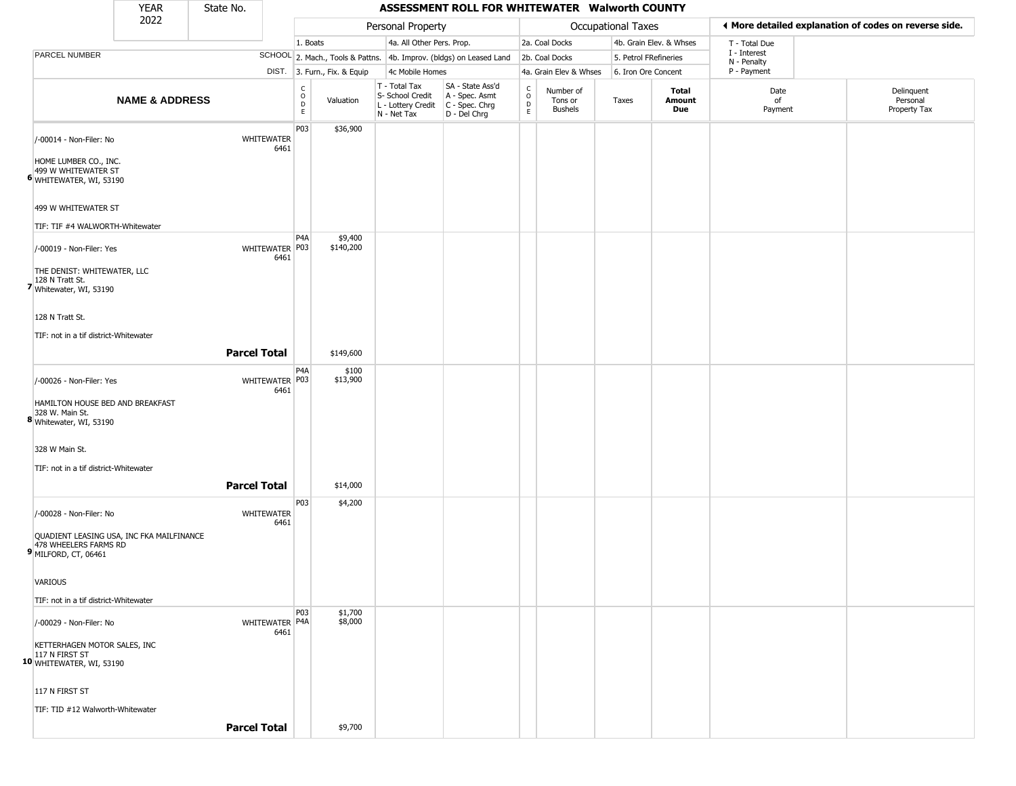|                                                                                                            | <b>YEAR</b>               | State No.           |                           |                                                |                              |                                                                        | ASSESSMENT ROLL FOR WHITEWATER Walworth COUNTY                         |                                            |                                        |                           |                         |                             |                                                       |
|------------------------------------------------------------------------------------------------------------|---------------------------|---------------------|---------------------------|------------------------------------------------|------------------------------|------------------------------------------------------------------------|------------------------------------------------------------------------|--------------------------------------------|----------------------------------------|---------------------------|-------------------------|-----------------------------|-------------------------------------------------------|
|                                                                                                            | 2022                      |                     |                           |                                                |                              | Personal Property                                                      |                                                                        |                                            |                                        | <b>Occupational Taxes</b> |                         |                             | ♦ More detailed explanation of codes on reverse side. |
|                                                                                                            |                           |                     |                           | 1. Boats                                       |                              | 4a. All Other Pers. Prop.                                              |                                                                        |                                            | 2a. Coal Docks                         |                           | 4b. Grain Elev. & Whses | T - Total Due               |                                                       |
| PARCEL NUMBER                                                                                              |                           |                     |                           |                                                |                              |                                                                        | SCHOOL 2. Mach., Tools & Pattns. 4b. Improv. (bldgs) on Leased Land    |                                            | 2b. Coal Docks                         | 5. Petrol FRefineries     |                         | I - Interest<br>N - Penalty |                                                       |
|                                                                                                            |                           |                     |                           |                                                | DIST. 3. Furn., Fix. & Equip | 4c Mobile Homes                                                        |                                                                        |                                            | 4a. Grain Elev & Whses                 | 6. Iron Ore Concent       |                         | P - Payment                 |                                                       |
|                                                                                                            | <b>NAME &amp; ADDRESS</b> |                     |                           | $\begin{matrix} 0 \\ 0 \\ D \end{matrix}$<br>E | Valuation                    | T - Total Tax<br>S- School Credit<br>L - Lottery Credit<br>N - Net Tax | SA - State Ass'd<br>A - Spec. Asmt<br>$C - Spec. Chrg$<br>D - Del Chrg | $\frac{c}{0}$<br>$\mathsf{D}_{\mathsf{E}}$ | Number of<br>Tons or<br><b>Bushels</b> | Taxes                     | Total<br>Amount<br>Due  | Date<br>of<br>Payment       | Delinquent<br>Personal<br>Property Tax                |
| /-00014 - Non-Filer: No<br>HOME LUMBER CO., INC.<br>499 W WHITEWATER ST<br>6 WHITEWATER, WI, 53190         |                           |                     | WHITEWATER<br>6461        | P03                                            | \$36,900                     |                                                                        |                                                                        |                                            |                                        |                           |                         |                             |                                                       |
| 499 W WHITEWATER ST<br>TIF: TIF #4 WALWORTH-Whitewater                                                     |                           |                     |                           |                                                |                              |                                                                        |                                                                        |                                            |                                        |                           |                         |                             |                                                       |
| /-00019 - Non-Filer: Yes<br>THE DENIST: WHITEWATER, LLC<br>128 N Tratt St.<br>7 Whitewater, WI, 53190      |                           |                     | WHITEWATER P03<br>6461    | P <sub>4</sub> A                               | \$9,400<br>\$140,200         |                                                                        |                                                                        |                                            |                                        |                           |                         |                             |                                                       |
| 128 N Tratt St.<br>TIF: not in a tif district-Whitewater                                                   |                           | <b>Parcel Total</b> |                           |                                                | \$149,600                    |                                                                        |                                                                        |                                            |                                        |                           |                         |                             |                                                       |
|                                                                                                            |                           |                     |                           | P <sub>4</sub> A                               | \$100                        |                                                                        |                                                                        |                                            |                                        |                           |                         |                             |                                                       |
| /-00026 - Non-Filer: Yes<br>HAMILTON HOUSE BED AND BREAKFAST<br>328 W. Main St.<br>8 Whitewater, WI, 53190 |                           |                     | WHITEWATER P03<br>6461    |                                                | \$13,900                     |                                                                        |                                                                        |                                            |                                        |                           |                         |                             |                                                       |
| 328 W Main St.                                                                                             |                           |                     |                           |                                                |                              |                                                                        |                                                                        |                                            |                                        |                           |                         |                             |                                                       |
| TIF: not in a tif district-Whitewater                                                                      |                           | <b>Parcel Total</b> |                           |                                                | \$14,000                     |                                                                        |                                                                        |                                            |                                        |                           |                         |                             |                                                       |
| /-00028 - Non-Filer: No                                                                                    |                           |                     | <b>WHITEWATER</b><br>6461 | P03                                            | \$4,200                      |                                                                        |                                                                        |                                            |                                        |                           |                         |                             |                                                       |
| QUADIENT LEASING USA, INC FKA MAILFINANCE<br>478 WHEELERS FARMS RD<br>9 MILFORD, CT, 06461                 |                           |                     |                           |                                                |                              |                                                                        |                                                                        |                                            |                                        |                           |                         |                             |                                                       |
| VARIOUS                                                                                                    |                           |                     |                           |                                                |                              |                                                                        |                                                                        |                                            |                                        |                           |                         |                             |                                                       |
| TIF: not in a tif district-Whitewater                                                                      |                           |                     |                           |                                                |                              |                                                                        |                                                                        |                                            |                                        |                           |                         |                             |                                                       |
| /-00029 - Non-Filer: No                                                                                    |                           |                     | WHITEWATER P4A<br>6461    | P03                                            | \$1,700<br>\$8,000           |                                                                        |                                                                        |                                            |                                        |                           |                         |                             |                                                       |
| KETTERHAGEN MOTOR SALES, INC<br>10 UN FIRST ST<br>10 WHITEWATER, WI, 53190                                 |                           |                     |                           |                                                |                              |                                                                        |                                                                        |                                            |                                        |                           |                         |                             |                                                       |
| 117 N FIRST ST                                                                                             |                           |                     |                           |                                                |                              |                                                                        |                                                                        |                                            |                                        |                           |                         |                             |                                                       |
| TIF: TID #12 Walworth-Whitewater                                                                           |                           |                     |                           |                                                |                              |                                                                        |                                                                        |                                            |                                        |                           |                         |                             |                                                       |
|                                                                                                            |                           | <b>Parcel Total</b> |                           |                                                | \$9,700                      |                                                                        |                                                                        |                                            |                                        |                           |                         |                             |                                                       |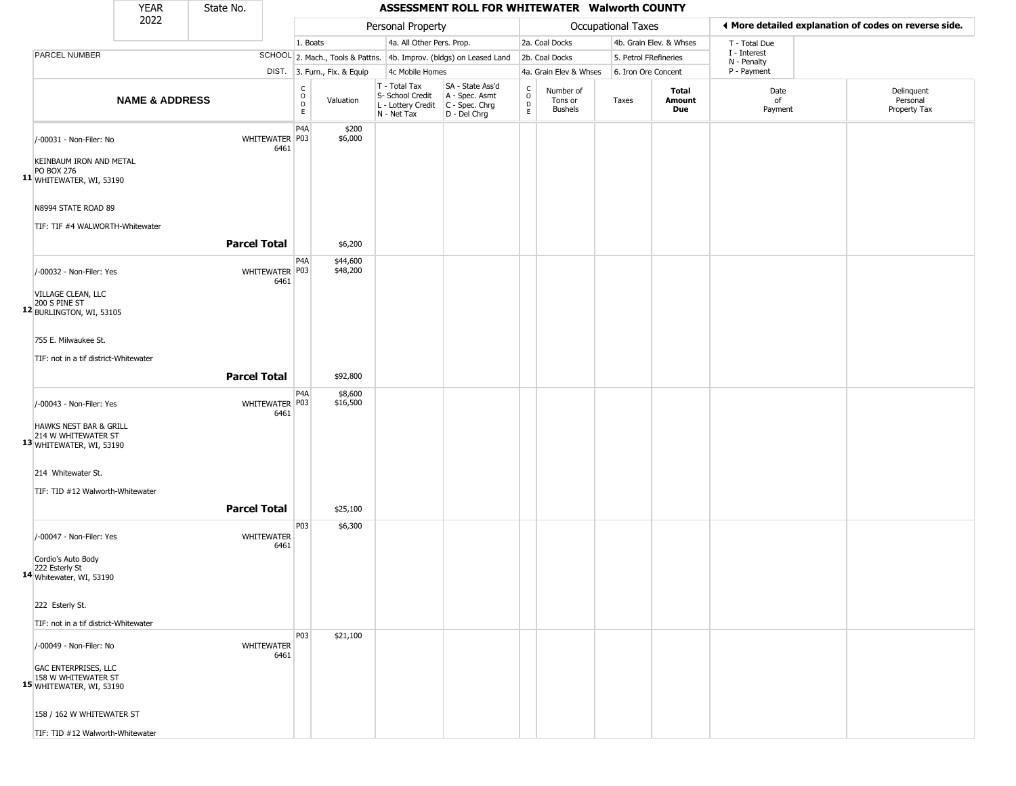|                                                                                | <b>YEAR</b>               | State No.           |                           |                                       |                              |                                                                        | ASSESSMENT ROLL FOR WHITEWATER Walworth COUNTY                       |                                             |                                        |                    |                         |                             |                                                       |
|--------------------------------------------------------------------------------|---------------------------|---------------------|---------------------------|---------------------------------------|------------------------------|------------------------------------------------------------------------|----------------------------------------------------------------------|---------------------------------------------|----------------------------------------|--------------------|-------------------------|-----------------------------|-------------------------------------------------------|
|                                                                                | 2022                      |                     |                           |                                       |                              | Personal Property                                                      |                                                                      |                                             |                                        | Occupational Taxes |                         |                             | I More detailed explanation of codes on reverse side. |
|                                                                                |                           |                     |                           | 1. Boats                              |                              | 4a. All Other Pers. Prop.                                              |                                                                      |                                             | 2a. Coal Docks                         |                    | 4b. Grain Elev. & Whses | T - Total Due               |                                                       |
| PARCEL NUMBER                                                                  |                           |                     |                           |                                       |                              |                                                                        | SCHOOL 2. Mach., Tools & Pattns. 4b. Improv. (bldgs) on Leased Land  |                                             | 2b. Coal Docks                         |                    | 5. Petrol FRefineries   | I - Interest<br>N - Penalty |                                                       |
|                                                                                |                           |                     |                           |                                       | DIST. 3. Furn., Fix. & Equip | 4c Mobile Homes                                                        |                                                                      |                                             | 4a. Grain Elev & Whses                 |                    | 6. Iron Ore Concent     | P - Payment                 |                                                       |
|                                                                                | <b>NAME &amp; ADDRESS</b> |                     |                           | $\rm ^c_{\rm o}$<br>$\mathsf{D}$<br>E | Valuation                    | T - Total Tax<br>S- School Credit<br>L - Lottery Credit<br>N - Net Tax | SA - State Ass'd<br>A - Spec. Asmt<br>C - Spec. Chrg<br>D - Del Chrg | C<br>$\circ$<br>$\mathsf{D}$<br>$\mathsf E$ | Number of<br>Tons or<br><b>Bushels</b> | Taxes              | Total<br>Amount<br>Due  | Date<br>of<br>Payment       | Delinquent<br>Personal<br>Property Tax                |
| /-00031 - Non-Filer: No<br>KEINBAUM IRON AND METAL                             |                           |                     | WHITEWATER P03<br>6461    | P <sub>4</sub> A                      | \$200<br>\$6,000             |                                                                        |                                                                      |                                             |                                        |                    |                         |                             |                                                       |
| <b>PO BOX 276</b><br>11 WHITEWATER, WI, 53190<br>N8994 STATE ROAD 89           |                           |                     |                           |                                       |                              |                                                                        |                                                                      |                                             |                                        |                    |                         |                             |                                                       |
| TIF: TIF #4 WALWORTH-Whitewater                                                |                           | <b>Parcel Total</b> |                           |                                       | \$6,200                      |                                                                        |                                                                      |                                             |                                        |                    |                         |                             |                                                       |
| /-00032 - Non-Filer: Yes<br>VILLAGE CLEAN, LLC                                 |                           |                     | WHITEWATER P03<br>6461    | P <sub>4</sub> A                      | \$44,600<br>\$48,200         |                                                                        |                                                                      |                                             |                                        |                    |                         |                             |                                                       |
| 200 S PINE ST<br>12 BURLINGTON, WI, 53105<br>755 E. Milwaukee St.              |                           |                     |                           |                                       |                              |                                                                        |                                                                      |                                             |                                        |                    |                         |                             |                                                       |
| TIF: not in a tif district-Whitewater                                          |                           |                     |                           |                                       |                              |                                                                        |                                                                      |                                             |                                        |                    |                         |                             |                                                       |
|                                                                                |                           | <b>Parcel Total</b> |                           |                                       | \$92,800                     |                                                                        |                                                                      |                                             |                                        |                    |                         |                             |                                                       |
|                                                                                |                           |                     |                           | P <sub>4</sub> A                      | \$8,600                      |                                                                        |                                                                      |                                             |                                        |                    |                         |                             |                                                       |
| /-00043 - Non-Filer: Yes<br>HAWKS NEST BAR & GRILL                             |                           |                     | WHITEWATER P03<br>6461    |                                       | \$16,500                     |                                                                        |                                                                      |                                             |                                        |                    |                         |                             |                                                       |
| 214 W WHITEWATER ST<br>13 WHITEWATER, WI, 53190                                |                           |                     |                           |                                       |                              |                                                                        |                                                                      |                                             |                                        |                    |                         |                             |                                                       |
| 214 Whitewater St.                                                             |                           |                     |                           |                                       |                              |                                                                        |                                                                      |                                             |                                        |                    |                         |                             |                                                       |
| TIF: TID #12 Walworth-Whitewater                                               |                           |                     |                           |                                       |                              |                                                                        |                                                                      |                                             |                                        |                    |                         |                             |                                                       |
|                                                                                |                           | <b>Parcel Total</b> |                           |                                       | \$25,100                     |                                                                        |                                                                      |                                             |                                        |                    |                         |                             |                                                       |
| /-00047 - Non-Filer: Yes                                                       |                           |                     | WHITEWATER<br>6461        | P03                                   | \$6,300                      |                                                                        |                                                                      |                                             |                                        |                    |                         |                             |                                                       |
| Cordio's Auto Body<br>222 Esterly St<br>14 Whitewater, WI, 53190               |                           |                     |                           |                                       |                              |                                                                        |                                                                      |                                             |                                        |                    |                         |                             |                                                       |
| 222 Esterly St.                                                                |                           |                     |                           |                                       |                              |                                                                        |                                                                      |                                             |                                        |                    |                         |                             |                                                       |
| TIF: not in a tif district-Whitewater                                          |                           |                     |                           |                                       |                              |                                                                        |                                                                      |                                             |                                        |                    |                         |                             |                                                       |
| /-00049 - Non-Filer: No                                                        |                           |                     | <b>WHITEWATER</b><br>6461 | P03                                   | \$21,100                     |                                                                        |                                                                      |                                             |                                        |                    |                         |                             |                                                       |
| <b>GAC ENTERPRISES, LLC</b><br>158 W WHITEWATER ST<br>15 WHITEWATER, WI, 53190 |                           |                     |                           |                                       |                              |                                                                        |                                                                      |                                             |                                        |                    |                         |                             |                                                       |
| 158 / 162 W WHITEWATER ST                                                      |                           |                     |                           |                                       |                              |                                                                        |                                                                      |                                             |                                        |                    |                         |                             |                                                       |

TIF: TID #12 Walworth-Whitewater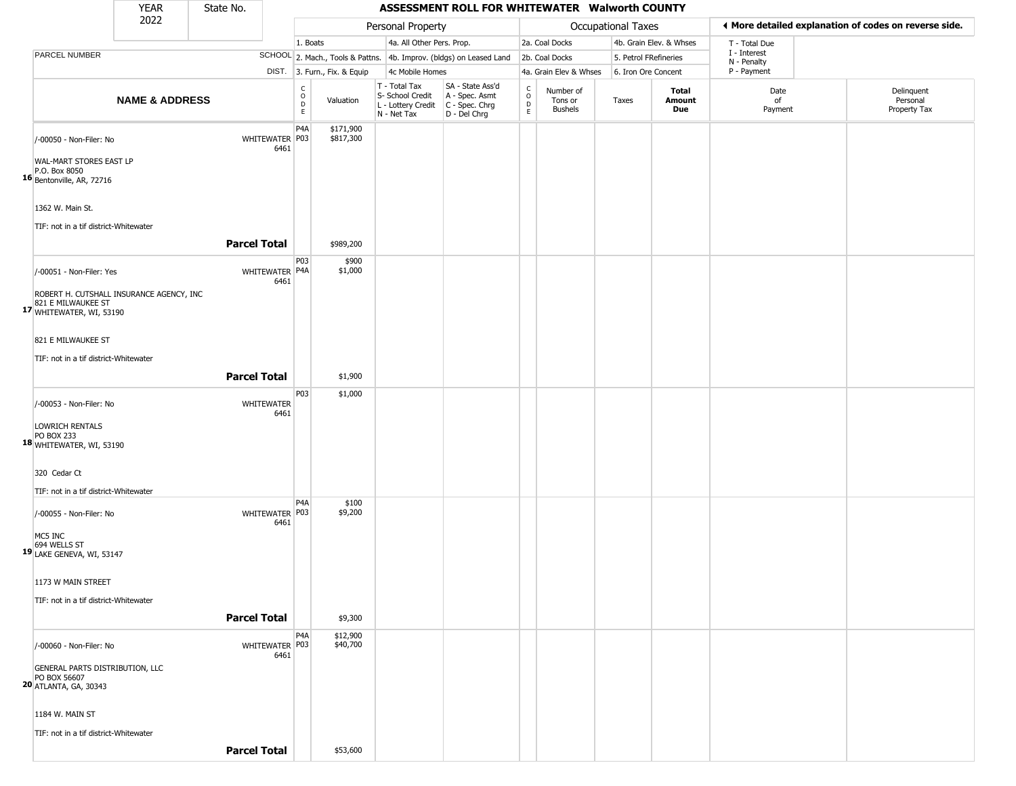|                                                                                                                        | <b>YEAR</b>               | State No.           |                        |                                                |                              |                                                                        | ASSESSMENT ROLL FOR WHITEWATER Walworth COUNTY                       |                                      |                                        |                           |                         |                             |                                                       |
|------------------------------------------------------------------------------------------------------------------------|---------------------------|---------------------|------------------------|------------------------------------------------|------------------------------|------------------------------------------------------------------------|----------------------------------------------------------------------|--------------------------------------|----------------------------------------|---------------------------|-------------------------|-----------------------------|-------------------------------------------------------|
|                                                                                                                        | 2022                      |                     |                        |                                                |                              | Personal Property                                                      |                                                                      |                                      |                                        | <b>Occupational Taxes</b> |                         |                             | ◀ More detailed explanation of codes on reverse side. |
|                                                                                                                        |                           |                     |                        | 1. Boats                                       |                              | 4a. All Other Pers. Prop.                                              |                                                                      |                                      | 2a. Coal Docks                         |                           | 4b. Grain Elev. & Whses | T - Total Due               |                                                       |
| PARCEL NUMBER                                                                                                          |                           |                     |                        |                                                |                              |                                                                        | SCHOOL 2. Mach., Tools & Pattns. 4b. Improv. (bldgs) on Leased Land  |                                      | 2b. Coal Docks                         | 5. Petrol FRefineries     |                         | I - Interest<br>N - Penalty |                                                       |
|                                                                                                                        |                           |                     |                        |                                                | DIST. 3. Furn., Fix. & Equip | 4c Mobile Homes                                                        |                                                                      |                                      | 4a. Grain Elev & Whses                 | 6. Iron Ore Concent       |                         | P - Payment                 |                                                       |
|                                                                                                                        | <b>NAME &amp; ADDRESS</b> |                     |                        | $\rm ^c_{\rm o}$<br>$\mathsf D$<br>$\mathsf E$ | Valuation                    | T - Total Tax<br>S- School Credit<br>L - Lottery Credit<br>N - Net Tax | SA - State Ass'd<br>A - Spec. Asmt<br>C - Spec. Chrg<br>D - Del Chrg | $_{\rm o}^{\rm c}$<br>$\overline{P}$ | Number of<br>Tons or<br><b>Bushels</b> | Taxes                     | Total<br>Amount<br>Due  | Date<br>of<br>Payment       | Delinquent<br>Personal<br>Property Tax                |
| /-00050 - Non-Filer: No<br>WAL-MART STORES EAST LP<br>P.O. Box 8050<br>16 Bentonville, AR, 72716                       |                           |                     | WHITEWATER P03<br>6461 | P <sub>4</sub> A                               | \$171,900<br>\$817,300       |                                                                        |                                                                      |                                      |                                        |                           |                         |                             |                                                       |
| 1362 W. Main St.<br>TIF: not in a tif district-Whitewater                                                              |                           | <b>Parcel Total</b> |                        |                                                | \$989,200                    |                                                                        |                                                                      |                                      |                                        |                           |                         |                             |                                                       |
|                                                                                                                        |                           |                     |                        | P03                                            |                              |                                                                        |                                                                      |                                      |                                        |                           |                         |                             |                                                       |
| /-00051 - Non-Filer: Yes<br>ROBERT H. CUTSHALL INSURANCE AGENCY, INC<br>821 E MILWAUKEE ST<br>17 WHITEWATER, WI, 53190 |                           |                     | WHITEWATER P4A<br>6461 |                                                | \$900<br>\$1,000             |                                                                        |                                                                      |                                      |                                        |                           |                         |                             |                                                       |
| 821 E MILWAUKEE ST                                                                                                     |                           |                     |                        |                                                |                              |                                                                        |                                                                      |                                      |                                        |                           |                         |                             |                                                       |
|                                                                                                                        |                           |                     |                        |                                                |                              |                                                                        |                                                                      |                                      |                                        |                           |                         |                             |                                                       |
| TIF: not in a tif district-Whitewater                                                                                  |                           |                     |                        |                                                |                              |                                                                        |                                                                      |                                      |                                        |                           |                         |                             |                                                       |
|                                                                                                                        |                           | <b>Parcel Total</b> |                        |                                                | \$1,900                      |                                                                        |                                                                      |                                      |                                        |                           |                         |                             |                                                       |
| /-00053 - Non-Filer: No                                                                                                |                           |                     | WHITEWATER<br>6461     | P03                                            | \$1,000                      |                                                                        |                                                                      |                                      |                                        |                           |                         |                             |                                                       |
| LOWRICH RENTALS<br><b>PO BOX 233</b><br>18 WHITEWATER, WI, 53190                                                       |                           |                     |                        |                                                |                              |                                                                        |                                                                      |                                      |                                        |                           |                         |                             |                                                       |
| 320 Cedar Ct<br>TIF: not in a tif district-Whitewater                                                                  |                           |                     |                        |                                                |                              |                                                                        |                                                                      |                                      |                                        |                           |                         |                             |                                                       |
|                                                                                                                        |                           |                     |                        | P <sub>4</sub> A                               | \$100                        |                                                                        |                                                                      |                                      |                                        |                           |                         |                             |                                                       |
| /-00055 - Non-Filer: No<br>MC5 INC<br>694 WELLS ST<br>19 LAKE GENEVA, WI, 53147                                        |                           |                     | WHITEWATER P03<br>6461 |                                                | \$9,200                      |                                                                        |                                                                      |                                      |                                        |                           |                         |                             |                                                       |
|                                                                                                                        |                           |                     |                        |                                                |                              |                                                                        |                                                                      |                                      |                                        |                           |                         |                             |                                                       |
| 1173 W MAIN STREET                                                                                                     |                           |                     |                        |                                                |                              |                                                                        |                                                                      |                                      |                                        |                           |                         |                             |                                                       |
| TIF: not in a tif district-Whitewater                                                                                  |                           |                     |                        |                                                |                              |                                                                        |                                                                      |                                      |                                        |                           |                         |                             |                                                       |
|                                                                                                                        |                           | <b>Parcel Total</b> |                        |                                                | \$9,300                      |                                                                        |                                                                      |                                      |                                        |                           |                         |                             |                                                       |
| /-00060 - Non-Filer: No                                                                                                |                           |                     | WHITEWATER P03<br>6461 | P <sub>4</sub> A                               | \$12,900<br>\$40,700         |                                                                        |                                                                      |                                      |                                        |                           |                         |                             |                                                       |
| GENERAL PARTS DISTRIBUTION, LLC<br>PO BOX 56607<br>20 ATLANTA, GA, 30343                                               |                           |                     |                        |                                                |                              |                                                                        |                                                                      |                                      |                                        |                           |                         |                             |                                                       |
| 1184 W. MAIN ST                                                                                                        |                           |                     |                        |                                                |                              |                                                                        |                                                                      |                                      |                                        |                           |                         |                             |                                                       |
| TIF: not in a tif district-Whitewater                                                                                  |                           |                     |                        |                                                |                              |                                                                        |                                                                      |                                      |                                        |                           |                         |                             |                                                       |
|                                                                                                                        |                           | <b>Parcel Total</b> |                        |                                                | \$53,600                     |                                                                        |                                                                      |                                      |                                        |                           |                         |                             |                                                       |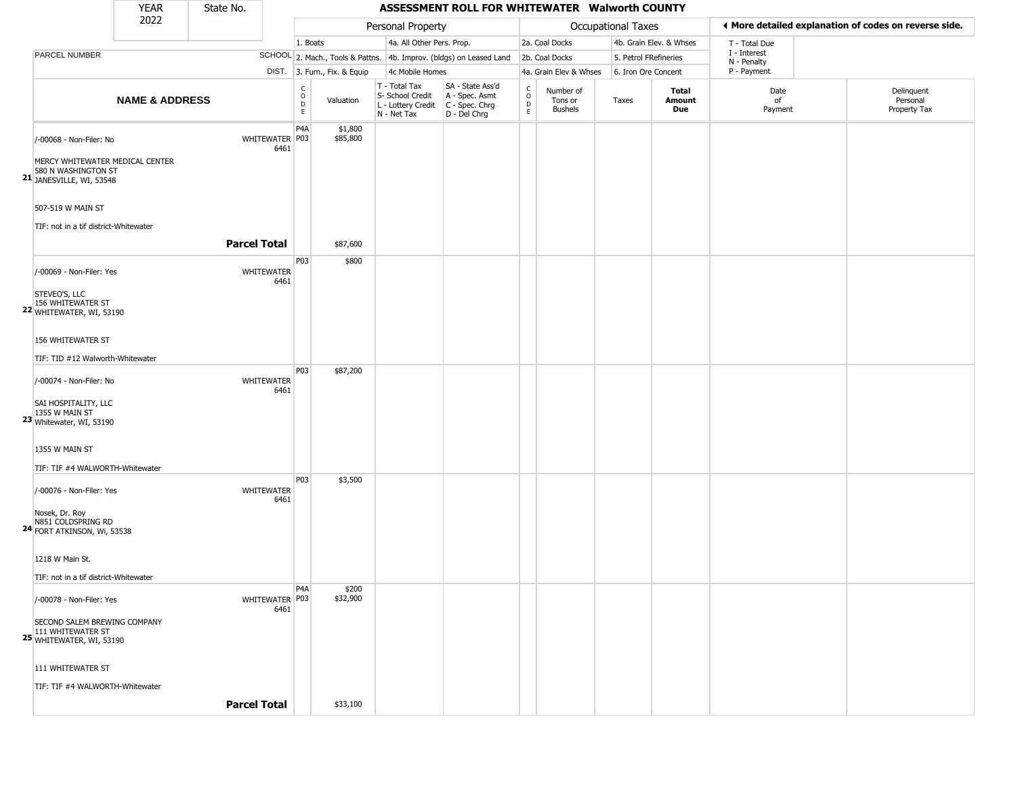|                                                                                                                                                              | <b>YEAR</b>               | State No.           |                           |                                   |                              |                                                                                          | ASSESSMENT ROLL FOR WHITEWATER Walworth COUNTY                      |                        |                                        |                       |                         |                             |                                                       |
|--------------------------------------------------------------------------------------------------------------------------------------------------------------|---------------------------|---------------------|---------------------------|-----------------------------------|------------------------------|------------------------------------------------------------------------------------------|---------------------------------------------------------------------|------------------------|----------------------------------------|-----------------------|-------------------------|-----------------------------|-------------------------------------------------------|
|                                                                                                                                                              | 2022                      |                     |                           |                                   |                              | Personal Property                                                                        |                                                                     |                        |                                        | Occupational Taxes    |                         |                             | ◀ More detailed explanation of codes on reverse side. |
|                                                                                                                                                              |                           |                     |                           | 1. Boats                          |                              | 4a. All Other Pers. Prop.                                                                |                                                                     |                        | 2a. Coal Docks                         |                       | 4b. Grain Elev. & Whses | T - Total Due               |                                                       |
| <b>PARCEL NUMBER</b>                                                                                                                                         |                           |                     |                           |                                   |                              |                                                                                          | SCHOOL 2. Mach., Tools & Pattns. 4b. Improv. (bldgs) on Leased Land |                        | 2b. Coal Docks                         | 5. Petrol FRefineries |                         | I - Interest<br>N - Penalty |                                                       |
|                                                                                                                                                              |                           |                     |                           |                                   | DIST. 3. Furn., Fix. & Equip | 4c Mobile Homes                                                                          |                                                                     |                        | 4a. Grain Elev & Whses                 | 6. Iron Ore Concent   |                         | P - Payment                 |                                                       |
|                                                                                                                                                              | <b>NAME &amp; ADDRESS</b> |                     |                           | $\frac{c}{0}$<br>$\mathsf D$<br>E | Valuation                    | T - Total Tax<br>S- School Credit<br>L - Lottery Credit<br>C - Spec. Chrg<br>N - Net Tax | SA - State Ass'd<br>$D - Del Chrg$                                  | C<br>$\circ$<br>D<br>E | Number of<br>Tons or<br><b>Bushels</b> | Taxes                 | Total<br>Amount<br>Due  | Date<br>of<br>Payment       | Delinquent<br>Personal<br>Property Tax                |
| /-00068 - Non-Filer: No<br>MERCY WHITEWATER MEDICAL CENTER<br>580 N WASHINGTON ST<br>21 JANESVILLE, WI, 53548                                                |                           |                     | WHITEWATER P03<br>6461    | P4A                               | \$1,800<br>\$85,800          |                                                                                          |                                                                     |                        |                                        |                       |                         |                             |                                                       |
| 507-519 W MAIN ST<br>TIF: not in a tif district-Whitewater                                                                                                   |                           | <b>Parcel Total</b> |                           |                                   | \$87,600                     |                                                                                          |                                                                     |                        |                                        |                       |                         |                             |                                                       |
| /-00069 - Non-Filer: Yes<br>STEVEO'S, LLC<br>156 WHITEWATER ST<br><b>22 WHITEWATER, WI, 53190</b>                                                            |                           |                     | <b>WHITEWATER</b><br>6461 | P03                               | \$800                        |                                                                                          |                                                                     |                        |                                        |                       |                         |                             |                                                       |
| 156 WHITEWATER ST<br>TIF: TID #12 Walworth-Whitewater                                                                                                        |                           |                     |                           |                                   |                              |                                                                                          |                                                                     |                        |                                        |                       |                         |                             |                                                       |
| /-00074 - Non-Filer: No<br>SAI HOSPITALITY, LLC<br>1355 W MAIN ST<br>23 Whitewater, WI, 53190<br>1355 W MAIN ST                                              |                           |                     | <b>WHITEWATER</b><br>6461 | <b>P03</b>                        | \$87,200                     |                                                                                          |                                                                     |                        |                                        |                       |                         |                             |                                                       |
| TIF: TIF #4 WALWORTH-Whitewater<br>/-00076 - Non-Filer: Yes<br>Nosek, Dr. Roy<br>N851 COLDSPRING RD<br><b>24</b> FORT ATKINSON, Wi, 53538<br>1218 W Main St. |                           |                     | <b>WHITEWATER</b><br>6461 | P03                               | \$3,500                      |                                                                                          |                                                                     |                        |                                        |                       |                         |                             |                                                       |
| TIF: not in a tif district-Whitewater<br>/-00078 - Non-Filer: Yes<br>SECOND SALEM BREWING COMPANY<br>111 WHITEWATER ST<br><b>25 WHITEWATER, WI, 53190</b>    |                           |                     | WHITEWATER P03<br>6461    | P4A                               | \$200<br>\$32,900            |                                                                                          |                                                                     |                        |                                        |                       |                         |                             |                                                       |
| 111 WHITEWATER ST<br>TIF: TIF #4 WALWORTH-Whitewater                                                                                                         |                           | <b>Parcel Total</b> |                           |                                   | \$33,100                     |                                                                                          |                                                                     |                        |                                        |                       |                         |                             |                                                       |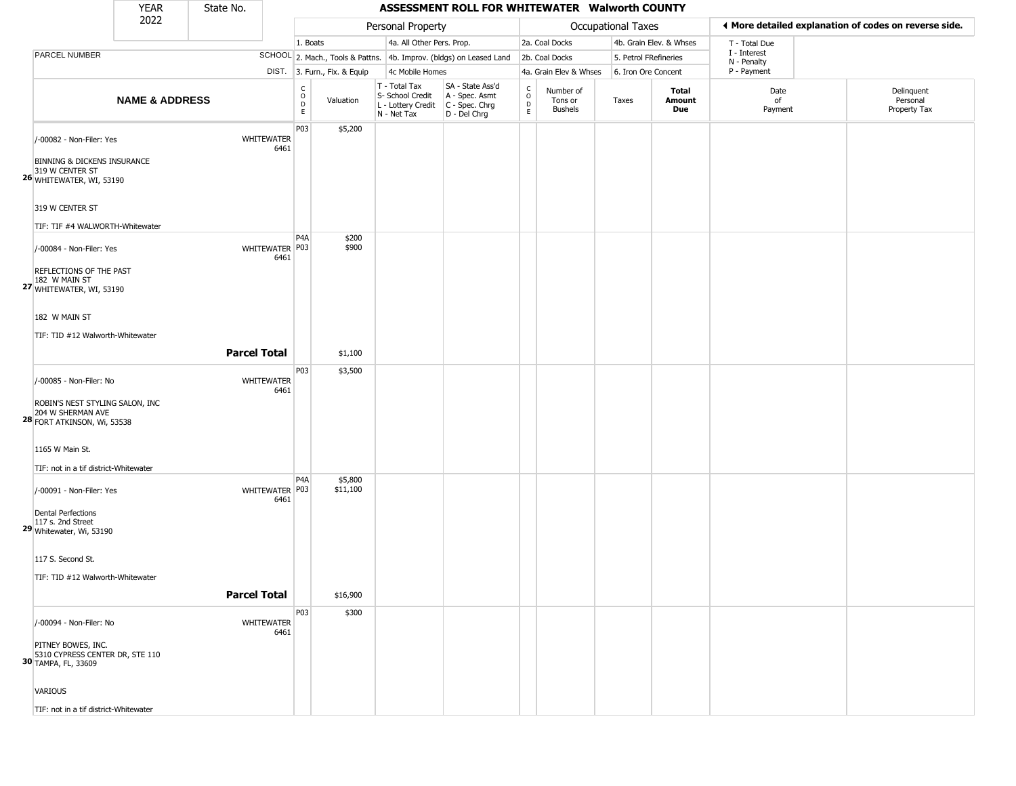|                                                                                                                                                                                   | <b>YEAR</b>               | State No.           |                           |                                                 |                              |                                                                        | ASSESSMENT ROLL FOR WHITEWATER Walworth COUNTY                       |                                 |                                        |                       |                         |                             |                                                       |
|-----------------------------------------------------------------------------------------------------------------------------------------------------------------------------------|---------------------------|---------------------|---------------------------|-------------------------------------------------|------------------------------|------------------------------------------------------------------------|----------------------------------------------------------------------|---------------------------------|----------------------------------------|-----------------------|-------------------------|-----------------------------|-------------------------------------------------------|
|                                                                                                                                                                                   | 2022                      |                     |                           |                                                 |                              | Personal Property                                                      |                                                                      |                                 |                                        | Occupational Taxes    |                         |                             | ◀ More detailed explanation of codes on reverse side. |
|                                                                                                                                                                                   |                           |                     |                           | 1. Boats                                        |                              | 4a. All Other Pers. Prop.                                              |                                                                      |                                 | 2a. Coal Docks                         |                       | 4b. Grain Elev. & Whses | T - Total Due               |                                                       |
| PARCEL NUMBER                                                                                                                                                                     |                           |                     |                           |                                                 |                              |                                                                        | SCHOOL 2. Mach., Tools & Pattns. 4b. Improv. (bldgs) on Leased Land  |                                 | 2b. Coal Docks                         | 5. Petrol FRefineries |                         | I - Interest<br>N - Penalty |                                                       |
|                                                                                                                                                                                   |                           |                     |                           |                                                 | DIST. 3. Furn., Fix. & Equip | 4c Mobile Homes                                                        |                                                                      |                                 | 4a. Grain Elev & Whses                 | 6. Iron Ore Concent   |                         | P - Payment                 |                                                       |
|                                                                                                                                                                                   | <b>NAME &amp; ADDRESS</b> |                     |                           | $\begin{array}{c} C \\ O \\ D \\ E \end{array}$ | Valuation                    | T - Total Tax<br>S- School Credit<br>L - Lottery Credit<br>N - Net Tax | SA - State Ass'd<br>A - Spec. Asmt<br>C - Spec. Chrg<br>D - Del Chrg | $\int_{0}^{c}$<br>$\frac{D}{E}$ | Number of<br>Tons or<br><b>Bushels</b> | Taxes                 | Total<br>Amount<br>Due  | Date<br>of<br>Payment       | Delinquent<br>Personal<br>Property Tax                |
| /-00082 - Non-Filer: Yes<br>BINNING & DICKENS INSURANCE<br>319 W CENTER ST<br>26 WHITEWATER, WI, 53190                                                                            |                           |                     | <b>WHITEWATER</b><br>6461 | P03                                             | \$5,200                      |                                                                        |                                                                      |                                 |                                        |                       |                         |                             |                                                       |
| 319 W CENTER ST<br>TIF: TIF #4 WALWORTH-Whitewater                                                                                                                                |                           |                     |                           |                                                 |                              |                                                                        |                                                                      |                                 |                                        |                       |                         |                             |                                                       |
| /-00084 - Non-Filer: Yes<br>REFLECTIONS OF THE PAST<br>182 W MAIN ST<br>27 WHITEWATER, WI, 53190                                                                                  |                           |                     | WHITEWATER P03<br>6461    | P <sub>4</sub> A                                | \$200<br>\$900               |                                                                        |                                                                      |                                 |                                        |                       |                         |                             |                                                       |
| 182 W MAIN ST<br>TIF: TID #12 Walworth-Whitewater                                                                                                                                 |                           | <b>Parcel Total</b> |                           |                                                 | \$1,100                      |                                                                        |                                                                      |                                 |                                        |                       |                         |                             |                                                       |
|                                                                                                                                                                                   |                           |                     |                           | P03                                             | \$3,500                      |                                                                        |                                                                      |                                 |                                        |                       |                         |                             |                                                       |
| /-00085 - Non-Filer: No<br>ROBIN'S NEST STYLING SALON, INC<br>204 W SHERMAN AVE<br><b>28 FORT ATKINSON, Wi, 53538</b><br>1165 W Main St.<br>TIF: not in a tif district-Whitewater |                           |                     | WHITEWATER<br>6461        |                                                 |                              |                                                                        |                                                                      |                                 |                                        |                       |                         |                             |                                                       |
| /-00091 - Non-Filer: Yes<br><b>Dental Perfections</b><br>117 s. 2nd Street<br>29 Whitewater, Wi, 53190                                                                            |                           |                     | WHITEWATER P03<br>6461    | P <sub>4</sub> A                                | \$5,800<br>\$11,100          |                                                                        |                                                                      |                                 |                                        |                       |                         |                             |                                                       |
| 117 S. Second St.<br>TIF: TID #12 Walworth-Whitewater                                                                                                                             |                           | <b>Parcel Total</b> |                           |                                                 | \$16,900                     |                                                                        |                                                                      |                                 |                                        |                       |                         |                             |                                                       |
| /-00094 - Non-Filer: No<br>PITNEY BOWES, INC.<br>5310 CYPRESS CENTER DR, STE 110<br><b>30</b> TAMPA, FL, 33609<br><b>VARIOUS</b>                                                  |                           |                     | WHITEWATER<br>6461        | P03                                             | \$300                        |                                                                        |                                                                      |                                 |                                        |                       |                         |                             |                                                       |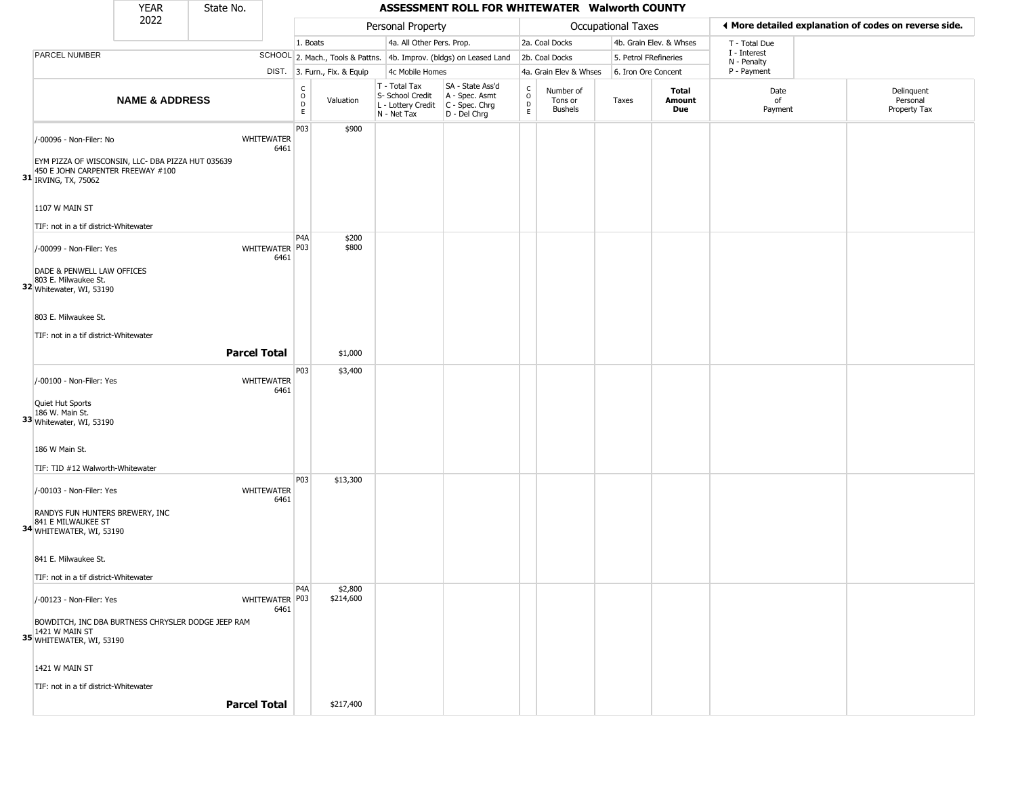|                                                                 | <b>YEAR</b>                                                                            | State No.                 |                         |                              |                                                                                         | ASSESSMENT ROLL FOR WHITEWATER Walworth COUNTY                      |                                   |                                        |                       |                         |                             |                                                       |
|-----------------------------------------------------------------|----------------------------------------------------------------------------------------|---------------------------|-------------------------|------------------------------|-----------------------------------------------------------------------------------------|---------------------------------------------------------------------|-----------------------------------|----------------------------------------|-----------------------|-------------------------|-----------------------------|-------------------------------------------------------|
|                                                                 | 2022                                                                                   |                           |                         |                              | Personal Property                                                                       |                                                                     |                                   |                                        | Occupational Taxes    |                         |                             | ♦ More detailed explanation of codes on reverse side. |
|                                                                 |                                                                                        |                           | 1. Boats                |                              | 4a. All Other Pers. Prop.                                                               |                                                                     |                                   | 2a. Coal Docks                         |                       | 4b. Grain Elev. & Whses | T - Total Due               |                                                       |
| PARCEL NUMBER                                                   |                                                                                        |                           |                         |                              |                                                                                         | SCHOOL 2. Mach., Tools & Pattns. 4b. Improv. (bldgs) on Leased Land |                                   | 2b. Coal Docks                         | 5. Petrol FRefineries |                         | I - Interest<br>N - Penalty |                                                       |
|                                                                 |                                                                                        |                           |                         | DIST. 3. Furn., Fix. & Equip | 4c Mobile Homes                                                                         |                                                                     |                                   | 4a. Grain Elev & Whses                 | 6. Iron Ore Concent   |                         | P - Payment                 |                                                       |
|                                                                 | <b>NAME &amp; ADDRESS</b>                                                              |                           | c<br>$\circ$<br>D<br>E. | Valuation                    | T - Total Tax<br>S- School Credit<br>L - Lottery Credit   C - Spec. Chrg<br>N - Net Tax | SA - State Ass'd<br>A - Spec. Asmt<br>D - Del Chrg                  | C<br>$\circ$<br>$\mathsf{D}$<br>E | Number of<br>Tons or<br><b>Bushels</b> | Taxes                 | Total<br>Amount<br>Due  | Date<br>of<br>Payment       | Delinquent<br>Personal<br>Property Tax                |
| /-00096 - Non-Filer: No                                         |                                                                                        | <b>WHITEWATER</b><br>6461 | P03                     | \$900                        |                                                                                         |                                                                     |                                   |                                        |                       |                         |                             |                                                       |
| 31 IRVING, TX, 75062                                            | EYM PIZZA OF WISCONSIN, LLC- DBA PIZZA HUT 035639<br>450 E JOHN CARPENTER FREEWAY #100 |                           |                         |                              |                                                                                         |                                                                     |                                   |                                        |                       |                         |                             |                                                       |
| 1107 W MAIN ST<br>TIF: not in a tif district-Whitewater         |                                                                                        |                           |                         |                              |                                                                                         |                                                                     |                                   |                                        |                       |                         |                             |                                                       |
|                                                                 |                                                                                        |                           | P <sub>4</sub> A        | \$200                        |                                                                                         |                                                                     |                                   |                                        |                       |                         |                             |                                                       |
| /-00099 - Non-Filer: Yes<br>DADE & PENWELL LAW OFFICES          |                                                                                        | WHITEWATER   P03<br>6461  |                         | \$800                        |                                                                                         |                                                                     |                                   |                                        |                       |                         |                             |                                                       |
| 803 E. Milwaukee St.<br>32 Whitewater, WI, 53190                |                                                                                        |                           |                         |                              |                                                                                         |                                                                     |                                   |                                        |                       |                         |                             |                                                       |
| 803 E. Milwaukee St.                                            |                                                                                        |                           |                         |                              |                                                                                         |                                                                     |                                   |                                        |                       |                         |                             |                                                       |
| TIF: not in a tif district-Whitewater                           |                                                                                        |                           |                         |                              |                                                                                         |                                                                     |                                   |                                        |                       |                         |                             |                                                       |
|                                                                 |                                                                                        | <b>Parcel Total</b>       |                         | \$1,000                      |                                                                                         |                                                                     |                                   |                                        |                       |                         |                             |                                                       |
| /-00100 - Non-Filer: Yes                                        |                                                                                        | WHITEWATER<br>6461        | P03                     | \$3,400                      |                                                                                         |                                                                     |                                   |                                        |                       |                         |                             |                                                       |
| Quiet Hut Sports<br>186 W. Main St.<br>33 Whitewater, WI, 53190 |                                                                                        |                           |                         |                              |                                                                                         |                                                                     |                                   |                                        |                       |                         |                             |                                                       |
| 186 W Main St.                                                  |                                                                                        |                           |                         |                              |                                                                                         |                                                                     |                                   |                                        |                       |                         |                             |                                                       |
|                                                                 | TIF: TID #12 Walworth-Whitewater                                                       |                           |                         |                              |                                                                                         |                                                                     |                                   |                                        |                       |                         |                             |                                                       |
| /-00103 - Non-Filer: Yes                                        |                                                                                        | WHITEWATER<br>6461        | P <sub>0</sub> 3        | \$13,300                     |                                                                                         |                                                                     |                                   |                                        |                       |                         |                             |                                                       |
| 841 E MILWAUKEE ST<br>34 WHITEWATER, WI, 53190                  | RANDYS FUN HUNTERS BREWERY, INC                                                        |                           |                         |                              |                                                                                         |                                                                     |                                   |                                        |                       |                         |                             |                                                       |
| 841 E. Milwaukee St.                                            |                                                                                        |                           |                         |                              |                                                                                         |                                                                     |                                   |                                        |                       |                         |                             |                                                       |
|                                                                 | TIF: not in a tif district-Whitewater                                                  |                           |                         |                              |                                                                                         |                                                                     |                                   |                                        |                       |                         |                             |                                                       |
| /-00123 - Non-Filer: Yes                                        |                                                                                        | WHITEWATER P03<br>6461    | P4A                     | \$2,800<br>\$214,600         |                                                                                         |                                                                     |                                   |                                        |                       |                         |                             |                                                       |
| 35 WHITEWATER, WI, 53190                                        | BOWDITCH, INC DBA BURTNESS CHRYSLER DODGE JEEP RAM                                     |                           |                         |                              |                                                                                         |                                                                     |                                   |                                        |                       |                         |                             |                                                       |
| 1421 W MAIN ST                                                  |                                                                                        |                           |                         |                              |                                                                                         |                                                                     |                                   |                                        |                       |                         |                             |                                                       |
| TIF: not in a tif district-Whitewater                           |                                                                                        |                           |                         |                              |                                                                                         |                                                                     |                                   |                                        |                       |                         |                             |                                                       |
|                                                                 |                                                                                        | <b>Parcel Total</b>       |                         | \$217,400                    |                                                                                         |                                                                     |                                   |                                        |                       |                         |                             |                                                       |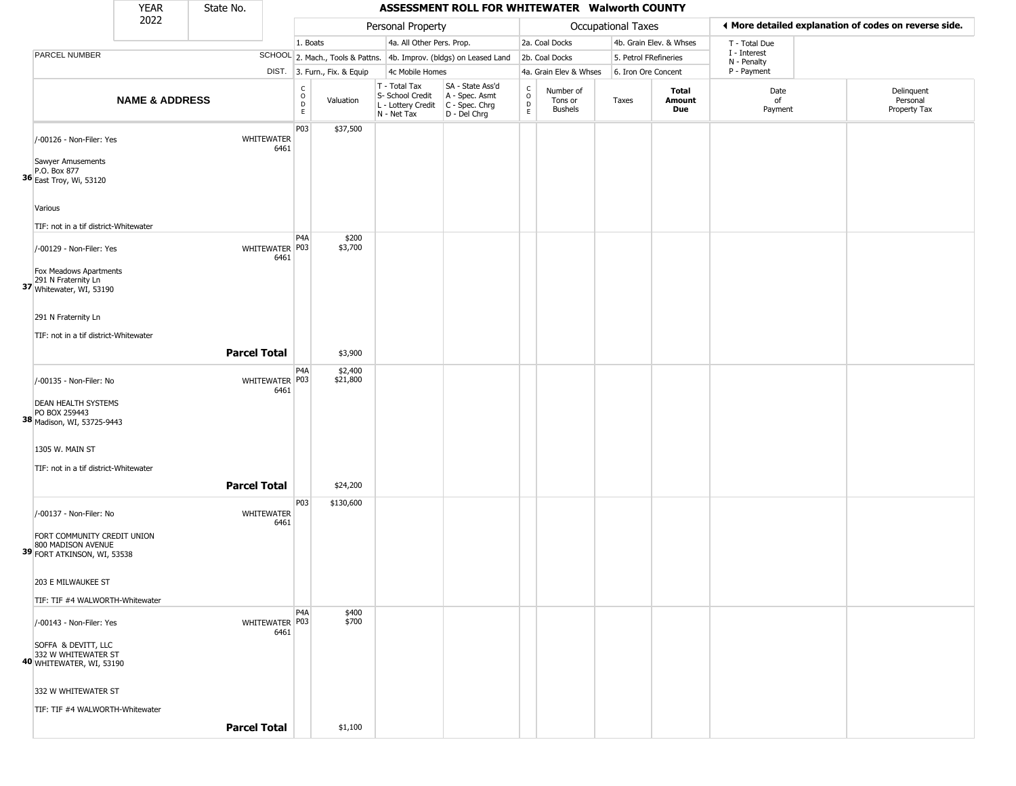|                                                                                  | <b>YEAR</b>               | State No.           |                           |                                   |                              |                                                                        | ASSESSMENT ROLL FOR WHITEWATER Walworth COUNTY                       |                                    |                                        |                     |                         |                             |                                                       |
|----------------------------------------------------------------------------------|---------------------------|---------------------|---------------------------|-----------------------------------|------------------------------|------------------------------------------------------------------------|----------------------------------------------------------------------|------------------------------------|----------------------------------------|---------------------|-------------------------|-----------------------------|-------------------------------------------------------|
|                                                                                  | 2022                      |                     |                           |                                   |                              | Personal Property                                                      |                                                                      |                                    |                                        | Occupational Taxes  |                         |                             | ◀ More detailed explanation of codes on reverse side. |
|                                                                                  |                           |                     |                           | 1. Boats                          |                              | 4a. All Other Pers. Prop.                                              |                                                                      |                                    | 2a. Coal Docks                         |                     | 4b. Grain Elev. & Whses | T - Total Due               |                                                       |
| PARCEL NUMBER                                                                    |                           |                     |                           |                                   |                              |                                                                        | SCHOOL 2. Mach., Tools & Pattns. 4b. Improv. (bldgs) on Leased Land  |                                    | 2b. Coal Docks                         |                     | 5. Petrol FRefineries   | I - Interest<br>N - Penalty |                                                       |
|                                                                                  |                           |                     |                           |                                   | DIST. 3. Furn., Fix. & Equip | 4c Mobile Homes                                                        |                                                                      |                                    | 4a. Grain Elev & Whses                 | 6. Iron Ore Concent |                         | P - Payment                 |                                                       |
|                                                                                  | <b>NAME &amp; ADDRESS</b> |                     |                           | $\mathsf{C}$<br>$\circ$<br>D<br>E | Valuation                    | T - Total Tax<br>S- School Credit<br>L - Lottery Credit<br>N - Net Tax | SA - State Ass'd<br>A - Spec. Asmt<br>C - Spec. Chrg<br>D - Del Chrg | $\mathsf{C}$<br>$\circ$<br>D<br>E. | Number of<br>Tons or<br><b>Bushels</b> | Taxes               | Total<br>Amount<br>Due  | Date<br>of<br>Payment       | Delinquent<br>Personal<br>Property Tax                |
| /-00126 - Non-Filer: Yes                                                         |                           |                     | WHITEWATER<br>6461        | P03                               | \$37,500                     |                                                                        |                                                                      |                                    |                                        |                     |                         |                             |                                                       |
| Sawyer Amusements<br>P.O. Box 877<br><b>36</b> East Troy, Wi, 53120              |                           |                     |                           |                                   |                              |                                                                        |                                                                      |                                    |                                        |                     |                         |                             |                                                       |
| Various                                                                          |                           |                     |                           |                                   |                              |                                                                        |                                                                      |                                    |                                        |                     |                         |                             |                                                       |
| TIF: not in a tif district-Whitewater                                            |                           |                     |                           | P <sub>4</sub> A                  | \$200                        |                                                                        |                                                                      |                                    |                                        |                     |                         |                             |                                                       |
| /-00129 - Non-Filer: Yes                                                         |                           |                     | WHITEWATER P03<br>6461    |                                   | \$3,700                      |                                                                        |                                                                      |                                    |                                        |                     |                         |                             |                                                       |
| Fox Meadows Apartments<br>37 Whitewater, WI, 53190                               |                           |                     |                           |                                   |                              |                                                                        |                                                                      |                                    |                                        |                     |                         |                             |                                                       |
| 291 N Fraternity Ln                                                              |                           |                     |                           |                                   |                              |                                                                        |                                                                      |                                    |                                        |                     |                         |                             |                                                       |
| TIF: not in a tif district-Whitewater                                            |                           |                     |                           |                                   |                              |                                                                        |                                                                      |                                    |                                        |                     |                         |                             |                                                       |
|                                                                                  |                           | <b>Parcel Total</b> |                           |                                   | \$3,900                      |                                                                        |                                                                      |                                    |                                        |                     |                         |                             |                                                       |
| /-00135 - Non-Filer: No                                                          |                           |                     | WHITEWATER P03<br>6461    | P <sub>4</sub> A                  | \$2,400<br>\$21,800          |                                                                        |                                                                      |                                    |                                        |                     |                         |                             |                                                       |
| <b>DEAN HEALTH SYSTEMS</b><br>PO BOX 259443<br>38 Madison, WI, 53725-9443        |                           |                     |                           |                                   |                              |                                                                        |                                                                      |                                    |                                        |                     |                         |                             |                                                       |
| 1305 W. MAIN ST                                                                  |                           |                     |                           |                                   |                              |                                                                        |                                                                      |                                    |                                        |                     |                         |                             |                                                       |
| TIF: not in a tif district-Whitewater                                            |                           |                     |                           |                                   |                              |                                                                        |                                                                      |                                    |                                        |                     |                         |                             |                                                       |
|                                                                                  |                           | <b>Parcel Total</b> |                           |                                   | \$24,200                     |                                                                        |                                                                      |                                    |                                        |                     |                         |                             |                                                       |
| /-00137 - Non-Filer: No                                                          |                           |                     | <b>WHITEWATER</b><br>6461 | P03                               | \$130,600                    |                                                                        |                                                                      |                                    |                                        |                     |                         |                             |                                                       |
| FORT COMMUNITY CREDIT UNION<br>800 MADISON AVENUE<br>39 FORT ATKINSON, WI, 53538 |                           |                     |                           |                                   |                              |                                                                        |                                                                      |                                    |                                        |                     |                         |                             |                                                       |
| 203 E MILWAUKEE ST                                                               |                           |                     |                           |                                   |                              |                                                                        |                                                                      |                                    |                                        |                     |                         |                             |                                                       |
| TIF: TIF #4 WALWORTH-Whitewater                                                  |                           |                     |                           |                                   |                              |                                                                        |                                                                      |                                    |                                        |                     |                         |                             |                                                       |
| /-00143 - Non-Filer: Yes                                                         |                           |                     | WHITEWATER P03<br>6461    | P <sub>4</sub> A                  | \$400<br>\$700               |                                                                        |                                                                      |                                    |                                        |                     |                         |                             |                                                       |
| SOFFA & DEVITT, LLC<br>332 W WHITEWATER ST<br>40 WHITEWATER, WI, 53190           |                           |                     |                           |                                   |                              |                                                                        |                                                                      |                                    |                                        |                     |                         |                             |                                                       |
| 332 W WHITEWATER ST                                                              |                           |                     |                           |                                   |                              |                                                                        |                                                                      |                                    |                                        |                     |                         |                             |                                                       |
| TIF: TIF #4 WALWORTH-Whitewater                                                  |                           |                     |                           |                                   |                              |                                                                        |                                                                      |                                    |                                        |                     |                         |                             |                                                       |
|                                                                                  |                           | <b>Parcel Total</b> |                           |                                   | \$1,100                      |                                                                        |                                                                      |                                    |                                        |                     |                         |                             |                                                       |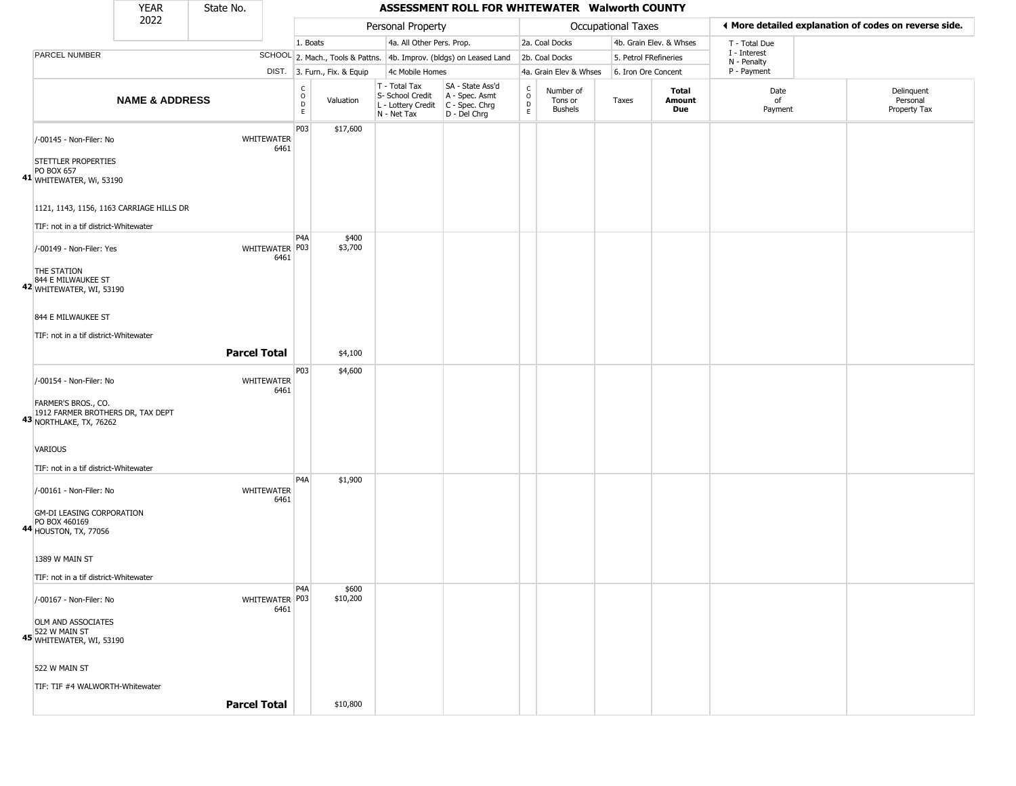|                                                                                                               | <b>YEAR</b>               | State No.           |                          |                        |                              |                                                                                                      | ASSESSMENT ROLL FOR WHITEWATER Walworth COUNTY                      |                                    |                                 |                           |                         |                             |                                                       |
|---------------------------------------------------------------------------------------------------------------|---------------------------|---------------------|--------------------------|------------------------|------------------------------|------------------------------------------------------------------------------------------------------|---------------------------------------------------------------------|------------------------------------|---------------------------------|---------------------------|-------------------------|-----------------------------|-------------------------------------------------------|
|                                                                                                               | 2022                      |                     |                          |                        |                              | Personal Property                                                                                    |                                                                     |                                    |                                 | <b>Occupational Taxes</b> |                         |                             | ◀ More detailed explanation of codes on reverse side. |
|                                                                                                               |                           |                     |                          | 1. Boats               |                              | 4a. All Other Pers. Prop.                                                                            |                                                                     |                                    | 2a. Coal Docks                  |                           | 4b. Grain Elev. & Whses | T - Total Due               |                                                       |
| PARCEL NUMBER                                                                                                 |                           |                     |                          |                        |                              |                                                                                                      | SCHOOL 2. Mach., Tools & Pattns. 4b. Improv. (bldgs) on Leased Land |                                    | 2b. Coal Docks                  | 5. Petrol FRefineries     |                         | I - Interest<br>N - Penalty |                                                       |
|                                                                                                               |                           |                     |                          |                        | DIST. 3. Furn., Fix. & Equip | 4c Mobile Homes                                                                                      |                                                                     |                                    | 4a. Grain Elev & Whses          | 6. Iron Ore Concent       |                         | P - Payment                 |                                                       |
|                                                                                                               | <b>NAME &amp; ADDRESS</b> |                     |                          | C<br>$\circ$<br>D<br>E | Valuation                    | T - Total Tax<br>S- School Credit A - Spec. Asmt<br>L - Lottery Credit C - Spec. Chrg<br>N - Net Tax | SA - State Ass'd<br>D - Del Chrg                                    | $\frac{c}{0}$<br>$\mathsf{D}$<br>E | Number of<br>Tons or<br>Bushels | Taxes                     | Total<br>Amount<br>Due  | Date<br>of<br>Payment       | Delinquent<br>Personal<br>Property Tax                |
| /-00145 - Non-Filer: No<br>STETTLER PROPERTIES<br>PO BOX 657                                                  |                           | <b>WHITEWATER</b>   | 6461                     | P03                    | \$17,600                     |                                                                                                      |                                                                     |                                    |                                 |                           |                         |                             |                                                       |
| 41 WHITEWATER, Wi, 53190<br>1121, 1143, 1156, 1163 CARRIAGE HILLS DR<br>TIF: not in a tif district-Whitewater |                           |                     |                          |                        |                              |                                                                                                      |                                                                     |                                    |                                 |                           |                         |                             |                                                       |
| /-00149 - Non-Filer: Yes<br>THE STATION                                                                       |                           |                     | WHITEWATER   P03<br>6461 | P <sub>4</sub> A       | \$400<br>\$3,700             |                                                                                                      |                                                                     |                                    |                                 |                           |                         |                             |                                                       |
| 844 E MILWAUKEE ST<br>42 WHITEWATER, WI, 53190<br>844 E MILWAUKEE ST<br>TIF: not in a tif district-Whitewater |                           | <b>Parcel Total</b> |                          |                        | \$4,100                      |                                                                                                      |                                                                     |                                    |                                 |                           |                         |                             |                                                       |
| /-00154 - Non-Filer: No<br>FARMER'S BROS., CO.<br>1912 FARMER BROTHERS DR, TAX DEPT                           |                           | WHITEWATER          | 6461                     | P03                    | \$4,600                      |                                                                                                      |                                                                     |                                    |                                 |                           |                         |                             |                                                       |
| 43 NORTHLAKE, TX, 76262<br><b>VARIOUS</b><br>TIF: not in a tif district-Whitewater                            |                           |                     |                          |                        |                              |                                                                                                      |                                                                     |                                    |                                 |                           |                         |                             |                                                       |
| /-00161 - Non-Filer: No<br><b>GM-DI LEASING CORPORATION</b><br>PO BOX 460169<br>44 HOUSTON, TX, 77056         |                           | WHITEWATER          | 6461                     | P <sub>4</sub> A       | \$1,900                      |                                                                                                      |                                                                     |                                    |                                 |                           |                         |                             |                                                       |
| 1389 W MAIN ST<br>TIF: not in a tif district-Whitewater                                                       |                           |                     |                          |                        |                              |                                                                                                      |                                                                     |                                    |                                 |                           |                         |                             |                                                       |
| /-00167 - Non-Filer: No<br>OLM AND ASSOCIATES<br>522 W MAIN ST<br>45 WHITEWATER, WI, 53190                    |                           |                     | WHITEWATER P03<br>6461   | P <sub>4</sub> A       | \$600<br>\$10,200            |                                                                                                      |                                                                     |                                    |                                 |                           |                         |                             |                                                       |
| 522 W MAIN ST<br>TIF: TIF #4 WALWORTH-Whitewater                                                              |                           |                     |                          |                        |                              |                                                                                                      |                                                                     |                                    |                                 |                           |                         |                             |                                                       |
|                                                                                                               |                           | <b>Parcel Total</b> |                          |                        | \$10,800                     |                                                                                                      |                                                                     |                                    |                                 |                           |                         |                             |                                                       |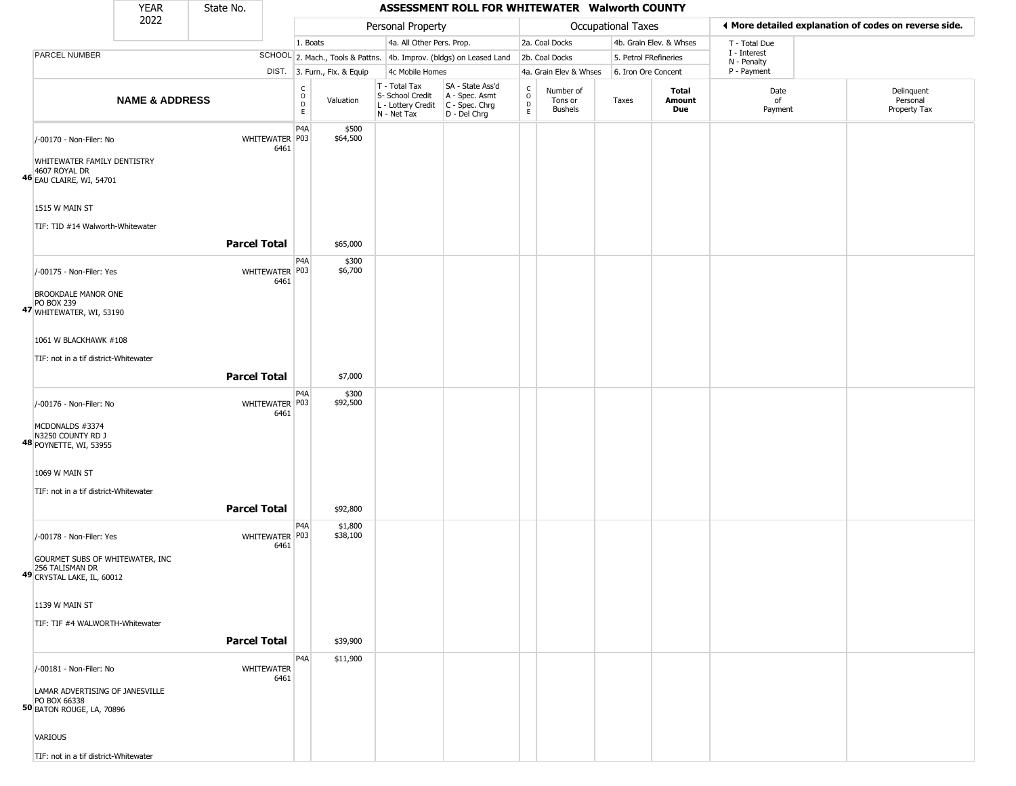|                                                                                                              | <b>YEAR</b>               | State No.           |                           |                                                 |                              |                                                                        | ASSESSMENT ROLL FOR WHITEWATER Walworth COUNTY                       |                                              |                                        |                    |                         |                             |                                                       |
|--------------------------------------------------------------------------------------------------------------|---------------------------|---------------------|---------------------------|-------------------------------------------------|------------------------------|------------------------------------------------------------------------|----------------------------------------------------------------------|----------------------------------------------|----------------------------------------|--------------------|-------------------------|-----------------------------|-------------------------------------------------------|
|                                                                                                              | 2022                      |                     |                           |                                                 |                              | Personal Property                                                      |                                                                      |                                              |                                        | Occupational Taxes |                         |                             | ◀ More detailed explanation of codes on reverse side. |
|                                                                                                              |                           |                     |                           | 1. Boats                                        |                              | 4a. All Other Pers. Prop.                                              |                                                                      |                                              | 2a. Coal Docks                         |                    | 4b. Grain Elev. & Whses | T - Total Due               |                                                       |
| PARCEL NUMBER                                                                                                |                           |                     |                           |                                                 |                              |                                                                        | SCHOOL 2. Mach., Tools & Pattns. 4b. Improv. (bldgs) on Leased Land  |                                              | 2b. Coal Docks                         |                    | 5. Petrol FRefineries   | I - Interest<br>N - Penalty |                                                       |
|                                                                                                              |                           |                     |                           |                                                 | DIST. 3. Furn., Fix. & Equip | 4c Mobile Homes                                                        |                                                                      |                                              | 4a. Grain Elev & Whses                 |                    | 6. Iron Ore Concent     | P - Payment                 |                                                       |
|                                                                                                              | <b>NAME &amp; ADDRESS</b> |                     |                           | $\begin{array}{c} C \\ O \\ D \\ E \end{array}$ | Valuation                    | T - Total Tax<br>S- School Credit<br>L - Lottery Credit<br>N - Net Tax | SA - State Ass'd<br>A - Spec. Asmt<br>C - Spec. Chrg<br>D - Del Chrg | $\mathsf{C}$<br>$\circ$<br>$\mathsf{D}$<br>E | Number of<br>Tons or<br><b>Bushels</b> | Taxes              | Total<br>Amount<br>Due  | Date<br>of<br>Payment       | Delinquent<br>Personal<br>Property Tax                |
| /-00170 - Non-Filer: No<br>WHITEWATER FAMILY DENTISTRY<br>4607 ROYAL DR<br>46 EAU CLAIRE, WI, 54701          |                           |                     | WHITEWATER P03<br>6461    | P <sub>4</sub> A                                | \$500<br>\$64,500            |                                                                        |                                                                      |                                              |                                        |                    |                         |                             |                                                       |
| 1515 W MAIN ST<br>TIF: TID #14 Walworth-Whitewater                                                           |                           |                     |                           |                                                 |                              |                                                                        |                                                                      |                                              |                                        |                    |                         |                             |                                                       |
|                                                                                                              |                           | <b>Parcel Total</b> |                           |                                                 | \$65,000                     |                                                                        |                                                                      |                                              |                                        |                    |                         |                             |                                                       |
| /-00175 - Non-Filer: Yes<br><b>BROOKDALE MANOR ONE</b><br>PO BOX 239<br>47 WHITEWATER, WI, 53190             |                           |                     | WHITEWATER P03<br>6461    | P <sub>4</sub> A                                | \$300<br>\$6,700             |                                                                        |                                                                      |                                              |                                        |                    |                         |                             |                                                       |
| 1061 W BLACKHAWK #108<br>TIF: not in a tif district-Whitewater                                               |                           |                     |                           |                                                 |                              |                                                                        |                                                                      |                                              |                                        |                    |                         |                             |                                                       |
|                                                                                                              |                           | <b>Parcel Total</b> |                           |                                                 | \$7,000                      |                                                                        |                                                                      |                                              |                                        |                    |                         |                             |                                                       |
| /-00176 - Non-Filer: No<br>MCDONALDS #3374<br>N3250 COUNTY RD J<br><b>48 POYNETTE, WI, 53955</b>             |                           |                     | WHITEWATER P03<br>6461    | P <sub>4</sub> A                                | \$300<br>\$92,500            |                                                                        |                                                                      |                                              |                                        |                    |                         |                             |                                                       |
| 1069 W MAIN ST<br>TIF: not in a tif district-Whitewater                                                      |                           |                     |                           |                                                 |                              |                                                                        |                                                                      |                                              |                                        |                    |                         |                             |                                                       |
|                                                                                                              |                           | <b>Parcel Total</b> |                           |                                                 | \$92,800                     |                                                                        |                                                                      |                                              |                                        |                    |                         |                             |                                                       |
| /-00178 - Non-Filer: Yes<br>GOURMET SUBS OF WHITEWATER, INC<br>256 TALISMAN DR<br>49 CRYSTAL LAKE, IL, 60012 |                           |                     | WHITEWATER P03<br>6461    | P <sub>4</sub> A                                | \$1,800<br>\$38,100          |                                                                        |                                                                      |                                              |                                        |                    |                         |                             |                                                       |
| 1139 W MAIN ST                                                                                               |                           |                     |                           |                                                 |                              |                                                                        |                                                                      |                                              |                                        |                    |                         |                             |                                                       |
| TIF: TIF #4 WALWORTH-Whitewater                                                                              |                           | <b>Parcel Total</b> |                           |                                                 | \$39,900                     |                                                                        |                                                                      |                                              |                                        |                    |                         |                             |                                                       |
| /-00181 - Non-Filer: No                                                                                      |                           |                     | <b>WHITEWATER</b><br>6461 | P <sub>4</sub> A                                | \$11,900                     |                                                                        |                                                                      |                                              |                                        |                    |                         |                             |                                                       |
| LAMAR ADVERTISING OF JANESVILLE<br>PO BOX 66338<br>50 BATON ROUGE, LA, 70896                                 |                           |                     |                           |                                                 |                              |                                                                        |                                                                      |                                              |                                        |                    |                         |                             |                                                       |
| VARIOUS                                                                                                      |                           |                     |                           |                                                 |                              |                                                                        |                                                                      |                                              |                                        |                    |                         |                             |                                                       |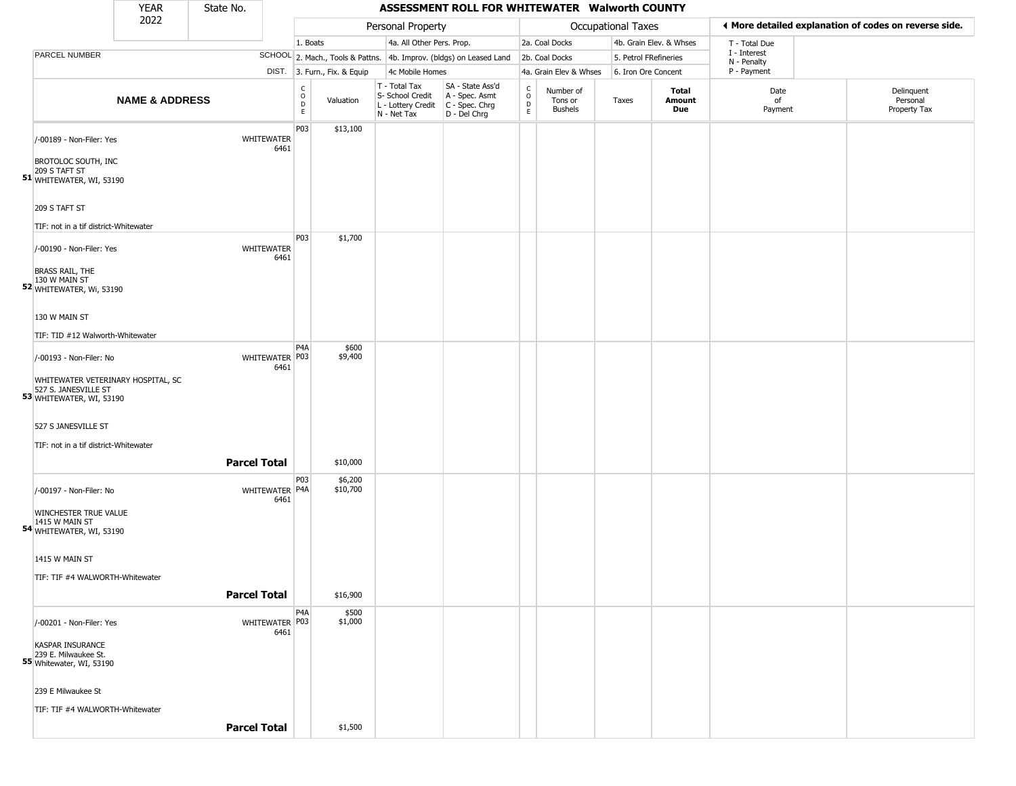|                                                                                        | <b>YEAR</b>               | State No.           |                           |                                        |                              |                                                                        | ASSESSMENT ROLL FOR WHITEWATER Walworth COUNTY                       |                                |                                        |                       |                         |                             |                                                       |
|----------------------------------------------------------------------------------------|---------------------------|---------------------|---------------------------|----------------------------------------|------------------------------|------------------------------------------------------------------------|----------------------------------------------------------------------|--------------------------------|----------------------------------------|-----------------------|-------------------------|-----------------------------|-------------------------------------------------------|
|                                                                                        | 2022                      |                     |                           |                                        |                              | Personal Property                                                      |                                                                      |                                |                                        | Occupational Taxes    |                         |                             | ♦ More detailed explanation of codes on reverse side. |
|                                                                                        |                           |                     |                           | 1. Boats                               |                              | 4a. All Other Pers. Prop.                                              |                                                                      |                                | 2a. Coal Docks                         |                       | 4b. Grain Elev. & Whses | T - Total Due               |                                                       |
| PARCEL NUMBER                                                                          |                           |                     |                           |                                        |                              |                                                                        | SCHOOL 2. Mach., Tools & Pattns. 4b. Improv. (bldgs) on Leased Land  |                                | 2b. Coal Docks                         | 5. Petrol FRefineries |                         | I - Interest<br>N - Penalty |                                                       |
|                                                                                        |                           |                     |                           |                                        | DIST. 3. Furn., Fix. & Equip | 4c Mobile Homes                                                        |                                                                      |                                | 4a. Grain Elev & Whses                 | 6. Iron Ore Concent   |                         | P - Payment                 |                                                       |
|                                                                                        | <b>NAME &amp; ADDRESS</b> |                     |                           | $_{\rm o}^{\rm c}$<br>$\mathsf D$<br>E | Valuation                    | T - Total Tax<br>S- School Credit<br>L - Lottery Credit<br>N - Net Tax | SA - State Ass'd<br>A - Spec. Asmt<br>C - Spec. Chrg<br>D - Del Chrg | $\rm _o^C$<br>$\mathsf D$<br>E | Number of<br>Tons or<br><b>Bushels</b> | Taxes                 | Total<br>Amount<br>Due  | Date<br>of<br>Payment       | Delinquent<br>Personal<br>Property Tax                |
| /-00189 - Non-Filer: Yes                                                               |                           |                     | <b>WHITEWATER</b><br>6461 | P03                                    | \$13,100                     |                                                                        |                                                                      |                                |                                        |                       |                         |                             |                                                       |
| BROTOLOC SOUTH, INC<br>209 S TAFT ST<br>51 WHITEWATER, WI, 53190                       |                           |                     |                           |                                        |                              |                                                                        |                                                                      |                                |                                        |                       |                         |                             |                                                       |
| 209 S TAFT ST                                                                          |                           |                     |                           |                                        |                              |                                                                        |                                                                      |                                |                                        |                       |                         |                             |                                                       |
| TIF: not in a tif district-Whitewater                                                  |                           |                     |                           |                                        |                              |                                                                        |                                                                      |                                |                                        |                       |                         |                             |                                                       |
| /-00190 - Non-Filer: Yes                                                               |                           |                     | <b>WHITEWATER</b><br>6461 | P03                                    | \$1,700                      |                                                                        |                                                                      |                                |                                        |                       |                         |                             |                                                       |
| <b>BRASS RAIL, THE</b><br>130 W MAIN ST<br>52 WHITEWATER, Wi, 53190                    |                           |                     |                           |                                        |                              |                                                                        |                                                                      |                                |                                        |                       |                         |                             |                                                       |
| 130 W MAIN ST                                                                          |                           |                     |                           |                                        |                              |                                                                        |                                                                      |                                |                                        |                       |                         |                             |                                                       |
| TIF: TID #12 Walworth-Whitewater                                                       |                           |                     |                           |                                        |                              |                                                                        |                                                                      |                                |                                        |                       |                         |                             |                                                       |
| /-00193 - Non-Filer: No                                                                |                           |                     | WHITEWATER P03<br>6461    | P4A                                    | \$600<br>\$9,400             |                                                                        |                                                                      |                                |                                        |                       |                         |                             |                                                       |
| WHITEWATER VETERINARY HOSPITAL, SC<br>527 S. JANESVILLE ST<br>53 WHITEWATER, WI, 53190 |                           |                     |                           |                                        |                              |                                                                        |                                                                      |                                |                                        |                       |                         |                             |                                                       |
| 527 S JANESVILLE ST<br>TIF: not in a tif district-Whitewater                           |                           |                     |                           |                                        |                              |                                                                        |                                                                      |                                |                                        |                       |                         |                             |                                                       |
|                                                                                        |                           |                     |                           |                                        |                              |                                                                        |                                                                      |                                |                                        |                       |                         |                             |                                                       |
|                                                                                        |                           | <b>Parcel Total</b> |                           |                                        | \$10,000                     |                                                                        |                                                                      |                                |                                        |                       |                         |                             |                                                       |
| /-00197 - Non-Filer: No                                                                |                           |                     | WHITEWATER P4A<br>6461    | P03                                    | \$6,200<br>\$10,700          |                                                                        |                                                                      |                                |                                        |                       |                         |                             |                                                       |
| WINCHESTER TRUE VALUE<br>1415 W MAIN ST<br>54 WHITEWATER, WI, 53190                    |                           |                     |                           |                                        |                              |                                                                        |                                                                      |                                |                                        |                       |                         |                             |                                                       |
| 1415 W MAIN ST                                                                         |                           |                     |                           |                                        |                              |                                                                        |                                                                      |                                |                                        |                       |                         |                             |                                                       |
| TIF: TIF #4 WALWORTH-Whitewater                                                        |                           |                     |                           |                                        |                              |                                                                        |                                                                      |                                |                                        |                       |                         |                             |                                                       |
|                                                                                        |                           | <b>Parcel Total</b> |                           |                                        | \$16,900                     |                                                                        |                                                                      |                                |                                        |                       |                         |                             |                                                       |
| /-00201 - Non-Filer: Yes                                                               |                           |                     | WHITEWATER P03<br>6461    | P4A                                    | \$500<br>\$1,000             |                                                                        |                                                                      |                                |                                        |                       |                         |                             |                                                       |
| <b>KASPAR INSURANCE</b><br>239 E. Milwaukee St.<br>55 Whitewater, WI, 53190            |                           |                     |                           |                                        |                              |                                                                        |                                                                      |                                |                                        |                       |                         |                             |                                                       |
| 239 E Milwaukee St                                                                     |                           |                     |                           |                                        |                              |                                                                        |                                                                      |                                |                                        |                       |                         |                             |                                                       |
| TIF: TIF #4 WALWORTH-Whitewater                                                        |                           |                     |                           |                                        |                              |                                                                        |                                                                      |                                |                                        |                       |                         |                             |                                                       |
|                                                                                        |                           | <b>Parcel Total</b> |                           |                                        | \$1,500                      |                                                                        |                                                                      |                                |                                        |                       |                         |                             |                                                       |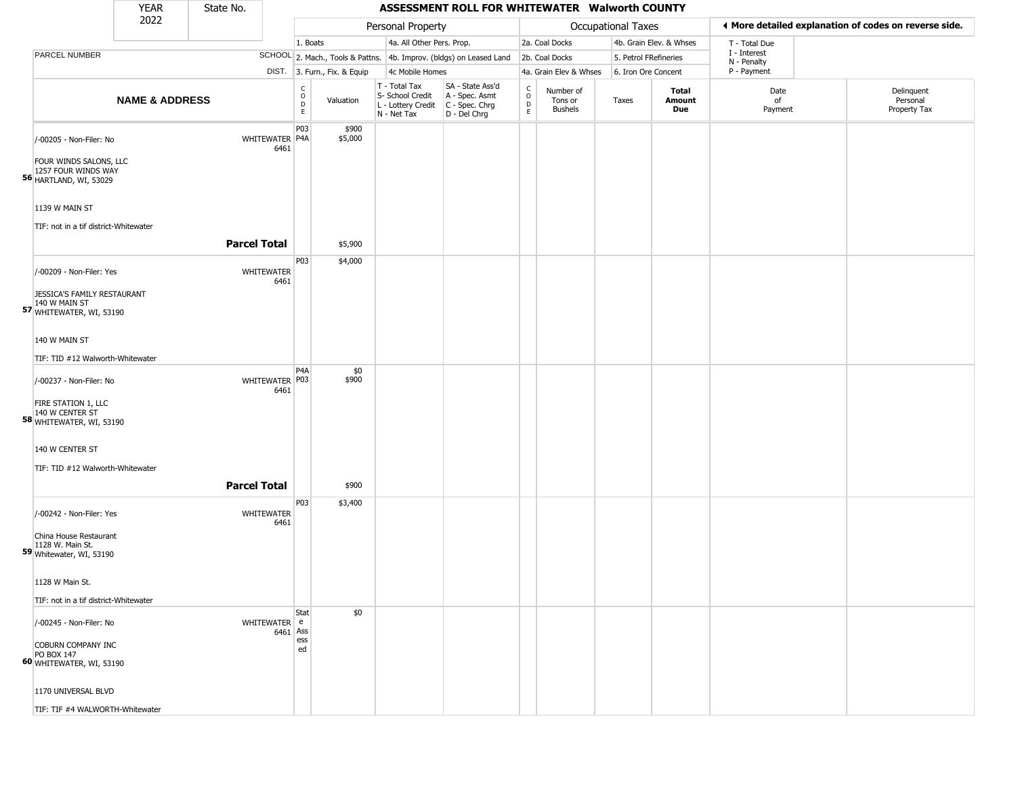|                                                                                                           | <b>YEAR</b>               | State No.           |                                            |                              |                                                                        | ASSESSMENT ROLL FOR WHITEWATER Walworth COUNTY                       |                                   |                                        |                       |                         |                             |                                                       |
|-----------------------------------------------------------------------------------------------------------|---------------------------|---------------------|--------------------------------------------|------------------------------|------------------------------------------------------------------------|----------------------------------------------------------------------|-----------------------------------|----------------------------------------|-----------------------|-------------------------|-----------------------------|-------------------------------------------------------|
|                                                                                                           | 2022                      |                     |                                            |                              | Personal Property                                                      |                                                                      |                                   |                                        | Occupational Taxes    |                         |                             | ◀ More detailed explanation of codes on reverse side. |
|                                                                                                           |                           |                     |                                            | 1. Boats                     | 4a. All Other Pers. Prop.                                              |                                                                      |                                   | 2a. Coal Docks                         |                       | 4b. Grain Elev. & Whses | T - Total Due               |                                                       |
| PARCEL NUMBER                                                                                             |                           |                     |                                            |                              |                                                                        | SCHOOL 2. Mach., Tools & Pattns. 4b. Improv. (bldgs) on Leased Land  |                                   | 2b. Coal Docks                         | 5. Petrol FRefineries |                         | I - Interest<br>N - Penalty |                                                       |
|                                                                                                           |                           |                     |                                            | DIST. 3. Furn., Fix. & Equip | 4c Mobile Homes                                                        |                                                                      |                                   | 4a. Grain Elev & Whses                 | 6. Iron Ore Concent   |                         | P - Payment                 |                                                       |
|                                                                                                           | <b>NAME &amp; ADDRESS</b> |                     | $\frac{c}{0}$<br>$\mathsf D$<br>E          | Valuation                    | T - Total Tax<br>S- School Credit<br>L - Lottery Credit<br>N - Net Tax | SA - State Ass'd<br>A - Spec. Asmt<br>C - Spec. Chrg<br>D - Del Chrg | $\rm_{o}^{c}$<br>$\mathsf D$<br>E | Number of<br>Tons or<br><b>Bushels</b> | Taxes                 | Total<br>Amount<br>Due  | Date<br>of<br>Payment       | Delinquent<br>Personal<br>Property Tax                |
| /-00205 - Non-Filer: No<br>FOUR WINDS SALONS, LLC<br>1257 FOUR WINDS WAY<br><b>56 HARTLAND, WI, 53029</b> |                           |                     | P03<br>WHITEWATER P4A<br>6461              | \$900<br>\$5,000             |                                                                        |                                                                      |                                   |                                        |                       |                         |                             |                                                       |
| 1139 W MAIN ST<br>TIF: not in a tif district-Whitewater                                                   |                           |                     |                                            |                              |                                                                        |                                                                      |                                   |                                        |                       |                         |                             |                                                       |
|                                                                                                           |                           | <b>Parcel Total</b> |                                            | \$5,900                      |                                                                        |                                                                      |                                   |                                        |                       |                         |                             |                                                       |
| /-00209 - Non-Filer: Yes<br>JESSICA'S FAMILY RESTAURANT                                                   |                           |                     | P03<br>WHITEWATER<br>6461                  | \$4,000                      |                                                                        |                                                                      |                                   |                                        |                       |                         |                             |                                                       |
| 140 W MAIN ST<br>57 WHITEWATER, WI, 53190<br>140 W MAIN ST                                                |                           |                     |                                            |                              |                                                                        |                                                                      |                                   |                                        |                       |                         |                             |                                                       |
|                                                                                                           |                           |                     |                                            |                              |                                                                        |                                                                      |                                   |                                        |                       |                         |                             |                                                       |
| TIF: TID #12 Walworth-Whitewater<br>/-00237 - Non-Filer: No<br>FIRE STATION 1, LLC                        |                           |                     | P <sub>4</sub> A<br>WHITEWATER P03<br>6461 | \$0<br>\$900                 |                                                                        |                                                                      |                                   |                                        |                       |                         |                             |                                                       |
| 58 140 W CENTER ST<br>58 WHITEWATER, WI, 53190<br>140 W CENTER ST                                         |                           |                     |                                            |                              |                                                                        |                                                                      |                                   |                                        |                       |                         |                             |                                                       |
| TIF: TID #12 Walworth-Whitewater                                                                          |                           |                     |                                            |                              |                                                                        |                                                                      |                                   |                                        |                       |                         |                             |                                                       |
|                                                                                                           |                           | <b>Parcel Total</b> | P03                                        | \$900<br>\$3,400             |                                                                        |                                                                      |                                   |                                        |                       |                         |                             |                                                       |
| /-00242 - Non-Filer: Yes<br>China House Restaurant                                                        |                           |                     | <b>WHITEWATER</b><br>6461                  |                              |                                                                        |                                                                      |                                   |                                        |                       |                         |                             |                                                       |
| 1128 W. Main St.<br>59 Whitewater, WI, 53190                                                              |                           |                     |                                            |                              |                                                                        |                                                                      |                                   |                                        |                       |                         |                             |                                                       |
| 1128 W Main St.                                                                                           |                           |                     |                                            |                              |                                                                        |                                                                      |                                   |                                        |                       |                         |                             |                                                       |
| TIF: not in a tif district-Whitewater                                                                     |                           |                     |                                            |                              |                                                                        |                                                                      |                                   |                                        |                       |                         |                             |                                                       |
| /-00245 - Non-Filer: No                                                                                   |                           |                     | Stat<br>WHITEWATER e<br>$6461$ Ass<br>ess  | \$0                          |                                                                        |                                                                      |                                   |                                        |                       |                         |                             |                                                       |
| COBURN COMPANY INC<br>PO BOX 147<br>60 WHITEWATER, WI, 53190                                              |                           |                     | ed                                         |                              |                                                                        |                                                                      |                                   |                                        |                       |                         |                             |                                                       |
| 1170 UNIVERSAL BLVD                                                                                       |                           |                     |                                            |                              |                                                                        |                                                                      |                                   |                                        |                       |                         |                             |                                                       |

×.

TIF: TIF #4 WALWORTH-Whitewater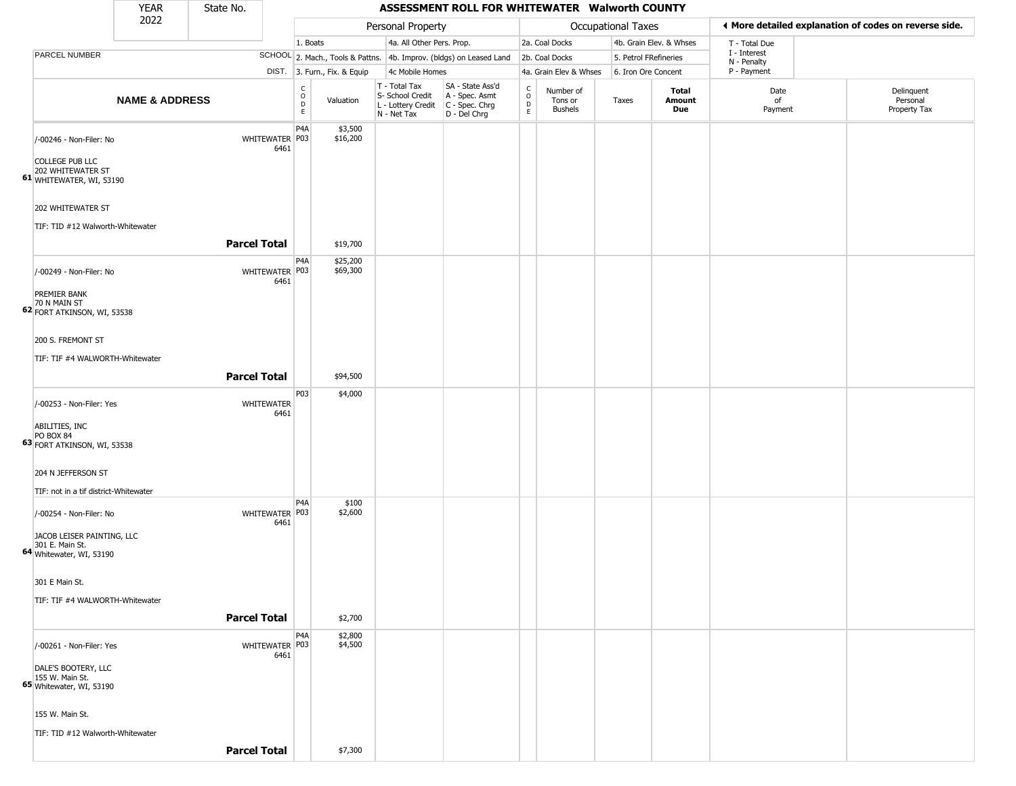|                                                                                     | <b>YEAR</b>               | State No.           |                          |                                        |                              |                                                                        | ASSESSMENT ROLL FOR WHITEWATER Walworth COUNTY                       |                                                       |                                        |                           |                         |                             |                                                       |
|-------------------------------------------------------------------------------------|---------------------------|---------------------|--------------------------|----------------------------------------|------------------------------|------------------------------------------------------------------------|----------------------------------------------------------------------|-------------------------------------------------------|----------------------------------------|---------------------------|-------------------------|-----------------------------|-------------------------------------------------------|
|                                                                                     | 2022                      |                     |                          |                                        |                              | Personal Property                                                      |                                                                      |                                                       |                                        | <b>Occupational Taxes</b> |                         |                             | ♦ More detailed explanation of codes on reverse side. |
|                                                                                     |                           |                     |                          | 1. Boats                               |                              | 4a. All Other Pers. Prop.                                              |                                                                      |                                                       | 2a. Coal Docks                         |                           | 4b. Grain Elev. & Whses | T - Total Due               |                                                       |
| PARCEL NUMBER                                                                       |                           |                     |                          |                                        |                              |                                                                        | SCHOOL 2. Mach., Tools & Pattns. 4b. Improv. (bldgs) on Leased Land  |                                                       | 2b. Coal Docks                         | 5. Petrol FRefineries     |                         | I - Interest<br>N - Penalty |                                                       |
|                                                                                     |                           |                     |                          |                                        | DIST. 3. Furn., Fix. & Equip | 4c Mobile Homes                                                        |                                                                      |                                                       | 4a. Grain Elev & Whses                 | 6. Iron Ore Concent       |                         | P - Payment                 |                                                       |
|                                                                                     | <b>NAME &amp; ADDRESS</b> |                     |                          | $_{\rm o}^{\rm c}$<br>D<br>$\mathsf E$ | Valuation                    | T - Total Tax<br>S- School Credit<br>L - Lottery Credit<br>N - Net Tax | SA - State Ass'd<br>A - Spec. Asmt<br>C - Spec. Chrg<br>D - Del Chrg | $\int_{0}^{c}$<br>$\mathrel{\mathsf{D}}_{\mathsf{E}}$ | Number of<br>Tons or<br><b>Bushels</b> | Taxes                     | Total<br>Amount<br>Due  | Date<br>of<br>Payment       | Delinquent<br>Personal<br>Property Tax                |
| /-00246 - Non-Filer: No<br><b>COLLEGE PUB LLC</b><br>202 WHITEWATER ST              |                           |                     | WHITEWATER P03<br>6461   | P <sub>4</sub> A                       | \$3,500<br>\$16,200          |                                                                        |                                                                      |                                                       |                                        |                           |                         |                             |                                                       |
| 61 WHITEWATER, WI, 53190<br>202 WHITEWATER ST<br>TIF: TID #12 Walworth-Whitewater   |                           |                     |                          |                                        |                              |                                                                        |                                                                      |                                                       |                                        |                           |                         |                             |                                                       |
|                                                                                     |                           | <b>Parcel Total</b> |                          |                                        | \$19,700                     |                                                                        |                                                                      |                                                       |                                        |                           |                         |                             |                                                       |
| /-00249 - Non-Filer: No<br>PREMIER BANK                                             |                           |                     | WHITEWATER   P03<br>6461 | P4A                                    | \$25,200<br>\$69,300         |                                                                        |                                                                      |                                                       |                                        |                           |                         |                             |                                                       |
| 70 N MAIN ST<br>62 FORT ATKINSON, WI, 53538                                         |                           |                     |                          |                                        |                              |                                                                        |                                                                      |                                                       |                                        |                           |                         |                             |                                                       |
| 200 S. FREMONT ST                                                                   |                           |                     |                          |                                        |                              |                                                                        |                                                                      |                                                       |                                        |                           |                         |                             |                                                       |
| TIF: TIF #4 WALWORTH-Whitewater                                                     |                           |                     |                          |                                        |                              |                                                                        |                                                                      |                                                       |                                        |                           |                         |                             |                                                       |
|                                                                                     |                           | <b>Parcel Total</b> |                          |                                        | \$94,500                     |                                                                        |                                                                      |                                                       |                                        |                           |                         |                             |                                                       |
| /-00253 - Non-Filer: Yes                                                            |                           |                     | WHITEWATER<br>6461       | P03                                    | \$4,000                      |                                                                        |                                                                      |                                                       |                                        |                           |                         |                             |                                                       |
| ABILITIES, INC<br>PO BOX 84<br>63 FORT ATKINSON, WI, 53538                          |                           |                     |                          |                                        |                              |                                                                        |                                                                      |                                                       |                                        |                           |                         |                             |                                                       |
| 204 N JEFFERSON ST<br>TIF: not in a tif district-Whitewater                         |                           |                     |                          |                                        |                              |                                                                        |                                                                      |                                                       |                                        |                           |                         |                             |                                                       |
| /-00254 - Non-Filer: No<br>JACOB LEISER PAINTING, LLC                               |                           |                     | WHITEWATER P03<br>6461   | P <sub>4</sub> A                       | \$100<br>\$2,600             |                                                                        |                                                                      |                                                       |                                        |                           |                         |                             |                                                       |
| 301 E. Main St.<br>64 Whitewater, WI, 53190                                         |                           |                     |                          |                                        |                              |                                                                        |                                                                      |                                                       |                                        |                           |                         |                             |                                                       |
| 301 E Main St.                                                                      |                           |                     |                          |                                        |                              |                                                                        |                                                                      |                                                       |                                        |                           |                         |                             |                                                       |
| TIF: TIF #4 WALWORTH-Whitewater                                                     |                           |                     |                          |                                        |                              |                                                                        |                                                                      |                                                       |                                        |                           |                         |                             |                                                       |
|                                                                                     |                           | <b>Parcel Total</b> |                          |                                        | \$2,700                      |                                                                        |                                                                      |                                                       |                                        |                           |                         |                             |                                                       |
| /-00261 - Non-Filer: Yes                                                            |                           |                     | WHITEWATER P03<br>6461   | P <sub>4</sub> A                       | \$2,800<br>\$4,500           |                                                                        |                                                                      |                                                       |                                        |                           |                         |                             |                                                       |
| DALE'S BOOTERY, LLC<br><b>65</b> 155 W. Main St.<br><b>65</b> Whitewater, WI, 53190 |                           |                     |                          |                                        |                              |                                                                        |                                                                      |                                                       |                                        |                           |                         |                             |                                                       |
| 155 W. Main St.                                                                     |                           |                     |                          |                                        |                              |                                                                        |                                                                      |                                                       |                                        |                           |                         |                             |                                                       |
| TIF: TID #12 Walworth-Whitewater                                                    |                           |                     |                          |                                        |                              |                                                                        |                                                                      |                                                       |                                        |                           |                         |                             |                                                       |
|                                                                                     |                           | <b>Parcel Total</b> |                          |                                        | \$7,300                      |                                                                        |                                                                      |                                                       |                                        |                           |                         |                             |                                                       |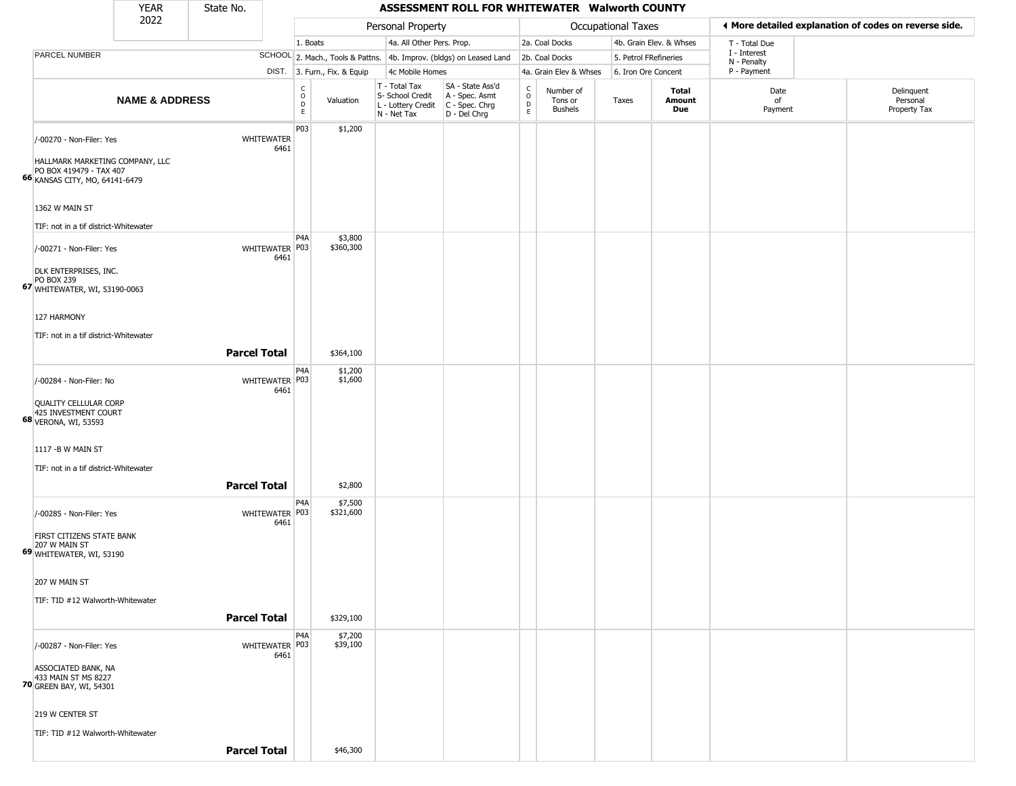|                                                                                                                                                            | <b>YEAR</b>               | State No.              |                         |                              |                                                                                         | ASSESSMENT ROLL FOR WHITEWATER Walworth COUNTY                      |                                                          |                                        |                           |                         |                             |                                                       |
|------------------------------------------------------------------------------------------------------------------------------------------------------------|---------------------------|------------------------|-------------------------|------------------------------|-----------------------------------------------------------------------------------------|---------------------------------------------------------------------|----------------------------------------------------------|----------------------------------------|---------------------------|-------------------------|-----------------------------|-------------------------------------------------------|
|                                                                                                                                                            | 2022                      |                        |                         |                              | Personal Property                                                                       |                                                                     |                                                          |                                        | <b>Occupational Taxes</b> |                         |                             | ◀ More detailed explanation of codes on reverse side. |
|                                                                                                                                                            |                           |                        | 1. Boats                |                              | 4a. All Other Pers. Prop.                                                               |                                                                     |                                                          | 2a. Coal Docks                         |                           | 4b. Grain Elev. & Whses | T - Total Due               |                                                       |
| PARCEL NUMBER                                                                                                                                              |                           |                        |                         |                              |                                                                                         | SCHOOL 2. Mach., Tools & Pattns. 4b. Improv. (bldgs) on Leased Land |                                                          | 2b. Coal Docks                         | 5. Petrol FRefineries     |                         | I - Interest<br>N - Penalty |                                                       |
|                                                                                                                                                            |                           |                        |                         | DIST. 3. Furn., Fix. & Equip | 4c Mobile Homes                                                                         |                                                                     |                                                          | 4a. Grain Elev & Whses                 | 6. Iron Ore Concent       |                         | P - Payment                 |                                                       |
|                                                                                                                                                            | <b>NAME &amp; ADDRESS</b> |                        | C<br>$\circ$<br>D<br>E. | Valuation                    | T - Total Tax<br>S- School Credit<br>L - Lottery Credit   C - Spec. Chrg<br>N - Net Tax | SA - State Ass'd<br>A - Spec. Asmt<br>D - Del Chrg                  | c<br>$\mathsf{o}$<br>$\mathrel{\mathsf{D}}_{\mathsf{E}}$ | Number of<br>Tons or<br><b>Bushels</b> | Taxes                     | Total<br>Amount<br>Due  | Date<br>of<br>Payment       | Delinquent<br>Personal<br>Property Tax                |
| /-00270 - Non-Filer: Yes<br>HALLMARK MARKETING COMPANY, LLC<br>PO BOX 419479 - TAX 407<br>66 KANSAS CITY, MO, 64141-6479                                   |                           | WHITEWATER<br>6461     | P03                     | \$1,200                      |                                                                                         |                                                                     |                                                          |                                        |                           |                         |                             |                                                       |
| 1362 W MAIN ST<br>TIF: not in a tif district-Whitewater                                                                                                    |                           |                        | P <sub>4</sub> A        | \$3,800                      |                                                                                         |                                                                     |                                                          |                                        |                           |                         |                             |                                                       |
| /-00271 - Non-Filer: Yes<br>DLK ENTERPRISES, INC.<br>$PO$ BOX 239<br>67 WHITEWATER, WI, 53190-0063<br>127 HARMONY<br>TIF: not in a tif district-Whitewater |                           | WHITEWATER P03<br>6461 |                         | \$360,300                    |                                                                                         |                                                                     |                                                          |                                        |                           |                         |                             |                                                       |
|                                                                                                                                                            |                           | <b>Parcel Total</b>    |                         | \$364,100                    |                                                                                         |                                                                     |                                                          |                                        |                           |                         |                             |                                                       |
| /-00284 - Non-Filer: No<br>QUALITY CELLULAR CORP<br>425 INVESTMENT COURT<br>68 VERONA, WI, 53593                                                           |                           | WHITEWATER P03<br>6461 | P4A                     | \$1,200<br>\$1,600           |                                                                                         |                                                                     |                                                          |                                        |                           |                         |                             |                                                       |
| 1117 - B W MAIN ST<br>TIF: not in a tif district-Whitewater                                                                                                |                           | <b>Parcel Total</b>    |                         | \$2,800                      |                                                                                         |                                                                     |                                                          |                                        |                           |                         |                             |                                                       |
| /-00285 - Non-Filer: Yes<br>FIRST CITIZENS STATE BANK<br>207 W MAIN ST<br>69 WHITEWATER, WI, 53190                                                         |                           | WHITEWATER P03<br>6461 | P4A                     | \$7,500<br>\$321,600         |                                                                                         |                                                                     |                                                          |                                        |                           |                         |                             |                                                       |
| 207 W MAIN ST<br>TIF: TID #12 Walworth-Whitewater                                                                                                          |                           | <b>Parcel Total</b>    |                         | \$329,100                    |                                                                                         |                                                                     |                                                          |                                        |                           |                         |                             |                                                       |
| /-00287 - Non-Filer: Yes<br>ASSOCIATED BANK, NA<br>433 MAIN ST MS 8227<br><b>70</b> GREEN BAY, WI, 54301                                                   |                           | WHITEWATER P03<br>6461 | P4A                     | \$7,200<br>\$39,100          |                                                                                         |                                                                     |                                                          |                                        |                           |                         |                             |                                                       |
| 219 W CENTER ST                                                                                                                                            |                           |                        |                         |                              |                                                                                         |                                                                     |                                                          |                                        |                           |                         |                             |                                                       |
| TIF: TID #12 Walworth-Whitewater                                                                                                                           |                           | <b>Parcel Total</b>    |                         | \$46,300                     |                                                                                         |                                                                     |                                                          |                                        |                           |                         |                             |                                                       |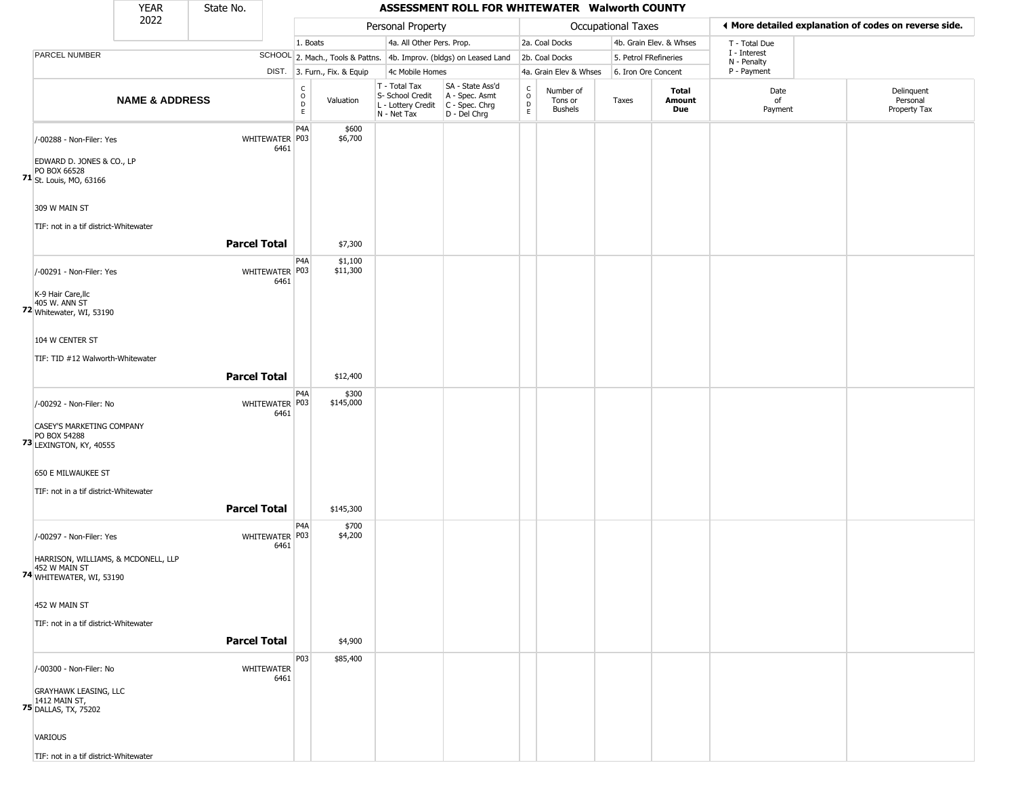|                                                                                                                                                    | <b>YEAR</b>               | State No.           |                           |                              |                              |                                                                          | ASSESSMENT ROLL FOR WHITEWATER Walworth COUNTY                       |                         |                                        |                    |                         |                             |                                                       |
|----------------------------------------------------------------------------------------------------------------------------------------------------|---------------------------|---------------------|---------------------------|------------------------------|------------------------------|--------------------------------------------------------------------------|----------------------------------------------------------------------|-------------------------|----------------------------------------|--------------------|-------------------------|-----------------------------|-------------------------------------------------------|
|                                                                                                                                                    | 2022                      |                     |                           |                              |                              | Personal Property                                                        |                                                                      |                         |                                        | Occupational Taxes |                         |                             | ♦ More detailed explanation of codes on reverse side. |
|                                                                                                                                                    |                           |                     |                           | 1. Boats                     |                              | 4a. All Other Pers. Prop.                                                |                                                                      |                         | 2a. Coal Docks                         |                    | 4b. Grain Elev. & Whses | T - Total Due               |                                                       |
| PARCEL NUMBER                                                                                                                                      |                           |                     |                           |                              |                              |                                                                          | SCHOOL 2. Mach., Tools & Pattns. 4b. Improv. (bldgs) on Leased Land  |                         | 2b. Coal Docks                         |                    | 5. Petrol FRefineries   | I - Interest<br>N - Penalty |                                                       |
|                                                                                                                                                    |                           |                     |                           |                              | DIST. 3. Furn., Fix. & Equip | 4c Mobile Homes                                                          |                                                                      |                         | 4a. Grain Elev & Whses                 |                    | 6. Iron Ore Concent     | P - Payment                 |                                                       |
|                                                                                                                                                    | <b>NAME &amp; ADDRESS</b> |                     |                           | $_{\rm o}^{\rm c}$<br>D<br>E | Valuation                    | $T - Total Tax$<br>S- School Credit<br>L - Lottery Credit<br>N - Net Tax | SA - State Ass'd<br>A - Spec. Asmt<br>C - Spec. Chrg<br>D - Del Chrg | $\frac{C}{O}$<br>D<br>E | Number of<br>Tons or<br><b>Bushels</b> | Taxes              | Total<br>Amount<br>Due  | Date<br>of<br>Payment       | Delinquent<br>Personal<br>Property Tax                |
| /-00288 - Non-Filer: Yes<br>EDWARD D. JONES & CO., LP<br>PO BOX 66528<br>71 St. Louis, MO, 63166                                                   |                           |                     | WHITEWATER P03<br>6461    | P <sub>4</sub> A             | \$600<br>\$6,700             |                                                                          |                                                                      |                         |                                        |                    |                         |                             |                                                       |
| 309 W MAIN ST<br>TIF: not in a tif district-Whitewater                                                                                             |                           |                     |                           |                              |                              |                                                                          |                                                                      |                         |                                        |                    |                         |                             |                                                       |
|                                                                                                                                                    |                           | <b>Parcel Total</b> |                           |                              | \$7,300                      |                                                                          |                                                                      |                         |                                        |                    |                         |                             |                                                       |
| /-00291 - Non-Filer: Yes<br>K-9 Hair Care, Ilc<br>405 W. ANN ST<br>72 Whitewater, WI, 53190<br>104 W CENTER ST<br>TIF: TID #12 Walworth-Whitewater |                           |                     | WHITEWATER P03<br>6461    | P <sub>4</sub> A             | \$1,100<br>\$11,300          |                                                                          |                                                                      |                         |                                        |                    |                         |                             |                                                       |
|                                                                                                                                                    |                           | <b>Parcel Total</b> |                           |                              | \$12,400                     |                                                                          |                                                                      |                         |                                        |                    |                         |                             |                                                       |
| /-00292 - Non-Filer: No<br>CASEY'S MARKETING COMPANY<br>PO BOX 54288<br><b>73 LEXINGTON, KY, 40555</b>                                             |                           |                     | WHITEWATER P03<br>6461    | P <sub>4</sub> A             | \$300<br>\$145,000           |                                                                          |                                                                      |                         |                                        |                    |                         |                             |                                                       |
| 650 E MILWAUKEE ST<br>TIF: not in a tif district-Whitewater                                                                                        |                           | <b>Parcel Total</b> |                           |                              | \$145,300                    |                                                                          |                                                                      |                         |                                        |                    |                         |                             |                                                       |
| /-00297 - Non-Filer: Yes<br>HARRISON, WILLIAMS, & MCDONELL, LLP<br>452 W MAIN ST<br>74 WHITEWATER, WI, 53190                                       |                           |                     | WHITEWATER P03<br>6461    | P <sub>4</sub> A             | \$700<br>\$4,200             |                                                                          |                                                                      |                         |                                        |                    |                         |                             |                                                       |
| 452 W MAIN ST<br>TIF: not in a tif district-Whitewater                                                                                             |                           | <b>Parcel Total</b> |                           |                              | \$4,900                      |                                                                          |                                                                      |                         |                                        |                    |                         |                             |                                                       |
| /-00300 - Non-Filer: No<br><b>GRAYHAWK LEASING, LLC</b><br><b>75</b> 1412 MAIN ST,<br><b>75</b> DALLAS, TX, 75202<br>VARIOUS                       |                           |                     | <b>WHITEWATER</b><br>6461 | P03                          | \$85,400                     |                                                                          |                                                                      |                         |                                        |                    |                         |                             |                                                       |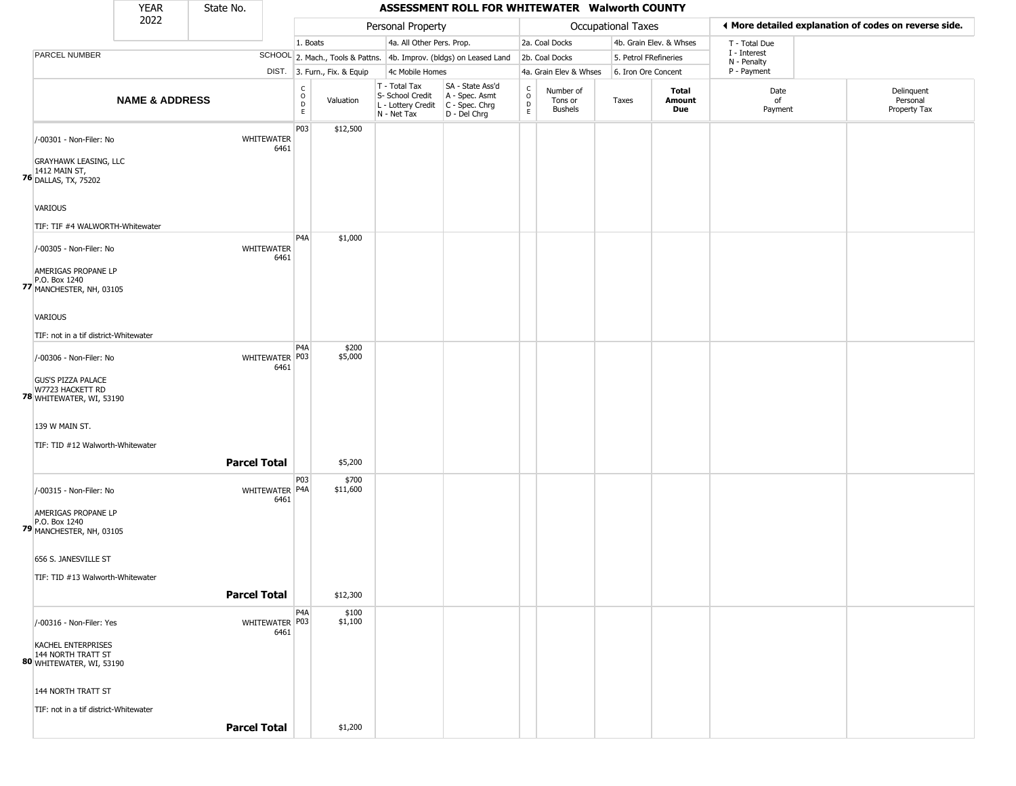|                                                                                             | YEAR                      | State No.           |                               |                                          |                   |                                                                        | ASSESSMENT ROLL FOR WHITEWATER Walworth COUNTY                       |                                               |                                        |                    |                         |                             |                                                       |
|---------------------------------------------------------------------------------------------|---------------------------|---------------------|-------------------------------|------------------------------------------|-------------------|------------------------------------------------------------------------|----------------------------------------------------------------------|-----------------------------------------------|----------------------------------------|--------------------|-------------------------|-----------------------------|-------------------------------------------------------|
|                                                                                             | 2022                      |                     |                               |                                          |                   | Personal Property                                                      |                                                                      |                                               |                                        | Occupational Taxes |                         |                             | ♦ More detailed explanation of codes on reverse side. |
|                                                                                             |                           |                     |                               | 1. Boats                                 |                   | 4a. All Other Pers. Prop.                                              |                                                                      |                                               | 2a. Coal Docks                         |                    | 4b. Grain Elev. & Whses | T - Total Due               |                                                       |
| PARCEL NUMBER                                                                               |                           |                     |                               |                                          |                   |                                                                        | SCHOOL 2. Mach., Tools & Pattns. 4b. Improv. (bldgs) on Leased Land  |                                               | 2b. Coal Docks                         |                    | 5. Petrol FRefineries   | I - Interest<br>N - Penalty |                                                       |
|                                                                                             |                           |                     | DIST. 3. Furn., Fix. & Equip  |                                          |                   | 4c Mobile Homes                                                        |                                                                      |                                               | 4a. Grain Elev & Whses                 |                    | 6. Iron Ore Concent     | P - Payment                 |                                                       |
|                                                                                             | <b>NAME &amp; ADDRESS</b> |                     |                               | $\rm _o^C$<br>$\mathsf D$<br>$\mathsf E$ | Valuation         | T - Total Tax<br>S- School Credit<br>L - Lottery Credit<br>N - Net Tax | SA - State Ass'd<br>A - Spec. Asmt<br>C - Spec. Chrg<br>D - Del Chrg | $\mathsf{C}$<br>$\circ$<br>$\mathsf{D}$<br>E. | Number of<br>Tons or<br><b>Bushels</b> | Taxes              | Total<br>Amount<br>Due  | Date<br>of<br>Payment       | Delinquent<br>Personal<br>Property Tax                |
| /-00301 - Non-Filer: No<br><b>GRAYHAWK LEASING, LLC</b>                                     |                           |                     | <b>WHITEWATER</b><br>6461     | P03                                      | \$12,500          |                                                                        |                                                                      |                                               |                                        |                    |                         |                             |                                                       |
| <b>76</b> 1412 MAIN ST,<br><b>76</b> DALLAS, TX, 75202<br>VARIOUS                           |                           |                     |                               |                                          |                   |                                                                        |                                                                      |                                               |                                        |                    |                         |                             |                                                       |
| TIF: TIF #4 WALWORTH-Whitewater                                                             |                           |                     |                               |                                          |                   |                                                                        |                                                                      |                                               |                                        |                    |                         |                             |                                                       |
| /-00305 - Non-Filer: No<br>AMERIGAS PROPANE LP<br>P.O. Box 1240<br>77 MANCHESTER, NH, 03105 |                           |                     | WHITEWATER<br>6461            | P4A                                      | \$1,000           |                                                                        |                                                                      |                                               |                                        |                    |                         |                             |                                                       |
| <b>VARIOUS</b><br>TIF: not in a tif district-Whitewater                                     |                           |                     |                               |                                          |                   |                                                                        |                                                                      |                                               |                                        |                    |                         |                             |                                                       |
| /-00306 - Non-Filer: No                                                                     |                           |                     | WHITEWATER P03<br>6461        | P <sub>4</sub> A                         | \$200<br>\$5,000  |                                                                        |                                                                      |                                               |                                        |                    |                         |                             |                                                       |
| <b>GUS'S PIZZA PALACE</b><br>W7723 HACKETT RD<br>78 WHITEWATER, WI, 53190                   |                           |                     |                               |                                          |                   |                                                                        |                                                                      |                                               |                                        |                    |                         |                             |                                                       |
| 139 W MAIN ST.<br>TIF: TID #12 Walworth-Whitewater                                          |                           |                     |                               |                                          |                   |                                                                        |                                                                      |                                               |                                        |                    |                         |                             |                                                       |
|                                                                                             |                           | <b>Parcel Total</b> |                               |                                          | \$5,200           |                                                                        |                                                                      |                                               |                                        |                    |                         |                             |                                                       |
| /-00315 - Non-Filer: No<br>AMERIGAS PROPANE LP<br>P.O. Box 1240<br>79 MANCHESTER, NH, 03105 |                           |                     | P03<br>WHITEWATER P4A<br>6461 |                                          | \$700<br>\$11,600 |                                                                        |                                                                      |                                               |                                        |                    |                         |                             |                                                       |
| 656 S. JANESVILLE ST<br>TIF: TID #13 Walworth-Whitewater                                    |                           |                     |                               |                                          |                   |                                                                        |                                                                      |                                               |                                        |                    |                         |                             |                                                       |
|                                                                                             |                           | <b>Parcel Total</b> |                               |                                          | \$12,300          |                                                                        |                                                                      |                                               |                                        |                    |                         |                             |                                                       |
| /-00316 - Non-Filer: Yes                                                                    |                           |                     | WHITEWATER P03<br>6461        | P <sub>4</sub> A                         | \$100<br>\$1,100  |                                                                        |                                                                      |                                               |                                        |                    |                         |                             |                                                       |
| KACHEL ENTERPRISES<br>144 NORTH TRATT ST<br>80 WHITEWATER, WI, 53190                        |                           |                     |                               |                                          |                   |                                                                        |                                                                      |                                               |                                        |                    |                         |                             |                                                       |
| 144 NORTH TRATT ST                                                                          |                           |                     |                               |                                          |                   |                                                                        |                                                                      |                                               |                                        |                    |                         |                             |                                                       |
| TIF: not in a tif district-Whitewater                                                       |                           | <b>Parcel Total</b> |                               |                                          | \$1,200           |                                                                        |                                                                      |                                               |                                        |                    |                         |                             |                                                       |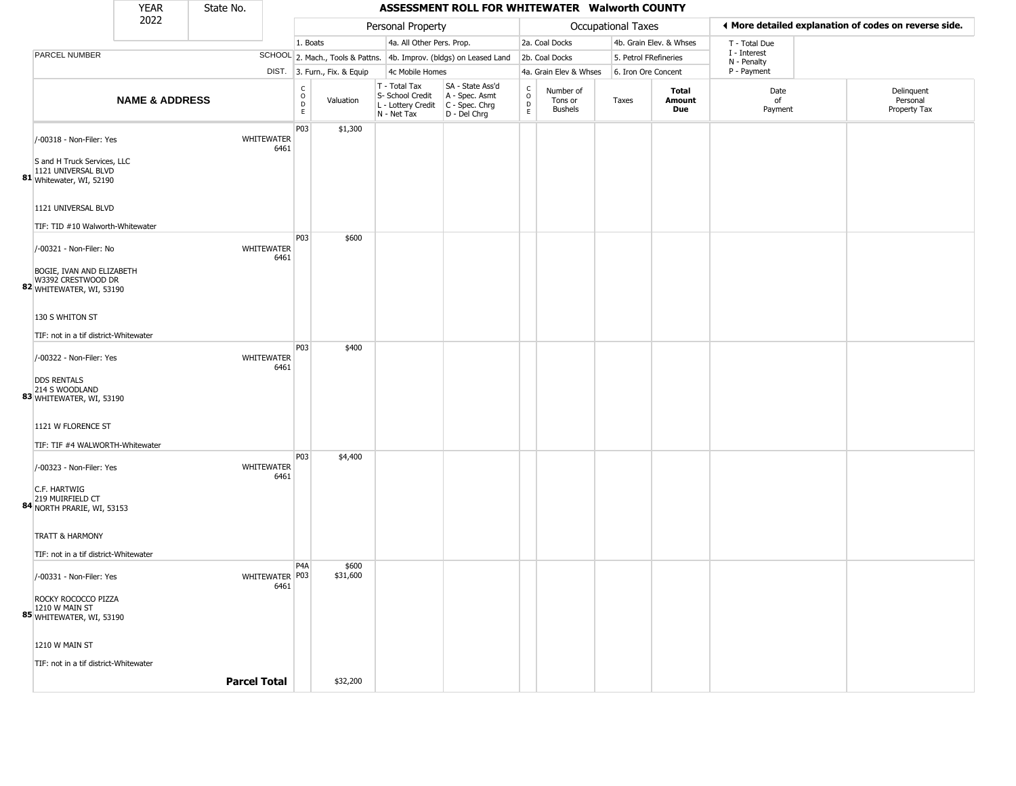|                                                                                | <b>YEAR</b>               | State No.           |                        |                                      |                              |                                                                                         | ASSESSMENT ROLL FOR WHITEWATER Walworth COUNTY                      |                        |                                        |                       |                         |                             |                                                       |
|--------------------------------------------------------------------------------|---------------------------|---------------------|------------------------|--------------------------------------|------------------------------|-----------------------------------------------------------------------------------------|---------------------------------------------------------------------|------------------------|----------------------------------------|-----------------------|-------------------------|-----------------------------|-------------------------------------------------------|
|                                                                                | 2022                      |                     |                        |                                      |                              | Personal Property                                                                       |                                                                     |                        |                                        | Occupational Taxes    |                         |                             | ◀ More detailed explanation of codes on reverse side. |
|                                                                                |                           |                     |                        | 1. Boats                             |                              | 4a. All Other Pers. Prop.                                                               |                                                                     |                        | 2a. Coal Docks                         |                       | 4b. Grain Elev. & Whses | T - Total Due               |                                                       |
| PARCEL NUMBER                                                                  |                           |                     |                        |                                      |                              |                                                                                         | SCHOOL 2. Mach., Tools & Pattns. 4b. Improv. (bldgs) on Leased Land |                        | 2b. Coal Docks                         | 5. Petrol FRefineries |                         | I - Interest<br>N - Penalty |                                                       |
|                                                                                |                           |                     |                        |                                      | DIST. 3. Furn., Fix. & Equip | 4c Mobile Homes                                                                         |                                                                     |                        | 4a. Grain Elev & Whses                 | 6. Iron Ore Concent   |                         | P - Payment                 |                                                       |
|                                                                                | <b>NAME &amp; ADDRESS</b> |                     |                        | $\frac{c}{0}$<br>$\overline{D}$<br>E | Valuation                    | T - Total Tax<br>S- School Credit<br>L - Lottery Credit   C - Spec. Chrg<br>N - Net Tax | SA - State Ass'd<br>A - Spec. Asmt<br>D - Del Chrg                  | c<br>$\circ$<br>D<br>E | Number of<br>Tons or<br><b>Bushels</b> | Taxes                 | Total<br>Amount<br>Due  | Date<br>of<br>Payment       | Delinquent<br>Personal<br>Property Tax                |
| /-00318 - Non-Filer: Yes                                                       |                           | <b>WHITEWATER</b>   | 6461                   | P03                                  | \$1,300                      |                                                                                         |                                                                     |                        |                                        |                       |                         |                             |                                                       |
| S and H Truck Services, LLC<br>1121 UNIVERSAL BLVD<br>81 Whitewater, WI, 52190 |                           |                     |                        |                                      |                              |                                                                                         |                                                                     |                        |                                        |                       |                         |                             |                                                       |
| 1121 UNIVERSAL BLVD                                                            |                           |                     |                        |                                      |                              |                                                                                         |                                                                     |                        |                                        |                       |                         |                             |                                                       |
| TIF: TID #10 Walworth-Whitewater                                               |                           |                     |                        |                                      |                              |                                                                                         |                                                                     |                        |                                        |                       |                         |                             |                                                       |
| /-00321 - Non-Filer: No                                                        |                           | WHITEWATER          | 6461                   | P03                                  | \$600                        |                                                                                         |                                                                     |                        |                                        |                       |                         |                             |                                                       |
| BOGIE, IVAN AND ELIZABETH<br>W3392 CRESTWOOD DR<br>82 WHITEWATER, WI, 53190    |                           |                     |                        |                                      |                              |                                                                                         |                                                                     |                        |                                        |                       |                         |                             |                                                       |
| 130 S WHITON ST                                                                |                           |                     |                        |                                      |                              |                                                                                         |                                                                     |                        |                                        |                       |                         |                             |                                                       |
| TIF: not in a tif district-Whitewater                                          |                           |                     |                        |                                      |                              |                                                                                         |                                                                     |                        |                                        |                       |                         |                             |                                                       |
| /-00322 - Non-Filer: Yes                                                       |                           | <b>WHITEWATER</b>   | 6461                   | <b>P03</b>                           | \$400                        |                                                                                         |                                                                     |                        |                                        |                       |                         |                             |                                                       |
| <b>DDS RENTALS</b><br>214 S WOODLAND<br>83 WHITEWATER, WI, 53190               |                           |                     |                        |                                      |                              |                                                                                         |                                                                     |                        |                                        |                       |                         |                             |                                                       |
| 1121 W FLORENCE ST                                                             |                           |                     |                        |                                      |                              |                                                                                         |                                                                     |                        |                                        |                       |                         |                             |                                                       |
| TIF: TIF #4 WALWORTH-Whitewater                                                |                           |                     |                        |                                      |                              |                                                                                         |                                                                     |                        |                                        |                       |                         |                             |                                                       |
| /-00323 - Non-Filer: Yes                                                       |                           | <b>WHITEWATER</b>   | 6461                   | P03                                  | \$4,400                      |                                                                                         |                                                                     |                        |                                        |                       |                         |                             |                                                       |
| C.F. HARTWIG<br>219 MUIRFIELD CT<br>84 NORTH PRARIE, WI, 53153                 |                           |                     |                        |                                      |                              |                                                                                         |                                                                     |                        |                                        |                       |                         |                             |                                                       |
| <b>TRATT &amp; HARMONY</b>                                                     |                           |                     |                        |                                      |                              |                                                                                         |                                                                     |                        |                                        |                       |                         |                             |                                                       |
| TIF: not in a tif district-Whitewater                                          |                           |                     |                        |                                      |                              |                                                                                         |                                                                     |                        |                                        |                       |                         |                             |                                                       |
| /-00331 - Non-Filer: Yes                                                       |                           |                     | WHITEWATER P03<br>6461 | P <sub>4</sub> A                     | \$600<br>\$31,600            |                                                                                         |                                                                     |                        |                                        |                       |                         |                             |                                                       |
| ROCKY ROCOCCO PIZZA<br>1210 W MAIN ST<br>85 WHITEWATER, WI, 53190              |                           |                     |                        |                                      |                              |                                                                                         |                                                                     |                        |                                        |                       |                         |                             |                                                       |
| 1210 W MAIN ST                                                                 |                           |                     |                        |                                      |                              |                                                                                         |                                                                     |                        |                                        |                       |                         |                             |                                                       |
| TIF: not in a tif district-Whitewater                                          |                           |                     |                        |                                      |                              |                                                                                         |                                                                     |                        |                                        |                       |                         |                             |                                                       |
|                                                                                |                           | <b>Parcel Total</b> |                        |                                      | \$32,200                     |                                                                                         |                                                                     |                        |                                        |                       |                         |                             |                                                       |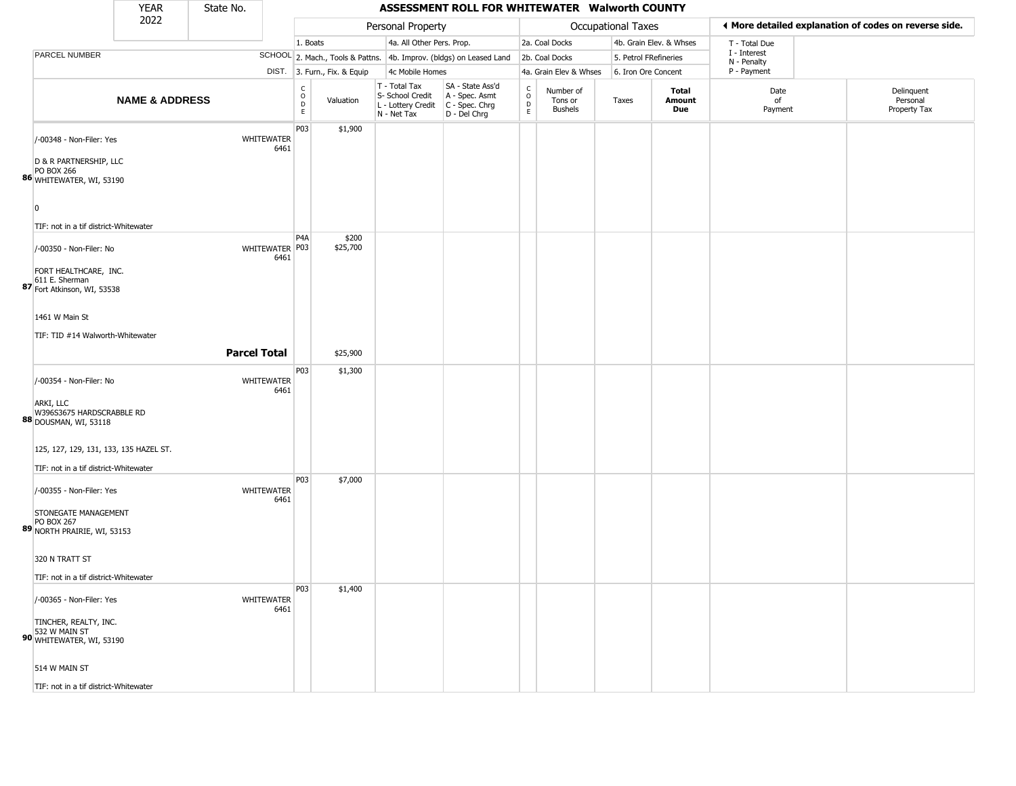|                                                                                 | <b>YEAR</b>               | State No.           |                        |                        |                              |                                                                                       | ASSESSMENT ROLL FOR WHITEWATER Walworth COUNTY                      |                                     |                                        |                           |                         |                             |                                                       |
|---------------------------------------------------------------------------------|---------------------------|---------------------|------------------------|------------------------|------------------------------|---------------------------------------------------------------------------------------|---------------------------------------------------------------------|-------------------------------------|----------------------------------------|---------------------------|-------------------------|-----------------------------|-------------------------------------------------------|
|                                                                                 | 2022                      |                     |                        |                        |                              | Personal Property                                                                     |                                                                     |                                     |                                        | <b>Occupational Taxes</b> |                         |                             | ♦ More detailed explanation of codes on reverse side. |
|                                                                                 |                           |                     |                        | 1. Boats               |                              | 4a. All Other Pers. Prop.                                                             |                                                                     |                                     | 2a. Coal Docks                         |                           | 4b. Grain Elev. & Whses | T - Total Due               |                                                       |
| PARCEL NUMBER                                                                   |                           |                     |                        |                        |                              |                                                                                       | SCHOOL 2. Mach., Tools & Pattns. 4b. Improv. (bldgs) on Leased Land |                                     | 2b. Coal Docks                         | 5. Petrol FRefineries     |                         | I - Interest<br>N - Penalty |                                                       |
|                                                                                 |                           |                     |                        |                        | DIST. 3. Furn., Fix. & Equip | 4c Mobile Homes                                                                       |                                                                     |                                     | 4a. Grain Elev & Whses                 | 6. Iron Ore Concent       |                         | P - Payment                 |                                                       |
|                                                                                 | <b>NAME &amp; ADDRESS</b> |                     |                        | C<br>$\circ$<br>D<br>E | Valuation                    | T - Total Tax<br>S- School Credit<br>L - Lottery Credit C - Spec. Chrg<br>N - Net Tax | SA - State Ass'd<br>A - Spec. Asmt<br>D - Del Chrg                  | $\int_{0}^{c}$<br>$\mathsf{D}$<br>E | Number of<br>Tons or<br><b>Bushels</b> | Taxes                     | Total<br>Amount<br>Due  | Date<br>of<br>Payment       | Delinquent<br>Personal<br>Property Tax                |
| /-00348 - Non-Filer: Yes                                                        |                           |                     | WHITEWATER<br>6461     | P03                    | \$1,900                      |                                                                                       |                                                                     |                                     |                                        |                           |                         |                             |                                                       |
| D & R PARTNERSHIP, LLC<br>PO BOX 266<br>86 WHITEWATER, WI, 53190                |                           |                     |                        |                        |                              |                                                                                       |                                                                     |                                     |                                        |                           |                         |                             |                                                       |
| $\overline{0}$<br>TIF: not in a tif district-Whitewater                         |                           |                     |                        |                        |                              |                                                                                       |                                                                     |                                     |                                        |                           |                         |                             |                                                       |
| /-00350 - Non-Filer: No                                                         |                           |                     | WHITEWATER P03<br>6461 | P <sub>4</sub> A       | \$200<br>\$25,700            |                                                                                       |                                                                     |                                     |                                        |                           |                         |                             |                                                       |
| FORT HEALTHCARE, INC.<br>611 E. Sherman<br>87 Fort Atkinson, WI, 53538          |                           |                     |                        |                        |                              |                                                                                       |                                                                     |                                     |                                        |                           |                         |                             |                                                       |
| 1461 W Main St                                                                  |                           |                     |                        |                        |                              |                                                                                       |                                                                     |                                     |                                        |                           |                         |                             |                                                       |
| TIF: TID #14 Walworth-Whitewater                                                |                           |                     |                        |                        |                              |                                                                                       |                                                                     |                                     |                                        |                           |                         |                             |                                                       |
|                                                                                 |                           | <b>Parcel Total</b> |                        |                        | \$25,900                     |                                                                                       |                                                                     |                                     |                                        |                           |                         |                             |                                                       |
| /-00354 - Non-Filer: No                                                         |                           |                     | WHITEWATER<br>6461     | P03                    | \$1,300                      |                                                                                       |                                                                     |                                     |                                        |                           |                         |                             |                                                       |
| ARKI, LLC<br>W396S3675 HARDSCRABBLE RD<br>88 DOUSMAN, WI, 53118                 |                           |                     |                        |                        |                              |                                                                                       |                                                                     |                                     |                                        |                           |                         |                             |                                                       |
| 125, 127, 129, 131, 133, 135 HAZEL ST.<br>TIF: not in a tif district-Whitewater |                           |                     |                        |                        |                              |                                                                                       |                                                                     |                                     |                                        |                           |                         |                             |                                                       |
| /-00355 - Non-Filer: Yes                                                        |                           |                     | WHITEWATER<br>6461     | P03                    | \$7,000                      |                                                                                       |                                                                     |                                     |                                        |                           |                         |                             |                                                       |
| STONEGATE MANAGEMENT<br><b>PO BOX 267</b><br>89 NORTH PRAIRIE, WI, 53153        |                           |                     |                        |                        |                              |                                                                                       |                                                                     |                                     |                                        |                           |                         |                             |                                                       |
| 320 N TRATT ST                                                                  |                           |                     |                        |                        |                              |                                                                                       |                                                                     |                                     |                                        |                           |                         |                             |                                                       |
| TIF: not in a tif district-Whitewater                                           |                           |                     |                        | P03                    | \$1,400                      |                                                                                       |                                                                     |                                     |                                        |                           |                         |                             |                                                       |
| /-00365 - Non-Filer: Yes                                                        |                           |                     | WHITEWATER<br>6461     |                        |                              |                                                                                       |                                                                     |                                     |                                        |                           |                         |                             |                                                       |
| TINCHER, REALTY, INC.<br>532 W MAIN ST<br>90 WHITEWATER, WI, 53190              |                           |                     |                        |                        |                              |                                                                                       |                                                                     |                                     |                                        |                           |                         |                             |                                                       |
| 514 W MAIN ST                                                                   |                           |                     |                        |                        |                              |                                                                                       |                                                                     |                                     |                                        |                           |                         |                             |                                                       |
| TIF: not in a tif district-Whitewater                                           |                           |                     |                        |                        |                              |                                                                                       |                                                                     |                                     |                                        |                           |                         |                             |                                                       |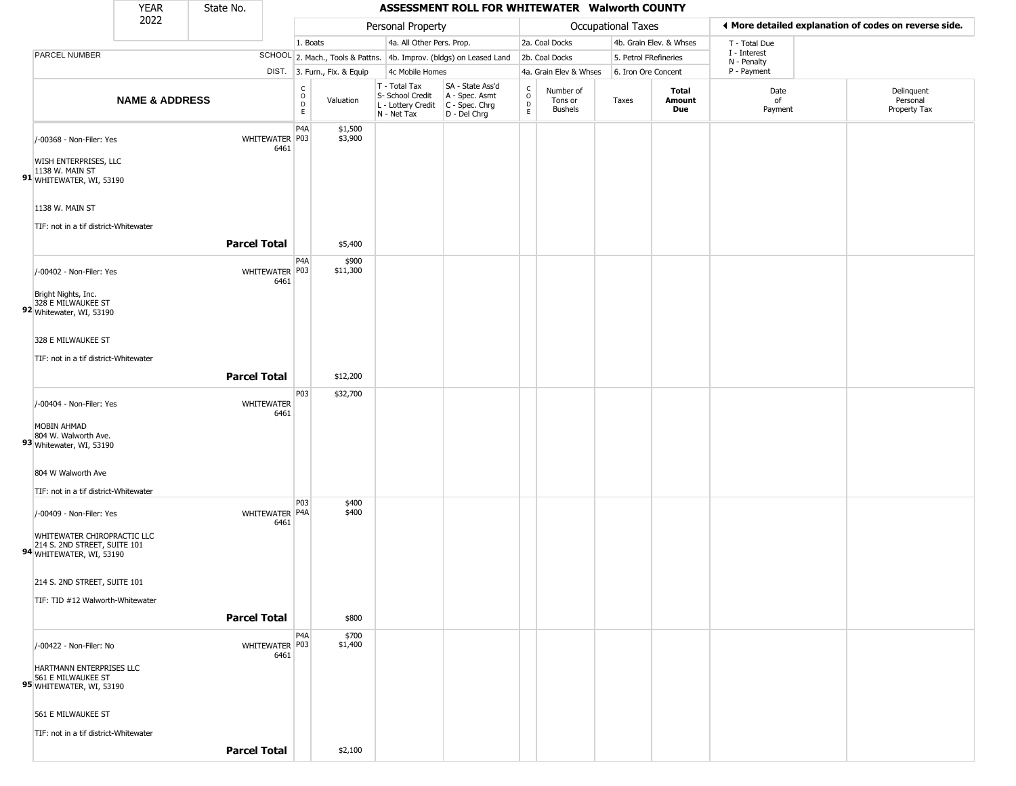|                                                                                         | <b>YEAR</b>               | State No.           |                           |                                        |                              |                                                                        | ASSESSMENT ROLL FOR WHITEWATER Walworth COUNTY                       |                                      |                                        |                           |                         |                             |                                                       |
|-----------------------------------------------------------------------------------------|---------------------------|---------------------|---------------------------|----------------------------------------|------------------------------|------------------------------------------------------------------------|----------------------------------------------------------------------|--------------------------------------|----------------------------------------|---------------------------|-------------------------|-----------------------------|-------------------------------------------------------|
|                                                                                         | 2022                      |                     |                           |                                        |                              | Personal Property                                                      |                                                                      |                                      |                                        | <b>Occupational Taxes</b> |                         |                             | ◀ More detailed explanation of codes on reverse side. |
|                                                                                         |                           |                     |                           | 1. Boats                               |                              | 4a. All Other Pers. Prop.                                              |                                                                      |                                      | 2a. Coal Docks                         |                           | 4b. Grain Elev. & Whses | T - Total Due               |                                                       |
| PARCEL NUMBER                                                                           |                           |                     |                           |                                        |                              |                                                                        | SCHOOL 2. Mach., Tools & Pattns. 4b. Improv. (bldgs) on Leased Land  |                                      | 2b. Coal Docks                         | 5. Petrol FRefineries     |                         | I - Interest<br>N - Penalty |                                                       |
|                                                                                         |                           |                     |                           |                                        | DIST. 3. Furn., Fix. & Equip | 4c Mobile Homes                                                        |                                                                      |                                      | 4a. Grain Elev & Whses                 | 6. Iron Ore Concent       |                         | P - Payment                 |                                                       |
|                                                                                         | <b>NAME &amp; ADDRESS</b> |                     |                           | $_{\rm o}^{\rm c}$<br>$\mathsf D$<br>E | Valuation                    | T - Total Tax<br>S- School Credit<br>L - Lottery Credit<br>N - Net Tax | SA - State Ass'd<br>A - Spec. Asmt<br>C - Spec. Chrg<br>D - Del Chrg | $\rm\frac{C}{O}$<br>D<br>$\mathsf E$ | Number of<br>Tons or<br><b>Bushels</b> | Taxes                     | Total<br>Amount<br>Due  | Date<br>of<br>Payment       | Delinquent<br>Personal<br>Property Tax                |
| /-00368 - Non-Filer: Yes<br>WISH ENTERPRISES, LLC<br>1138 W. MAIN ST                    |                           |                     | WHITEWATER P03<br>6461    | P4A                                    | \$1,500<br>\$3,900           |                                                                        |                                                                      |                                      |                                        |                           |                         |                             |                                                       |
| 91 WHITEWATER, WI, 53190<br>1138 W. MAIN ST                                             |                           |                     |                           |                                        |                              |                                                                        |                                                                      |                                      |                                        |                           |                         |                             |                                                       |
| TIF: not in a tif district-Whitewater                                                   |                           | <b>Parcel Total</b> |                           |                                        | \$5,400                      |                                                                        |                                                                      |                                      |                                        |                           |                         |                             |                                                       |
| /-00402 - Non-Filer: Yes                                                                |                           |                     | WHITEWATER P03<br>6461    | P4A                                    | \$900<br>\$11,300            |                                                                        |                                                                      |                                      |                                        |                           |                         |                             |                                                       |
| Bright Nights, Inc.<br>328 E MILWAUKEE ST<br>92 Whitewater, WI, 53190                   |                           |                     |                           |                                        |                              |                                                                        |                                                                      |                                      |                                        |                           |                         |                             |                                                       |
| 328 E MILWAUKEE ST                                                                      |                           |                     |                           |                                        |                              |                                                                        |                                                                      |                                      |                                        |                           |                         |                             |                                                       |
| TIF: not in a tif district-Whitewater                                                   |                           | <b>Parcel Total</b> |                           |                                        | \$12,200                     |                                                                        |                                                                      |                                      |                                        |                           |                         |                             |                                                       |
| /-00404 - Non-Filer: Yes                                                                |                           |                     | <b>WHITEWATER</b><br>6461 | P03                                    | \$32,700                     |                                                                        |                                                                      |                                      |                                        |                           |                         |                             |                                                       |
| MOBIN AHMAD<br>804 W. Walworth Ave.<br>93 Whitewater, WI, 53190                         |                           |                     |                           |                                        |                              |                                                                        |                                                                      |                                      |                                        |                           |                         |                             |                                                       |
| 804 W Walworth Ave<br>TIF: not in a tif district-Whitewater                             |                           |                     |                           |                                        |                              |                                                                        |                                                                      |                                      |                                        |                           |                         |                             |                                                       |
| /-00409 - Non-Filer: Yes                                                                |                           |                     | WHITEWATER P4A            | P03                                    | \$400<br>\$400               |                                                                        |                                                                      |                                      |                                        |                           |                         |                             |                                                       |
| WHITEWATER CHIROPRACTIC LLC<br>214 S. 2ND STREET, SUITE 101<br>94 WHITEWATER, WI, 53190 |                           |                     | 6461                      |                                        |                              |                                                                        |                                                                      |                                      |                                        |                           |                         |                             |                                                       |
| 214 S. 2ND STREET, SUITE 101                                                            |                           |                     |                           |                                        |                              |                                                                        |                                                                      |                                      |                                        |                           |                         |                             |                                                       |
| TIF: TID #12 Walworth-Whitewater                                                        |                           | <b>Parcel Total</b> |                           |                                        | \$800                        |                                                                        |                                                                      |                                      |                                        |                           |                         |                             |                                                       |
| /-00422 - Non-Filer: No                                                                 |                           |                     | WHITEWATER P03<br>6461    | P4A                                    | \$700<br>\$1,400             |                                                                        |                                                                      |                                      |                                        |                           |                         |                             |                                                       |
| HARTMANN ENTERPRISES LLC<br>95 561 E MILWAUKEE ST<br>95 WHITEWATER, WI, 53190           |                           |                     |                           |                                        |                              |                                                                        |                                                                      |                                      |                                        |                           |                         |                             |                                                       |
| 561 E MILWAUKEE ST                                                                      |                           |                     |                           |                                        |                              |                                                                        |                                                                      |                                      |                                        |                           |                         |                             |                                                       |
| TIF: not in a tif district-Whitewater                                                   |                           | <b>Parcel Total</b> |                           |                                        | \$2,100                      |                                                                        |                                                                      |                                      |                                        |                           |                         |                             |                                                       |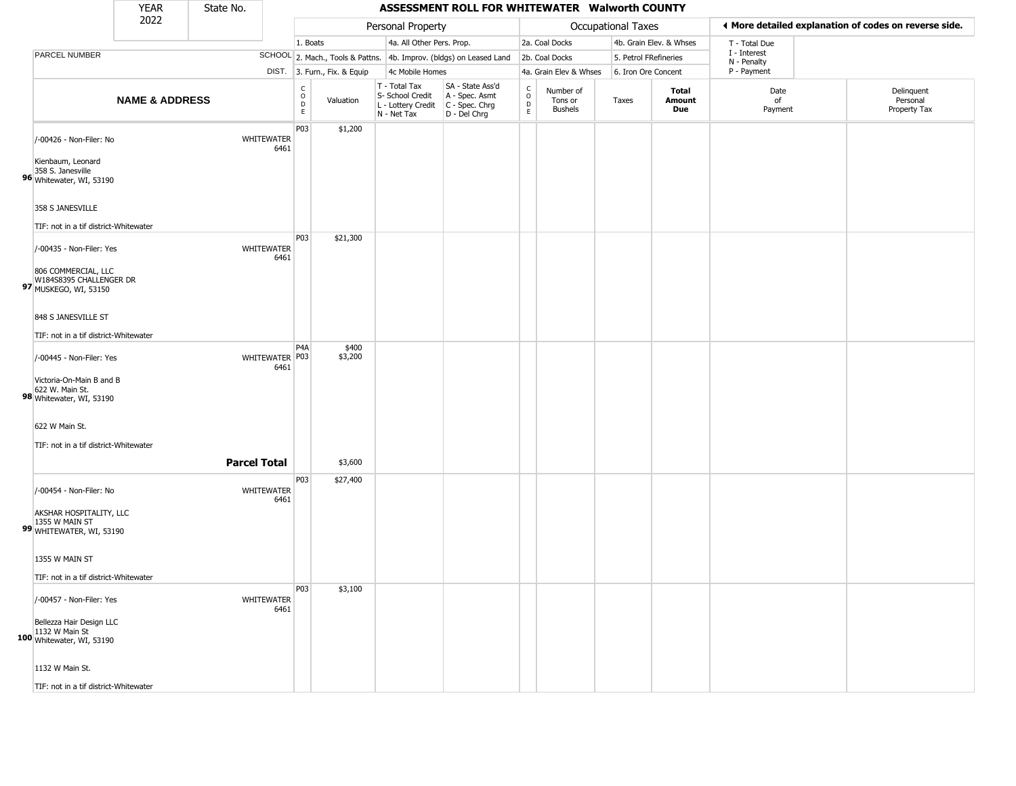|                                                                           | <b>YEAR</b>               | State No.           |                           |                                   |                              |                                                                        | ASSESSMENT ROLL FOR WHITEWATER Walworth COUNTY                         |                                |                                        |                           |                               |                             |                                                       |
|---------------------------------------------------------------------------|---------------------------|---------------------|---------------------------|-----------------------------------|------------------------------|------------------------------------------------------------------------|------------------------------------------------------------------------|--------------------------------|----------------------------------------|---------------------------|-------------------------------|-----------------------------|-------------------------------------------------------|
|                                                                           | 2022                      |                     |                           |                                   |                              | Personal Property                                                      |                                                                        |                                |                                        | <b>Occupational Taxes</b> |                               |                             | ◀ More detailed explanation of codes on reverse side. |
|                                                                           |                           |                     |                           | 1. Boats                          |                              | 4a. All Other Pers. Prop.                                              |                                                                        |                                | 2a. Coal Docks                         |                           | 4b. Grain Elev. & Whses       | T - Total Due               |                                                       |
| PARCEL NUMBER                                                             |                           |                     |                           |                                   |                              |                                                                        | SCHOOL 2. Mach., Tools & Pattns. 4b. Improv. (bldgs) on Leased Land    |                                | 2b. Coal Docks                         | 5. Petrol FRefineries     |                               | I - Interest<br>N - Penalty |                                                       |
|                                                                           |                           |                     |                           |                                   | DIST. 3. Furn., Fix. & Equip | 4c Mobile Homes                                                        |                                                                        |                                | 4a. Grain Elev & Whses                 | 6. Iron Ore Concent       |                               | P - Payment                 |                                                       |
|                                                                           | <b>NAME &amp; ADDRESS</b> |                     |                           | $\frac{C}{O}$<br>D<br>$\mathsf E$ | Valuation                    | T - Total Tax<br>S- School Credit<br>L - Lottery Credit<br>N - Net Tax | SA - State Ass'd<br>A - Spec. Asmt<br>$C - Spec. Chrg$<br>D - Del Chrg | $\frac{c}{0}$<br>$\frac{D}{E}$ | Number of<br>Tons or<br><b>Bushels</b> | Taxes                     | <b>Total</b><br>Amount<br>Due | Date<br>of<br>Payment       | Delinquent<br>Personal<br>Property Tax                |
| /-00426 - Non-Filer: No<br>Kienbaum, Leonard                              |                           |                     | <b>WHITEWATER</b><br>6461 | P03                               | \$1,200                      |                                                                        |                                                                        |                                |                                        |                           |                               |                             |                                                       |
| 358 S. Janesville<br>96 Whitewater, WI, 53190                             |                           |                     |                           |                                   |                              |                                                                        |                                                                        |                                |                                        |                           |                               |                             |                                                       |
| 358 S JANESVILLE<br>TIF: not in a tif district-Whitewater                 |                           |                     |                           |                                   |                              |                                                                        |                                                                        |                                |                                        |                           |                               |                             |                                                       |
| /-00435 - Non-Filer: Yes                                                  |                           |                     | WHITEWATER<br>6461        | P03                               | \$21,300                     |                                                                        |                                                                        |                                |                                        |                           |                               |                             |                                                       |
| 806 COMMERCIAL, LLC<br>W184S8395 CHALLENGER DR<br>97 MUSKEGO, WI, 53150   |                           |                     |                           |                                   |                              |                                                                        |                                                                        |                                |                                        |                           |                               |                             |                                                       |
| 848 S JANESVILLE ST<br>TIF: not in a tif district-Whitewater              |                           |                     |                           |                                   |                              |                                                                        |                                                                        |                                |                                        |                           |                               |                             |                                                       |
| /-00445 - Non-Filer: Yes                                                  |                           |                     | WHITEWATER P03<br>6461    | P <sub>4</sub> A                  | \$400<br>\$3,200             |                                                                        |                                                                        |                                |                                        |                           |                               |                             |                                                       |
| Victoria-On-Main B and B<br>622 W. Main St.<br>98 Whitewater, WI, 53190   |                           |                     |                           |                                   |                              |                                                                        |                                                                        |                                |                                        |                           |                               |                             |                                                       |
| 622 W Main St.<br>TIF: not in a tif district-Whitewater                   |                           |                     |                           |                                   |                              |                                                                        |                                                                        |                                |                                        |                           |                               |                             |                                                       |
|                                                                           |                           | <b>Parcel Total</b> |                           |                                   | \$3,600                      |                                                                        |                                                                        |                                |                                        |                           |                               |                             |                                                       |
| /-00454 - Non-Filer: No                                                   |                           |                     | <b>WHITEWATER</b><br>6461 | P03                               | \$27,400                     |                                                                        |                                                                        |                                |                                        |                           |                               |                             |                                                       |
| AKSHAR HOSPITALITY, LLC<br>1355 W MAIN ST<br>99 WHITEWATER, WI, 53190     |                           |                     |                           |                                   |                              |                                                                        |                                                                        |                                |                                        |                           |                               |                             |                                                       |
| 1355 W MAIN ST                                                            |                           |                     |                           |                                   |                              |                                                                        |                                                                        |                                |                                        |                           |                               |                             |                                                       |
| TIF: not in a tif district-Whitewater                                     |                           |                     |                           |                                   |                              |                                                                        |                                                                        |                                |                                        |                           |                               |                             |                                                       |
| /-00457 - Non-Filer: Yes                                                  |                           |                     | <b>WHITEWATER</b><br>6461 | P03                               | \$3,100                      |                                                                        |                                                                        |                                |                                        |                           |                               |                             |                                                       |
| Bellezza Hair Design LLC<br>1132 W Main St<br>$100$ Whitewater, WI, 53190 |                           |                     |                           |                                   |                              |                                                                        |                                                                        |                                |                                        |                           |                               |                             |                                                       |
| 1132 W Main St.                                                           |                           |                     |                           |                                   |                              |                                                                        |                                                                        |                                |                                        |                           |                               |                             |                                                       |
| TIF: not in a tif district-Whitewater                                     |                           |                     |                           |                                   |                              |                                                                        |                                                                        |                                |                                        |                           |                               |                             |                                                       |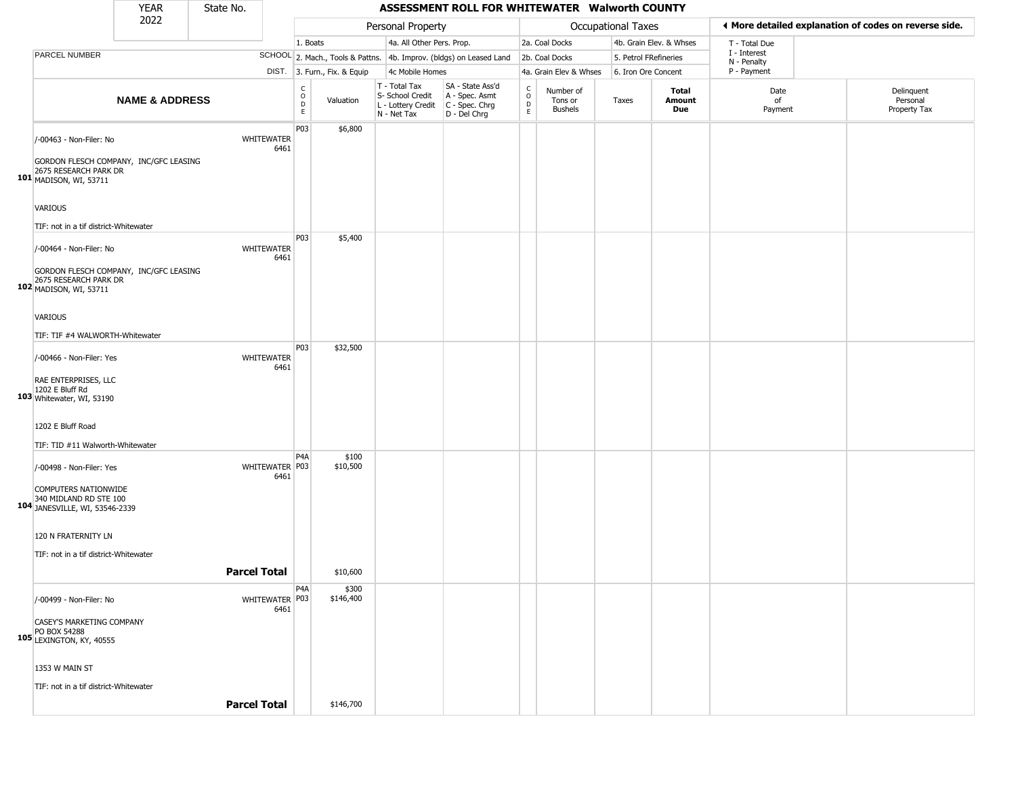|                                                                                                                          | <b>YEAR</b>               | State No. |                           |                                          |                              |                                                                                         | ASSESSMENT ROLL FOR WHITEWATER Walworth COUNTY                      |                                             |                                        |                       |                         |                             |                                                       |
|--------------------------------------------------------------------------------------------------------------------------|---------------------------|-----------|---------------------------|------------------------------------------|------------------------------|-----------------------------------------------------------------------------------------|---------------------------------------------------------------------|---------------------------------------------|----------------------------------------|-----------------------|-------------------------|-----------------------------|-------------------------------------------------------|
|                                                                                                                          | 2022                      |           |                           |                                          |                              | Personal Property                                                                       |                                                                     |                                             |                                        | Occupational Taxes    |                         |                             | ♦ More detailed explanation of codes on reverse side. |
|                                                                                                                          |                           |           |                           | 1. Boats                                 |                              | 4a. All Other Pers. Prop.                                                               |                                                                     |                                             | 2a. Coal Docks                         |                       | 4b. Grain Elev. & Whses | T - Total Due               |                                                       |
| PARCEL NUMBER                                                                                                            |                           |           |                           |                                          |                              |                                                                                         | SCHOOL 2. Mach., Tools & Pattns. 4b. Improv. (bldgs) on Leased Land |                                             | 2b. Coal Docks                         | 5. Petrol FRefineries |                         | I - Interest<br>N - Penalty |                                                       |
|                                                                                                                          |                           |           |                           |                                          | DIST. 3. Furn., Fix. & Equip | 4c Mobile Homes                                                                         |                                                                     |                                             | 4a. Grain Elev & Whses                 | 6. Iron Ore Concent   |                         | P - Payment                 |                                                       |
|                                                                                                                          | <b>NAME &amp; ADDRESS</b> |           |                           | $\rm _o^C$<br>$\mathsf D$<br>$\mathsf E$ | Valuation                    | T - Total Tax<br>S- School Credit<br>L - Lottery Credit   C - Spec. Chrg<br>N - Net Tax | SA - State Ass'd<br>A - Spec. Asmt<br>D - Del Chrg                  | $\mathsf{C}$<br>$\circ$<br>$\mathsf D$<br>E | Number of<br>Tons or<br><b>Bushels</b> | Taxes                 | Total<br>Amount<br>Due  | Date<br>of<br>Payment       | Delinquent<br>Personal<br>Property Tax                |
| /-00463 - Non-Filer: No<br>GORDON FLESCH COMPANY, INC/GFC LEASING<br>101 2675 RESEARCH PARK DR<br>101 MADISON, WI, 53711 |                           |           | WHITEWATER<br>6461        | P03                                      | \$6,800                      |                                                                                         |                                                                     |                                             |                                        |                       |                         |                             |                                                       |
| VARIOUS<br>TIF: not in a tif district-Whitewater                                                                         |                           |           |                           |                                          |                              |                                                                                         |                                                                     |                                             |                                        |                       |                         |                             |                                                       |
| /-00464 - Non-Filer: No<br>GORDON FLESCH COMPANY, INC/GFC LEASING<br>2675 RESEARCH PARK DR<br>102 MADISON, WI, 53711     |                           |           | <b>WHITEWATER</b><br>6461 | P03                                      | \$5,400                      |                                                                                         |                                                                     |                                             |                                        |                       |                         |                             |                                                       |
| VARIOUS<br>TIF: TIF #4 WALWORTH-Whitewater                                                                               |                           |           |                           |                                          |                              |                                                                                         |                                                                     |                                             |                                        |                       |                         |                             |                                                       |
| /-00466 - Non-Filer: Yes<br>RAE ENTERPRISES, LLC<br>1202 E Bluff Rd<br>103 Whitewater, WI, 53190                         |                           |           | WHITEWATER<br>6461        | P03                                      | \$32,500                     |                                                                                         |                                                                     |                                             |                                        |                       |                         |                             |                                                       |
| 1202 E Bluff Road<br>TIF: TID #11 Walworth-Whitewater                                                                    |                           |           |                           |                                          |                              |                                                                                         |                                                                     |                                             |                                        |                       |                         |                             |                                                       |
| /-00498 - Non-Filer: Yes<br>COMPUTERS NATIONWIDE<br>340 MIDLAND RD STE 100<br>104 JANESVILLE, WI, 53546-2339             |                           |           | WHITEWATER P03<br>6461    | P <sub>4</sub> A                         | \$100<br>\$10,500            |                                                                                         |                                                                     |                                             |                                        |                       |                         |                             |                                                       |
| 120 N FRATERNITY LN<br>TIF: not in a tif district-Whitewater                                                             |                           |           | <b>Parcel Total</b>       |                                          | \$10,600                     |                                                                                         |                                                                     |                                             |                                        |                       |                         |                             |                                                       |
|                                                                                                                          |                           |           |                           | P4A                                      | \$300                        |                                                                                         |                                                                     |                                             |                                        |                       |                         |                             |                                                       |
| /-00499 - Non-Filer: No<br>CASEY'S MARKETING COMPANY<br>PO BOX 54288<br>105 LEXINGTON, KY, 40555                         |                           |           | WHITEWATER P03<br>6461    |                                          | \$146,400                    |                                                                                         |                                                                     |                                             |                                        |                       |                         |                             |                                                       |
| 1353 W MAIN ST<br>TIF: not in a tif district-Whitewater                                                                  |                           |           | <b>Parcel Total</b>       |                                          | \$146,700                    |                                                                                         |                                                                     |                                             |                                        |                       |                         |                             |                                                       |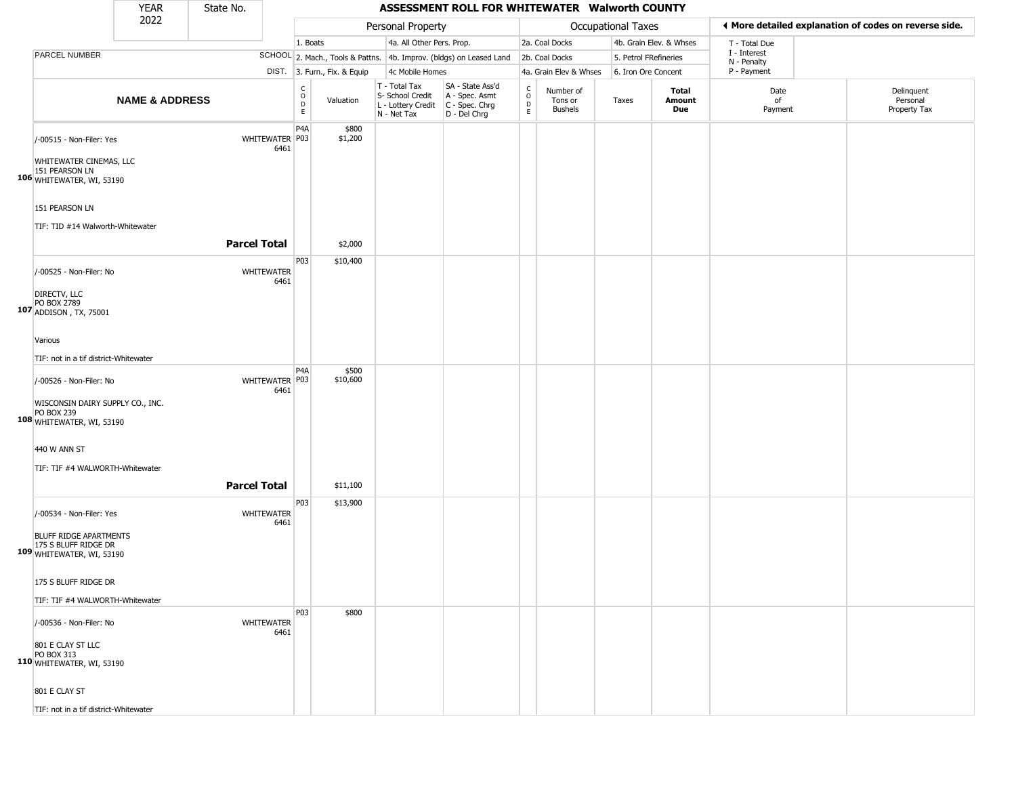|                                                                                                               | <b>YEAR</b>               | State No.           |                          |                        |                              |                                                                        | ASSESSMENT ROLL FOR WHITEWATER Walworth COUNTY                       |                                            |                                        |                       |                         |                             |                                                       |
|---------------------------------------------------------------------------------------------------------------|---------------------------|---------------------|--------------------------|------------------------|------------------------------|------------------------------------------------------------------------|----------------------------------------------------------------------|--------------------------------------------|----------------------------------------|-----------------------|-------------------------|-----------------------------|-------------------------------------------------------|
|                                                                                                               | 2022                      |                     |                          |                        |                              | Personal Property                                                      |                                                                      |                                            |                                        | Occupational Taxes    |                         |                             | ♦ More detailed explanation of codes on reverse side. |
|                                                                                                               |                           |                     |                          | 1. Boats               |                              | 4a. All Other Pers. Prop.                                              |                                                                      |                                            | 2a. Coal Docks                         |                       | 4b. Grain Elev. & Whses | T - Total Due               |                                                       |
| <b>PARCEL NUMBER</b>                                                                                          |                           |                     |                          |                        |                              |                                                                        | SCHOOL 2. Mach., Tools & Pattns. 4b. Improv. (bldgs) on Leased Land  |                                            | 2b. Coal Docks                         | 5. Petrol FRefineries |                         | I - Interest<br>N - Penalty |                                                       |
|                                                                                                               |                           |                     |                          |                        | DIST. 3. Furn., Fix. & Equip | 4c Mobile Homes                                                        |                                                                      |                                            | 4a. Grain Elev & Whses                 | 6. Iron Ore Concent   |                         | P - Payment                 |                                                       |
|                                                                                                               | <b>NAME &amp; ADDRESS</b> |                     |                          | C<br>$\circ$<br>D<br>E | Valuation                    | T - Total Tax<br>S- School Credit<br>L - Lottery Credit<br>N - Net Tax | SA - State Ass'd<br>A - Spec. Asmt<br>C - Spec. Chrg<br>D - Del Chrg | $\frac{c}{0}$<br>$\mathsf{D}_{\mathsf{E}}$ | Number of<br>Tons or<br><b>Bushels</b> | Taxes                 | Total<br>Amount<br>Due  | Date<br>of<br>Payment       | Delinquent<br>Personal<br>Property Tax                |
| /-00515 - Non-Filer: Yes<br>WHITEWATER CINEMAS, LLC<br>151 PEARSON LN<br>106 WHITEWATER, WI, 53190            |                           |                     | WHITEWATER   P03<br>6461 | P <sub>4</sub> A       | \$800<br>\$1,200             |                                                                        |                                                                      |                                            |                                        |                       |                         |                             |                                                       |
| 151 PEARSON LN<br>TIF: TID #14 Walworth-Whitewater                                                            |                           |                     |                          |                        |                              |                                                                        |                                                                      |                                            |                                        |                       |                         |                             |                                                       |
|                                                                                                               |                           | <b>Parcel Total</b> |                          |                        | \$2,000                      |                                                                        |                                                                      |                                            |                                        |                       |                         |                             |                                                       |
| /-00525 - Non-Filer: No<br>DIRECTV, LLC                                                                       |                           |                     | WHITEWATER<br>6461       | P03                    | \$10,400                     |                                                                        |                                                                      |                                            |                                        |                       |                         |                             |                                                       |
| PO BOX 2789<br>107 ADDISON, TX, 75001<br>Various                                                              |                           |                     |                          |                        |                              |                                                                        |                                                                      |                                            |                                        |                       |                         |                             |                                                       |
| TIF: not in a tif district-Whitewater                                                                         |                           |                     |                          |                        |                              |                                                                        |                                                                      |                                            |                                        |                       |                         |                             |                                                       |
| /-00526 - Non-Filer: No<br>WISCONSIN DAIRY SUPPLY CO., INC.<br><b>PO BOX 239</b><br>108 WHITEWATER, WI, 53190 |                           |                     | WHITEWATER P03<br>6461   | P <sub>4</sub> A       | \$500<br>\$10,600            |                                                                        |                                                                      |                                            |                                        |                       |                         |                             |                                                       |
| 440 W ANN ST<br>TIF: TIF #4 WALWORTH-Whitewater                                                               |                           | <b>Parcel Total</b> |                          |                        | \$11,100                     |                                                                        |                                                                      |                                            |                                        |                       |                         |                             |                                                       |
| /-00534 - Non-Filer: Yes                                                                                      |                           |                     | WHITEWATER<br>6461       | P03                    | \$13,900                     |                                                                        |                                                                      |                                            |                                        |                       |                         |                             |                                                       |
| BLUFF RIDGE APARTMENTS<br>175 S BLUFF RIDGE DR<br>109 WHITEWATER, WI, 53190                                   |                           |                     |                          |                        |                              |                                                                        |                                                                      |                                            |                                        |                       |                         |                             |                                                       |
| 175 S BLUFF RIDGE DR<br>TIF: TIF #4 WALWORTH-Whitewater                                                       |                           |                     |                          |                        |                              |                                                                        |                                                                      |                                            |                                        |                       |                         |                             |                                                       |
| /-00536 - Non-Filer: No                                                                                       |                           |                     | WHITEWATER<br>6461       | P03                    | \$800                        |                                                                        |                                                                      |                                            |                                        |                       |                         |                             |                                                       |
| 801 E CLAY ST LLC<br>PO BOX 313<br>110 WHITEWATER, WI, 53190                                                  |                           |                     |                          |                        |                              |                                                                        |                                                                      |                                            |                                        |                       |                         |                             |                                                       |
| 801 E CLAY ST                                                                                                 |                           |                     |                          |                        |                              |                                                                        |                                                                      |                                            |                                        |                       |                         |                             |                                                       |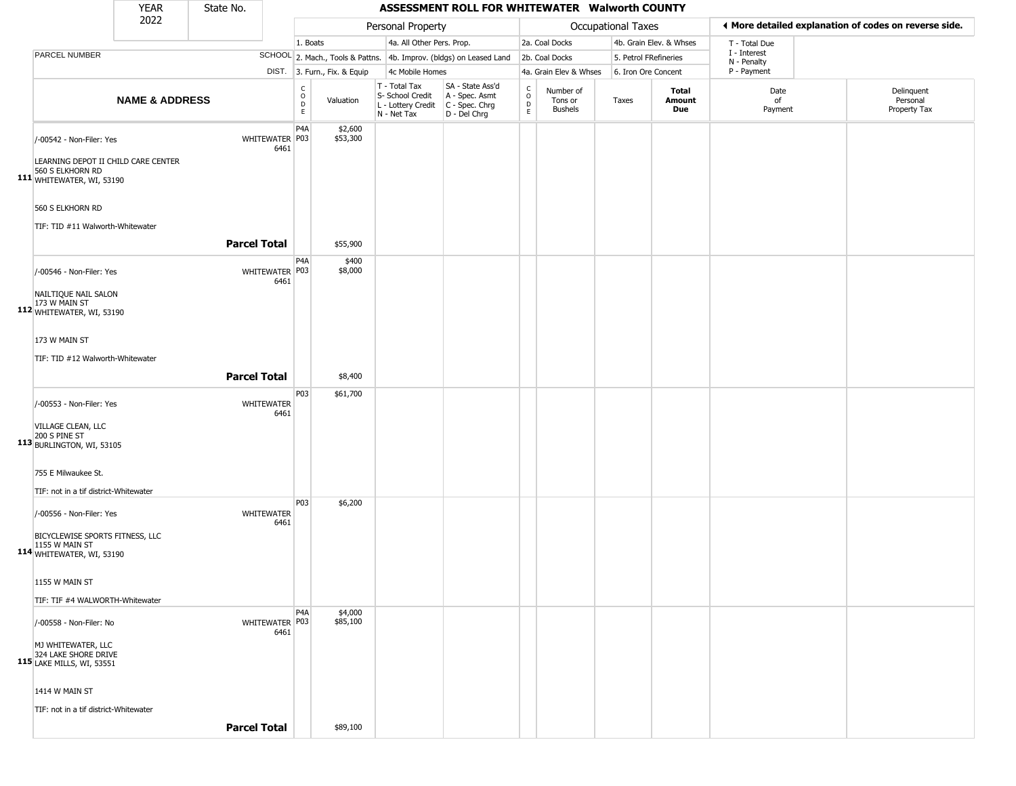|                                                                                                                      | <b>YEAR</b>               | State No.           |                        |                                     |                     |                                                                        | ASSESSMENT ROLL FOR WHITEWATER Walworth COUNTY                       |                               |                                        |                           |                         |                             |                                                       |
|----------------------------------------------------------------------------------------------------------------------|---------------------------|---------------------|------------------------|-------------------------------------|---------------------|------------------------------------------------------------------------|----------------------------------------------------------------------|-------------------------------|----------------------------------------|---------------------------|-------------------------|-----------------------------|-------------------------------------------------------|
|                                                                                                                      | 2022                      |                     |                        |                                     |                     | Personal Property                                                      |                                                                      |                               |                                        | <b>Occupational Taxes</b> |                         |                             | ◀ More detailed explanation of codes on reverse side. |
|                                                                                                                      |                           |                     |                        | 1. Boats                            |                     | 4a. All Other Pers. Prop.                                              |                                                                      |                               | 2a. Coal Docks                         |                           | 4b. Grain Elev. & Whses | T - Total Due               |                                                       |
| PARCEL NUMBER                                                                                                        |                           |                     |                        |                                     |                     |                                                                        | SCHOOL 2. Mach., Tools & Pattns. 4b. Improv. (bldgs) on Leased Land  |                               | 2b. Coal Docks                         |                           | 5. Petrol FRefineries   | I - Interest<br>N - Penalty |                                                       |
|                                                                                                                      |                           |                     |                        | DIST. 3. Furn., Fix. & Equip        |                     | 4c Mobile Homes                                                        |                                                                      |                               | 4a. Grain Elev & Whses                 | 6. Iron Ore Concent       |                         | P - Payment                 |                                                       |
|                                                                                                                      | <b>NAME &amp; ADDRESS</b> |                     |                        | C<br>$\circ$<br>Valuation<br>D<br>E |                     | T - Total Tax<br>S- School Credit<br>L - Lottery Credit<br>N - Net Tax | SA - State Ass'd<br>A - Spec. Asmt<br>C - Spec. Chrg<br>D - Del Chrg | $\rm ^c_{o}$<br>$\frac{D}{E}$ | Number of<br>Tons or<br><b>Bushels</b> | Taxes                     | Total<br>Amount<br>Due  | Date<br>of<br>Payment       | Delinquent<br>Personal<br>Property Tax                |
| /-00542 - Non-Filer: Yes<br>LEARNING DEPOT II CHILD CARE CENTER<br>111 560 S ELKHORN RD<br>111 WHITEWATER, WI, 53190 |                           |                     | WHITEWATER P03<br>6461 | P <sub>4</sub> A                    | \$2,600<br>\$53,300 |                                                                        |                                                                      |                               |                                        |                           |                         |                             |                                                       |
| 560 S ELKHORN RD<br>TIF: TID #11 Walworth-Whitewater                                                                 |                           |                     |                        |                                     |                     |                                                                        |                                                                      |                               |                                        |                           |                         |                             |                                                       |
|                                                                                                                      |                           | <b>Parcel Total</b> |                        |                                     | \$55,900            |                                                                        |                                                                      |                               |                                        |                           |                         |                             |                                                       |
| /-00546 - Non-Filer: Yes<br>NAILTIQUE NAIL SALON<br>173 W MAIN ST<br>112 WHITEWATER, WI, 53190                       |                           |                     | WHITEWATER P03<br>6461 | P <sub>4</sub> A                    | \$400<br>\$8,000    |                                                                        |                                                                      |                               |                                        |                           |                         |                             |                                                       |
| 173 W MAIN ST<br>TIF: TID #12 Walworth-Whitewater                                                                    |                           | <b>Parcel Total</b> |                        |                                     | \$8,400             |                                                                        |                                                                      |                               |                                        |                           |                         |                             |                                                       |
| /-00553 - Non-Filer: Yes<br>VILLAGE CLEAN, LLC<br>200 S PINE ST<br>113 BURLINGTON, WI, 53105                         |                           |                     | WHITEWATER<br>6461     | P03                                 | \$61,700            |                                                                        |                                                                      |                               |                                        |                           |                         |                             |                                                       |
| 755 E Milwaukee St.<br>TIF: not in a tif district-Whitewater                                                         |                           |                     |                        | P03                                 | \$6,200             |                                                                        |                                                                      |                               |                                        |                           |                         |                             |                                                       |
| /-00556 - Non-Filer: Yes<br>BICYCLEWISE SPORTS FITNESS, LLC<br>1155 W MAIN ST<br>114 WHITEWATER, WI, 53190           |                           |                     | WHITEWATER<br>6461     |                                     |                     |                                                                        |                                                                      |                               |                                        |                           |                         |                             |                                                       |
| 1155 W MAIN ST<br>TIF: TIF #4 WALWORTH-Whitewater                                                                    |                           |                     |                        |                                     |                     |                                                                        |                                                                      |                               |                                        |                           |                         |                             |                                                       |
| /-00558 - Non-Filer: No<br>MJ WHITEWATER, LLC<br>324 LAKE SHORE DRIVE<br>115 LAKE MILLS, WI, 53551                   |                           |                     | WHITEWATER P03<br>6461 | P <sub>4</sub> A                    | \$4,000<br>\$85,100 |                                                                        |                                                                      |                               |                                        |                           |                         |                             |                                                       |
| 1414 W MAIN ST<br>TIF: not in a tif district-Whitewater                                                              |                           |                     |                        |                                     |                     |                                                                        |                                                                      |                               |                                        |                           |                         |                             |                                                       |
|                                                                                                                      |                           | <b>Parcel Total</b> |                        |                                     | \$89,100            |                                                                        |                                                                      |                               |                                        |                           |                         |                             |                                                       |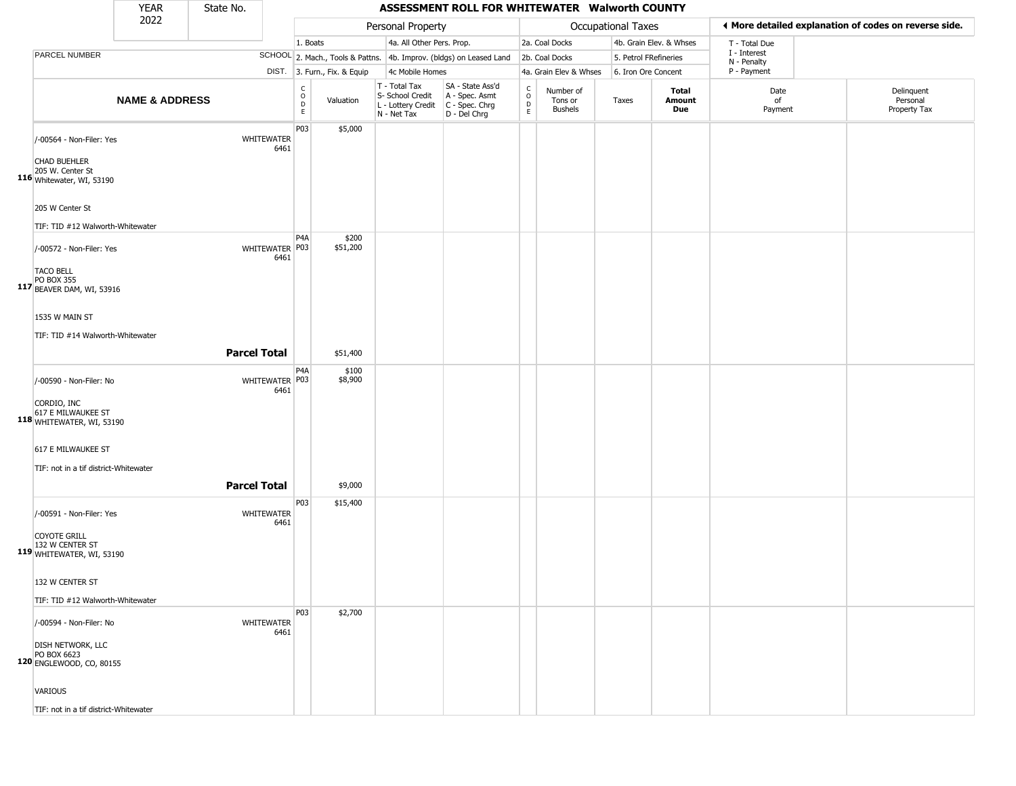|                                                                                                       | <b>YEAR</b>               | State No. |                        |                                |                              |                                                                                         | ASSESSMENT ROLL FOR WHITEWATER Walworth COUNTY                      |                                         |                                        |                           |                         |                             |                                                       |
|-------------------------------------------------------------------------------------------------------|---------------------------|-----------|------------------------|--------------------------------|------------------------------|-----------------------------------------------------------------------------------------|---------------------------------------------------------------------|-----------------------------------------|----------------------------------------|---------------------------|-------------------------|-----------------------------|-------------------------------------------------------|
|                                                                                                       | 2022                      |           |                        |                                |                              | Personal Property                                                                       |                                                                     |                                         |                                        | <b>Occupational Taxes</b> |                         |                             | ◀ More detailed explanation of codes on reverse side. |
|                                                                                                       |                           |           |                        | 1. Boats                       |                              | 4a. All Other Pers. Prop.                                                               |                                                                     |                                         | 2a. Coal Docks                         |                           | 4b. Grain Elev. & Whses | T - Total Due               |                                                       |
| PARCEL NUMBER                                                                                         |                           |           |                        |                                |                              |                                                                                         | SCHOOL 2. Mach., Tools & Pattns. 4b. Improv. (bldgs) on Leased Land |                                         | 2b. Coal Docks                         |                           | 5. Petrol FRefineries   | I - Interest<br>N - Penalty |                                                       |
|                                                                                                       |                           |           |                        |                                | DIST. 3. Furn., Fix. & Equip | 4c Mobile Homes                                                                         |                                                                     |                                         | 4a. Grain Elev & Whses                 |                           | 6. Iron Ore Concent     | P - Payment                 |                                                       |
|                                                                                                       | <b>NAME &amp; ADDRESS</b> |           |                        | $\rm _o^C$<br>$\mathsf D$<br>E | Valuation                    | T - Total Tax<br>S- School Credit<br>L - Lottery Credit   C - Spec. Chrg<br>N - Net Tax | SA - State Ass'd<br>A - Spec. Asmt<br>D - Del Chrg                  | $\rm _o^C$<br>$\mathsf{D}_{\mathsf{E}}$ | Number of<br>Tons or<br><b>Bushels</b> | Taxes                     | Total<br>Amount<br>Due  | Date<br>of<br>Payment       | Delinquent<br>Personal<br>Property Tax                |
| /-00564 - Non-Filer: Yes<br><b>CHAD BUEHLER</b><br>205 W. Center St<br>116 Whitewater, WI, 53190      |                           |           | WHITEWATER<br>6461     | P03                            | \$5,000                      |                                                                                         |                                                                     |                                         |                                        |                           |                         |                             |                                                       |
| 205 W Center St                                                                                       |                           |           |                        |                                |                              |                                                                                         |                                                                     |                                         |                                        |                           |                         |                             |                                                       |
| TIF: TID #12 Walworth-Whitewater<br>/-00572 - Non-Filer: Yes<br><b>TACO BELL</b><br><b>PO BOX 355</b> |                           |           | WHITEWATER P03<br>6461 | P <sub>4</sub> A               | \$200<br>\$51,200            |                                                                                         |                                                                     |                                         |                                        |                           |                         |                             |                                                       |
| 117 BEAVER DAM, WI, 53916<br>1535 W MAIN ST<br>TIF: TID #14 Walworth-Whitewater                       |                           |           |                        |                                |                              |                                                                                         |                                                                     |                                         |                                        |                           |                         |                             |                                                       |
|                                                                                                       |                           |           | <b>Parcel Total</b>    |                                | \$51,400                     |                                                                                         |                                                                     |                                         |                                        |                           |                         |                             |                                                       |
| /-00590 - Non-Filer: No<br>CORDIO, INC<br>617 E MILWAUKEE ST<br>118 WHITEWATER, WI, 53190             |                           |           | WHITEWATER P03<br>6461 | P <sub>4</sub> A               | \$100<br>\$8,900             |                                                                                         |                                                                     |                                         |                                        |                           |                         |                             |                                                       |
| 617 E MILWAUKEE ST<br>TIF: not in a tif district-Whitewater                                           |                           |           | <b>Parcel Total</b>    |                                | \$9,000                      |                                                                                         |                                                                     |                                         |                                        |                           |                         |                             |                                                       |
| /-00591 - Non-Filer: Yes                                                                              |                           |           | WHITEWATER<br>6461     | P03                            | \$15,400                     |                                                                                         |                                                                     |                                         |                                        |                           |                         |                             |                                                       |
| <b>COYOTE GRILL</b><br>132 W CENTER ST<br>119 WHITEWATER, WI, 53190                                   |                           |           |                        |                                |                              |                                                                                         |                                                                     |                                         |                                        |                           |                         |                             |                                                       |
| 132 W CENTER ST<br>TIF: TID #12 Walworth-Whitewater                                                   |                           |           |                        |                                |                              |                                                                                         |                                                                     |                                         |                                        |                           |                         |                             |                                                       |
| /-00594 - Non-Filer: No                                                                               |                           |           | WHITEWATER<br>6461     | P03                            | \$2,700                      |                                                                                         |                                                                     |                                         |                                        |                           |                         |                             |                                                       |
| <b>DISH NETWORK, LLC</b><br>PO BOX 6623<br>120 ENGLEWOOD, CO, 80155                                   |                           |           |                        |                                |                              |                                                                                         |                                                                     |                                         |                                        |                           |                         |                             |                                                       |
| VARIOUS                                                                                               |                           |           |                        |                                |                              |                                                                                         |                                                                     |                                         |                                        |                           |                         |                             |                                                       |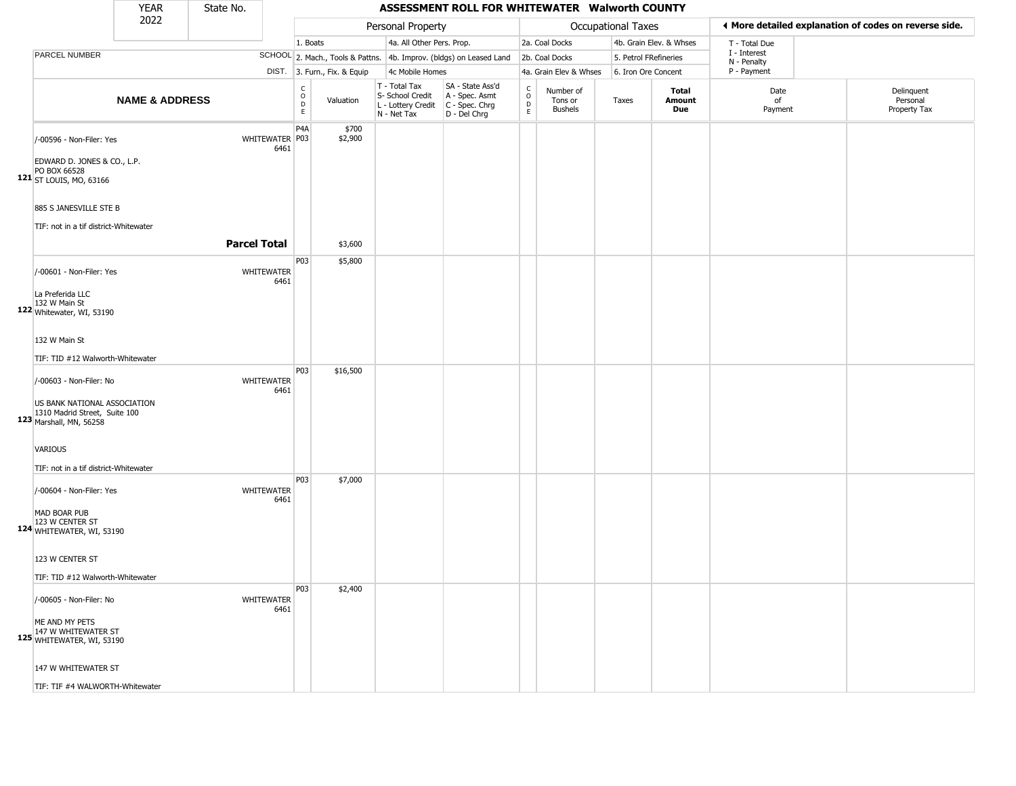|                                                                                                                     | <b>YEAR</b>               | State No.           |                           |                                                       |                              |                                                                        | ASSESSMENT ROLL FOR WHITEWATER Walworth COUNTY                       |                                                 |                                        |                           |                         |                             |                                                       |
|---------------------------------------------------------------------------------------------------------------------|---------------------------|---------------------|---------------------------|-------------------------------------------------------|------------------------------|------------------------------------------------------------------------|----------------------------------------------------------------------|-------------------------------------------------|----------------------------------------|---------------------------|-------------------------|-----------------------------|-------------------------------------------------------|
|                                                                                                                     | 2022                      |                     |                           |                                                       |                              | Personal Property                                                      |                                                                      |                                                 |                                        | <b>Occupational Taxes</b> |                         |                             | ◀ More detailed explanation of codes on reverse side. |
|                                                                                                                     |                           |                     |                           | 1. Boats                                              |                              | 4a. All Other Pers. Prop.                                              |                                                                      |                                                 | 2a. Coal Docks                         |                           | 4b. Grain Elev. & Whses | T - Total Due               |                                                       |
| PARCEL NUMBER                                                                                                       |                           |                     |                           |                                                       |                              |                                                                        | SCHOOL 2. Mach., Tools & Pattns. 4b. Improv. (bldgs) on Leased Land  |                                                 | 2b. Coal Docks                         | 5. Petrol FRefineries     |                         | I - Interest<br>N - Penalty |                                                       |
|                                                                                                                     |                           |                     |                           |                                                       | DIST. 3. Furn., Fix. & Equip | 4c Mobile Homes                                                        |                                                                      |                                                 | 4a. Grain Elev & Whses                 | 6. Iron Ore Concent       |                         | P - Payment                 |                                                       |
|                                                                                                                     | <b>NAME &amp; ADDRESS</b> |                     |                           | $\mathsf{C}$<br>$\circ$<br>$\mathsf D$<br>$\mathsf E$ | Valuation                    | T - Total Tax<br>S- School Credit<br>L - Lottery Credit<br>N - Net Tax | SA - State Ass'd<br>A - Spec. Asmt<br>C - Spec. Chrg<br>D - Del Chrg | $\begin{array}{c} C \\ O \\ D \\ E \end{array}$ | Number of<br>Tons or<br><b>Bushels</b> | Taxes                     | Total<br>Amount<br>Due  | Date<br>of<br>Payment       | Delinquent<br>Personal<br>Property Tax                |
| /-00596 - Non-Filer: Yes<br>EDWARD D. JONES & CO., L.P.<br>PO BOX 66528<br>121 ST LOUIS, MO, 63166                  |                           |                     | WHITEWATER P03<br>6461    | P4A                                                   | \$700<br>\$2,900             |                                                                        |                                                                      |                                                 |                                        |                           |                         |                             |                                                       |
| 885 S JANESVILLE STE B<br>TIF: not in a tif district-Whitewater                                                     |                           | <b>Parcel Total</b> |                           |                                                       | \$3,600                      |                                                                        |                                                                      |                                                 |                                        |                           |                         |                             |                                                       |
|                                                                                                                     |                           |                     |                           | P03                                                   | \$5,800                      |                                                                        |                                                                      |                                                 |                                        |                           |                         |                             |                                                       |
| /-00601 - Non-Filer: Yes<br>La Preferida LLC                                                                        |                           |                     | WHITEWATER<br>6461        |                                                       |                              |                                                                        |                                                                      |                                                 |                                        |                           |                         |                             |                                                       |
| 132 W Main St<br>122 Whitewater, WI, 53190                                                                          |                           |                     |                           |                                                       |                              |                                                                        |                                                                      |                                                 |                                        |                           |                         |                             |                                                       |
| 132 W Main St                                                                                                       |                           |                     |                           |                                                       |                              |                                                                        |                                                                      |                                                 |                                        |                           |                         |                             |                                                       |
| TIF: TID #12 Walworth-Whitewater                                                                                    |                           |                     |                           |                                                       |                              |                                                                        |                                                                      |                                                 |                                        |                           |                         |                             |                                                       |
|                                                                                                                     |                           |                     |                           | P03                                                   | \$16,500                     |                                                                        |                                                                      |                                                 |                                        |                           |                         |                             |                                                       |
| /-00603 - Non-Filer: No<br>US BANK NATIONAL ASSOCIATION<br>1310 Madrid Street, Suite 100<br>123 Marshall, MN, 56258 |                           |                     | WHITEWATER<br>6461        |                                                       |                              |                                                                        |                                                                      |                                                 |                                        |                           |                         |                             |                                                       |
| VARIOUS                                                                                                             |                           |                     |                           |                                                       |                              |                                                                        |                                                                      |                                                 |                                        |                           |                         |                             |                                                       |
| TIF: not in a tif district-Whitewater<br>/-00604 - Non-Filer: Yes                                                   |                           |                     | WHITEWATER<br>6461        | P03                                                   | \$7,000                      |                                                                        |                                                                      |                                                 |                                        |                           |                         |                             |                                                       |
| MAD BOAR PUB<br>123 W CENTER ST<br>124 WHITEWATER, WI, 53190                                                        |                           |                     |                           |                                                       |                              |                                                                        |                                                                      |                                                 |                                        |                           |                         |                             |                                                       |
| 123 W CENTER ST                                                                                                     |                           |                     |                           |                                                       |                              |                                                                        |                                                                      |                                                 |                                        |                           |                         |                             |                                                       |
| TIF: TID #12 Walworth-Whitewater                                                                                    |                           |                     |                           |                                                       |                              |                                                                        |                                                                      |                                                 |                                        |                           |                         |                             |                                                       |
| /-00605 - Non-Filer: No                                                                                             |                           |                     | <b>WHITEWATER</b><br>6461 | P03                                                   | \$2,400                      |                                                                        |                                                                      |                                                 |                                        |                           |                         |                             |                                                       |
| ME AND MY PETS<br>147 W WHITEWATER ST<br>125 WHITEWATER, WI, 53190                                                  |                           |                     |                           |                                                       |                              |                                                                        |                                                                      |                                                 |                                        |                           |                         |                             |                                                       |
| 147 W WHITEWATER ST                                                                                                 |                           |                     |                           |                                                       |                              |                                                                        |                                                                      |                                                 |                                        |                           |                         |                             |                                                       |
| TIF: TIF #4 WALWORTH-Whitewater                                                                                     |                           |                     |                           |                                                       |                              |                                                                        |                                                                      |                                                 |                                        |                           |                         |                             |                                                       |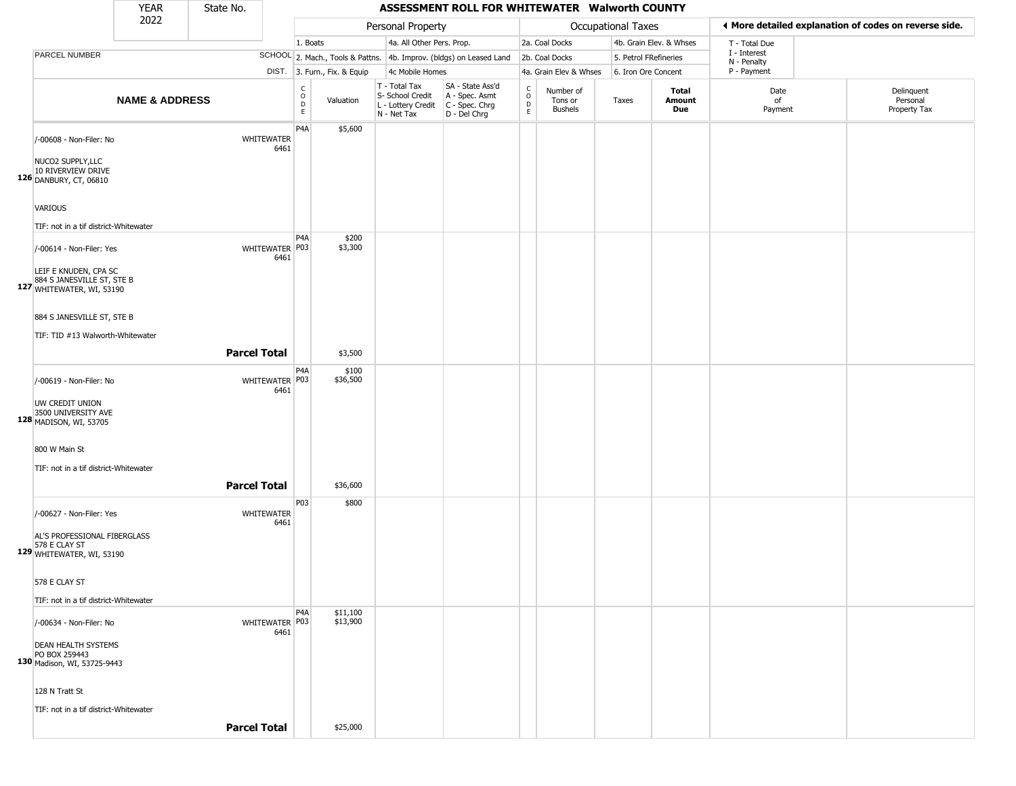|                                                                                                              | <b>YEAR</b>                                                  | State No.           |                                                          |          |                   |                                                                                         | ASSESSMENT ROLL FOR WHITEWATER Walworth COUNTY                                     |                                                 |                                        |                       |                         |                             |                                                       |
|--------------------------------------------------------------------------------------------------------------|--------------------------------------------------------------|---------------------|----------------------------------------------------------|----------|-------------------|-----------------------------------------------------------------------------------------|------------------------------------------------------------------------------------|-------------------------------------------------|----------------------------------------|-----------------------|-------------------------|-----------------------------|-------------------------------------------------------|
|                                                                                                              | 2022                                                         |                     |                                                          |          |                   | Personal Property                                                                       |                                                                                    |                                                 |                                        | Occupational Taxes    |                         |                             | ♦ More detailed explanation of codes on reverse side. |
|                                                                                                              |                                                              |                     |                                                          | 1. Boats |                   | 4a. All Other Pers. Prop.                                                               |                                                                                    |                                                 | 2a. Coal Docks                         |                       | 4b. Grain Elev. & Whses | T - Total Due               |                                                       |
| <b>PARCEL NUMBER</b>                                                                                         |                                                              |                     |                                                          |          |                   |                                                                                         | SCHOOL 2. Mach., Tools & Pattns. 4b. Improv. (bldgs) on Leased Land 2b. Coal Docks |                                                 |                                        | 5. Petrol FRefineries |                         | I - Interest<br>N - Penalty |                                                       |
|                                                                                                              |                                                              |                     | DIST. 3. Furn., Fix. & Equip                             |          |                   | 4c Mobile Homes                                                                         |                                                                                    |                                                 | 4a. Grain Elev & Whses                 | 6. Iron Ore Concent   |                         | P - Payment                 |                                                       |
|                                                                                                              | <b>NAME &amp; ADDRESS</b>                                    |                     | $\begin{matrix} 0 \\ 0 \\ D \end{matrix}$<br>$\mathsf E$ |          | Valuation         | T - Total Tax<br>S- School Credit<br>L - Lottery Credit   C - Spec. Chrg<br>N - Net Tax | SA - State Ass'd<br>A - Spec. Asmt<br>D - Del Chrg                                 | $\begin{array}{c} C \\ O \\ D \\ E \end{array}$ | Number of<br>Tons or<br><b>Bushels</b> | Taxes                 | Total<br>Amount<br>Due  | Date<br>of<br>Payment       | Delinquent<br>Personal<br>Property Tax                |
| /-00608 - Non-Filer: No<br>NUCO2 SUPPLY, LLC                                                                 |                                                              |                     | P4A<br><b>WHITEWATER</b><br>6461                         |          | \$5,600           |                                                                                         |                                                                                    |                                                 |                                        |                       |                         |                             |                                                       |
| 10 RIVERVIEW DRIVE<br>126 DANBURY, CT, 06810                                                                 |                                                              |                     |                                                          |          |                   |                                                                                         |                                                                                    |                                                 |                                        |                       |                         |                             |                                                       |
| <b>VARIOUS</b><br>TIF: not in a tif district-Whitewater                                                      |                                                              |                     |                                                          |          |                   |                                                                                         |                                                                                    |                                                 |                                        |                       |                         |                             |                                                       |
| /-00614 - Non-Filer: Yes<br>LEIF E KNUDEN, CPA SC<br>884 S JANESVILLE ST, STE B<br>127 WHITEWATER, WI, 53190 |                                                              |                     | P4A<br>WHITEWATER P03<br>6461                            |          | \$200<br>\$3,300  |                                                                                         |                                                                                    |                                                 |                                        |                       |                         |                             |                                                       |
| 884 S JANESVILLE ST, STE B<br>TIF: TID #13 Walworth-Whitewater                                               |                                                              | <b>Parcel Total</b> |                                                          |          | \$3,500           |                                                                                         |                                                                                    |                                                 |                                        |                       |                         |                             |                                                       |
| /-00619 - Non-Filer: No                                                                                      |                                                              |                     | P4A<br>WHITEWATER P03                                    |          | \$100<br>\$36,500 |                                                                                         |                                                                                    |                                                 |                                        |                       |                         |                             |                                                       |
| UW CREDIT UNION<br>3500 UNIVERSITY AVE<br>128 MADISON, WI, 53705                                             |                                                              |                     | 6461                                                     |          |                   |                                                                                         |                                                                                    |                                                 |                                        |                       |                         |                             |                                                       |
| 800 W Main St<br>TIF: not in a tif district-Whitewater                                                       |                                                              | <b>Parcel Total</b> |                                                          |          | \$36,600          |                                                                                         |                                                                                    |                                                 |                                        |                       |                         |                             |                                                       |
| /-00627 - Non-Filer: Yes                                                                                     |                                                              |                     | P03<br><b>WHITEWATER</b><br>6461                         |          | \$800             |                                                                                         |                                                                                    |                                                 |                                        |                       |                         |                             |                                                       |
| AL'S PROFESSIONAL FIBERGLASS<br>578 E CLAY ST<br>129 WHITEWATER, WI, 53190                                   |                                                              |                     |                                                          |          |                   |                                                                                         |                                                                                    |                                                 |                                        |                       |                         |                             |                                                       |
| 578 E CLAY ST                                                                                                |                                                              |                     |                                                          |          |                   |                                                                                         |                                                                                    |                                                 |                                        |                       |                         |                             |                                                       |
| TIF: not in a tif district-Whitewater                                                                        |                                                              |                     | P <sub>4</sub> A                                         |          | \$11,100          |                                                                                         |                                                                                    |                                                 |                                        |                       |                         |                             |                                                       |
| /-00634 - Non-Filer: No<br><b>DEAN HEALTH SYSTEMS</b><br>PO BOX 259443                                       |                                                              |                     | WHITEWATER P03<br>6461                                   |          | \$13,900          |                                                                                         |                                                                                    |                                                 |                                        |                       |                         |                             |                                                       |
| 128 N Tratt St                                                                                               | 130 Madison, WI, 53725-9443                                  |                     |                                                          |          |                   |                                                                                         |                                                                                    |                                                 |                                        |                       |                         |                             |                                                       |
|                                                                                                              | TIF: not in a tif district-Whitewater<br><b>Parcel Total</b> |                     |                                                          |          | \$25,000          |                                                                                         |                                                                                    |                                                 |                                        |                       |                         |                             |                                                       |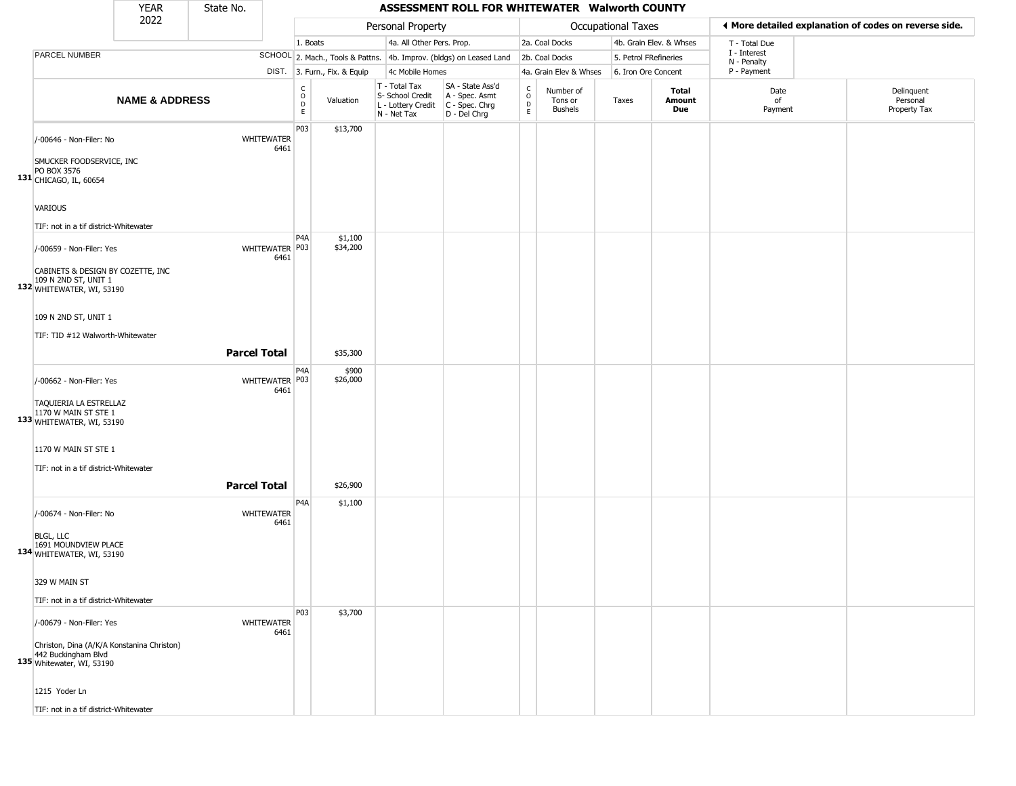|                                                                                                                                | <b>YEAR</b>               | State No.           |                           |                             |                              |                                                                        | ASSESSMENT ROLL FOR WHITEWATER Walworth COUNTY                         |                                |                                        |                    |                         |                             |                                                       |
|--------------------------------------------------------------------------------------------------------------------------------|---------------------------|---------------------|---------------------------|-----------------------------|------------------------------|------------------------------------------------------------------------|------------------------------------------------------------------------|--------------------------------|----------------------------------------|--------------------|-------------------------|-----------------------------|-------------------------------------------------------|
|                                                                                                                                | 2022                      |                     |                           |                             |                              | Personal Property                                                      |                                                                        |                                |                                        | Occupational Taxes |                         |                             | ◀ More detailed explanation of codes on reverse side. |
|                                                                                                                                |                           |                     |                           | 1. Boats                    |                              | 4a. All Other Pers. Prop.                                              |                                                                        |                                | 2a. Coal Docks                         |                    | 4b. Grain Elev. & Whses | T - Total Due               |                                                       |
| PARCEL NUMBER                                                                                                                  |                           |                     |                           |                             |                              |                                                                        | SCHOOL 2. Mach., Tools & Pattns. 4b. Improv. (bldgs) on Leased Land    |                                | 2b. Coal Docks                         |                    | 5. Petrol FRefineries   | I - Interest<br>N - Penalty |                                                       |
|                                                                                                                                |                           |                     |                           |                             | DIST. 3. Furn., Fix. & Equip | 4c Mobile Homes                                                        |                                                                        |                                | 4a. Grain Elev & Whses                 |                    | 6. Iron Ore Concent     | P - Payment                 |                                                       |
|                                                                                                                                | <b>NAME &amp; ADDRESS</b> |                     |                           | $\rm_{o}^{\rm c}$<br>D<br>E | Valuation                    | T - Total Tax<br>S- School Credit<br>L - Lottery Credit<br>N - Net Tax | SA - State Ass'd<br>A - Spec. Asmt<br>$C - Spec. Chrg$<br>D - Del Chrg | $\rm _o^C$<br>D<br>$\mathsf E$ | Number of<br>Tons or<br><b>Bushels</b> | Taxes              | Total<br>Amount<br>Due  | Date<br>of<br>Payment       | Delinquent<br>Personal<br>Property Tax                |
| /-00646 - Non-Filer: No<br>SMUCKER FOODSERVICE, INC<br>PO BOX 3576<br>131 CHICAGO, IL, 60654                                   |                           |                     | <b>WHITEWATER</b><br>6461 | P03                         | \$13,700                     |                                                                        |                                                                        |                                |                                        |                    |                         |                             |                                                       |
| <b>VARIOUS</b>                                                                                                                 |                           |                     |                           |                             |                              |                                                                        |                                                                        |                                |                                        |                    |                         |                             |                                                       |
| TIF: not in a tif district-Whitewater<br>/-00659 - Non-Filer: Yes<br>CABINETS & DESIGN BY COZETTE, INC<br>109 N 2ND ST, UNIT 1 |                           |                     | WHITEWATER P03<br>6461    | P <sub>4</sub> A            | \$1,100<br>\$34,200          |                                                                        |                                                                        |                                |                                        |                    |                         |                             |                                                       |
| 132 WHITEWATER, WI, 53190<br>109 N 2ND ST, UNIT 1<br>TIF: TID #12 Walworth-Whitewater                                          |                           |                     |                           |                             |                              |                                                                        |                                                                        |                                |                                        |                    |                         |                             |                                                       |
|                                                                                                                                |                           | <b>Parcel Total</b> |                           |                             | \$35,300                     |                                                                        |                                                                        |                                |                                        |                    |                         |                             |                                                       |
| /-00662 - Non-Filer: Yes<br>TAQUIERIA LA ESTRELLAZ<br>1170 W MAIN ST STE 1<br>133 WHITEWATER, WI, 53190                        |                           |                     | WHITEWATER P03<br>6461    | P4A                         | \$900<br>\$26,000            |                                                                        |                                                                        |                                |                                        |                    |                         |                             |                                                       |
| 1170 W MAIN ST STE 1<br>TIF: not in a tif district-Whitewater                                                                  |                           | <b>Parcel Total</b> |                           |                             | \$26,900                     |                                                                        |                                                                        |                                |                                        |                    |                         |                             |                                                       |
| /-00674 - Non-Filer: No                                                                                                        |                           |                     | <b>WHITEWATER</b><br>6461 | P4A                         | \$1,100                      |                                                                        |                                                                        |                                |                                        |                    |                         |                             |                                                       |
| BLGL, LLC<br>1691 MOUNDVIEW PLACE<br>134 WHITEWATER, WI, 53190                                                                 |                           |                     |                           |                             |                              |                                                                        |                                                                        |                                |                                        |                    |                         |                             |                                                       |
| 329 W MAIN ST                                                                                                                  |                           |                     |                           |                             |                              |                                                                        |                                                                        |                                |                                        |                    |                         |                             |                                                       |
| TIF: not in a tif district-Whitewater<br>/-00679 - Non-Filer: Yes                                                              |                           |                     | <b>WHITEWATER</b>         | P03                         | \$3,700                      |                                                                        |                                                                        |                                |                                        |                    |                         |                             |                                                       |
| Christon, Dina (A/K/A Konstanina Christon)<br>442 Buckingham Blvd<br>135 Whitewater, WI, 53190                                 |                           |                     | 6461                      |                             |                              |                                                                        |                                                                        |                                |                                        |                    |                         |                             |                                                       |
| 1215 Yoder Ln                                                                                                                  |                           |                     |                           |                             |                              |                                                                        |                                                                        |                                |                                        |                    |                         |                             |                                                       |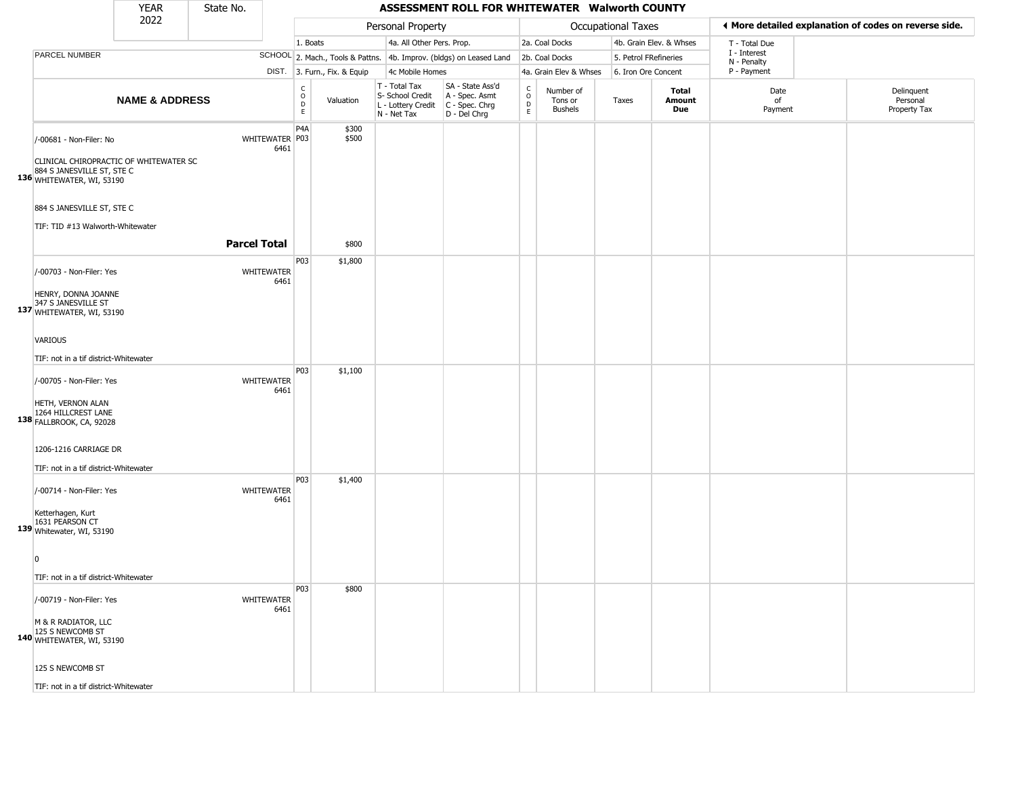|                                                                                                                              | <b>YEAR</b>               | State No.           |                           |                              |                              |                                                                        | ASSESSMENT ROLL FOR WHITEWATER Walworth COUNTY                       |                         |                                        |       |                         |                             |                                                       |
|------------------------------------------------------------------------------------------------------------------------------|---------------------------|---------------------|---------------------------|------------------------------|------------------------------|------------------------------------------------------------------------|----------------------------------------------------------------------|-------------------------|----------------------------------------|-------|-------------------------|-----------------------------|-------------------------------------------------------|
|                                                                                                                              | 2022                      |                     |                           |                              |                              | Personal Property                                                      |                                                                      |                         | Occupational Taxes                     |       |                         |                             | I More detailed explanation of codes on reverse side. |
|                                                                                                                              |                           |                     |                           | 1. Boats                     |                              | 4a. All Other Pers. Prop.                                              |                                                                      |                         | 2a. Coal Docks                         |       | 4b. Grain Elev. & Whses | T - Total Due               |                                                       |
| PARCEL NUMBER                                                                                                                |                           |                     |                           |                              |                              |                                                                        | SCHOOL 2. Mach., Tools & Pattns. 4b. Improv. (bldgs) on Leased Land  |                         | 2b. Coal Docks                         |       | 5. Petrol FRefineries   | I - Interest<br>N - Penalty |                                                       |
|                                                                                                                              |                           |                     |                           |                              | DIST. 3. Furn., Fix. & Equip | 4c Mobile Homes                                                        |                                                                      |                         | 4a. Grain Elev & Whses                 |       | 6. Iron Ore Concent     | P - Payment                 |                                                       |
|                                                                                                                              | <b>NAME &amp; ADDRESS</b> |                     |                           | $_{\rm o}^{\rm c}$<br>D<br>E | Valuation                    | T - Total Tax<br>S- School Credit<br>L - Lottery Credit<br>N - Net Tax | SA - State Ass'd<br>A - Spec. Asmt<br>C - Spec. Chrg<br>D - Del Chrg | $\frac{c}{0}$<br>D<br>E | Number of<br>Tons or<br><b>Bushels</b> | Taxes | Total<br>Amount<br>Due  | Date<br>of<br>Payment       | Delinquent<br>Personal<br>Property Tax                |
| /-00681 - Non-Filer: No<br>CLINICAL CHIROPRACTIC OF WHITEWATER SC<br>884 S JANESVILLE ST, STE C<br>136 WHITEWATER, WI, 53190 |                           |                     | WHITEWATER   P03<br>6461  | P <sub>4</sub> A             | \$300<br>\$500               |                                                                        |                                                                      |                         |                                        |       |                         |                             |                                                       |
| 884 S JANESVILLE ST, STE C<br>TIF: TID #13 Walworth-Whitewater                                                               |                           | <b>Parcel Total</b> |                           |                              | \$800                        |                                                                        |                                                                      |                         |                                        |       |                         |                             |                                                       |
| /-00703 - Non-Filer: Yes<br>HENRY, DONNA JOANNE<br>347 S JANESVILLE ST<br>137 WHITEWATER, WI, 53190                          |                           |                     | <b>WHITEWATER</b><br>6461 | P03                          | \$1,800                      |                                                                        |                                                                      |                         |                                        |       |                         |                             |                                                       |
| <b>VARIOUS</b><br>TIF: not in a tif district-Whitewater                                                                      |                           |                     |                           |                              |                              |                                                                        |                                                                      |                         |                                        |       |                         |                             |                                                       |
| /-00705 - Non-Filer: Yes<br>HETH, VERNON ALAN<br>1264 HILLCREST LANE<br>138 FALLBROOK, CA, 92028                             |                           |                     | WHITEWATER<br>6461        | P03                          | \$1,100                      |                                                                        |                                                                      |                         |                                        |       |                         |                             |                                                       |
| 1206-1216 CARRIAGE DR<br>TIF: not in a tif district-Whitewater                                                               |                           |                     |                           | P03                          | \$1,400                      |                                                                        |                                                                      |                         |                                        |       |                         |                             |                                                       |
| /-00714 - Non-Filer: Yes<br>Ketterhagen, Kurt<br>1631 PEARSON CT<br>139 Whitewater, WI, 53190                                |                           |                     | <b>WHITEWATER</b><br>6461 |                              |                              |                                                                        |                                                                      |                         |                                        |       |                         |                             |                                                       |
| $\Omega$<br>TIF: not in a tif district-Whitewater                                                                            |                           |                     |                           |                              |                              |                                                                        |                                                                      |                         |                                        |       |                         |                             |                                                       |
| /-00719 - Non-Filer: Yes<br>M & R RADIATOR, LLC<br>125 S NEWCOMB ST<br>140 WHITEWATER, WI, 53190<br>125 S NEWCOMB ST         |                           |                     | WHITEWATER<br>6461        | P03                          | \$800                        |                                                                        |                                                                      |                         |                                        |       |                         |                             |                                                       |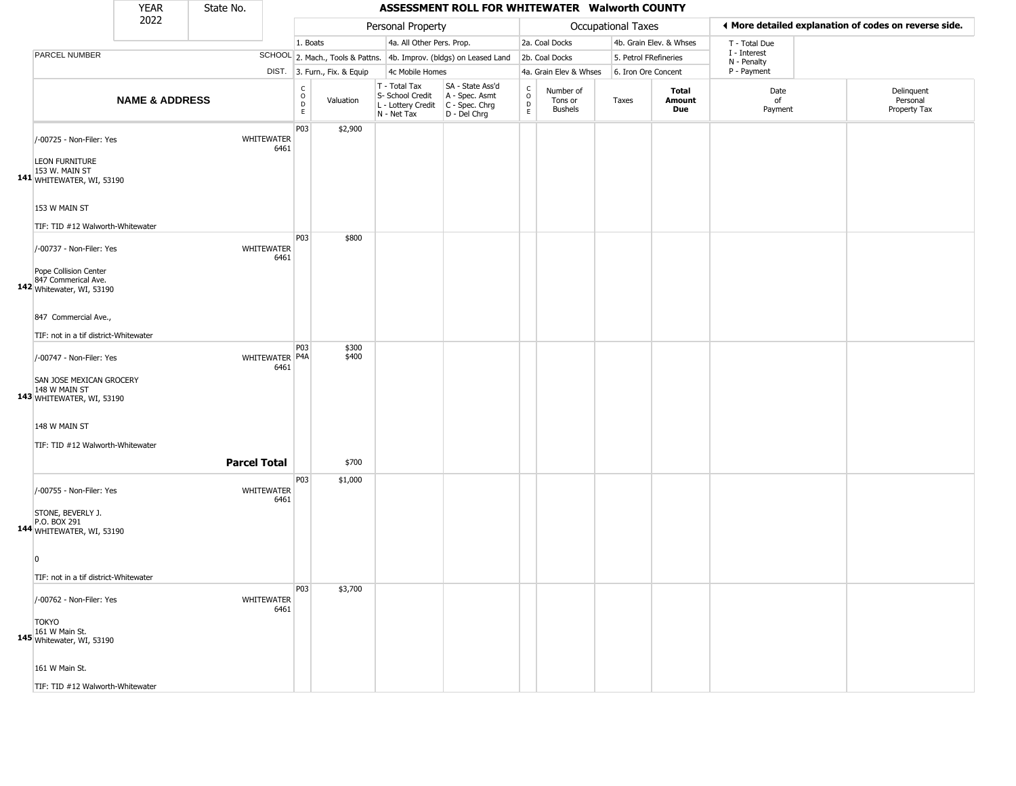|                                                                                                       | <b>YEAR</b>               | State No.           |                           |                                                |                              |                                                                        | ASSESSMENT ROLL FOR WHITEWATER Walworth COUNTY                       |                        |                                 |                       |                         |                             |                                                       |
|-------------------------------------------------------------------------------------------------------|---------------------------|---------------------|---------------------------|------------------------------------------------|------------------------------|------------------------------------------------------------------------|----------------------------------------------------------------------|------------------------|---------------------------------|-----------------------|-------------------------|-----------------------------|-------------------------------------------------------|
|                                                                                                       | 2022                      |                     |                           |                                                |                              | Personal Property                                                      |                                                                      |                        |                                 | Occupational Taxes    |                         |                             | ♦ More detailed explanation of codes on reverse side. |
|                                                                                                       |                           |                     |                           | 1. Boats                                       |                              | 4a. All Other Pers. Prop.                                              |                                                                      |                        | 2a. Coal Docks                  |                       | 4b. Grain Elev. & Whses | T - Total Due               |                                                       |
| PARCEL NUMBER                                                                                         |                           |                     |                           |                                                |                              |                                                                        | SCHOOL 2. Mach., Tools & Pattns. 4b. Improv. (bldgs) on Leased Land  |                        | 2b. Coal Docks                  | 5. Petrol FRefineries |                         | I - Interest<br>N - Penalty |                                                       |
|                                                                                                       |                           |                     |                           |                                                | DIST. 3. Furn., Fix. & Equip | 4c Mobile Homes                                                        |                                                                      |                        | 4a. Grain Elev & Whses          | 6. Iron Ore Concent   |                         | P - Payment                 |                                                       |
|                                                                                                       | <b>NAME &amp; ADDRESS</b> |                     |                           | $\begin{matrix} 0 \\ 0 \\ D \end{matrix}$<br>E | Valuation                    | T - Total Tax<br>S- School Credit<br>L - Lottery Credit<br>N - Net Tax | SA - State Ass'd<br>A - Spec. Asmt<br>C - Spec. Chrg<br>D - Del Chrg | C<br>$\circ$<br>D<br>E | Number of<br>Tons or<br>Bushels | Taxes                 | Total<br>Amount<br>Due  | Date<br>of<br>Payment       | Delinquent<br>Personal<br>Property Tax                |
| /-00725 - Non-Filer: Yes<br><b>LEON FURNITURE</b><br>153 W. MAIN ST<br>141 WHITEWATER, WI, 53190      |                           |                     | WHITEWATER<br>6461        | P03                                            | \$2,900                      |                                                                        |                                                                      |                        |                                 |                       |                         |                             |                                                       |
| 153 W MAIN ST<br>TIF: TID #12 Walworth-Whitewater                                                     |                           |                     |                           |                                                |                              |                                                                        |                                                                      |                        |                                 |                       |                         |                             |                                                       |
| /-00737 - Non-Filer: Yes<br>Pope Collision Center<br>847 Commerical Ave.<br>142 Whitewater, WI, 53190 |                           |                     | WHITEWATER<br>6461        | P03                                            | \$800                        |                                                                        |                                                                      |                        |                                 |                       |                         |                             |                                                       |
| 847 Commercial Ave.,<br>TIF: not in a tif district-Whitewater                                         |                           |                     |                           |                                                |                              |                                                                        |                                                                      |                        |                                 |                       |                         |                             |                                                       |
| /-00747 - Non-Filer: Yes<br>SAN JOSE MEXICAN GROCERY<br>148 W MAIN ST<br>143 WHITEWATER, WI, 53190    |                           |                     | WHITEWATER P4A<br>6461    | P03                                            | \$300<br>\$400               |                                                                        |                                                                      |                        |                                 |                       |                         |                             |                                                       |
| 148 W MAIN ST<br>TIF: TID #12 Walworth-Whitewater                                                     |                           | <b>Parcel Total</b> |                           |                                                | \$700                        |                                                                        |                                                                      |                        |                                 |                       |                         |                             |                                                       |
| /-00755 - Non-Filer: Yes<br>STONE, BEVERLY J.<br>P.O. BOX 291<br>144 WHITEWATER, WI, 53190            |                           |                     | WHITEWATER<br>6461        | P03                                            | \$1,000                      |                                                                        |                                                                      |                        |                                 |                       |                         |                             |                                                       |
| $\Omega$<br>TIF: not in a tif district-Whitewater                                                     |                           |                     |                           |                                                |                              |                                                                        |                                                                      |                        |                                 |                       |                         |                             |                                                       |
| /-00762 - Non-Filer: Yes<br><b>TOKYO</b><br>161 W Main St.<br>145 Whitewater, WI, 53190               |                           |                     | <b>WHITEWATER</b><br>6461 | P03                                            | \$3,700                      |                                                                        |                                                                      |                        |                                 |                       |                         |                             |                                                       |
| 161 W Main St.                                                                                        |                           |                     |                           |                                                |                              |                                                                        |                                                                      |                        |                                 |                       |                         |                             |                                                       |

TIF: TID #12 Walworth-Whitewater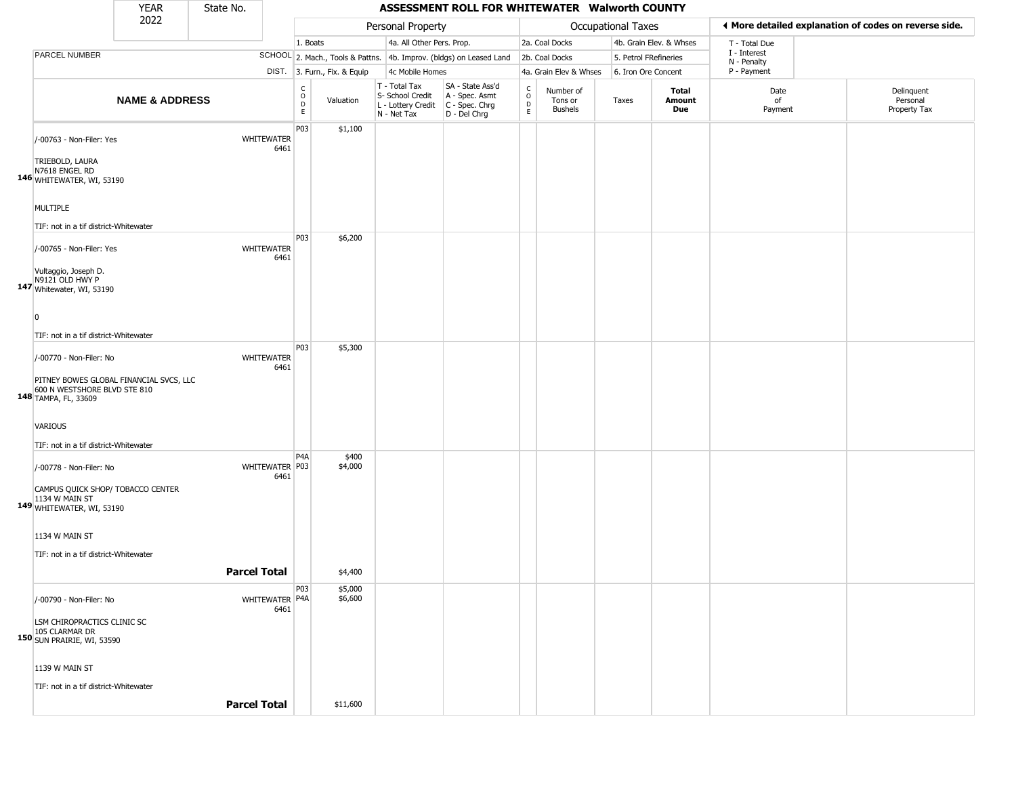|                                                                                                                                 | <b>YEAR</b>               | State No.           |                        |                          |                              |                                                                        | ASSESSMENT ROLL FOR WHITEWATER Walworth COUNTY                       |                                               |                                        |                    |                         |                             |                                                       |
|---------------------------------------------------------------------------------------------------------------------------------|---------------------------|---------------------|------------------------|--------------------------|------------------------------|------------------------------------------------------------------------|----------------------------------------------------------------------|-----------------------------------------------|----------------------------------------|--------------------|-------------------------|-----------------------------|-------------------------------------------------------|
|                                                                                                                                 | 2022                      |                     |                        |                          |                              | Personal Property                                                      |                                                                      |                                               |                                        | Occupational Taxes |                         |                             | ◀ More detailed explanation of codes on reverse side. |
|                                                                                                                                 |                           |                     |                        | 1. Boats                 |                              | 4a. All Other Pers. Prop.                                              |                                                                      |                                               | 2a. Coal Docks                         |                    | 4b. Grain Elev. & Whses | T - Total Due               |                                                       |
| PARCEL NUMBER                                                                                                                   |                           |                     |                        |                          |                              |                                                                        | SCHOOL 2. Mach., Tools & Pattns. 4b. Improv. (bldgs) on Leased Land  |                                               | 2b. Coal Docks                         |                    | 5. Petrol FRefineries   | I - Interest<br>N - Penalty |                                                       |
|                                                                                                                                 |                           |                     |                        |                          | DIST. 3. Furn., Fix. & Equip | 4c Mobile Homes                                                        |                                                                      |                                               | 4a. Grain Elev & Whses                 |                    | 6. Iron Ore Concent     | P - Payment                 |                                                       |
|                                                                                                                                 | <b>NAME &amp; ADDRESS</b> |                     |                        | $\int_{0}^{c}$<br>D<br>E | Valuation                    | T - Total Tax<br>S- School Credit<br>L - Lottery Credit<br>N - Net Tax | SA - State Ass'd<br>A - Spec. Asmt<br>C - Spec. Chrg<br>D - Del Chrg | $\mathsf{C}$<br>$\circ$<br>$\mathsf{D}$<br>E. | Number of<br>Tons or<br><b>Bushels</b> | Taxes              | Total<br>Amount<br>Due  | Date<br>of<br>Payment       | Delinquent<br>Personal<br>Property Tax                |
| /-00763 - Non-Filer: Yes<br>TRIEBOLD, LAURA<br>N7618 ENGEL RD                                                                   |                           |                     | WHITEWATER<br>6461     | P03                      | \$1,100                      |                                                                        |                                                                      |                                               |                                        |                    |                         |                             |                                                       |
| 146 WHITEWATER, WI, 53190<br>MULTIPLE<br>TIF: not in a tif district-Whitewater                                                  |                           |                     |                        |                          |                              |                                                                        |                                                                      |                                               |                                        |                    |                         |                             |                                                       |
| /-00765 - Non-Filer: Yes<br>Vultaggio, Joseph D.<br>N9121 OLD HWY P<br>147 Whitewater, WI, 53190                                |                           |                     | WHITEWATER<br>6461     | P03                      | \$6,200                      |                                                                        |                                                                      |                                               |                                        |                    |                         |                             |                                                       |
| $\Omega$<br>TIF: not in a tif district-Whitewater<br>/-00770 - Non-Filer: No                                                    |                           |                     | WHITEWATER<br>6461     | P03                      | \$5,300                      |                                                                        |                                                                      |                                               |                                        |                    |                         |                             |                                                       |
| PITNEY BOWES GLOBAL FINANCIAL SVCS, LLC<br>148 600 N WESTSHORE BLVD STE 810<br>VARIOUS<br>TIF: not in a tif district-Whitewater |                           |                     |                        |                          |                              |                                                                        |                                                                      |                                               |                                        |                    |                         |                             |                                                       |
| /-00778 - Non-Filer: No<br>CAMPUS QUICK SHOP/ TOBACCO CENTER<br>1134 W MAIN ST<br>149 WHITEWATER, WI, 53190                     |                           |                     | WHITEWATER P03<br>6461 | P <sub>4</sub> A         | \$400<br>\$4,000             |                                                                        |                                                                      |                                               |                                        |                    |                         |                             |                                                       |
| 1134 W MAIN ST<br>TIF: not in a tif district-Whitewater                                                                         |                           | <b>Parcel Total</b> |                        |                          | \$4,400                      |                                                                        |                                                                      |                                               |                                        |                    |                         |                             |                                                       |
| /-00790 - Non-Filer: No<br>LSM CHIROPRACTICS CLINIC SC<br>105 CLARMAR DR<br>150 SUN PRAIRIE, WI, 53590                          |                           |                     | WHITEWATER P4A<br>6461 | P03                      | \$5,000<br>\$6,600           |                                                                        |                                                                      |                                               |                                        |                    |                         |                             |                                                       |
| 1139 W MAIN ST<br>TIF: not in a tif district-Whitewater                                                                         |                           | <b>Parcel Total</b> |                        |                          | \$11,600                     |                                                                        |                                                                      |                                               |                                        |                    |                         |                             |                                                       |
|                                                                                                                                 |                           |                     |                        |                          |                              |                                                                        |                                                                      |                                               |                                        |                    |                         |                             |                                                       |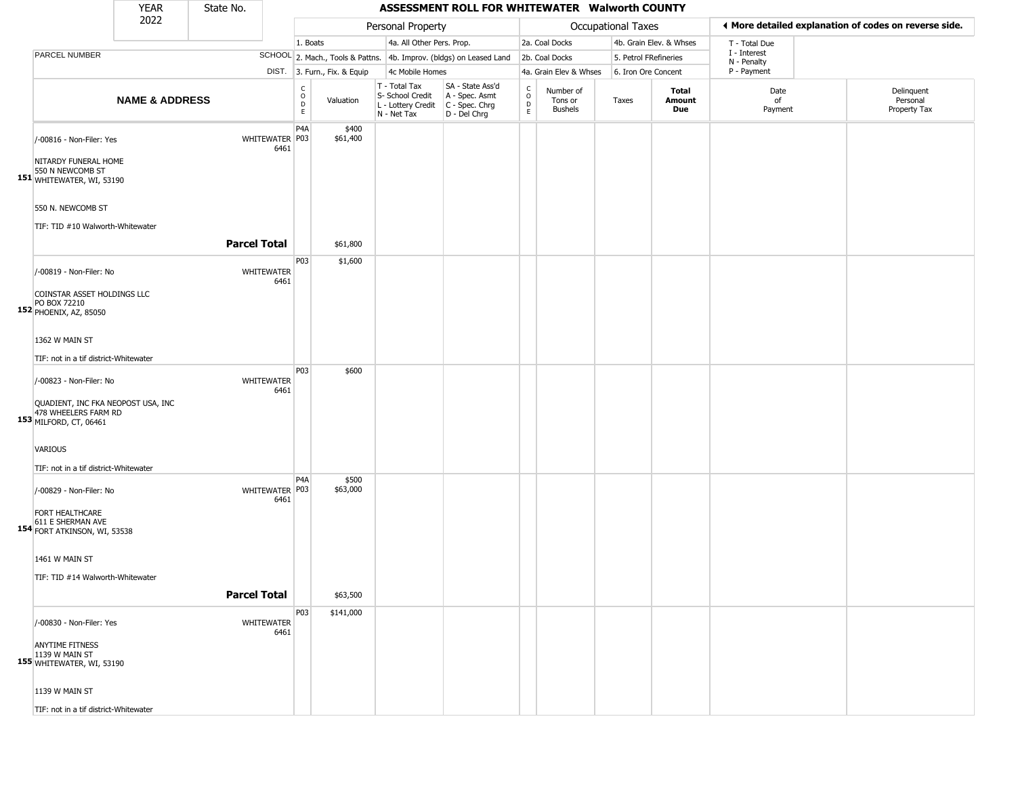|                                                                                                        | <b>YEAR</b>               | State No.           |                           |                                                       |                              |                                                                        | ASSESSMENT ROLL FOR WHITEWATER Walworth COUNTY                         |                                      |                                        |                       |                         |                             |                                                       |
|--------------------------------------------------------------------------------------------------------|---------------------------|---------------------|---------------------------|-------------------------------------------------------|------------------------------|------------------------------------------------------------------------|------------------------------------------------------------------------|--------------------------------------|----------------------------------------|-----------------------|-------------------------|-----------------------------|-------------------------------------------------------|
|                                                                                                        | 2022                      |                     |                           |                                                       |                              | Personal Property                                                      |                                                                        |                                      |                                        | Occupational Taxes    |                         |                             | ♦ More detailed explanation of codes on reverse side. |
|                                                                                                        |                           |                     |                           | 1. Boats                                              |                              | 4a. All Other Pers. Prop.                                              |                                                                        |                                      | 2a. Coal Docks                         |                       | 4b. Grain Elev. & Whses | T - Total Due               |                                                       |
| PARCEL NUMBER                                                                                          |                           |                     |                           |                                                       |                              |                                                                        | SCHOOL 2. Mach., Tools & Pattns. 4b. Improv. (bldgs) on Leased Land    |                                      | 2b. Coal Docks                         | 5. Petrol FRefineries |                         | I - Interest<br>N - Penalty |                                                       |
|                                                                                                        |                           |                     |                           |                                                       | DIST. 3. Furn., Fix. & Equip | 4c Mobile Homes                                                        |                                                                        |                                      | 4a. Grain Elev & Whses                 | 6. Iron Ore Concent   |                         | P - Payment                 |                                                       |
|                                                                                                        | <b>NAME &amp; ADDRESS</b> |                     |                           | $\mathsf{C}$<br>$\circ$<br>$\mathsf D$<br>$\mathsf E$ | Valuation                    | T - Total Tax<br>S- School Credit<br>L - Lottery Credit<br>N - Net Tax | SA - State Ass'd<br>A - Spec. Asmt<br>$C - Spec. Chrg$<br>D - Del Chrg | C<br>$\mathsf O$<br>D<br>$\mathsf E$ | Number of<br>Tons or<br><b>Bushels</b> | Taxes                 | Total<br>Amount<br>Due  | Date<br>of<br>Payment       | Delinquent<br>Personal<br>Property Tax                |
| /-00816 - Non-Filer: Yes<br>NITARDY FUNERAL HOME<br>550 N NEWCOMB ST<br>151 WHITEWATER, WI, 53190      |                           |                     | WHITEWATER   P03<br>6461  | P <sub>4</sub> A                                      | \$400<br>\$61,400            |                                                                        |                                                                        |                                      |                                        |                       |                         |                             |                                                       |
| 550 N. NEWCOMB ST<br>TIF: TID #10 Walworth-Whitewater                                                  |                           | <b>Parcel Total</b> |                           |                                                       | \$61,800                     |                                                                        |                                                                        |                                      |                                        |                       |                         |                             |                                                       |
|                                                                                                        |                           |                     |                           |                                                       |                              |                                                                        |                                                                        |                                      |                                        |                       |                         |                             |                                                       |
| /-00819 - Non-Filer: No<br>COINSTAR ASSET HOLDINGS LLC<br>PO BOX 72210<br>152 PHOENIX, AZ, 85050       |                           |                     | WHITEWATER<br>6461        | P03                                                   | \$1,600                      |                                                                        |                                                                        |                                      |                                        |                       |                         |                             |                                                       |
| 1362 W MAIN ST                                                                                         |                           |                     |                           |                                                       |                              |                                                                        |                                                                        |                                      |                                        |                       |                         |                             |                                                       |
|                                                                                                        |                           |                     |                           |                                                       |                              |                                                                        |                                                                        |                                      |                                        |                       |                         |                             |                                                       |
| TIF: not in a tif district-Whitewater                                                                  |                           |                     |                           | P03                                                   | \$600                        |                                                                        |                                                                        |                                      |                                        |                       |                         |                             |                                                       |
| /-00823 - Non-Filer: No<br>QUADIENT, INC FKA NEOPOST USA, INC<br>478 WHEELERS FARM RD                  |                           |                     | <b>WHITEWATER</b><br>6461 |                                                       |                              |                                                                        |                                                                        |                                      |                                        |                       |                         |                             |                                                       |
| 153 MILFORD, CT, 06461<br>VARIOUS<br>TIF: not in a tif district-Whitewater                             |                           |                     |                           |                                                       |                              |                                                                        |                                                                        |                                      |                                        |                       |                         |                             |                                                       |
| /-00829 - Non-Filer: No<br><b>FORT HEALTHCARE</b><br>611 E SHERMAN AVE<br>154 FORT ATKINSON, WI, 53538 |                           |                     | WHITEWATER P03<br>6461    | P <sub>4</sub> A                                      | \$500<br>\$63,000            |                                                                        |                                                                        |                                      |                                        |                       |                         |                             |                                                       |
| 1461 W MAIN ST<br>TIF: TID #14 Walworth-Whitewater                                                     |                           |                     |                           |                                                       |                              |                                                                        |                                                                        |                                      |                                        |                       |                         |                             |                                                       |
|                                                                                                        |                           | <b>Parcel Total</b> |                           |                                                       | \$63,500                     |                                                                        |                                                                        |                                      |                                        |                       |                         |                             |                                                       |
| /-00830 - Non-Filer: Yes<br><b>ANYTIME FITNESS</b><br>1139 W MAIN ST<br>155 WHITEWATER, WI, 53190      |                           |                     | WHITEWATER<br>6461        | P03                                                   | \$141,000                    |                                                                        |                                                                        |                                      |                                        |                       |                         |                             |                                                       |
| 1139 W MAIN ST<br>TIF: not in a tif district-Whitewater                                                |                           |                     |                           |                                                       |                              |                                                                        |                                                                        |                                      |                                        |                       |                         |                             |                                                       |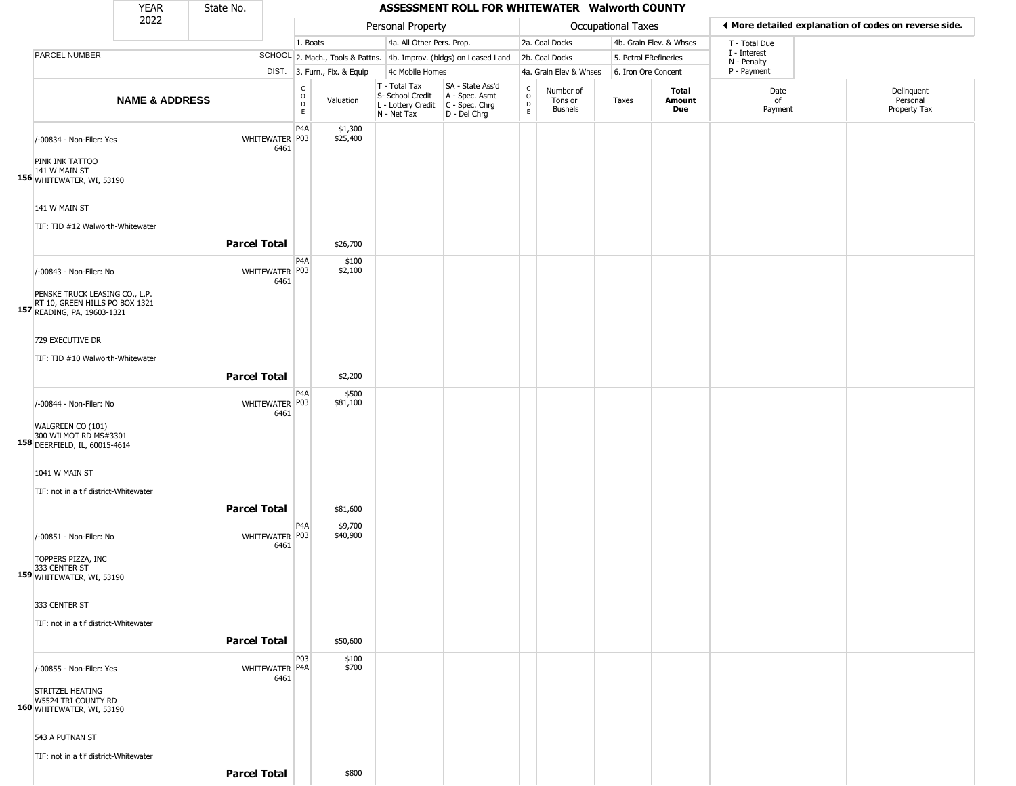YEAR **ASSESSMENT ROLL FOR WHITEWATER Walworth COUNTY** 2022 DIST. 3. Furn., Fix. & Equip PARCEL NUMBER **NAME & ADDRESS** State No. C O D E Valuation T - Total Tax S- School Credit A - Spec. Asmt L - Lottery Credit C - Spec. Chrg N - Net Tax SA - State Ass'd D - Del Chrg C O D E Number of Tons or Bushels Taxes **Total Amount Due** Date of Payment Delinquent Personal Property Tax Personal Property **Department Controller Service Controller** Occupational Taxes 1. Boats **4a. All Other Pers. Prop.** 2a. Coal Docks 4b. Grain Elev. & Whses SCHOOL 2. Mach., Tools & Pattns. 4b. Improv. (bldgs) on Leased Land 2b. Coal Docks 5. Petrol FRefineries 4c Mobile Homes 4a. Grain Elev & Whses 6. Iron Ore Concent T - Total Due I - Interest N - Penalty P - Payment 3**More detailed explanation of codes on reverse side. 156** WHITEWATER, WI, 53190 /-00834 - Non-Filer: Yes 6461 PINK INK TATTOO 141 W MAIN ST 141 W MAIN ST TIF: TID #12 Walworth-Whitewater P4A WHITEWATER P03 \$1,300 \$25,400 **Parcel Total** \$26,700 **157** READING, PA, 19603-1321 /-00843 - Non-Filer: No 6461 PENSKE TRUCK LEASING CO., L.P. RT 10, GREEN HILLS PO BOX 1321 729 EXECUTIVE DR TIF: TID #10 Walworth-Whitewater **D<sub>4</sub>A** WHITEWATER P03 \$100 \$2,100 **Parcel Total** 1 \$2,200 **158** DEERFIELD, IL, 60015-4614 /-00844 - Non-Filer: No 6461 WALGREEN CO (101) 300 WILMOT RD MS#3301 1041 W MAIN ST TIF: not in a tif district-Whitewater P4A WHITEWATER P03 \$500 \$81,100 **Parcel Total | \$81,600 159** WHITEWATER, WI, 53190 /-00851 - Non-Filer: No 6461 TOPPERS PIZZA, INC 333 CENTER ST 333 CENTER ST TIF: not in a tif district-Whitewater P4A WHITEWATER P03 \$9,700 \$40,900 **Parcel Total | \$50,600 160** WHITEWATER, WI, 53190 /-00855 - Non-Filer: Yes 6461 STRITZEL HEATING W5524 TRI COUNTY RD 543 A PUTNAN ST TIF: not in a tif district-Whitewater P03 WHITEWATER P4A \$100 \$700

**Parcel Total** \$800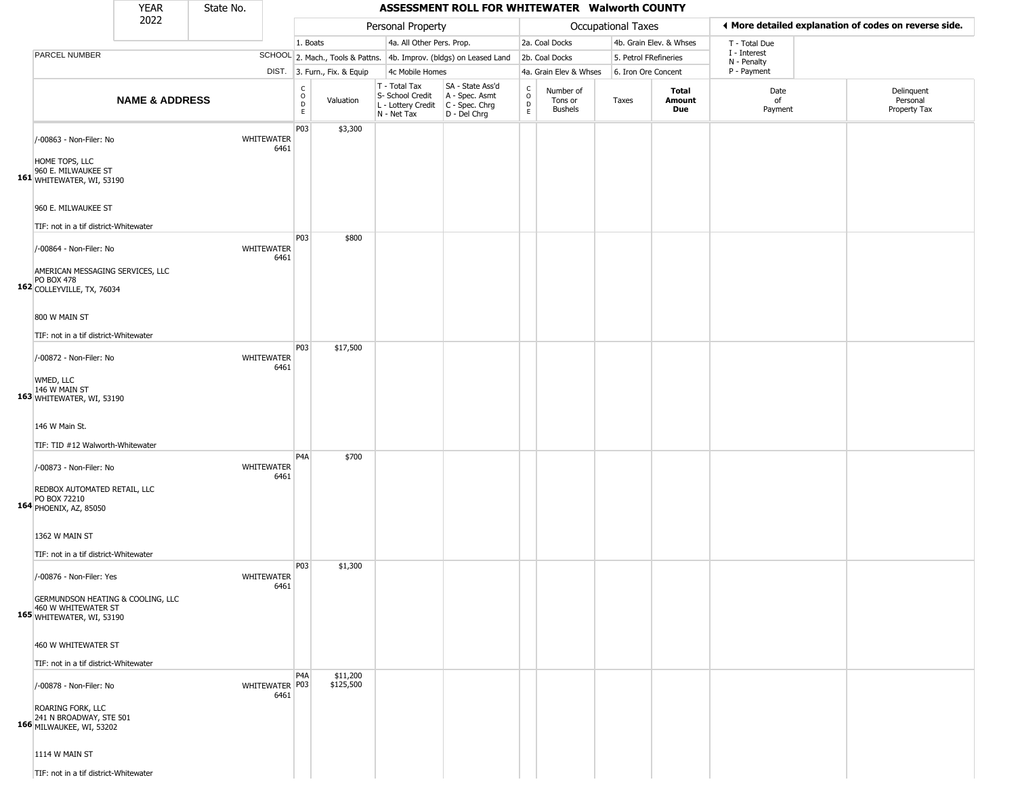|                                                                                                                | <b>YEAR</b>               | State No. |                           |                         |                              |                                                                        | ASSESSMENT ROLL FOR WHITEWATER Walworth COUNTY                       |                             |                                        |                       |                         |                             |                                                       |
|----------------------------------------------------------------------------------------------------------------|---------------------------|-----------|---------------------------|-------------------------|------------------------------|------------------------------------------------------------------------|----------------------------------------------------------------------|-----------------------------|----------------------------------------|-----------------------|-------------------------|-----------------------------|-------------------------------------------------------|
|                                                                                                                | 2022                      |           |                           |                         |                              | Personal Property                                                      |                                                                      |                             |                                        | Occupational Taxes    |                         |                             | ◀ More detailed explanation of codes on reverse side. |
|                                                                                                                |                           |           |                           | 1. Boats                |                              | 4a. All Other Pers. Prop.                                              |                                                                      |                             | 2a. Coal Docks                         |                       | 4b. Grain Elev. & Whses | T - Total Due               |                                                       |
| PARCEL NUMBER                                                                                                  |                           |           |                           |                         |                              |                                                                        | SCHOOL 2. Mach., Tools & Pattns. 4b. Improv. (bldgs) on Leased Land  |                             | 2b. Coal Docks                         | 5. Petrol FRefineries |                         | I - Interest<br>N - Penalty |                                                       |
|                                                                                                                |                           |           |                           |                         | DIST. 3. Furn., Fix. & Equip | 4c Mobile Homes                                                        |                                                                      |                             | 4a. Grain Elev & Whses                 | 6. Iron Ore Concent   |                         | P - Payment                 |                                                       |
|                                                                                                                | <b>NAME &amp; ADDRESS</b> |           |                           | $\frac{c}{0}$<br>D<br>E | Valuation                    | T - Total Tax<br>S- School Credit<br>L - Lottery Credit<br>N - Net Tax | SA - State Ass'd<br>A - Spec. Asmt<br>C - Spec. Chrg<br>D - Del Chrg | $\rm _o^C$<br>$\frac{D}{E}$ | Number of<br>Tons or<br><b>Bushels</b> | Taxes                 | Total<br>Amount<br>Due  | Date<br>of<br>Payment       | Delinquent<br>Personal<br>Property Tax                |
| /-00863 - Non-Filer: No<br>HOME TOPS, LLC<br>960 E. MILWAUKEE ST<br>161 WHITEWATER, WI, 53190                  |                           |           | <b>WHITEWATER</b><br>6461 | P03                     | \$3,300                      |                                                                        |                                                                      |                             |                                        |                       |                         |                             |                                                       |
| 960 E. MILWAUKEE ST<br>TIF: not in a tif district-Whitewater                                                   |                           |           |                           |                         |                              |                                                                        |                                                                      |                             |                                        |                       |                         |                             |                                                       |
| /-00864 - Non-Filer: No<br>AMERICAN MESSAGING SERVICES, LLC<br><b>PO BOX 478</b><br>162 COLLEYVILLE, TX, 76034 |                           |           | WHITEWATER<br>6461        | P03                     | \$800                        |                                                                        |                                                                      |                             |                                        |                       |                         |                             |                                                       |
| 800 W MAIN ST<br>TIF: not in a tif district-Whitewater                                                         |                           |           |                           |                         |                              |                                                                        |                                                                      |                             |                                        |                       |                         |                             |                                                       |
| /-00872 - Non-Filer: No<br>WMED, LLC<br>146 W MAIN ST<br>163 WHITEWATER, WI, 53190                             |                           |           | WHITEWATER<br>6461        | P03                     | \$17,500                     |                                                                        |                                                                      |                             |                                        |                       |                         |                             |                                                       |
| 146 W Main St.<br>TIF: TID #12 Walworth-Whitewater                                                             |                           |           |                           |                         |                              |                                                                        |                                                                      |                             |                                        |                       |                         |                             |                                                       |
| /-00873 - Non-Filer: No<br>REDBOX AUTOMATED RETAIL, LLC<br>PO BOX 72210<br>164 PHOENIX, AZ, 85050              |                           |           | WHITEWATER<br>6461        | P <sub>4</sub> A        | \$700                        |                                                                        |                                                                      |                             |                                        |                       |                         |                             |                                                       |
| 1362 W MAIN ST<br>TIF: not in a tif district-Whitewater                                                        |                           |           |                           |                         |                              |                                                                        |                                                                      |                             |                                        |                       |                         |                             |                                                       |
| /-00876 - Non-Filer: Yes<br>GERMUNDSON HEATING & COOLING, LLC<br>460 W WHITEWATER ST                           |                           |           | WHITEWATER<br>6461        | P03                     | \$1,300                      |                                                                        |                                                                      |                             |                                        |                       |                         |                             |                                                       |
| 165 WHITEWATER, WI, 53190<br>460 W WHITEWATER ST                                                               |                           |           |                           |                         |                              |                                                                        |                                                                      |                             |                                        |                       |                         |                             |                                                       |
| TIF: not in a tif district-Whitewater                                                                          |                           |           |                           |                         |                              |                                                                        |                                                                      |                             |                                        |                       |                         |                             |                                                       |
| /-00878 - Non-Filer: No<br>ROARING FORK, LLC<br>166 241 N BROADWAY, STE 501<br>166 MILWAUKEE, WI, 53202        |                           |           | WHITEWATER P03<br>6461    | P <sub>4</sub> A        | \$11,200<br>\$125,500        |                                                                        |                                                                      |                             |                                        |                       |                         |                             |                                                       |
| 1114 W MAIN ST<br>TIF: not in a tif district-Whitewater                                                        |                           |           |                           |                         |                              |                                                                        |                                                                      |                             |                                        |                       |                         |                             |                                                       |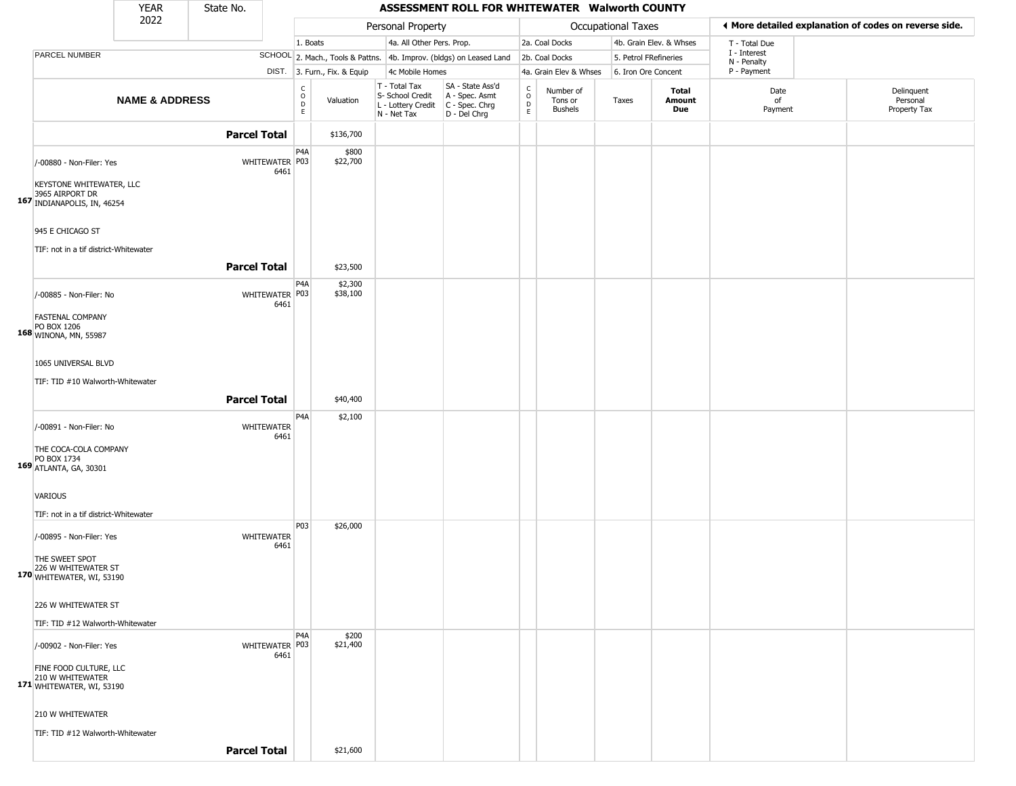|                                                                         | <b>YEAR</b>               | State No.           |                                                          |                              |                                                                                       | ASSESSMENT ROLL FOR WHITEWATER Walworth COUNTY                      |                                       |                                        |                       |                         |                            |                                                       |
|-------------------------------------------------------------------------|---------------------------|---------------------|----------------------------------------------------------|------------------------------|---------------------------------------------------------------------------------------|---------------------------------------------------------------------|---------------------------------------|----------------------------------------|-----------------------|-------------------------|----------------------------|-------------------------------------------------------|
|                                                                         | 2022                      |                     |                                                          |                              | Personal Property                                                                     |                                                                     |                                       |                                        | Occupational Taxes    |                         |                            | ◀ More detailed explanation of codes on reverse side. |
|                                                                         |                           |                     |                                                          | 1. Boats                     | 4a. All Other Pers. Prop.                                                             |                                                                     |                                       | 2a. Coal Docks                         |                       | 4b. Grain Elev. & Whses | T - Total Due              |                                                       |
| PARCEL NUMBER                                                           |                           |                     |                                                          |                              |                                                                                       | SCHOOL 2. Mach., Tools & Pattns. 4b. Improv. (bldgs) on Leased Land |                                       | 2b. Coal Docks                         | 5. Petrol FRefineries |                         | I - Interest               |                                                       |
|                                                                         |                           |                     |                                                          | DIST. 3. Furn., Fix. & Equip | 4c Mobile Homes                                                                       |                                                                     |                                       | 4a. Grain Elev & Whses                 | 6. Iron Ore Concent   |                         | N - Penalty<br>P - Payment |                                                       |
|                                                                         | <b>NAME &amp; ADDRESS</b> |                     | $\begin{matrix} 0 \\ 0 \\ D \end{matrix}$<br>$\mathsf E$ | Valuation                    | T - Total Tax<br>S- School Credit<br>L - Lottery Credit C - Spec. Chrg<br>N - Net Tax | SA - State Ass'd<br>A - Spec. Asmt<br>D - Del Chrg                  | C<br>$\mathsf O$<br>$\mathsf{D}$<br>E | Number of<br>Tons or<br><b>Bushels</b> | Taxes                 | Total<br>Amount<br>Due  | Date<br>of<br>Payment      | Delinquent<br>Personal<br>Property Tax                |
|                                                                         |                           | <b>Parcel Total</b> |                                                          | \$136,700                    |                                                                                       |                                                                     |                                       |                                        |                       |                         |                            |                                                       |
| /-00880 - Non-Filer: Yes<br>KEYSTONE WHITEWATER, LLC                    |                           | WHITEWATER P03      | P4A<br>6461                                              | \$800<br>\$22,700            |                                                                                       |                                                                     |                                       |                                        |                       |                         |                            |                                                       |
| 3965 AIRPORT DR<br>167 INDIANAPOLIS, IN, 46254<br>945 E CHICAGO ST      |                           |                     |                                                          |                              |                                                                                       |                                                                     |                                       |                                        |                       |                         |                            |                                                       |
| TIF: not in a tif district-Whitewater                                   |                           |                     |                                                          |                              |                                                                                       |                                                                     |                                       |                                        |                       |                         |                            |                                                       |
|                                                                         |                           | <b>Parcel Total</b> | P <sub>4</sub> A                                         | \$23,500<br>\$2,300          |                                                                                       |                                                                     |                                       |                                        |                       |                         |                            |                                                       |
| /-00885 - Non-Filer: No                                                 |                           | WHITEWATER P03      | 6461                                                     | \$38,100                     |                                                                                       |                                                                     |                                       |                                        |                       |                         |                            |                                                       |
| <b>FASTENAL COMPANY</b><br>PO BOX 1206<br>168 WINONA, MN, 55987         |                           |                     |                                                          |                              |                                                                                       |                                                                     |                                       |                                        |                       |                         |                            |                                                       |
| 1065 UNIVERSAL BLVD                                                     |                           |                     |                                                          |                              |                                                                                       |                                                                     |                                       |                                        |                       |                         |                            |                                                       |
| TIF: TID #10 Walworth-Whitewater                                        |                           |                     |                                                          |                              |                                                                                       |                                                                     |                                       |                                        |                       |                         |                            |                                                       |
|                                                                         |                           | <b>Parcel Total</b> |                                                          | \$40,400                     |                                                                                       |                                                                     |                                       |                                        |                       |                         |                            |                                                       |
|                                                                         |                           |                     | P4A                                                      | \$2,100                      |                                                                                       |                                                                     |                                       |                                        |                       |                         |                            |                                                       |
| /-00891 - Non-Filer: No                                                 |                           | WHITEWATER          | 6461                                                     |                              |                                                                                       |                                                                     |                                       |                                        |                       |                         |                            |                                                       |
| THE COCA-COLA COMPANY<br>PO BOX 1734<br>169 ATLANTA, GA, 30301          |                           |                     |                                                          |                              |                                                                                       |                                                                     |                                       |                                        |                       |                         |                            |                                                       |
| <b>VARIOUS</b>                                                          |                           |                     |                                                          |                              |                                                                                       |                                                                     |                                       |                                        |                       |                         |                            |                                                       |
| TIF: not in a tif district-Whitewater                                   |                           |                     |                                                          |                              |                                                                                       |                                                                     |                                       |                                        |                       |                         |                            |                                                       |
| /-00895 - Non-Filer: Yes                                                |                           | WHITEWATER          | P03<br>6461                                              | \$26,000                     |                                                                                       |                                                                     |                                       |                                        |                       |                         |                            |                                                       |
| THE SWEET SPOT<br>226 W WHITEWATER ST<br>170 WHITEWATER, WI, 53190      |                           |                     |                                                          |                              |                                                                                       |                                                                     |                                       |                                        |                       |                         |                            |                                                       |
| 226 W WHITEWATER ST                                                     |                           |                     |                                                          |                              |                                                                                       |                                                                     |                                       |                                        |                       |                         |                            |                                                       |
| TIF: TID #12 Walworth-Whitewater                                        |                           |                     |                                                          |                              |                                                                                       |                                                                     |                                       |                                        |                       |                         |                            |                                                       |
| /-00902 - Non-Filer: Yes                                                |                           | WHITEWATER P03      | P <sub>4</sub> A<br>6461                                 | \$200<br>\$21,400            |                                                                                       |                                                                     |                                       |                                        |                       |                         |                            |                                                       |
| FINE FOOD CULTURE, LLC<br>210 W WHITEWATER<br>171 WHITEWATER, WI, 53190 |                           |                     |                                                          |                              |                                                                                       |                                                                     |                                       |                                        |                       |                         |                            |                                                       |
| 210 W WHITEWATER                                                        |                           |                     |                                                          |                              |                                                                                       |                                                                     |                                       |                                        |                       |                         |                            |                                                       |
| TIF: TID #12 Walworth-Whitewater                                        |                           |                     |                                                          |                              |                                                                                       |                                                                     |                                       |                                        |                       |                         |                            |                                                       |
|                                                                         |                           | <b>Parcel Total</b> |                                                          | \$21,600                     |                                                                                       |                                                                     |                                       |                                        |                       |                         |                            |                                                       |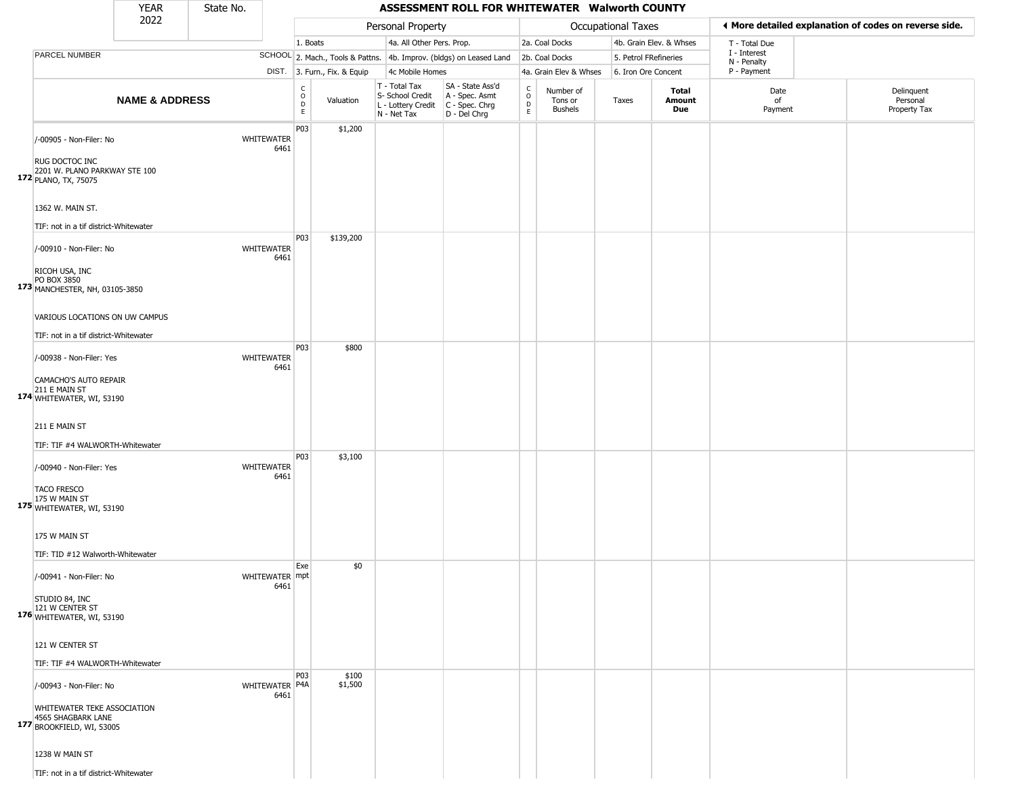|                                                                                                                                     | <b>YEAR</b>               | State No. |                        |                         |                              |                                                                        | ASSESSMENT ROLL FOR WHITEWATER Walworth COUNTY                       |                                 |                                        |                       |                         |                             |                                                       |
|-------------------------------------------------------------------------------------------------------------------------------------|---------------------------|-----------|------------------------|-------------------------|------------------------------|------------------------------------------------------------------------|----------------------------------------------------------------------|---------------------------------|----------------------------------------|-----------------------|-------------------------|-----------------------------|-------------------------------------------------------|
|                                                                                                                                     | 2022                      |           |                        |                         |                              | Personal Property                                                      |                                                                      |                                 |                                        | Occupational Taxes    |                         |                             | ◀ More detailed explanation of codes on reverse side. |
|                                                                                                                                     |                           |           |                        | 1. Boats                |                              | 4a. All Other Pers. Prop.                                              |                                                                      |                                 | 2a. Coal Docks                         |                       | 4b. Grain Elev. & Whses | T - Total Due               |                                                       |
| PARCEL NUMBER                                                                                                                       |                           |           |                        |                         |                              |                                                                        | SCHOOL 2. Mach., Tools & Pattns. 4b. Improv. (bldgs) on Leased Land  |                                 | 2b. Coal Docks                         | 5. Petrol FRefineries |                         | I - Interest<br>N - Penalty |                                                       |
|                                                                                                                                     |                           |           |                        |                         | DIST. 3. Furn., Fix. & Equip | 4c Mobile Homes                                                        |                                                                      |                                 | 4a. Grain Elev & Whses                 | 6. Iron Ore Concent   |                         | P - Payment                 |                                                       |
|                                                                                                                                     | <b>NAME &amp; ADDRESS</b> |           |                        | C<br>$\circ$<br>D<br>E. | Valuation                    | T - Total Tax<br>S- School Credit<br>L - Lottery Credit<br>N - Net Tax | SA - State Ass'd<br>A - Spec. Asmt<br>C - Spec. Chrg<br>D - Del Chrg | $\rm ^c_o$<br>$\mathsf{D}$<br>E | Number of<br>Tons or<br><b>Bushels</b> | Taxes                 | Total<br>Amount<br>Due  | Date<br>of<br>Payment       | Delinquent<br>Personal<br>Property Tax                |
| /-00905 - Non-Filer: No<br>RUG DOCTOC INC<br>2201 W. PLANO PARKWAY STE 100<br>172 PLANO, TX, 75075                                  |                           |           | WHITEWATER<br>6461     | P03                     | \$1,200                      |                                                                        |                                                                      |                                 |                                        |                       |                         |                             |                                                       |
| 1362 W. MAIN ST.                                                                                                                    |                           |           |                        |                         |                              |                                                                        |                                                                      |                                 |                                        |                       |                         |                             |                                                       |
| TIF: not in a tif district-Whitewater<br>/-00910 - Non-Filer: No<br>RICOH USA, INC<br>PO BOX 3850<br>173 MANCHESTER, NH, 03105-3850 |                           |           | WHITEWATER<br>6461     | P <sub>0</sub> 3        | \$139,200                    |                                                                        |                                                                      |                                 |                                        |                       |                         |                             |                                                       |
| VARIOUS LOCATIONS ON UW CAMPUS<br>TIF: not in a tif district-Whitewater                                                             |                           |           |                        |                         |                              |                                                                        |                                                                      |                                 |                                        |                       |                         |                             |                                                       |
| /-00938 - Non-Filer: Yes<br>CAMACHO'S AUTO REPAIR<br>211 E MAIN ST<br>174 WHITEWATER, WI, 53190                                     |                           |           | WHITEWATER<br>6461     | P03                     | \$800                        |                                                                        |                                                                      |                                 |                                        |                       |                         |                             |                                                       |
| 211 E MAIN ST<br>TIF: TIF #4 WALWORTH-Whitewater                                                                                    |                           |           |                        | P03                     | \$3,100                      |                                                                        |                                                                      |                                 |                                        |                       |                         |                             |                                                       |
| /-00940 - Non-Filer: Yes<br><b>TACO FRESCO</b><br>175 W MAIN ST<br>175 WHITEWATER, WI, 53190                                        |                           |           | WHITEWATER<br>6461     |                         |                              |                                                                        |                                                                      |                                 |                                        |                       |                         |                             |                                                       |
| 175 W MAIN ST<br>TIF: TID #12 Walworth-Whitewater                                                                                   |                           |           |                        |                         |                              |                                                                        |                                                                      |                                 |                                        |                       |                         |                             |                                                       |
| /-00941 - Non-Filer: No<br>STUDIO 84, INC                                                                                           |                           |           | WHITEWATER mpt<br>6461 | Exe                     | \$0                          |                                                                        |                                                                      |                                 |                                        |                       |                         |                             |                                                       |
| 121 W CENTER ST<br>176 WHITEWATER, WI, 53190<br>121 W CENTER ST                                                                     |                           |           |                        |                         |                              |                                                                        |                                                                      |                                 |                                        |                       |                         |                             |                                                       |
| TIF: TIF #4 WALWORTH-Whitewater                                                                                                     |                           |           |                        |                         |                              |                                                                        |                                                                      |                                 |                                        |                       |                         |                             |                                                       |
| /-00943 - Non-Filer: No<br>WHITEWATER TEKE ASSOCIATION<br>4565 SHAGBARK LANE<br>177 BROOKFIELD, WI, 53005                           |                           |           | WHITEWATER P4A<br>6461 | P <sub>03</sub>         | \$100<br>\$1,500             |                                                                        |                                                                      |                                 |                                        |                       |                         |                             |                                                       |
| 1238 W MAIN ST<br>TIF: not in a tif district-Whitewater                                                                             |                           |           |                        |                         |                              |                                                                        |                                                                      |                                 |                                        |                       |                         |                             |                                                       |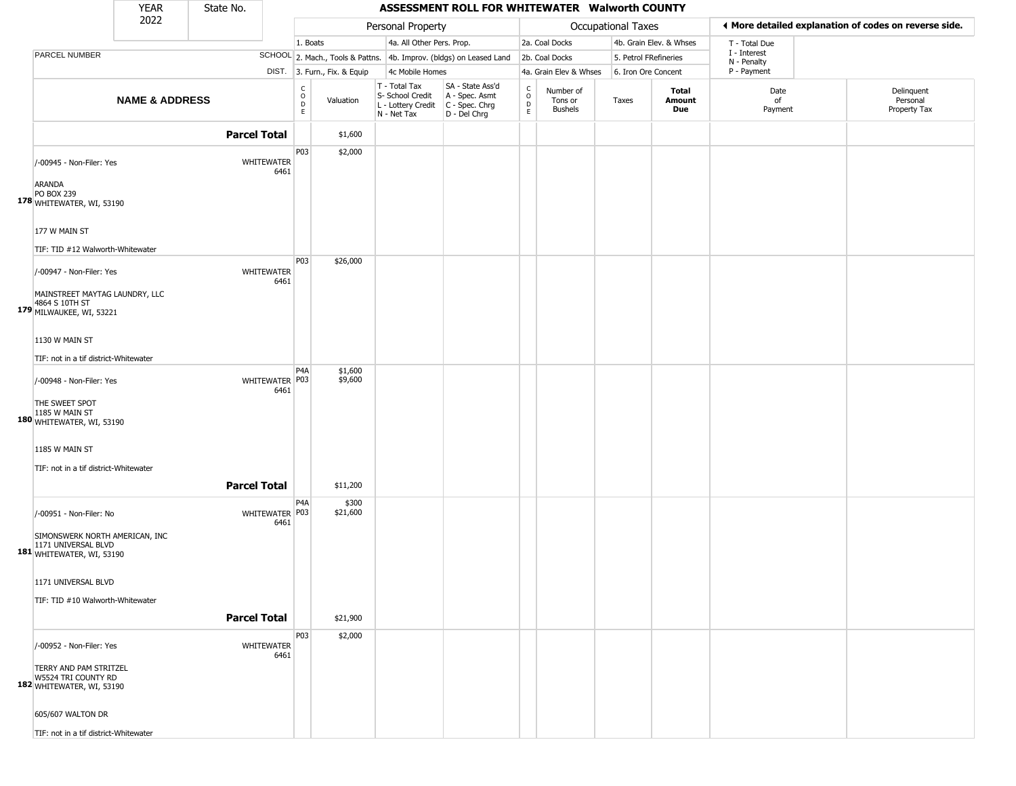|                                                                                    | <b>YEAR</b>               | State No.           |                           |                                                          |                              |                                                                                         | ASSESSMENT ROLL FOR WHITEWATER Walworth COUNTY                      |                         |                                        |                       |                         |                             |                                                       |
|------------------------------------------------------------------------------------|---------------------------|---------------------|---------------------------|----------------------------------------------------------|------------------------------|-----------------------------------------------------------------------------------------|---------------------------------------------------------------------|-------------------------|----------------------------------------|-----------------------|-------------------------|-----------------------------|-------------------------------------------------------|
|                                                                                    | 2022                      |                     |                           |                                                          |                              | Personal Property                                                                       |                                                                     |                         |                                        | Occupational Taxes    |                         |                             | ◀ More detailed explanation of codes on reverse side. |
|                                                                                    |                           |                     |                           | 1. Boats                                                 |                              | 4a. All Other Pers. Prop.                                                               |                                                                     |                         | 2a. Coal Docks                         |                       | 4b. Grain Elev. & Whses | T - Total Due               |                                                       |
| PARCEL NUMBER                                                                      |                           |                     |                           |                                                          |                              |                                                                                         | SCHOOL 2. Mach., Tools & Pattns. 4b. Improv. (bldgs) on Leased Land |                         | 2b. Coal Docks                         | 5. Petrol FRefineries |                         | I - Interest<br>N - Penalty |                                                       |
|                                                                                    |                           |                     |                           |                                                          | DIST. 3. Furn., Fix. & Equip | 4c Mobile Homes                                                                         |                                                                     |                         | 4a. Grain Elev & Whses                 | 6. Iron Ore Concent   |                         | P - Payment                 |                                                       |
|                                                                                    | <b>NAME &amp; ADDRESS</b> |                     |                           | $\begin{matrix} 0 \\ 0 \\ D \end{matrix}$<br>$\mathsf E$ | Valuation                    | T - Total Tax<br>S- School Credit<br>L - Lottery Credit   C - Spec. Chrg<br>N - Net Tax | SA - State Ass'd<br>A - Spec. Asmt<br>D - Del Chrg                  | C<br>$\circ$<br>D<br>E. | Number of<br>Tons or<br><b>Bushels</b> | Taxes                 | Total<br>Amount<br>Due  | Date<br>of<br>Payment       | Delinquent<br>Personal<br>Property Tax                |
|                                                                                    |                           | <b>Parcel Total</b> |                           |                                                          | \$1,600                      |                                                                                         |                                                                     |                         |                                        |                       |                         |                             |                                                       |
| /-00945 - Non-Filer: Yes<br><b>ARANDA</b>                                          |                           |                     | <b>WHITEWATER</b><br>6461 | P03                                                      | \$2,000                      |                                                                                         |                                                                     |                         |                                        |                       |                         |                             |                                                       |
| PO BOX 239<br>178 WHITEWATER, WI, 53190<br>177 W MAIN ST                           |                           |                     |                           |                                                          |                              |                                                                                         |                                                                     |                         |                                        |                       |                         |                             |                                                       |
| TIF: TID #12 Walworth-Whitewater                                                   |                           |                     |                           |                                                          |                              |                                                                                         |                                                                     |                         |                                        |                       |                         |                             |                                                       |
| /-00947 - Non-Filer: Yes                                                           |                           |                     | WHITEWATER<br>6461        | P03                                                      | \$26,000                     |                                                                                         |                                                                     |                         |                                        |                       |                         |                             |                                                       |
| MAINSTREET MAYTAG LAUNDRY, LLC<br>4864 S 10TH ST<br>179 MILWAUKEE, WI, 53221       |                           |                     |                           |                                                          |                              |                                                                                         |                                                                     |                         |                                        |                       |                         |                             |                                                       |
| 1130 W MAIN ST                                                                     |                           |                     |                           |                                                          |                              |                                                                                         |                                                                     |                         |                                        |                       |                         |                             |                                                       |
| TIF: not in a tif district-Whitewater                                              |                           |                     |                           |                                                          |                              |                                                                                         |                                                                     |                         |                                        |                       |                         |                             |                                                       |
| /-00948 - Non-Filer: Yes                                                           |                           |                     | WHITEWATER P03<br>6461    | P <sub>4</sub> A                                         | \$1,600<br>\$9,600           |                                                                                         |                                                                     |                         |                                        |                       |                         |                             |                                                       |
| THE SWEET SPOT<br>1185 W MAIN ST<br>180 WHITEWATER, WI, 53190                      |                           |                     |                           |                                                          |                              |                                                                                         |                                                                     |                         |                                        |                       |                         |                             |                                                       |
| 1185 W MAIN ST                                                                     |                           |                     |                           |                                                          |                              |                                                                                         |                                                                     |                         |                                        |                       |                         |                             |                                                       |
| TIF: not in a tif district-Whitewater                                              |                           | <b>Parcel Total</b> |                           |                                                          | \$11,200                     |                                                                                         |                                                                     |                         |                                        |                       |                         |                             |                                                       |
| /-00951 - Non-Filer: No                                                            |                           |                     | WHITEWATER P03<br>6461    | P <sub>4</sub> A                                         | \$300<br>\$21,600            |                                                                                         |                                                                     |                         |                                        |                       |                         |                             |                                                       |
| SIMONSWERK NORTH AMERICAN, INC<br>1171 UNIVERSAL BLVD<br>181 WHITEWATER, WI, 53190 |                           |                     |                           |                                                          |                              |                                                                                         |                                                                     |                         |                                        |                       |                         |                             |                                                       |
| 1171 UNIVERSAL BLVD                                                                |                           |                     |                           |                                                          |                              |                                                                                         |                                                                     |                         |                                        |                       |                         |                             |                                                       |
| TIF: TID #10 Walworth-Whitewater                                                   |                           | <b>Parcel Total</b> |                           |                                                          | \$21,900                     |                                                                                         |                                                                     |                         |                                        |                       |                         |                             |                                                       |
| /-00952 - Non-Filer: Yes                                                           |                           |                     | WHITEWATER                | P03                                                      | \$2,000                      |                                                                                         |                                                                     |                         |                                        |                       |                         |                             |                                                       |
| TERRY AND PAM STRITZEL<br>W5524 TRI COUNTY RD<br>182 WHITEWATER, WI, 53190         |                           |                     | 6461                      |                                                          |                              |                                                                                         |                                                                     |                         |                                        |                       |                         |                             |                                                       |
| 605/607 WALTON DR                                                                  |                           |                     |                           |                                                          |                              |                                                                                         |                                                                     |                         |                                        |                       |                         |                             |                                                       |
| TIF: not in a tif district-Whitewater                                              |                           |                     |                           |                                                          |                              |                                                                                         |                                                                     |                         |                                        |                       |                         |                             |                                                       |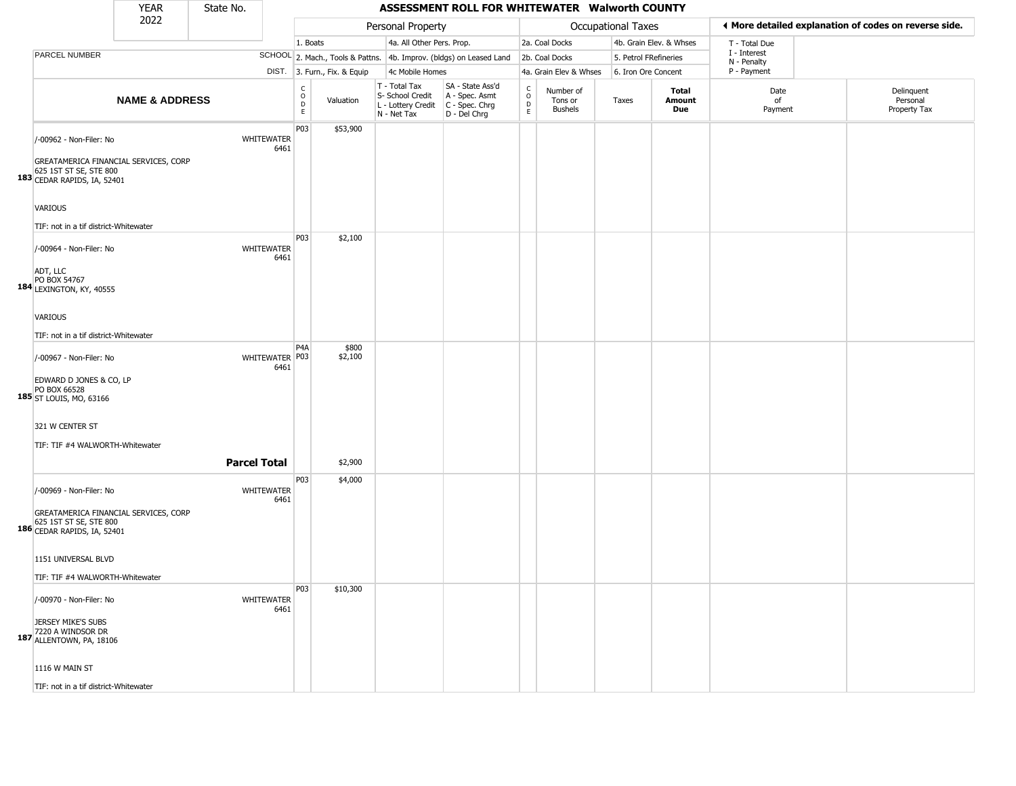|                                                                                                                                        | <b>YEAR</b>               | State No. |                           |                              |                              |                                                                        | ASSESSMENT ROLL FOR WHITEWATER Walworth COUNTY                         |                                                 |                                 |                       |                         |                             |                                                       |
|----------------------------------------------------------------------------------------------------------------------------------------|---------------------------|-----------|---------------------------|------------------------------|------------------------------|------------------------------------------------------------------------|------------------------------------------------------------------------|-------------------------------------------------|---------------------------------|-----------------------|-------------------------|-----------------------------|-------------------------------------------------------|
|                                                                                                                                        | 2022                      |           |                           |                              |                              | Personal Property                                                      |                                                                        |                                                 |                                 | Occupational Taxes    |                         |                             | ◀ More detailed explanation of codes on reverse side. |
|                                                                                                                                        |                           |           |                           | 1. Boats                     |                              | 4a. All Other Pers. Prop.                                              |                                                                        |                                                 | 2a. Coal Docks                  |                       | 4b. Grain Elev. & Whses | T - Total Due               |                                                       |
| PARCEL NUMBER                                                                                                                          |                           |           |                           |                              |                              |                                                                        | SCHOOL 2. Mach., Tools & Pattns. 4b. Improv. (bldgs) on Leased Land    |                                                 | 2b. Coal Docks                  | 5. Petrol FRefineries |                         | I - Interest<br>N - Penalty |                                                       |
|                                                                                                                                        |                           |           |                           |                              | DIST. 3. Furn., Fix. & Equip | 4c Mobile Homes                                                        |                                                                        |                                                 | 4a. Grain Elev & Whses          | 6. Iron Ore Concent   |                         | P - Payment                 |                                                       |
|                                                                                                                                        | <b>NAME &amp; ADDRESS</b> |           |                           | $_{\rm o}^{\rm c}$<br>D<br>E | Valuation                    | T - Total Tax<br>S- School Credit<br>L - Lottery Credit<br>N - Net Tax | SA - State Ass'd<br>A - Spec. Asmt<br>$C - Spec. Chrg$<br>D - Del Chrg | $\begin{array}{c} C \\ O \\ D \\ E \end{array}$ | Number of<br>Tons or<br>Bushels | Taxes                 | Total<br>Amount<br>Due  | Date<br>of<br>Payment       | Delinquent<br>Personal<br>Property Tax                |
| /-00962 - Non-Filer: No<br>GREATAMERICA FINANCIAL SERVICES, CORP<br>625 1ST ST SE, STE 800<br>183 CEDAR RAPIDS, IA, 52401              |                           |           | <b>WHITEWATER</b><br>6461 | P03                          | \$53,900                     |                                                                        |                                                                        |                                                 |                                 |                       |                         |                             |                                                       |
| VARIOUS<br>TIF: not in a tif district-Whitewater                                                                                       |                           |           |                           |                              |                              |                                                                        |                                                                        |                                                 |                                 |                       |                         |                             |                                                       |
| /-00964 - Non-Filer: No<br>ADT, LLC                                                                                                    |                           |           | WHITEWATER<br>6461        | P03                          | \$2,100                      |                                                                        |                                                                        |                                                 |                                 |                       |                         |                             |                                                       |
| PO BOX 54767<br>184 LEXINGTON, KY, 40555<br>VARIOUS                                                                                    |                           |           |                           |                              |                              |                                                                        |                                                                        |                                                 |                                 |                       |                         |                             |                                                       |
| TIF: not in a tif district-Whitewater<br>/-00967 - Non-Filer: No<br>EDWARD D JONES & CO, LP<br>PO BOX 66528<br>185 ST LOUIS, MO, 63166 |                           |           | WHITEWATER P03<br>6461    | P <sub>4</sub> A             | \$800<br>\$2,100             |                                                                        |                                                                        |                                                 |                                 |                       |                         |                             |                                                       |
| 321 W CENTER ST<br>TIF: TIF #4 WALWORTH-Whitewater                                                                                     |                           |           | <b>Parcel Total</b>       |                              | \$2,900                      |                                                                        |                                                                        |                                                 |                                 |                       |                         |                             |                                                       |
| /-00969 - Non-Filer: No<br>GREATAMERICA FINANCIAL SERVICES, CORP<br>625 1ST ST SE, STE 800<br>186 CEDAR RAPIDS, IA, 52401              |                           |           | <b>WHITEWATER</b><br>6461 | P03                          | \$4,000                      |                                                                        |                                                                        |                                                 |                                 |                       |                         |                             |                                                       |
| 1151 UNIVERSAL BLVD<br>TIF: TIF #4 WALWORTH-Whitewater                                                                                 |                           |           |                           |                              |                              |                                                                        |                                                                        |                                                 |                                 |                       |                         |                             |                                                       |
| /-00970 - Non-Filer: No<br>JERSEY MIKE'S SUBS<br>7220 A WINDSOR DR<br>187 ALLENTOWN, PA, 18106                                         |                           |           | WHITEWATER<br>6461        | P03                          | \$10,300                     |                                                                        |                                                                        |                                                 |                                 |                       |                         |                             |                                                       |
| 1116 W MAIN ST<br>TIF: not in a tif district-Whitewater                                                                                |                           |           |                           |                              |                              |                                                                        |                                                                        |                                                 |                                 |                       |                         |                             |                                                       |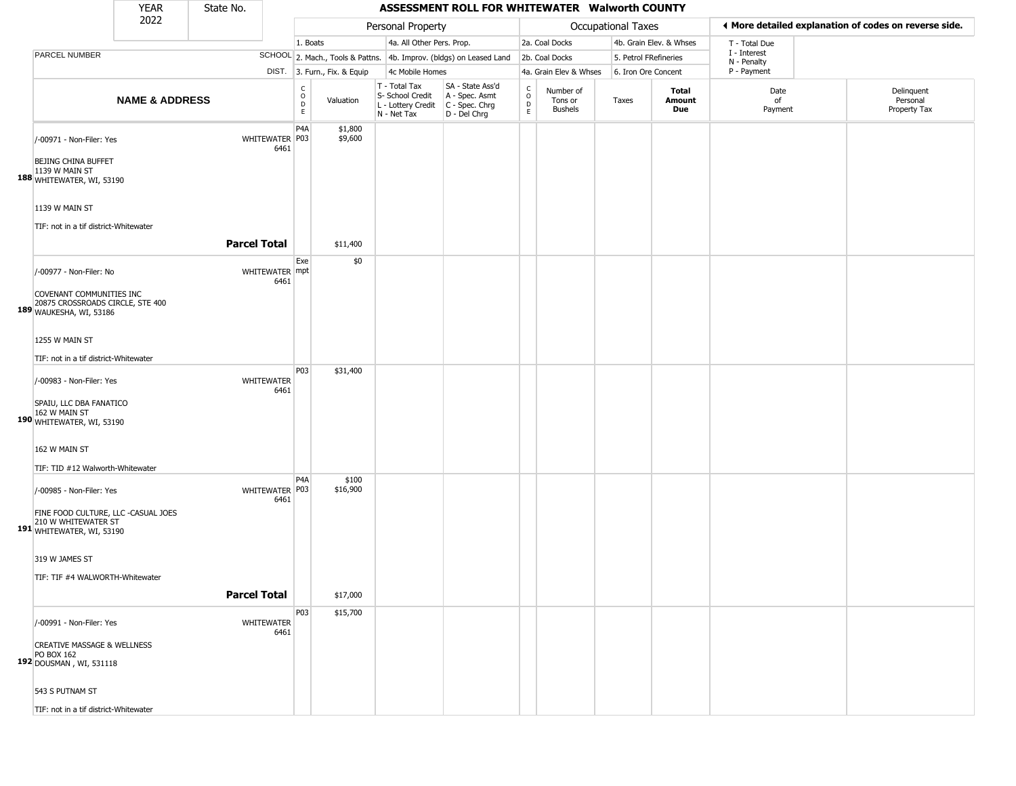|                                                                                                                            | YEAR                      | State No.           |                        |                        |                              |                                                                        | ASSESSMENT ROLL FOR WHITEWATER Walworth COUNTY                       |                         |                                 |                    |                         |                             |                                                       |
|----------------------------------------------------------------------------------------------------------------------------|---------------------------|---------------------|------------------------|------------------------|------------------------------|------------------------------------------------------------------------|----------------------------------------------------------------------|-------------------------|---------------------------------|--------------------|-------------------------|-----------------------------|-------------------------------------------------------|
|                                                                                                                            | 2022                      |                     |                        |                        |                              | Personal Property                                                      |                                                                      |                         |                                 | Occupational Taxes |                         |                             | I More detailed explanation of codes on reverse side. |
|                                                                                                                            |                           |                     |                        | 1. Boats               |                              | 4a. All Other Pers. Prop.                                              |                                                                      |                         | 2a. Coal Docks                  |                    | 4b. Grain Elev. & Whses | T - Total Due               |                                                       |
| PARCEL NUMBER                                                                                                              |                           |                     |                        |                        |                              |                                                                        | SCHOOL 2. Mach., Tools & Pattns. 4b. Improv. (bldgs) on Leased Land  |                         | 2b. Coal Docks                  |                    | 5. Petrol FRefineries   | I - Interest<br>N - Penalty |                                                       |
|                                                                                                                            |                           |                     |                        |                        | DIST. 3. Furn., Fix. & Equip | 4c Mobile Homes                                                        |                                                                      |                         | 4a. Grain Elev & Whses          |                    | 6. Iron Ore Concent     | P - Payment                 |                                                       |
|                                                                                                                            | <b>NAME &amp; ADDRESS</b> |                     |                        | C<br>$\circ$<br>D<br>E | Valuation                    | T - Total Tax<br>S- School Credit<br>L - Lottery Credit<br>N - Net Tax | SA - State Ass'd<br>A - Spec. Asmt<br>C - Spec. Chrg<br>D - Del Chrg | $\frac{c}{0}$<br>D<br>E | Number of<br>Tons or<br>Bushels | Taxes              | Total<br>Amount<br>Due  | Date<br>of<br>Payment       | Delinquent<br>Personal<br>Property Tax                |
| /-00971 - Non-Filer: Yes<br><b>BEJING CHINA BUFFET</b><br>1139 W MAIN ST<br>188 WHITEWATER, WI, 53190                      |                           |                     | WHITEWATER P03<br>6461 | P4A                    | \$1,800<br>\$9,600           |                                                                        |                                                                      |                         |                                 |                    |                         |                             |                                                       |
| 1139 W MAIN ST<br>TIF: not in a tif district-Whitewater                                                                    |                           | <b>Parcel Total</b> |                        |                        | \$11,400                     |                                                                        |                                                                      |                         |                                 |                    |                         |                             |                                                       |
|                                                                                                                            |                           |                     |                        | Exe                    | \$0                          |                                                                        |                                                                      |                         |                                 |                    |                         |                             |                                                       |
| /-00977 - Non-Filer: No<br>COVENANT COMMUNITIES INC<br>20875 CROSSROADS CIRCLE, STE 400<br>189 WAUKESHA, WI, 53186         |                           |                     | WHITEWATER mpt<br>6461 |                        |                              |                                                                        |                                                                      |                         |                                 |                    |                         |                             |                                                       |
|                                                                                                                            |                           |                     |                        |                        |                              |                                                                        |                                                                      |                         |                                 |                    |                         |                             |                                                       |
| 1255 W MAIN ST                                                                                                             |                           |                     |                        |                        |                              |                                                                        |                                                                      |                         |                                 |                    |                         |                             |                                                       |
| TIF: not in a tif district-Whitewater                                                                                      |                           |                     |                        |                        |                              |                                                                        |                                                                      |                         |                                 |                    |                         |                             |                                                       |
| /-00983 - Non-Filer: Yes<br>SPAIU, LLC DBA FANATICO<br>162 W MAIN ST<br>190 WHITEWATER, WI, 53190                          |                           |                     | WHITEWATER<br>6461     | P03                    | \$31,400                     |                                                                        |                                                                      |                         |                                 |                    |                         |                             |                                                       |
| 162 W MAIN ST<br>TIF: TID #12 Walworth-Whitewater                                                                          |                           |                     |                        |                        |                              |                                                                        |                                                                      |                         |                                 |                    |                         |                             |                                                       |
| /-00985 - Non-Filer: Yes<br>FINE FOOD CULTURE, LLC -CASUAL JOES<br>210 W WHITEWATER ST<br><b>191</b> WHITEWATER, WI, 53190 |                           |                     | WHITEWATER P03<br>6461 | P <sub>4</sub> A       | \$100<br>\$16,900            |                                                                        |                                                                      |                         |                                 |                    |                         |                             |                                                       |
| 319 W JAMES ST<br>TIF: TIF #4 WALWORTH-Whitewater                                                                          |                           | <b>Parcel Total</b> |                        |                        | \$17,000                     |                                                                        |                                                                      |                         |                                 |                    |                         |                             |                                                       |
| /-00991 - Non-Filer: Yes                                                                                                   |                           |                     | WHITEWATER             | P03                    | \$15,700                     |                                                                        |                                                                      |                         |                                 |                    |                         |                             |                                                       |
| <b>CREATIVE MASSAGE &amp; WELLNESS</b><br>PO BOX 162<br>192 DOUSMAN, WI, 531118                                            |                           |                     | 6461                   |                        |                              |                                                                        |                                                                      |                         |                                 |                    |                         |                             |                                                       |
| 543 S PUTNAM ST                                                                                                            |                           |                     |                        |                        |                              |                                                                        |                                                                      |                         |                                 |                    |                         |                             |                                                       |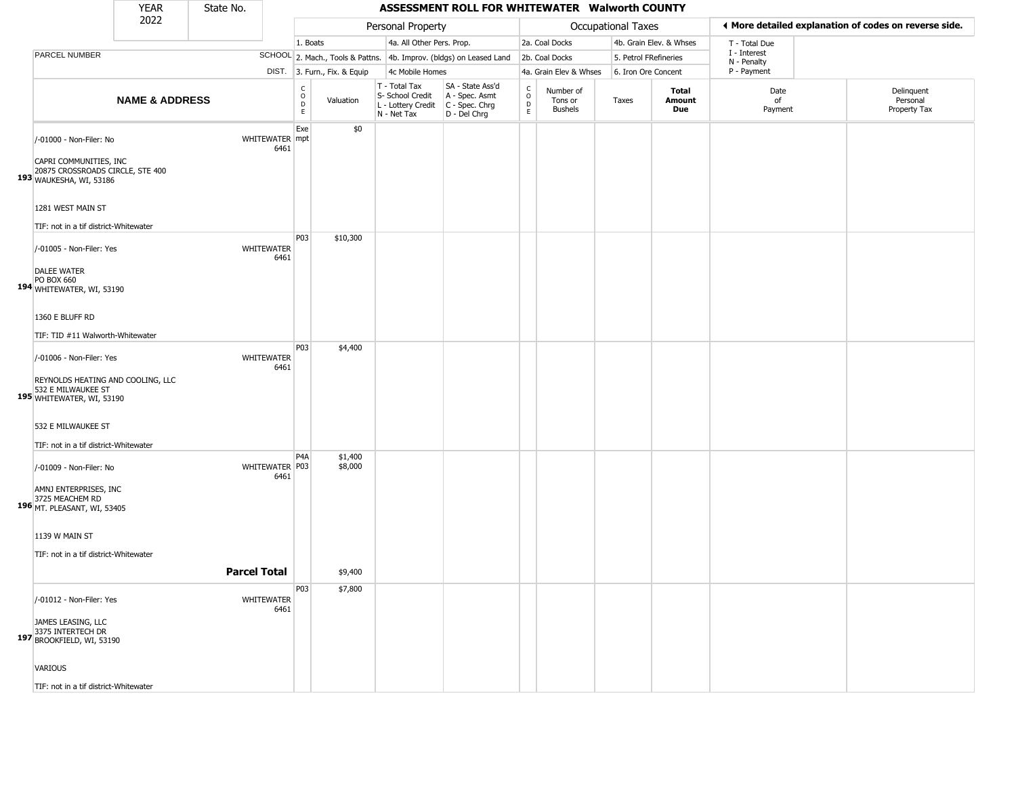|                                                                                                                         | <b>YEAR</b>               | State No.           |                           |                                             |                              |                                                                        | ASSESSMENT ROLL FOR WHITEWATER Walworth COUNTY                         |                                                        |                                        |                       |                         |                             |                                                       |
|-------------------------------------------------------------------------------------------------------------------------|---------------------------|---------------------|---------------------------|---------------------------------------------|------------------------------|------------------------------------------------------------------------|------------------------------------------------------------------------|--------------------------------------------------------|----------------------------------------|-----------------------|-------------------------|-----------------------------|-------------------------------------------------------|
|                                                                                                                         | 2022                      |                     |                           |                                             |                              | Personal Property                                                      |                                                                        |                                                        |                                        | Occupational Taxes    |                         |                             | ◀ More detailed explanation of codes on reverse side. |
|                                                                                                                         |                           |                     |                           | 1. Boats                                    |                              | 4a. All Other Pers. Prop.                                              |                                                                        |                                                        | 2a. Coal Docks                         |                       | 4b. Grain Elev. & Whses | T - Total Due               |                                                       |
| PARCEL NUMBER                                                                                                           |                           |                     |                           |                                             |                              |                                                                        | SCHOOL 2. Mach., Tools & Pattns. 4b. Improv. (bldgs) on Leased Land    |                                                        | 2b. Coal Docks                         | 5. Petrol FRefineries |                         | I - Interest<br>N - Penalty |                                                       |
|                                                                                                                         |                           |                     |                           |                                             | DIST. 3. Furn., Fix. & Equip | 4c Mobile Homes                                                        |                                                                        |                                                        | 4a. Grain Elev & Whses                 | 6. Iron Ore Concent   |                         | P - Payment                 |                                                       |
|                                                                                                                         | <b>NAME &amp; ADDRESS</b> |                     |                           | $\frac{c}{0}$<br>$\mathsf D$<br>$\mathsf E$ | Valuation                    | T - Total Tax<br>S- School Credit<br>L - Lottery Credit<br>N - Net Tax | SA - State Ass'd<br>A - Spec. Asmt<br>$C - Spec. Chrg$<br>D - Del Chrg | $\mathsf{C}$<br>$\circ$<br>$\mathsf{D}$<br>$\mathsf E$ | Number of<br>Tons or<br><b>Bushels</b> | Taxes                 | Total<br>Amount<br>Due  | Date<br>of<br>Payment       | Delinquent<br>Personal<br>Property Tax                |
| /-01000 - Non-Filer: No<br>CAPRI COMMUNITIES, INC<br>20875 CROSSROADS CIRCLE, STE 400<br>193 WAUKESHA, WI, 53186        |                           |                     | WHITEWATER mpt<br>6461    | Exe                                         | \$0                          |                                                                        |                                                                        |                                                        |                                        |                       |                         |                             |                                                       |
| 1281 WEST MAIN ST<br>TIF: not in a tif district-Whitewater                                                              |                           |                     |                           | P03                                         | \$10,300                     |                                                                        |                                                                        |                                                        |                                        |                       |                         |                             |                                                       |
| /-01005 - Non-Filer: Yes<br><b>DALEE WATER</b><br>PO BOX 660<br>194 WHITEWATER, WI, 53190                               |                           |                     | WHITEWATER<br>6461        |                                             |                              |                                                                        |                                                                        |                                                        |                                        |                       |                         |                             |                                                       |
| 1360 E BLUFF RD<br>TIF: TID #11 Walworth-Whitewater                                                                     |                           |                     |                           |                                             |                              |                                                                        |                                                                        |                                                        |                                        |                       |                         |                             |                                                       |
| /-01006 - Non-Filer: Yes<br>REYNOLDS HEATING AND COOLING, LLC<br>532 E MILWAUKEE ST<br><b>195</b> WHITEWATER, WI, 53190 |                           |                     | <b>WHITEWATER</b><br>6461 | P03                                         | \$4,400                      |                                                                        |                                                                        |                                                        |                                        |                       |                         |                             |                                                       |
| 532 E MILWAUKEE ST<br>TIF: not in a tif district-Whitewater                                                             |                           |                     |                           |                                             |                              |                                                                        |                                                                        |                                                        |                                        |                       |                         |                             |                                                       |
| /-01009 - Non-Filer: No<br>AMNJ ENTERPRISES, INC<br>3725 MEACHEM RD<br>196 MT. PLEASANT, WI, 53405                      |                           |                     | WHITEWATER P03<br>6461    | P4A                                         | \$1,400<br>\$8,000           |                                                                        |                                                                        |                                                        |                                        |                       |                         |                             |                                                       |
| 1139 W MAIN ST<br>TIF: not in a tif district-Whitewater                                                                 |                           | <b>Parcel Total</b> |                           |                                             | \$9,400                      |                                                                        |                                                                        |                                                        |                                        |                       |                         |                             |                                                       |
| /-01012 - Non-Filer: Yes<br>JAMES LEASING, LLC<br>3375 INTERTECH DR<br>197 BROOKFIELD, WI, 53190                        |                           |                     | WHITEWATER<br>6461        | P03                                         | \$7,800                      |                                                                        |                                                                        |                                                        |                                        |                       |                         |                             |                                                       |
| <b>VARIOUS</b><br>TIE: not in a tif dictrict-Whitewater                                                                 |                           |                     |                           |                                             |                              |                                                                        |                                                                        |                                                        |                                        |                       |                         |                             |                                                       |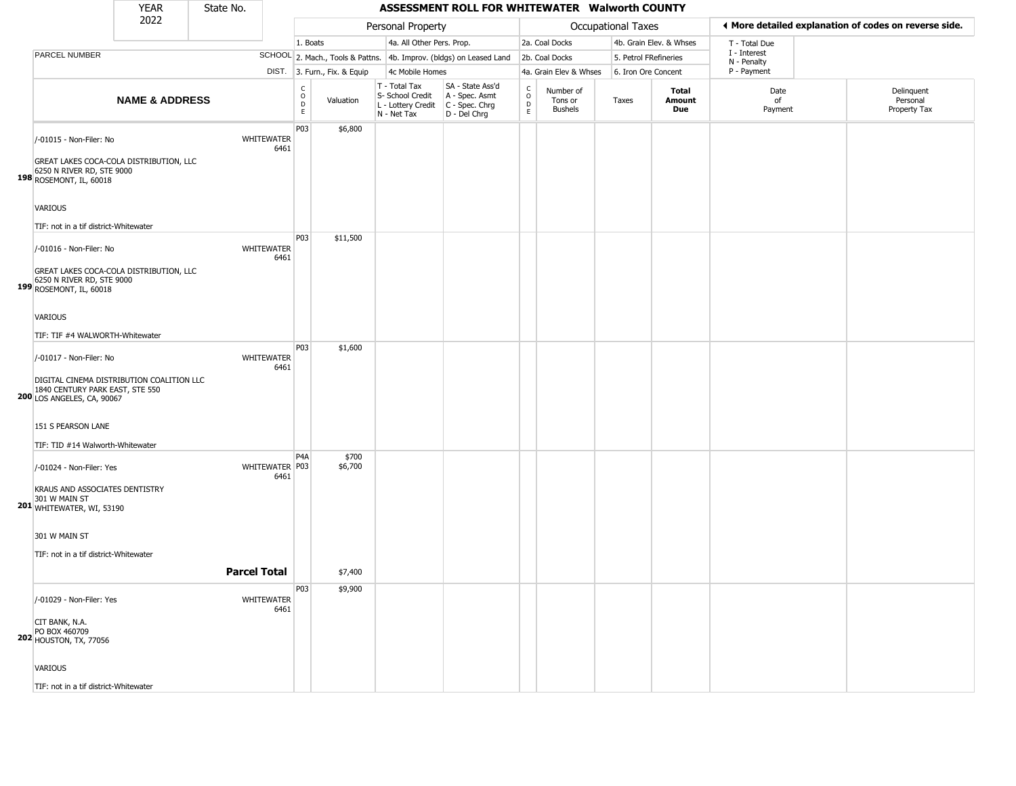|                                                                                                                                              | YEAR                      | State No.           |                           |                                        |                              |                                                                        | ASSESSMENT ROLL FOR WHITEWATER Walworth COUNTY                       |                        |                                 |                       |                         |                             |                                                       |
|----------------------------------------------------------------------------------------------------------------------------------------------|---------------------------|---------------------|---------------------------|----------------------------------------|------------------------------|------------------------------------------------------------------------|----------------------------------------------------------------------|------------------------|---------------------------------|-----------------------|-------------------------|-----------------------------|-------------------------------------------------------|
|                                                                                                                                              | 2022                      |                     |                           |                                        |                              | Personal Property                                                      |                                                                      |                        |                                 | Occupational Taxes    |                         |                             | ♦ More detailed explanation of codes on reverse side. |
|                                                                                                                                              |                           |                     |                           | 1. Boats                               |                              | 4a. All Other Pers. Prop.                                              |                                                                      |                        | 2a. Coal Docks                  |                       | 4b. Grain Elev. & Whses | T - Total Due               |                                                       |
| <b>PARCEL NUMBER</b>                                                                                                                         |                           |                     |                           |                                        |                              |                                                                        | SCHOOL 2. Mach., Tools & Pattns. 4b. Improv. (bldgs) on Leased Land  |                        | 2b. Coal Docks                  | 5. Petrol FRefineries |                         | I - Interest<br>N - Penalty |                                                       |
|                                                                                                                                              |                           |                     |                           |                                        | DIST. 3. Furn., Fix. & Equip | 4c Mobile Homes                                                        |                                                                      |                        | 4a. Grain Elev & Whses          | 6. Iron Ore Concent   |                         | P - Payment                 |                                                       |
|                                                                                                                                              | <b>NAME &amp; ADDRESS</b> |                     |                           | $_{\rm o}^{\rm c}$<br>$\mathsf D$<br>E | Valuation                    | T - Total Tax<br>S- School Credit<br>L - Lottery Credit<br>N - Net Tax | SA - State Ass'd<br>A - Spec. Asmt<br>C - Spec. Chrg<br>D - Del Chrg | C<br>$\circ$<br>D<br>E | Number of<br>Tons or<br>Bushels | Taxes                 | Total<br>Amount<br>Due  | Date<br>of<br>Payment       | Delinquent<br>Personal<br>Property Tax                |
| /-01015 - Non-Filer: No<br>GREAT LAKES COCA-COLA DISTRIBUTION, LLC<br>6250 N RIVER RD, STE 9000                                              |                           |                     | <b>WHITEWATER</b><br>6461 | P03                                    | \$6,800                      |                                                                        |                                                                      |                        |                                 |                       |                         |                             |                                                       |
| 198 ROSEMONT, IL, 60018<br><b>VARIOUS</b><br>TIF: not in a tif district-Whitewater<br>/-01016 - Non-Filer: No                                |                           |                     | WHITEWATER<br>6461        | P03                                    | \$11,500                     |                                                                        |                                                                      |                        |                                 |                       |                         |                             |                                                       |
| GREAT LAKES COCA-COLA DISTRIBUTION, LLC<br>6250 N RIVER RD, STE 9000<br>199 ROSEMONT, IL, 60018                                              |                           |                     |                           |                                        |                              |                                                                        |                                                                      |                        |                                 |                       |                         |                             |                                                       |
| <b>VARIOUS</b>                                                                                                                               |                           |                     |                           |                                        |                              |                                                                        |                                                                      |                        |                                 |                       |                         |                             |                                                       |
| TIF: TIF #4 WALWORTH-Whitewater                                                                                                              |                           |                     |                           |                                        |                              |                                                                        |                                                                      |                        |                                 |                       |                         |                             |                                                       |
| /-01017 - Non-Filer: No<br>DIGITAL CINEMA DISTRIBUTION COALITION LLC<br>1840 CENTURY PARK EAST, STE 550<br><b>200 LOS ANGELES, CA, 90067</b> |                           |                     | WHITEWATER<br>6461        | P03                                    | \$1,600                      |                                                                        |                                                                      |                        |                                 |                       |                         |                             |                                                       |
| 151 S PEARSON LANE<br>TIF: TID #14 Walworth-Whitewater                                                                                       |                           |                     |                           |                                        |                              |                                                                        |                                                                      |                        |                                 |                       |                         |                             |                                                       |
| /-01024 - Non-Filer: Yes<br>KRAUS AND ASSOCIATES DENTISTRY<br>301 W MAIN ST<br>201 WHITEWATER, WI, 53190                                     |                           |                     | WHITEWATER P03<br>6461    | P <sub>4</sub> A                       | \$700<br>\$6,700             |                                                                        |                                                                      |                        |                                 |                       |                         |                             |                                                       |
| 301 W MAIN ST<br>TIF: not in a tif district-Whitewater                                                                                       |                           | <b>Parcel Total</b> |                           |                                        | \$7,400                      |                                                                        |                                                                      |                        |                                 |                       |                         |                             |                                                       |
|                                                                                                                                              |                           |                     |                           |                                        |                              |                                                                        |                                                                      |                        |                                 |                       |                         |                             |                                                       |
| /-01029 - Non-Filer: Yes<br>CIT BANK, N.A.<br>PO BOX 460709<br><b>202 HOUSTON, TX, 77056</b>                                                 |                           |                     | WHITEWATER<br>6461        | P03                                    | \$9,900                      |                                                                        |                                                                      |                        |                                 |                       |                         |                             |                                                       |
| <b>VARIOUS</b>                                                                                                                               |                           |                     |                           |                                        |                              |                                                                        |                                                                      |                        |                                 |                       |                         |                             |                                                       |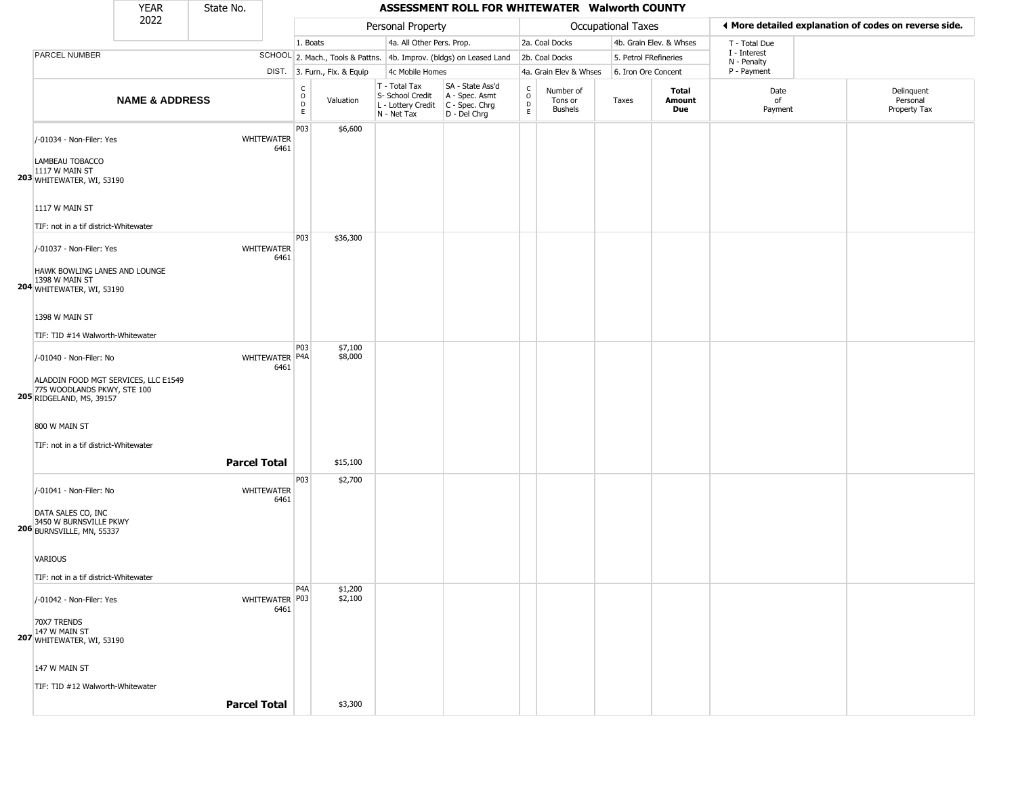|                                                                                                 | <b>YEAR</b>               | State No.           |                           |                                             |                              |                                                                        | ASSESSMENT ROLL FOR WHITEWATER Walworth COUNTY                       |                                |                                        |                           |                                      |                             |                                                       |
|-------------------------------------------------------------------------------------------------|---------------------------|---------------------|---------------------------|---------------------------------------------|------------------------------|------------------------------------------------------------------------|----------------------------------------------------------------------|--------------------------------|----------------------------------------|---------------------------|--------------------------------------|-----------------------------|-------------------------------------------------------|
|                                                                                                 | 2022                      |                     |                           |                                             |                              | Personal Property                                                      |                                                                      |                                |                                        | <b>Occupational Taxes</b> |                                      |                             | ◀ More detailed explanation of codes on reverse side. |
|                                                                                                 |                           |                     |                           | 1. Boats                                    |                              | 4a. All Other Pers. Prop.                                              |                                                                      |                                | 2a. Coal Docks                         |                           | 4b. Grain Elev. & Whses              | T - Total Due               |                                                       |
| PARCEL NUMBER                                                                                   |                           |                     |                           |                                             |                              |                                                                        | SCHOOL 2. Mach., Tools & Pattns. 4b. Improv. (bldgs) on Leased Land  |                                | 2b. Coal Docks                         |                           | 5. Petrol FRefineries                | I - Interest<br>N - Penalty |                                                       |
|                                                                                                 |                           |                     |                           |                                             | DIST. 3. Furn., Fix. & Equip | 4c Mobile Homes                                                        |                                                                      |                                | 4a. Grain Elev & Whses                 |                           | 6. Iron Ore Concent                  | P - Payment                 |                                                       |
|                                                                                                 | <b>NAME &amp; ADDRESS</b> |                     |                           | $\frac{c}{0}$<br>$\mathsf D$<br>$\mathsf E$ | Valuation                    | T - Total Tax<br>S- School Credit<br>L - Lottery Credit<br>N - Net Tax | SA - State Ass'd<br>A - Spec. Asmt<br>C - Spec. Chrg<br>D - Del Chrg | $\frac{c}{0}$<br>$\frac{D}{E}$ | Number of<br>Tons or<br><b>Bushels</b> | Taxes                     | <b>Total</b><br>Amount<br><b>Due</b> | Date<br>of<br>Payment       | Delinquent<br>Personal<br>Property Tax                |
| /-01034 - Non-Filer: Yes<br>LAMBEAU TOBACCO<br>1117 W MAIN ST<br>203 WHITEWATER, WI, 53190      |                           |                     | <b>WHITEWATER</b><br>6461 | P03                                         | \$6,600                      |                                                                        |                                                                      |                                |                                        |                           |                                      |                             |                                                       |
| 1117 W MAIN ST<br>TIF: not in a tif district-Whitewater                                         |                           |                     |                           |                                             |                              |                                                                        |                                                                      |                                |                                        |                           |                                      |                             |                                                       |
| /-01037 - Non-Filer: Yes<br>HAWK BOWLING LANES AND LOUNGE                                       |                           |                     | <b>WHITEWATER</b><br>6461 | P03                                         | \$36,300                     |                                                                        |                                                                      |                                |                                        |                           |                                      |                             |                                                       |
| 1398 W MAIN ST<br>204 WHITEWATER, WI, 53190                                                     |                           |                     |                           |                                             |                              |                                                                        |                                                                      |                                |                                        |                           |                                      |                             |                                                       |
| 1398 W MAIN ST                                                                                  |                           |                     |                           |                                             |                              |                                                                        |                                                                      |                                |                                        |                           |                                      |                             |                                                       |
| TIF: TID #14 Walworth-Whitewater                                                                |                           |                     |                           |                                             |                              |                                                                        |                                                                      |                                |                                        |                           |                                      |                             |                                                       |
| /-01040 - Non-Filer: No                                                                         |                           |                     | WHITEWATER P4A<br>6461    | <b>P03</b>                                  | \$7,100<br>\$8,000           |                                                                        |                                                                      |                                |                                        |                           |                                      |                             |                                                       |
| ALADDIN FOOD MGT SERVICES, LLC E1549<br>775 WOODLANDS PKWY, STE 100<br>205 RIDGELAND, MS, 39157 |                           |                     |                           |                                             |                              |                                                                        |                                                                      |                                |                                        |                           |                                      |                             |                                                       |
| 800 W MAIN ST<br>TIF: not in a tif district-Whitewater                                          |                           |                     |                           |                                             |                              |                                                                        |                                                                      |                                |                                        |                           |                                      |                             |                                                       |
|                                                                                                 |                           | <b>Parcel Total</b> |                           |                                             | \$15,100                     |                                                                        |                                                                      |                                |                                        |                           |                                      |                             |                                                       |
| /-01041 - Non-Filer: No                                                                         |                           |                     | <b>WHITEWATER</b><br>6461 | P <sub>0</sub> 3                            | \$2,700                      |                                                                        |                                                                      |                                |                                        |                           |                                      |                             |                                                       |
| DATA SALES CO, INC<br>3450 W BURNSVILLE PKWY<br>206 BURNSVILLE, MN, 55337                       |                           |                     |                           |                                             |                              |                                                                        |                                                                      |                                |                                        |                           |                                      |                             |                                                       |
| <b>VARIOUS</b><br>TIF: not in a tif district-Whitewater                                         |                           |                     |                           |                                             |                              |                                                                        |                                                                      |                                |                                        |                           |                                      |                             |                                                       |
| /-01042 - Non-Filer: Yes                                                                        |                           |                     | WHITEWATER P03<br>6461    | P <sub>4</sub> A                            | \$1,200<br>\$2,100           |                                                                        |                                                                      |                                |                                        |                           |                                      |                             |                                                       |
| 70X7 TRENDS<br>147 W MAIN ST<br>207 WHITEWATER, WI, 53190                                       |                           |                     |                           |                                             |                              |                                                                        |                                                                      |                                |                                        |                           |                                      |                             |                                                       |

147 W MAIN ST

TIF: TID #12 Walworth-Whitewater

**Parcel Total** | \$3,300

#### YEAR **ASSESSMENT ROLL FOR WHITEWATER Walworth COUNTY**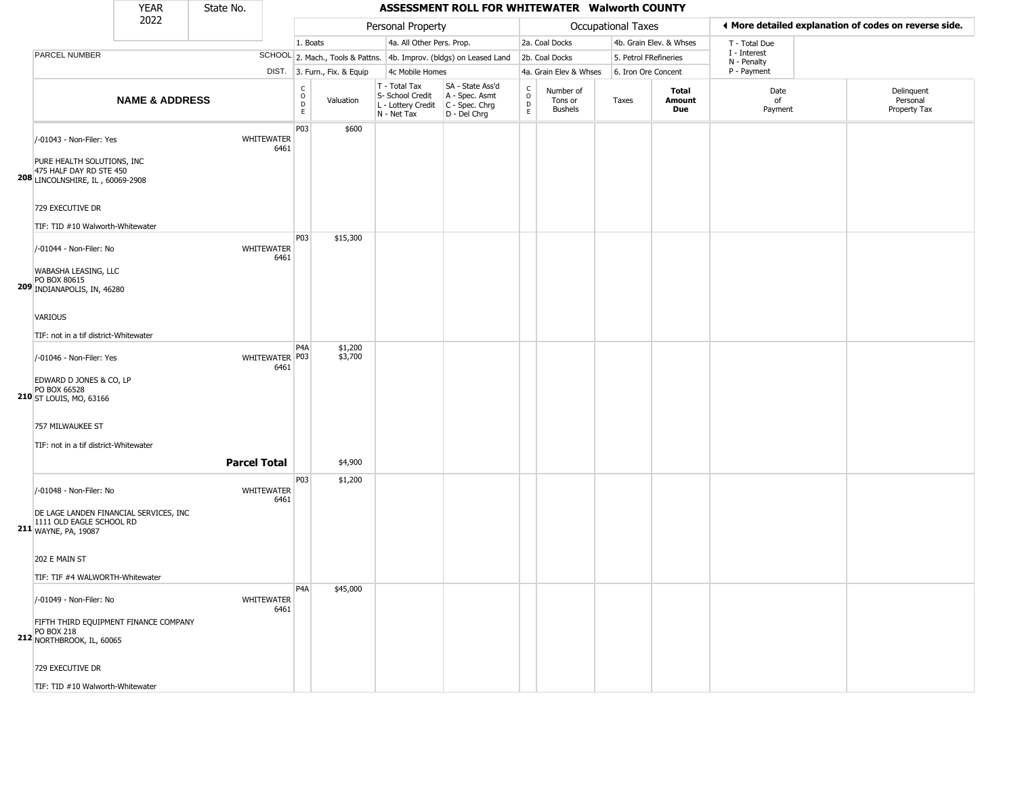|                                                                                                                                                                            | <b>YEAR</b>               | State No.           |                           |                                  |                              |                                                                        | ASSESSMENT ROLL FOR WHITEWATER Walworth COUNTY                       |                                   |                                        |                       |                         |                             |                                                       |
|----------------------------------------------------------------------------------------------------------------------------------------------------------------------------|---------------------------|---------------------|---------------------------|----------------------------------|------------------------------|------------------------------------------------------------------------|----------------------------------------------------------------------|-----------------------------------|----------------------------------------|-----------------------|-------------------------|-----------------------------|-------------------------------------------------------|
|                                                                                                                                                                            | 2022                      |                     |                           |                                  |                              | Personal Property                                                      |                                                                      |                                   |                                        | Occupational Taxes    |                         |                             | ◀ More detailed explanation of codes on reverse side. |
|                                                                                                                                                                            |                           |                     |                           | 1. Boats                         |                              | 4a. All Other Pers. Prop.                                              |                                                                      |                                   | 2a. Coal Docks                         |                       | 4b. Grain Elev. & Whses | T - Total Due               |                                                       |
| PARCEL NUMBER                                                                                                                                                              |                           |                     |                           |                                  |                              |                                                                        | SCHOOL 2. Mach., Tools & Pattns. 4b. Improv. (bldgs) on Leased Land  |                                   | 2b. Coal Docks                         | 5. Petrol FRefineries |                         | I - Interest<br>N - Penalty |                                                       |
|                                                                                                                                                                            |                           |                     |                           |                                  | DIST. 3. Furn., Fix. & Equip | 4c Mobile Homes                                                        |                                                                      |                                   | 4a. Grain Elev & Whses                 | 6. Iron Ore Concent   |                         | P - Payment                 |                                                       |
|                                                                                                                                                                            | <b>NAME &amp; ADDRESS</b> |                     |                           | C<br>$\circ$<br>$\mathsf D$<br>E | Valuation                    | T - Total Tax<br>S- School Credit<br>L - Lottery Credit<br>N - Net Tax | SA - State Ass'd<br>A - Spec. Asmt<br>C - Spec. Chrg<br>D - Del Chrg | C<br>$\circ$<br>$\mathsf{D}$<br>E | Number of<br>Tons or<br><b>Bushels</b> | Taxes                 | Total<br>Amount<br>Due  | Date<br>of<br>Payment       | Delinquent<br>Personal<br>Property Tax                |
| /-01043 - Non-Filer: Yes<br>PURE HEALTH SOLUTIONS, INC<br>475 HALF DAY RD STE 450<br>208 LINCOLNSHIRE, IL, 60069-2908                                                      |                           |                     | WHITEWATER<br>6461        | P03                              | \$600                        |                                                                        |                                                                      |                                   |                                        |                       |                         |                             |                                                       |
| 729 EXECUTIVE DR<br>TIF: TID #10 Walworth-Whitewater                                                                                                                       |                           |                     |                           |                                  |                              |                                                                        |                                                                      |                                   |                                        |                       |                         |                             |                                                       |
| /-01044 - Non-Filer: No<br>WABASHA LEASING, LLC<br>PO BOX 80615                                                                                                            |                           |                     | WHITEWATER<br>6461        | P03                              | \$15,300                     |                                                                        |                                                                      |                                   |                                        |                       |                         |                             |                                                       |
| 209 INDIANAPOLIS, IN, 46280<br><b>VARIOUS</b><br>TIF: not in a tif district-Whitewater                                                                                     |                           |                     |                           |                                  |                              |                                                                        |                                                                      |                                   |                                        |                       |                         |                             |                                                       |
| /-01046 - Non-Filer: Yes<br>EDWARD D JONES & CO, LP<br>PO BOX 66528<br>210 ST LOUIS, MO, 63166                                                                             |                           |                     | WHITEWATER P03<br>6461    | P <sub>4</sub> A                 | \$1,200<br>\$3,700           |                                                                        |                                                                      |                                   |                                        |                       |                         |                             |                                                       |
| 757 MILWAUKEE ST<br>TIF: not in a tif district-Whitewater                                                                                                                  |                           | <b>Parcel Total</b> |                           |                                  | \$4,900                      |                                                                        |                                                                      |                                   |                                        |                       |                         |                             |                                                       |
| /-01048 - Non-Filer: No<br>DE LAGE LANDEN FINANCIAL SERVICES, INC<br>1111 OLD EAGLE SCHOOL RD<br>211 WAYNE, PA, 19087                                                      |                           |                     | <b>WHITEWATER</b><br>6461 | P03                              | \$1,200                      |                                                                        |                                                                      |                                   |                                        |                       |                         |                             |                                                       |
| 202 E MAIN ST<br>TIF: TIF #4 WALWORTH-Whitewater                                                                                                                           |                           |                     |                           |                                  |                              |                                                                        |                                                                      |                                   |                                        |                       |                         |                             |                                                       |
| /-01049 - Non-Filer: No<br>FIFTH THIRD EQUIPMENT FINANCE COMPANY<br><b>PO BOX 218</b><br>212 NORTHBROOK, IL, 60065<br>729 EXECUTIVE DR<br>TIF: TID #10 Walworth-Whitewater |                           |                     | <b>WHITEWATER</b><br>6461 | P <sub>4</sub> A                 | \$45,000                     |                                                                        |                                                                      |                                   |                                        |                       |                         |                             |                                                       |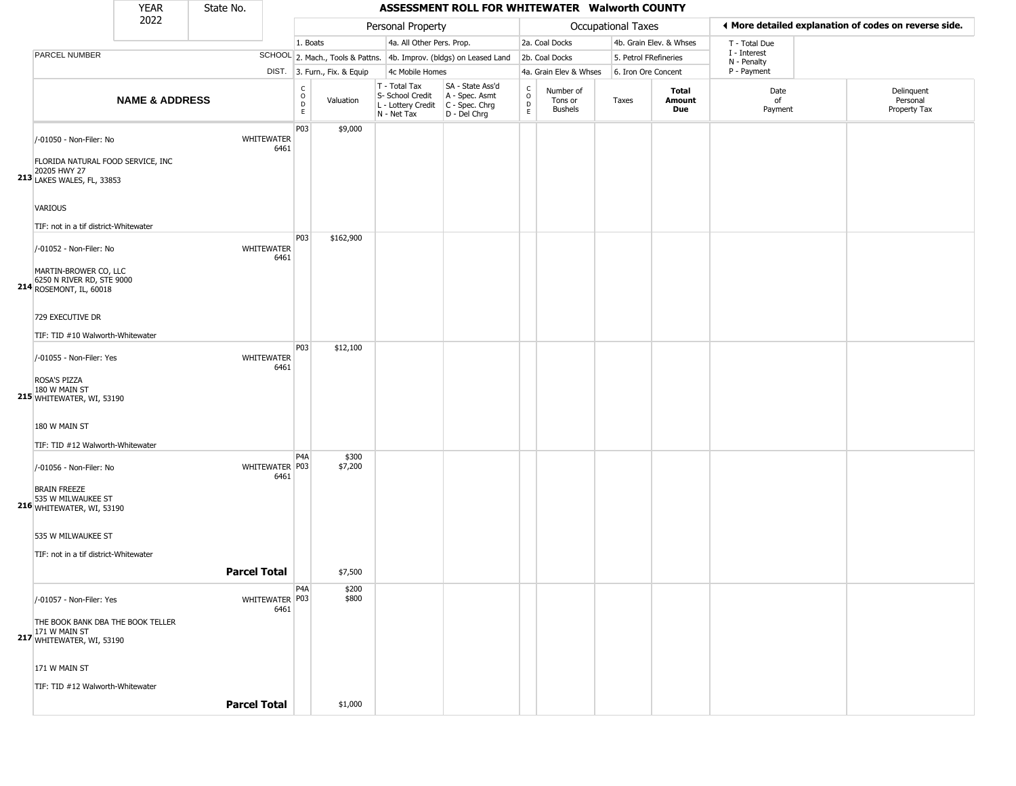|                                                                                                             | YEAR                      | State No. |                           |                                                  |                              |                                                                                         | ASSESSMENT ROLL FOR WHITEWATER Walworth COUNTY                      |                                 |                                        |                    |                         |                             |                                                       |
|-------------------------------------------------------------------------------------------------------------|---------------------------|-----------|---------------------------|--------------------------------------------------|------------------------------|-----------------------------------------------------------------------------------------|---------------------------------------------------------------------|---------------------------------|----------------------------------------|--------------------|-------------------------|-----------------------------|-------------------------------------------------------|
|                                                                                                             | 2022                      |           |                           |                                                  |                              | Personal Property                                                                       |                                                                     |                                 |                                        | Occupational Taxes |                         |                             | ♦ More detailed explanation of codes on reverse side. |
|                                                                                                             |                           |           |                           | 1. Boats                                         |                              | 4a. All Other Pers. Prop.                                                               |                                                                     |                                 | 2a. Coal Docks                         |                    | 4b. Grain Elev. & Whses | T - Total Due               |                                                       |
| PARCEL NUMBER                                                                                               |                           |           |                           |                                                  |                              |                                                                                         | SCHOOL 2. Mach., Tools & Pattns. 4b. Improv. (bldgs) on Leased Land |                                 | 2b. Coal Docks                         |                    | 5. Petrol FRefineries   | I - Interest<br>N - Penalty |                                                       |
|                                                                                                             |                           |           |                           |                                                  | DIST. 3. Furn., Fix. & Equip | 4c Mobile Homes                                                                         |                                                                     |                                 | 4a. Grain Elev & Whses                 |                    | 6. Iron Ore Concent     | P - Payment                 |                                                       |
|                                                                                                             | <b>NAME &amp; ADDRESS</b> |           |                           | $_{\rm o}^{\rm c}$<br>$\mathsf D$<br>$\mathsf E$ | Valuation                    | T - Total Tax<br>S- School Credit<br>L - Lottery Credit   C - Spec. Chrg<br>N - Net Tax | SA - State Ass'd<br>A - Spec. Asmt<br>D - Del Chrg                  | $\rm _o^C$<br>$\mathsf{D}$<br>E | Number of<br>Tons or<br><b>Bushels</b> | Taxes              | Total<br>Amount<br>Due  | Date<br>of<br>Payment       | Delinquent<br>Personal<br>Property Tax                |
| /-01050 - Non-Filer: No<br>FLORIDA NATURAL FOOD SERVICE, INC<br>20205 HWY 27<br>213 LAKES WALES, FL, 33853  |                           |           | <b>WHITEWATER</b><br>6461 | P03                                              | \$9,000                      |                                                                                         |                                                                     |                                 |                                        |                    |                         |                             |                                                       |
| VARIOUS<br>TIF: not in a tif district-Whitewater                                                            |                           |           |                           |                                                  |                              |                                                                                         |                                                                     |                                 |                                        |                    |                         |                             |                                                       |
| /-01052 - Non-Filer: No<br>MARTIN-BROWER CO, LLC<br>6250 N RIVER RD, STE 9000<br>214 ROSEMONT, IL, 60018    |                           |           | <b>WHITEWATER</b><br>6461 | P03                                              | \$162,900                    |                                                                                         |                                                                     |                                 |                                        |                    |                         |                             |                                                       |
| 729 EXECUTIVE DR<br>TIF: TID #10 Walworth-Whitewater                                                        |                           |           |                           |                                                  |                              |                                                                                         |                                                                     |                                 |                                        |                    |                         |                             |                                                       |
| /-01055 - Non-Filer: Yes<br>ROSA'S PIZZA<br>180 W MAIN ST<br>215 WHITEWATER, WI, 53190                      |                           |           | <b>WHITEWATER</b><br>6461 | P03                                              | \$12,100                     |                                                                                         |                                                                     |                                 |                                        |                    |                         |                             |                                                       |
| 180 W MAIN ST<br>TIF: TID #12 Walworth-Whitewater                                                           |                           |           |                           |                                                  |                              |                                                                                         |                                                                     |                                 |                                        |                    |                         |                             |                                                       |
| /-01056 - Non-Filer: No<br><b>BRAIN FREEZE</b><br>535 W MILWAUKEE ST<br>216 WHITEWATER, WI, 53190           |                           |           | WHITEWATER P03<br>6461    | P <sub>4</sub> A                                 | \$300<br>\$7,200             |                                                                                         |                                                                     |                                 |                                        |                    |                         |                             |                                                       |
| 535 W MILWAUKEE ST<br>TIF: not in a tif district-Whitewater                                                 |                           |           | <b>Parcel Total</b>       |                                                  | \$7,500                      |                                                                                         |                                                                     |                                 |                                        |                    |                         |                             |                                                       |
|                                                                                                             |                           |           |                           | P4A                                              | \$200                        |                                                                                         |                                                                     |                                 |                                        |                    |                         |                             |                                                       |
| /-01057 - Non-Filer: Yes<br>THE BOOK BANK DBA THE BOOK TELLER<br>171 W MAIN ST<br>217 WHITEWATER, WI, 53190 |                           |           | WHITEWATER P03<br>6461    |                                                  | \$800                        |                                                                                         |                                                                     |                                 |                                        |                    |                         |                             |                                                       |
| 171 W MAIN ST<br>TIF: TID #12 Walworth-Whitewater                                                           |                           |           |                           |                                                  |                              |                                                                                         |                                                                     |                                 |                                        |                    |                         |                             |                                                       |
|                                                                                                             |                           |           | <b>Parcel Total</b>       |                                                  | \$1,000                      |                                                                                         |                                                                     |                                 |                                        |                    |                         |                             |                                                       |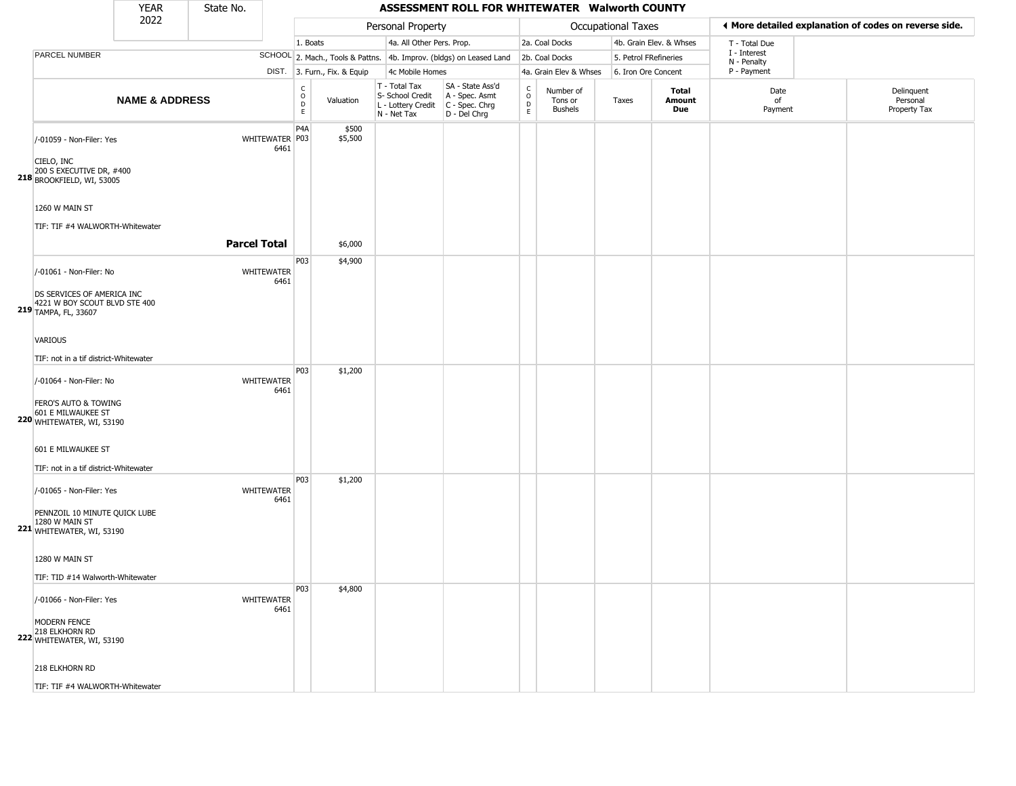|                                                                                                                | <b>YEAR</b>               | State No.           |                           |                             |                              |                                                                        | ASSESSMENT ROLL FOR WHITEWATER Walworth COUNTY                       |                                                   |                                        |                       |                         |                             |                                                       |
|----------------------------------------------------------------------------------------------------------------|---------------------------|---------------------|---------------------------|-----------------------------|------------------------------|------------------------------------------------------------------------|----------------------------------------------------------------------|---------------------------------------------------|----------------------------------------|-----------------------|-------------------------|-----------------------------|-------------------------------------------------------|
|                                                                                                                | 2022                      |                     |                           |                             |                              | Personal Property                                                      |                                                                      |                                                   | Occupational Taxes                     |                       |                         |                             | ◀ More detailed explanation of codes on reverse side. |
|                                                                                                                |                           |                     |                           | 1. Boats                    |                              | 4a. All Other Pers. Prop.                                              |                                                                      |                                                   | 2a. Coal Docks                         |                       | 4b. Grain Elev. & Whses | T - Total Due               |                                                       |
| PARCEL NUMBER                                                                                                  |                           |                     |                           |                             |                              |                                                                        | SCHOOL 2. Mach., Tools & Pattns. 4b. Improv. (bldgs) on Leased Land  |                                                   | 2b. Coal Docks                         | 5. Petrol FRefineries |                         | I - Interest<br>N - Penalty |                                                       |
|                                                                                                                |                           |                     |                           |                             | DIST. 3. Furn., Fix. & Equip | 4c Mobile Homes                                                        |                                                                      |                                                   | 4a. Grain Elev & Whses                 | 6. Iron Ore Concent   |                         | P - Payment                 |                                                       |
|                                                                                                                | <b>NAME &amp; ADDRESS</b> |                     |                           | C<br>$\circ$<br>$\Box$<br>E | Valuation                    | T - Total Tax<br>S- School Credit<br>L - Lottery Credit<br>N - Net Tax | SA - State Ass'd<br>A - Spec. Asmt<br>C - Spec. Chrg<br>D - Del Chrg | $\begin{array}{c}\nC \\ O \\ D \\ E\n\end{array}$ | Number of<br>Tons or<br><b>Bushels</b> | Taxes                 | Total<br>Amount<br>Due  | Date<br>of<br>Payment       | Delinquent<br>Personal<br>Property Tax                |
| /-01059 - Non-Filer: Yes<br>CIELO, INC<br>200 S EXECUTIVE DR, #400<br><b>218</b> BROOKFIELD, WI, 53005         |                           |                     | WHITEWATER   P03<br>6461  | P <sub>4</sub> A            | \$500<br>\$5,500             |                                                                        |                                                                      |                                                   |                                        |                       |                         |                             |                                                       |
| 1260 W MAIN ST<br>TIF: TIF #4 WALWORTH-Whitewater                                                              |                           | <b>Parcel Total</b> |                           |                             | \$6,000                      |                                                                        |                                                                      |                                                   |                                        |                       |                         |                             |                                                       |
| /-01061 - Non-Filer: No<br>DS SERVICES OF AMERICA INC<br>4221 W BOY SCOUT BLVD STE 400<br>219 TAMPA, FL, 33607 |                           |                     | WHITEWATER<br>6461        | P03                         | \$4,900                      |                                                                        |                                                                      |                                                   |                                        |                       |                         |                             |                                                       |
| VARIOUS<br>TIF: not in a tif district-Whitewater                                                               |                           |                     |                           | P03                         | \$1,200                      |                                                                        |                                                                      |                                                   |                                        |                       |                         |                             |                                                       |
| /-01064 - Non-Filer: No<br>FERO'S AUTO & TOWING<br>601 E MILWAUKEE ST<br>220 WHITEWATER, WI, 53190             |                           |                     | <b>WHITEWATER</b><br>6461 |                             |                              |                                                                        |                                                                      |                                                   |                                        |                       |                         |                             |                                                       |
| 601 E MILWAUKEE ST<br>TIF: not in a tif district-Whitewater                                                    |                           |                     |                           | P03                         | \$1,200                      |                                                                        |                                                                      |                                                   |                                        |                       |                         |                             |                                                       |
| /-01065 - Non-Filer: Yes<br>PENNZOIL 10 MINUTE QUICK LUBE<br>1280 W MAIN ST<br>221 WHITEWATER, WI, 53190       |                           |                     | <b>WHITEWATER</b><br>6461 |                             |                              |                                                                        |                                                                      |                                                   |                                        |                       |                         |                             |                                                       |
| 1280 W MAIN ST<br>TIF: TID #14 Walworth-Whitewater                                                             |                           |                     |                           |                             |                              |                                                                        |                                                                      |                                                   |                                        |                       |                         |                             |                                                       |
| /-01066 - Non-Filer: Yes<br>MODERN FENCE<br>218 ELKHORN RD<br><b>222</b> WHITEWATER, WI, 53190                 |                           |                     | WHITEWATER<br>6461        | P <sub>03</sub>             | \$4,800                      |                                                                        |                                                                      |                                                   |                                        |                       |                         |                             |                                                       |
| 218 ELKHORN RD                                                                                                 |                           |                     |                           |                             |                              |                                                                        |                                                                      |                                                   |                                        |                       |                         |                             |                                                       |

TIF: TIF #4 WALWORTH-Whitewater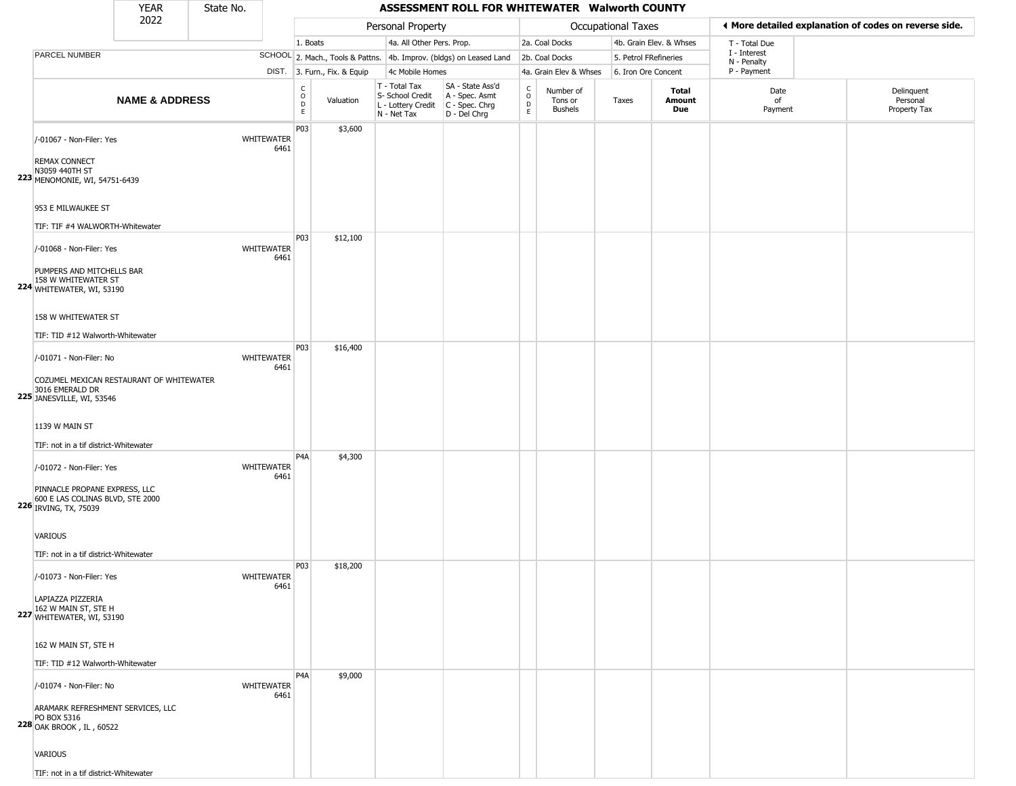| YEAR | State No. |
|------|-----------|
| ררחר |           |

ı

## **ASSESSMENT ROLL FOR WHITEWATER Walworth COUNTY**

|                                                                                            | 2022                      |                           |                        |                              | Personal Property                                                      |                                                                      |                                                |                                        | <b>Occupational Taxes</b> |                         | ◀ More detailed explanation of codes on reverse side. |                                        |
|--------------------------------------------------------------------------------------------|---------------------------|---------------------------|------------------------|------------------------------|------------------------------------------------------------------------|----------------------------------------------------------------------|------------------------------------------------|----------------------------------------|---------------------------|-------------------------|-------------------------------------------------------|----------------------------------------|
|                                                                                            |                           |                           |                        | 1. Boats                     | 4a. All Other Pers. Prop.                                              |                                                                      |                                                | 2a. Coal Docks                         |                           | 4b. Grain Elev. & Whses | T - Total Due                                         |                                        |
| PARCEL NUMBER                                                                              |                           |                           |                        |                              |                                                                        | SCHOOL 2. Mach., Tools & Pattns. 4b. Improv. (bldgs) on Leased Land  |                                                | 2b. Coal Docks                         | 5. Petrol FRefineries     |                         | I - Interest<br>N - Penalty                           |                                        |
|                                                                                            |                           |                           |                        | DIST. 3. Furn., Fix. & Equip | 4c Mobile Homes                                                        |                                                                      |                                                | 4a. Grain Elev & Whses                 | 6. Iron Ore Concent       |                         | P - Payment                                           |                                        |
|                                                                                            | <b>NAME &amp; ADDRESS</b> |                           | C<br>$\circ$<br>D<br>E | Valuation                    | T - Total Tax<br>S- School Credit<br>L - Lottery Credit<br>N - Net Tax | SA - State Ass'd<br>A - Spec. Asmt<br>C - Spec. Chrg<br>D - Del Chrg | $\begin{matrix} 0 \\ 0 \\ D \end{matrix}$<br>E | Number of<br>Tons or<br><b>Bushels</b> | Taxes                     | Total<br>Amount<br>Due  | Date<br>of<br>Payment                                 | Delinquent<br>Personal<br>Property Tax |
|                                                                                            |                           |                           | P03                    | \$3,600                      |                                                                        |                                                                      |                                                |                                        |                           |                         |                                                       |                                        |
| /-01067 - Non-Filer: Yes                                                                   |                           | <b>WHITEWATER</b><br>6461 |                        |                              |                                                                        |                                                                      |                                                |                                        |                           |                         |                                                       |                                        |
| <b>REMAX CONNECT</b><br>N3059 440TH ST<br>223 MENOMONIE, WI, 54751-6439                    |                           |                           |                        |                              |                                                                        |                                                                      |                                                |                                        |                           |                         |                                                       |                                        |
| 953 E MILWAUKEE ST                                                                         |                           |                           |                        |                              |                                                                        |                                                                      |                                                |                                        |                           |                         |                                                       |                                        |
| TIF: TIF #4 WALWORTH-Whitewater                                                            |                           |                           |                        |                              |                                                                        |                                                                      |                                                |                                        |                           |                         |                                                       |                                        |
| /-01068 - Non-Filer: Yes                                                                   |                           | <b>WHITEWATER</b><br>6461 | P03                    | \$12,100                     |                                                                        |                                                                      |                                                |                                        |                           |                         |                                                       |                                        |
| PUMPERS AND MITCHELLS BAR<br>158 W WHITEWATER ST<br>224 WHITEWATER, WI, 53190              |                           |                           |                        |                              |                                                                        |                                                                      |                                                |                                        |                           |                         |                                                       |                                        |
| 158 W WHITEWATER ST                                                                        |                           |                           |                        |                              |                                                                        |                                                                      |                                                |                                        |                           |                         |                                                       |                                        |
| TIF: TID #12 Walworth-Whitewater                                                           |                           |                           |                        |                              |                                                                        |                                                                      |                                                |                                        |                           |                         |                                                       |                                        |
| /-01071 - Non-Filer: No                                                                    |                           | <b>WHITEWATER</b><br>6461 | P03                    | \$16,400                     |                                                                        |                                                                      |                                                |                                        |                           |                         |                                                       |                                        |
| COZUMEL MEXICAN RESTAURANT OF WHITEWATER<br>3016 EMERALD DR<br>225 JANESVILLE, WI, 53546   |                           |                           |                        |                              |                                                                        |                                                                      |                                                |                                        |                           |                         |                                                       |                                        |
| 1139 W MAIN ST                                                                             |                           |                           |                        |                              |                                                                        |                                                                      |                                                |                                        |                           |                         |                                                       |                                        |
| TIF: not in a tif district-Whitewater                                                      |                           |                           |                        |                              |                                                                        |                                                                      |                                                |                                        |                           |                         |                                                       |                                        |
| /-01072 - Non-Filer: Yes                                                                   |                           | <b>WHITEWATER</b><br>6461 | P <sub>4</sub> A       | \$4,300                      |                                                                        |                                                                      |                                                |                                        |                           |                         |                                                       |                                        |
| PINNACLE PROPANE EXPRESS, LLC<br>600 E LAS COLINAS BLVD, STE 2000<br>226 IRVING, TX, 75039 |                           |                           |                        |                              |                                                                        |                                                                      |                                                |                                        |                           |                         |                                                       |                                        |
| VARIOUS                                                                                    |                           |                           |                        |                              |                                                                        |                                                                      |                                                |                                        |                           |                         |                                                       |                                        |
| TIF: not in a tif district-Whitewater                                                      |                           |                           |                        |                              |                                                                        |                                                                      |                                                |                                        |                           |                         |                                                       |                                        |
| /-01073 - Non-Filer: Yes                                                                   |                           | WHITEWATER<br>6461        | P03                    | \$18,200                     |                                                                        |                                                                      |                                                |                                        |                           |                         |                                                       |                                        |
| LAPIAZZA PIZZERIA<br>162 W MAIN ST, STE H<br>227 WHITEWATER, WI, 53190                     |                           |                           |                        |                              |                                                                        |                                                                      |                                                |                                        |                           |                         |                                                       |                                        |
| 162 W MAIN ST, STE H                                                                       |                           |                           |                        |                              |                                                                        |                                                                      |                                                |                                        |                           |                         |                                                       |                                        |
|                                                                                            |                           |                           |                        |                              |                                                                        |                                                                      |                                                |                                        |                           |                         |                                                       |                                        |
| TIF: TID #12 Walworth-Whitewater                                                           |                           |                           | P <sub>4</sub> A       | \$9,000                      |                                                                        |                                                                      |                                                |                                        |                           |                         |                                                       |                                        |
| /-01074 - Non-Filer: No                                                                    |                           | <b>WHITEWATER</b><br>6461 |                        |                              |                                                                        |                                                                      |                                                |                                        |                           |                         |                                                       |                                        |
| ARAMARK REFRESHMENT SERVICES, LLC<br>PO BOX 5316<br>228 OAK BROOK, IL, 60522               |                           |                           |                        |                              |                                                                        |                                                                      |                                                |                                        |                           |                         |                                                       |                                        |
| VARIOUS                                                                                    |                           |                           |                        |                              |                                                                        |                                                                      |                                                |                                        |                           |                         |                                                       |                                        |
| TIF: not in a tif district-Whitewater                                                      |                           |                           |                        |                              |                                                                        |                                                                      |                                                |                                        |                           |                         |                                                       |                                        |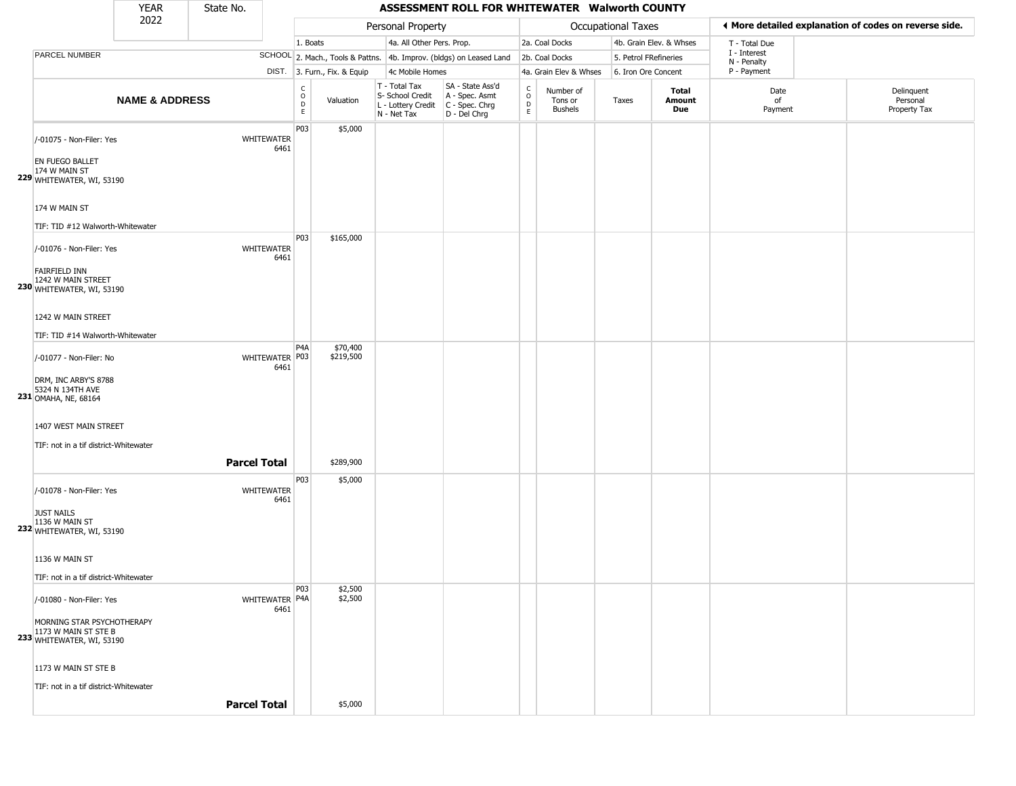|                                                                                                             | <b>YEAR</b>               | State No. |                           |                                |                              |                                                                        | ASSESSMENT ROLL FOR WHITEWATER Walworth COUNTY                       |                                   |                                        |                           |                         |                             |                                                       |
|-------------------------------------------------------------------------------------------------------------|---------------------------|-----------|---------------------------|--------------------------------|------------------------------|------------------------------------------------------------------------|----------------------------------------------------------------------|-----------------------------------|----------------------------------------|---------------------------|-------------------------|-----------------------------|-------------------------------------------------------|
|                                                                                                             | 2022                      |           |                           |                                |                              | Personal Property                                                      |                                                                      |                                   |                                        | <b>Occupational Taxes</b> |                         |                             | ♦ More detailed explanation of codes on reverse side. |
|                                                                                                             |                           |           |                           | 1. Boats                       |                              | 4a. All Other Pers. Prop.                                              |                                                                      |                                   | 2a. Coal Docks                         |                           | 4b. Grain Elev. & Whses | T - Total Due               |                                                       |
| PARCEL NUMBER                                                                                               |                           |           |                           |                                |                              |                                                                        | SCHOOL 2. Mach., Tools & Pattns. 4b. Improv. (bldgs) on Leased Land  |                                   | 2b. Coal Docks                         | 5. Petrol FRefineries     |                         | I - Interest<br>N - Penalty |                                                       |
|                                                                                                             |                           |           |                           |                                | DIST. 3. Furn., Fix. & Equip | 4c Mobile Homes                                                        |                                                                      |                                   | 4a. Grain Elev & Whses                 | 6. Iron Ore Concent       |                         | P - Payment                 |                                                       |
|                                                                                                             | <b>NAME &amp; ADDRESS</b> |           |                           | $\rm _o^C$<br>$\mathsf D$<br>E | Valuation                    | T - Total Tax<br>S- School Credit<br>L - Lottery Credit<br>N - Net Tax | SA - State Ass'd<br>A - Spec. Asmt<br>C - Spec. Chrg<br>D - Del Chrg | $\mathsf{C}$<br>$\circ$<br>D<br>E | Number of<br>Tons or<br><b>Bushels</b> | Taxes                     | Total<br>Amount<br>Due  | Date<br>of<br>Payment       | Delinquent<br>Personal<br>Property Tax                |
| /-01075 - Non-Filer: Yes<br>EN FUEGO BALLET<br>174 W MAIN ST<br>229 WHITEWATER, WI, 53190                   |                           |           | <b>WHITEWATER</b><br>6461 | P03                            | \$5,000                      |                                                                        |                                                                      |                                   |                                        |                           |                         |                             |                                                       |
| 174 W MAIN ST<br>TIF: TID #12 Walworth-Whitewater                                                           |                           |           |                           |                                |                              |                                                                        |                                                                      |                                   |                                        |                           |                         |                             |                                                       |
| /-01076 - Non-Filer: Yes<br>FAIRFIELD INN<br>1242 W MAIN STREET<br>230 WHITEWATER, WI, 53190                |                           |           | <b>WHITEWATER</b><br>6461 | P03                            | \$165,000                    |                                                                        |                                                                      |                                   |                                        |                           |                         |                             |                                                       |
| 1242 W MAIN STREET<br>TIF: TID #14 Walworth-Whitewater                                                      |                           |           |                           |                                |                              |                                                                        |                                                                      |                                   |                                        |                           |                         |                             |                                                       |
| /-01077 - Non-Filer: No<br>DRM, INC ARBY'S 8788<br>5324 N 134TH AVE<br>231 OMAHA, NE, 68164                 |                           |           | WHITEWATER P03<br>6461    | P4A                            | \$70,400<br>\$219,500        |                                                                        |                                                                      |                                   |                                        |                           |                         |                             |                                                       |
| 1407 WEST MAIN STREET<br>TIF: not in a tif district-Whitewater                                              |                           |           | <b>Parcel Total</b>       |                                | \$289,900                    |                                                                        |                                                                      |                                   |                                        |                           |                         |                             |                                                       |
| /-01078 - Non-Filer: Yes<br><b>JUST NAILS</b><br>1136 W MAIN ST<br>232 WHITEWATER, WI, 53190                |                           |           | WHITEWATER<br>6461        | P03                            | \$5,000                      |                                                                        |                                                                      |                                   |                                        |                           |                         |                             |                                                       |
| 1136 W MAIN ST<br>TIF: not in a tif district-Whitewater                                                     |                           |           |                           |                                |                              |                                                                        |                                                                      |                                   |                                        |                           |                         |                             |                                                       |
| /-01080 - Non-Filer: Yes<br>MORNING STAR PSYCHOTHERAPY<br>1173 W MAIN ST STE B<br>233 WHITEWATER, WI, 53190 |                           |           | WHITEWATER P4A<br>6461    | P03                            | \$2,500<br>\$2,500           |                                                                        |                                                                      |                                   |                                        |                           |                         |                             |                                                       |
| 1173 W MAIN ST STE B<br>TIF: not in a tif district-Whitewater                                               |                           |           | <b>Parcel Total</b>       |                                | \$5,000                      |                                                                        |                                                                      |                                   |                                        |                           |                         |                             |                                                       |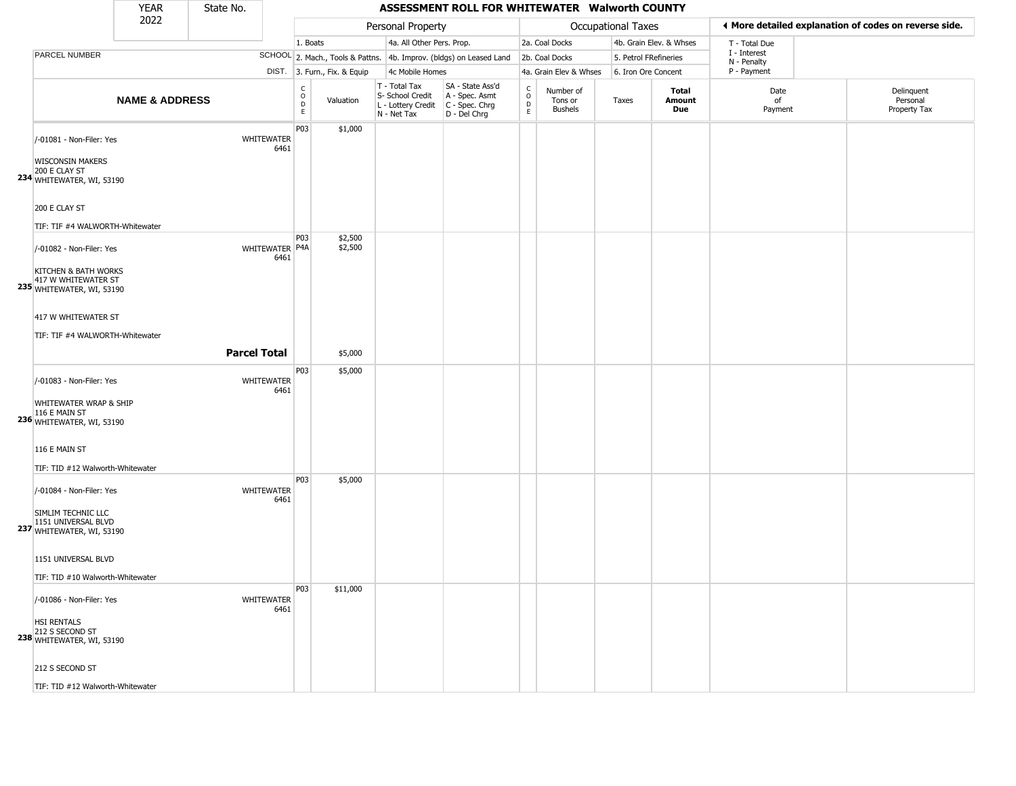| 2022<br>Personal Property<br><b>Occupational Taxes</b><br>4a. All Other Pers. Prop.<br>4b. Grain Elev. & Whses<br>1. Boats<br>2a. Coal Docks<br>T - Total Due<br>I - Interest<br>PARCEL NUMBER<br>SCHOOL 2. Mach., Tools & Pattns. 4b. Improv. (bldgs) on Leased Land<br>5. Petrol FRefineries<br>2b. Coal Docks<br>N - Penalty<br>P - Payment<br>DIST. 3. Furn., Fix. & Equip<br>4c Mobile Homes<br>4a. Grain Elev & Whses<br>6. Iron Ore Concent<br>T - Total Tax<br>SA - State Ass'd<br>$_{\rm o}^{\rm c}$<br>$\frac{c}{0}$<br>Number of<br><b>Total</b><br>Date<br>S- School Credit<br>A - Spec. Asmt<br><b>NAME &amp; ADDRESS</b><br>Valuation<br>Tons or<br>Amount<br>Taxes<br>of<br>$\mathsf D$<br>$\mathsf D$<br>C - Spec. Chrg<br>L - Lottery Credit<br><b>Bushels</b><br>Due<br>Payment<br>$\mathsf E$<br>$\mathsf E$<br>D - Del Chrg<br>N - Net Tax<br>P03<br>\$1,000<br><b>WHITEWATER</b><br>/-01081 - Non-Filer: Yes<br>6461<br><b>WISCONSIN MAKERS</b><br>200 E CLAY ST<br>234 WHITEWATER, WI, 53190<br>200 E CLAY ST<br>TIF: TIF #4 WALWORTH-Whitewater<br><b>P03</b><br>\$2,500<br>\$2,500<br>WHITEWATER   P4A<br>/-01082 - Non-Filer: Yes<br>6461<br>KITCHEN & BATH WORKS<br>417 W WHITEWATER ST<br>235 WHITEWATER, WI, 53190<br>417 W WHITEWATER ST<br>TIF: TIF #4 WALWORTH-Whitewater<br><b>Parcel Total</b><br>\$5,000<br>P03<br>\$5,000<br><b>WHITEWATER</b><br>/-01083 - Non-Filer: Yes<br>6461<br>WHITEWATER WRAP & SHIP<br>116 E MAIN ST<br>236 WHITEWATER, WI, 53190<br>116 E MAIN ST<br>TIF: TID #12 Walworth-Whitewater<br>P03<br>\$5,000<br>/-01084 - Non-Filer: Yes<br><b>WHITEWATER</b><br>6461<br>SIMLIM TECHNIC LLC |                                                       |
|-----------------------------------------------------------------------------------------------------------------------------------------------------------------------------------------------------------------------------------------------------------------------------------------------------------------------------------------------------------------------------------------------------------------------------------------------------------------------------------------------------------------------------------------------------------------------------------------------------------------------------------------------------------------------------------------------------------------------------------------------------------------------------------------------------------------------------------------------------------------------------------------------------------------------------------------------------------------------------------------------------------------------------------------------------------------------------------------------------------------------------------------------------------------------------------------------------------------------------------------------------------------------------------------------------------------------------------------------------------------------------------------------------------------------------------------------------------------------------------------------------------------------------------------------------------------------------------------------------------------------------------------------------|-------------------------------------------------------|
|                                                                                                                                                                                                                                                                                                                                                                                                                                                                                                                                                                                                                                                                                                                                                                                                                                                                                                                                                                                                                                                                                                                                                                                                                                                                                                                                                                                                                                                                                                                                                                                                                                                     | ♦ More detailed explanation of codes on reverse side. |
|                                                                                                                                                                                                                                                                                                                                                                                                                                                                                                                                                                                                                                                                                                                                                                                                                                                                                                                                                                                                                                                                                                                                                                                                                                                                                                                                                                                                                                                                                                                                                                                                                                                     |                                                       |
|                                                                                                                                                                                                                                                                                                                                                                                                                                                                                                                                                                                                                                                                                                                                                                                                                                                                                                                                                                                                                                                                                                                                                                                                                                                                                                                                                                                                                                                                                                                                                                                                                                                     |                                                       |
|                                                                                                                                                                                                                                                                                                                                                                                                                                                                                                                                                                                                                                                                                                                                                                                                                                                                                                                                                                                                                                                                                                                                                                                                                                                                                                                                                                                                                                                                                                                                                                                                                                                     |                                                       |
|                                                                                                                                                                                                                                                                                                                                                                                                                                                                                                                                                                                                                                                                                                                                                                                                                                                                                                                                                                                                                                                                                                                                                                                                                                                                                                                                                                                                                                                                                                                                                                                                                                                     | Delinquent<br>Personal<br>Property Tax                |
|                                                                                                                                                                                                                                                                                                                                                                                                                                                                                                                                                                                                                                                                                                                                                                                                                                                                                                                                                                                                                                                                                                                                                                                                                                                                                                                                                                                                                                                                                                                                                                                                                                                     |                                                       |
|                                                                                                                                                                                                                                                                                                                                                                                                                                                                                                                                                                                                                                                                                                                                                                                                                                                                                                                                                                                                                                                                                                                                                                                                                                                                                                                                                                                                                                                                                                                                                                                                                                                     |                                                       |
|                                                                                                                                                                                                                                                                                                                                                                                                                                                                                                                                                                                                                                                                                                                                                                                                                                                                                                                                                                                                                                                                                                                                                                                                                                                                                                                                                                                                                                                                                                                                                                                                                                                     |                                                       |
|                                                                                                                                                                                                                                                                                                                                                                                                                                                                                                                                                                                                                                                                                                                                                                                                                                                                                                                                                                                                                                                                                                                                                                                                                                                                                                                                                                                                                                                                                                                                                                                                                                                     |                                                       |
|                                                                                                                                                                                                                                                                                                                                                                                                                                                                                                                                                                                                                                                                                                                                                                                                                                                                                                                                                                                                                                                                                                                                                                                                                                                                                                                                                                                                                                                                                                                                                                                                                                                     |                                                       |
|                                                                                                                                                                                                                                                                                                                                                                                                                                                                                                                                                                                                                                                                                                                                                                                                                                                                                                                                                                                                                                                                                                                                                                                                                                                                                                                                                                                                                                                                                                                                                                                                                                                     |                                                       |
| 1151 UNIVERSAL BLVD<br>237 WHITEWATER, WI, 53190                                                                                                                                                                                                                                                                                                                                                                                                                                                                                                                                                                                                                                                                                                                                                                                                                                                                                                                                                                                                                                                                                                                                                                                                                                                                                                                                                                                                                                                                                                                                                                                                    |                                                       |
| 1151 UNIVERSAL BLVD<br>TIF: TID #10 Walworth-Whitewater                                                                                                                                                                                                                                                                                                                                                                                                                                                                                                                                                                                                                                                                                                                                                                                                                                                                                                                                                                                                                                                                                                                                                                                                                                                                                                                                                                                                                                                                                                                                                                                             |                                                       |
| P03<br>\$11,000<br>/-01086 - Non-Filer: Yes<br><b>WHITEWATER</b><br>6461<br><b>HSI RENTALS</b><br>212 S SECOND ST<br>238 WHITEWATER, WI, 53190<br>212 S SECOND ST                                                                                                                                                                                                                                                                                                                                                                                                                                                                                                                                                                                                                                                                                                                                                                                                                                                                                                                                                                                                                                                                                                                                                                                                                                                                                                                                                                                                                                                                                   |                                                       |

TIF: TID #12 Walworth-Whitewater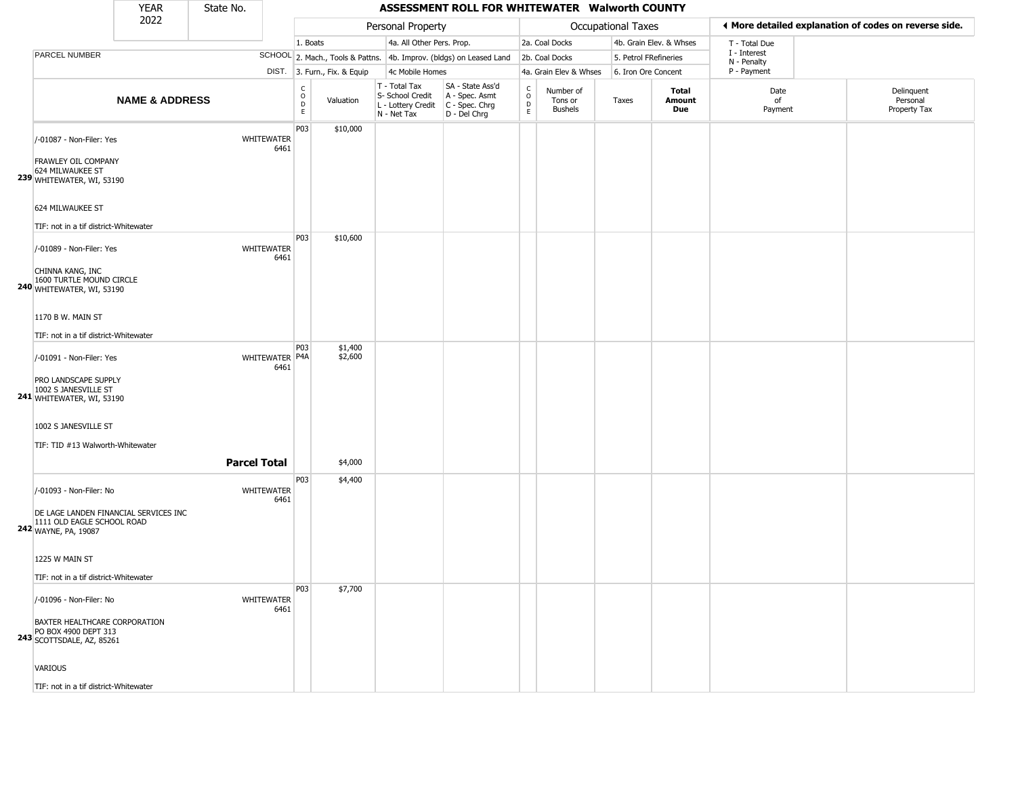|                                                                                             | <b>YEAR</b>               | State No.           |                           |                                   |                              |                                                                        | ASSESSMENT ROLL FOR WHITEWATER Walworth COUNTY                       |                                   |                                        |                       |                         |                             |                                                       |
|---------------------------------------------------------------------------------------------|---------------------------|---------------------|---------------------------|-----------------------------------|------------------------------|------------------------------------------------------------------------|----------------------------------------------------------------------|-----------------------------------|----------------------------------------|-----------------------|-------------------------|-----------------------------|-------------------------------------------------------|
|                                                                                             | 2022                      |                     |                           |                                   |                              | Personal Property                                                      |                                                                      |                                   |                                        | Occupational Taxes    |                         |                             | ◀ More detailed explanation of codes on reverse side. |
|                                                                                             |                           |                     |                           | 1. Boats                          |                              | 4a. All Other Pers. Prop.                                              |                                                                      |                                   | 2a. Coal Docks                         |                       | 4b. Grain Elev. & Whses | T - Total Due               |                                                       |
| PARCEL NUMBER                                                                               |                           |                     |                           |                                   |                              |                                                                        | SCHOOL 2. Mach., Tools & Pattns. 4b. Improv. (bldgs) on Leased Land  |                                   | 2b. Coal Docks                         | 5. Petrol FRefineries |                         | I - Interest<br>N - Penalty |                                                       |
|                                                                                             |                           |                     |                           |                                   | DIST. 3. Furn., Fix. & Equip | 4c Mobile Homes                                                        |                                                                      |                                   | 4a. Grain Elev & Whses                 | 6. Iron Ore Concent   |                         | P - Payment                 |                                                       |
|                                                                                             | <b>NAME &amp; ADDRESS</b> |                     |                           | $\mathsf{C}$<br>$\circ$<br>D<br>E | Valuation                    | T - Total Tax<br>S- School Credit<br>L - Lottery Credit<br>N - Net Tax | SA - State Ass'd<br>A - Spec. Asmt<br>C - Spec. Chrg<br>D - Del Chrg | C<br>$\circ$<br>$\mathsf{D}$<br>E | Number of<br>Tons or<br><b>Bushels</b> | Taxes                 | Total<br>Amount<br>Due  | Date<br>of<br>Payment       | Delinquent<br>Personal<br>Property Tax                |
| /-01087 - Non-Filer: Yes<br><b>FRAWLEY OIL COMPANY</b>                                      |                           |                     | <b>WHITEWATER</b><br>6461 | P03                               | \$10,000                     |                                                                        |                                                                      |                                   |                                        |                       |                         |                             |                                                       |
| 624 MILWAUKEE ST<br>239 WHITEWATER, WI, 53190                                               |                           |                     |                           |                                   |                              |                                                                        |                                                                      |                                   |                                        |                       |                         |                             |                                                       |
| 624 MILWAUKEE ST<br>TIF: not in a tif district-Whitewater                                   |                           |                     |                           |                                   |                              |                                                                        |                                                                      |                                   |                                        |                       |                         |                             |                                                       |
| /-01089 - Non-Filer: Yes                                                                    |                           |                     | <b>WHITEWATER</b><br>6461 | P03                               | \$10,600                     |                                                                        |                                                                      |                                   |                                        |                       |                         |                             |                                                       |
| CHINNA KANG, INC<br>1600 TURTLE MOUND CIRCLE<br>240 WHITEWATER, WI, 53190                   |                           |                     |                           |                                   |                              |                                                                        |                                                                      |                                   |                                        |                       |                         |                             |                                                       |
| 1170 B W. MAIN ST<br>TIF: not in a tif district-Whitewater                                  |                           |                     |                           |                                   |                              |                                                                        |                                                                      |                                   |                                        |                       |                         |                             |                                                       |
| /-01091 - Non-Filer: Yes                                                                    |                           |                     | WHITEWATER P4A<br>6461    | P <sub>03</sub>                   | \$1,400<br>\$2,600           |                                                                        |                                                                      |                                   |                                        |                       |                         |                             |                                                       |
| PRO LANDSCAPE SUPPLY<br>1002 S JANESVILLE ST<br>241 WHITEWATER, WI, 53190                   |                           |                     |                           |                                   |                              |                                                                        |                                                                      |                                   |                                        |                       |                         |                             |                                                       |
| 1002 S JANESVILLE ST<br>TIF: TID #13 Walworth-Whitewater                                    |                           |                     |                           |                                   |                              |                                                                        |                                                                      |                                   |                                        |                       |                         |                             |                                                       |
|                                                                                             |                           | <b>Parcel Total</b> |                           |                                   | \$4,000                      |                                                                        |                                                                      |                                   |                                        |                       |                         |                             |                                                       |
| /-01093 - Non-Filer: No                                                                     |                           |                     | <b>WHITEWATER</b><br>6461 | P03                               | \$4,400                      |                                                                        |                                                                      |                                   |                                        |                       |                         |                             |                                                       |
| DE LAGE LANDEN FINANCIAL SERVICES INC<br>1111 OLD EAGLE SCHOOL ROAD<br>242 WAYNE, PA, 19087 |                           |                     |                           |                                   |                              |                                                                        |                                                                      |                                   |                                        |                       |                         |                             |                                                       |
| 1225 W MAIN ST                                                                              |                           |                     |                           |                                   |                              |                                                                        |                                                                      |                                   |                                        |                       |                         |                             |                                                       |
| TIF: not in a tif district-Whitewater                                                       |                           |                     |                           | P03                               | \$7,700                      |                                                                        |                                                                      |                                   |                                        |                       |                         |                             |                                                       |
| /-01096 - Non-Filer: No                                                                     |                           |                     | WHITEWATER<br>6461        |                                   |                              |                                                                        |                                                                      |                                   |                                        |                       |                         |                             |                                                       |
| BAXTER HEALTHCARE CORPORATION<br>PO BOX 4900 DEPT 313<br>243 SCOTTSDALE, AZ, 85261          |                           |                     |                           |                                   |                              |                                                                        |                                                                      |                                   |                                        |                       |                         |                             |                                                       |
| VARIOUS                                                                                     |                           |                     |                           |                                   |                              |                                                                        |                                                                      |                                   |                                        |                       |                         |                             |                                                       |
| TIF: not in a tif district-Whitewater                                                       |                           |                     |                           |                                   |                              |                                                                        |                                                                      |                                   |                                        |                       |                         |                             |                                                       |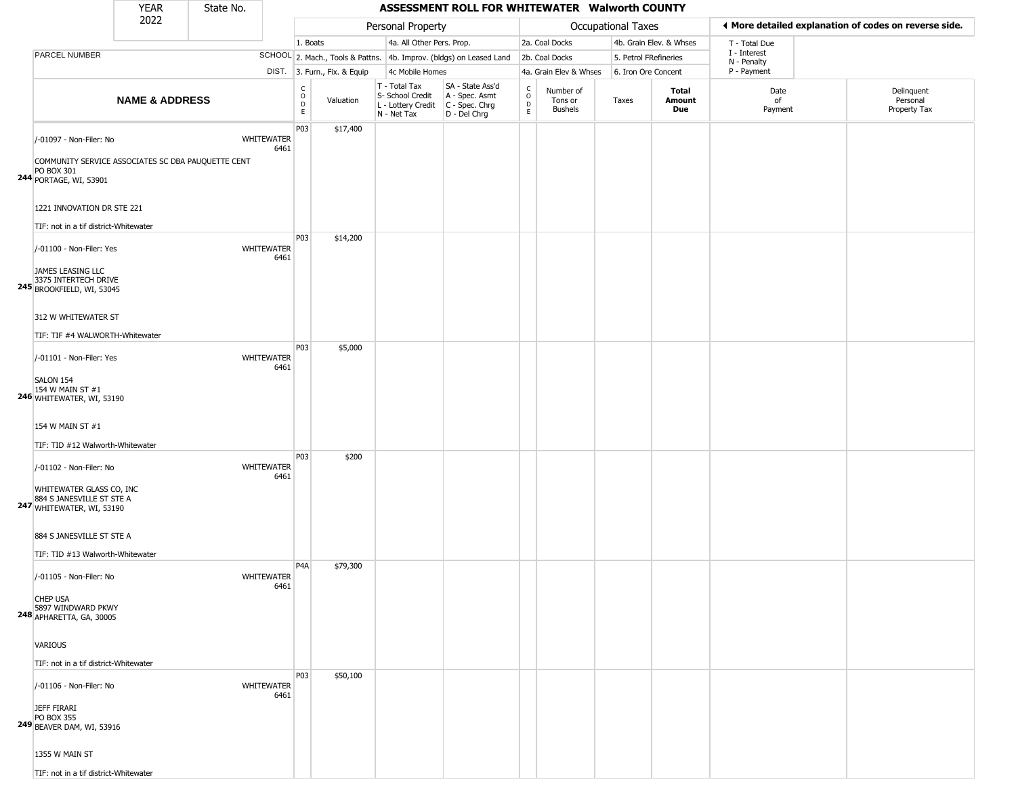|                                                                                                                                                     | YEAR                      | State No. |                           |                                                |                              |                                                                        | ASSESSMENT ROLL FOR WHITEWATER Walworth COUNTY                       |                                              |                                        |                       |                               |                                                       |                                        |
|-----------------------------------------------------------------------------------------------------------------------------------------------------|---------------------------|-----------|---------------------------|------------------------------------------------|------------------------------|------------------------------------------------------------------------|----------------------------------------------------------------------|----------------------------------------------|----------------------------------------|-----------------------|-------------------------------|-------------------------------------------------------|----------------------------------------|
|                                                                                                                                                     | 2022                      |           |                           |                                                |                              | Personal Property                                                      |                                                                      |                                              |                                        | Occupational Taxes    |                               | ♦ More detailed explanation of codes on reverse side. |                                        |
|                                                                                                                                                     |                           |           |                           | 1. Boats                                       |                              | 4a. All Other Pers. Prop.                                              |                                                                      |                                              | 2a. Coal Docks                         |                       | 4b. Grain Elev. & Whses       | T - Total Due                                         |                                        |
| PARCEL NUMBER                                                                                                                                       |                           |           |                           |                                                |                              |                                                                        | SCHOOL 2. Mach., Tools & Pattns. 4b. Improv. (bldgs) on Leased Land  |                                              | 2b. Coal Docks                         | 5. Petrol FRefineries |                               | I - Interest                                          |                                        |
|                                                                                                                                                     |                           |           |                           |                                                | DIST. 3. Furn., Fix. & Equip | 4c Mobile Homes                                                        |                                                                      |                                              | 4a. Grain Elev & Whses                 | 6. Iron Ore Concent   |                               | N - Penalty<br>P - Payment                            |                                        |
|                                                                                                                                                     | <b>NAME &amp; ADDRESS</b> |           |                           | $\rm ^c_{\rm o}$<br>$\mathsf D$<br>$\mathsf E$ | Valuation                    | T - Total Tax<br>S- School Credit<br>L - Lottery Credit<br>N - Net Tax | SA - State Ass'd<br>A - Spec. Asmt<br>C - Spec. Chrg<br>D - Del Chrg | $\mathsf{C}$<br>$\circ$<br>$\mathsf{D}$<br>E | Number of<br>Tons or<br><b>Bushels</b> | Taxes                 | <b>Total</b><br>Amount<br>Due | Date<br>of<br>Payment                                 | Delinquent<br>Personal<br>Property Tax |
| /-01097 - Non-Filer: No<br>COMMUNITY SERVICE ASSOCIATES SC DBA PAUQUETTE CENT<br>PO BOX 301<br>244 PORTAGE, WI, 53901<br>1221 INNOVATION DR STE 221 |                           |           | <b>WHITEWATER</b><br>6461 | P03                                            | \$17,400                     |                                                                        |                                                                      |                                              |                                        |                       |                               |                                                       |                                        |
| TIF: not in a tif district-Whitewater                                                                                                               |                           |           |                           |                                                |                              |                                                                        |                                                                      |                                              |                                        |                       |                               |                                                       |                                        |
| /-01100 - Non-Filer: Yes<br>JAMES LEASING LLC<br>3375 INTERTECH DRIVE<br><b>245</b> BROOKFIELD, WI, 53045                                           |                           |           | <b>WHITEWATER</b><br>6461 | P03                                            | \$14,200                     |                                                                        |                                                                      |                                              |                                        |                       |                               |                                                       |                                        |
| 312 W WHITEWATER ST                                                                                                                                 |                           |           |                           |                                                |                              |                                                                        |                                                                      |                                              |                                        |                       |                               |                                                       |                                        |
| TIF: TIF #4 WALWORTH-Whitewater                                                                                                                     |                           |           |                           | P03                                            | \$5,000                      |                                                                        |                                                                      |                                              |                                        |                       |                               |                                                       |                                        |
| /-01101 - Non-Filer: Yes<br>SALON 154<br>154 W MAIN ST #1<br>246 WHITEWATER, WI, 53190                                                              |                           |           | <b>WHITEWATER</b><br>6461 |                                                |                              |                                                                        |                                                                      |                                              |                                        |                       |                               |                                                       |                                        |
| 154 W MAIN ST #1<br>TIF: TID #12 Walworth-Whitewater                                                                                                |                           |           |                           |                                                |                              |                                                                        |                                                                      |                                              |                                        |                       |                               |                                                       |                                        |
| /-01102 - Non-Filer: No<br>WHITEWATER GLASS CO, INC<br>884 S JANESVILLE ST STE A<br>247 WHITEWATER, WI, 53190                                       |                           |           | <b>WHITEWATER</b><br>6461 | P03                                            | \$200                        |                                                                        |                                                                      |                                              |                                        |                       |                               |                                                       |                                        |
| 884 S JANESVILLE ST STE A<br>TIF: TID #13 Walworth-Whitewater                                                                                       |                           |           |                           |                                                |                              |                                                                        |                                                                      |                                              |                                        |                       |                               |                                                       |                                        |
| /-01105 - Non-Filer: No<br><b>CHEP USA</b><br>5897 WINDWARD PKWY<br>248 APHARETTA, GA, 30005                                                        |                           |           | <b>WHITEWATER</b><br>6461 | P <sub>4</sub> A                               | \$79,300                     |                                                                        |                                                                      |                                              |                                        |                       |                               |                                                       |                                        |
| VARIOUS<br>TIF: not in a tif district-Whitewater                                                                                                    |                           |           |                           |                                                |                              |                                                                        |                                                                      |                                              |                                        |                       |                               |                                                       |                                        |
| /-01106 - Non-Filer: No<br><b>JEFF FIRARI</b>                                                                                                       |                           |           | <b>WHITEWATER</b><br>6461 | P03                                            | \$50,100                     |                                                                        |                                                                      |                                              |                                        |                       |                               |                                                       |                                        |
| PO BOX 355<br><b>249 BEAVER DAM, WI, 53916</b><br>1355 W MAIN ST<br>TIF: not in a tif district-Whitewater                                           |                           |           |                           |                                                |                              |                                                                        |                                                                      |                                              |                                        |                       |                               |                                                       |                                        |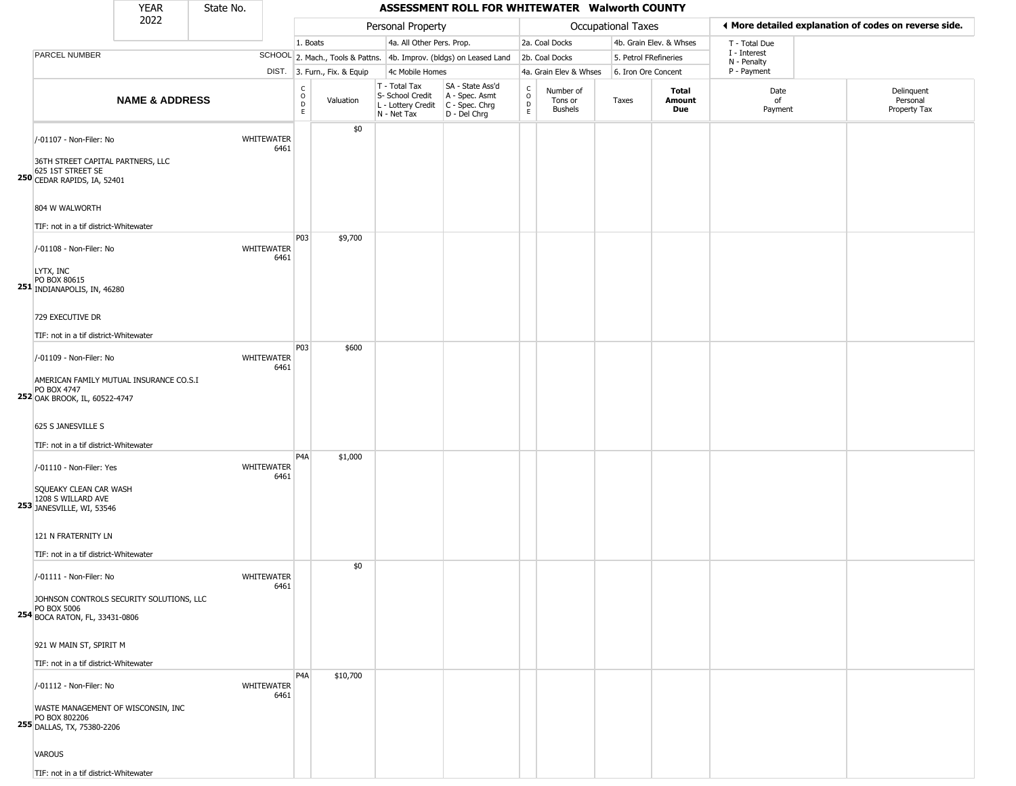|                                                                                                                                                                                          | <b>YEAR</b>               | State No. |                           |                              |                              |                                                                        | ASSESSMENT ROLL FOR WHITEWATER Walworth COUNTY                       |                                                 |                                        |                           |                         |                             |                                                       |
|------------------------------------------------------------------------------------------------------------------------------------------------------------------------------------------|---------------------------|-----------|---------------------------|------------------------------|------------------------------|------------------------------------------------------------------------|----------------------------------------------------------------------|-------------------------------------------------|----------------------------------------|---------------------------|-------------------------|-----------------------------|-------------------------------------------------------|
|                                                                                                                                                                                          | 2022                      |           |                           |                              |                              | Personal Property                                                      |                                                                      |                                                 |                                        | <b>Occupational Taxes</b> |                         |                             | ◀ More detailed explanation of codes on reverse side. |
|                                                                                                                                                                                          |                           |           |                           | 1. Boats                     |                              | 4a. All Other Pers. Prop.                                              |                                                                      |                                                 | 2a. Coal Docks                         |                           | 4b. Grain Elev. & Whses | T - Total Due               |                                                       |
| PARCEL NUMBER                                                                                                                                                                            |                           |           |                           |                              |                              |                                                                        | SCHOOL 2. Mach., Tools & Pattns. 4b. Improv. (bldgs) on Leased Land  |                                                 | 2b. Coal Docks                         |                           | 5. Petrol FRefineries   | I - Interest<br>N - Penalty |                                                       |
|                                                                                                                                                                                          |                           |           |                           |                              | DIST. 3. Furn., Fix. & Equip | 4c Mobile Homes                                                        |                                                                      |                                                 | 4a. Grain Elev & Whses                 | 6. Iron Ore Concent       |                         | P - Payment                 |                                                       |
|                                                                                                                                                                                          | <b>NAME &amp; ADDRESS</b> |           |                           | $_{\rm o}^{\rm c}$<br>D<br>E | Valuation                    | T - Total Tax<br>S- School Credit<br>L - Lottery Credit<br>N - Net Tax | SA - State Ass'd<br>A - Spec. Asmt<br>C - Spec. Chrg<br>D - Del Chrg | $\begin{array}{c} C \\ O \\ D \\ E \end{array}$ | Number of<br>Tons or<br><b>Bushels</b> | Taxes                     | Total<br>Amount<br>Due  | Date<br>of<br>Payment       | Delinquent<br>Personal<br>Property Tax                |
| /-01107 - Non-Filer: No<br>36TH STREET CAPITAL PARTNERS, LLC<br>625 1ST STREET SE<br>250 CEDAR RAPIDS, IA, 52401                                                                         |                           |           | <b>WHITEWATER</b><br>6461 |                              | \$0                          |                                                                        |                                                                      |                                                 |                                        |                           |                         |                             |                                                       |
| 804 W WALWORTH                                                                                                                                                                           |                           |           |                           |                              |                              |                                                                        |                                                                      |                                                 |                                        |                           |                         |                             |                                                       |
| TIF: not in a tif district-Whitewater                                                                                                                                                    |                           |           |                           |                              |                              |                                                                        |                                                                      |                                                 |                                        |                           |                         |                             |                                                       |
| /-01108 - Non-Filer: No<br>LYTX, INC<br>PO BOX 80615<br>251 INDIANAPOLIS, IN, 46280                                                                                                      |                           |           | <b>WHITEWATER</b><br>6461 | P03                          | \$9,700                      |                                                                        |                                                                      |                                                 |                                        |                           |                         |                             |                                                       |
| 729 EXECUTIVE DR<br>TIF: not in a tif district-Whitewater                                                                                                                                |                           |           |                           |                              |                              |                                                                        |                                                                      |                                                 |                                        |                           |                         |                             |                                                       |
| /-01109 - Non-Filer: No<br>AMERICAN FAMILY MUTUAL INSURANCE CO.S.I<br>PO BOX 4747<br>252 OAK BROOK, IL, 60522-4747<br>625 S JANESVILLE S<br>TIF: not in a tif district-Whitewater        |                           |           | <b>WHITEWATER</b><br>6461 | P03                          | \$600                        |                                                                        |                                                                      |                                                 |                                        |                           |                         |                             |                                                       |
| /-01110 - Non-Filer: Yes<br>SQUEAKY CLEAN CAR WASH<br>1208 S WILLARD AVE<br><b>253</b> JANESVILLE, WI, 53546<br>121 N FRATERNITY LN<br>TIF: not in a tif district-Whitewater             |                           |           | <b>WHITEWATER</b><br>6461 | P <sub>4</sub> A             | \$1,000                      |                                                                        |                                                                      |                                                 |                                        |                           |                         |                             |                                                       |
| /-01111 - Non-Filer: No<br>JOHNSON CONTROLS SECURITY SOLUTIONS, LLC<br>PO BOX 5006<br>254 BOCA RATON, FL, 33431-0806<br>921 W MAIN ST, SPIRIT M<br>TIF: not in a tif district-Whitewater |                           |           | WHITEWATER<br>6461        |                              | \$0                          |                                                                        |                                                                      |                                                 |                                        |                           |                         |                             |                                                       |
| /-01112 - Non-Filer: No<br>WASTE MANAGEMENT OF WISCONSIN, INC<br>PO BOX 802206<br>255 DALLAS, TX, 75380-2206                                                                             |                           |           | <b>WHITEWATER</b><br>6461 | P <sub>4</sub> A             | \$10,700                     |                                                                        |                                                                      |                                                 |                                        |                           |                         |                             |                                                       |

VAROUS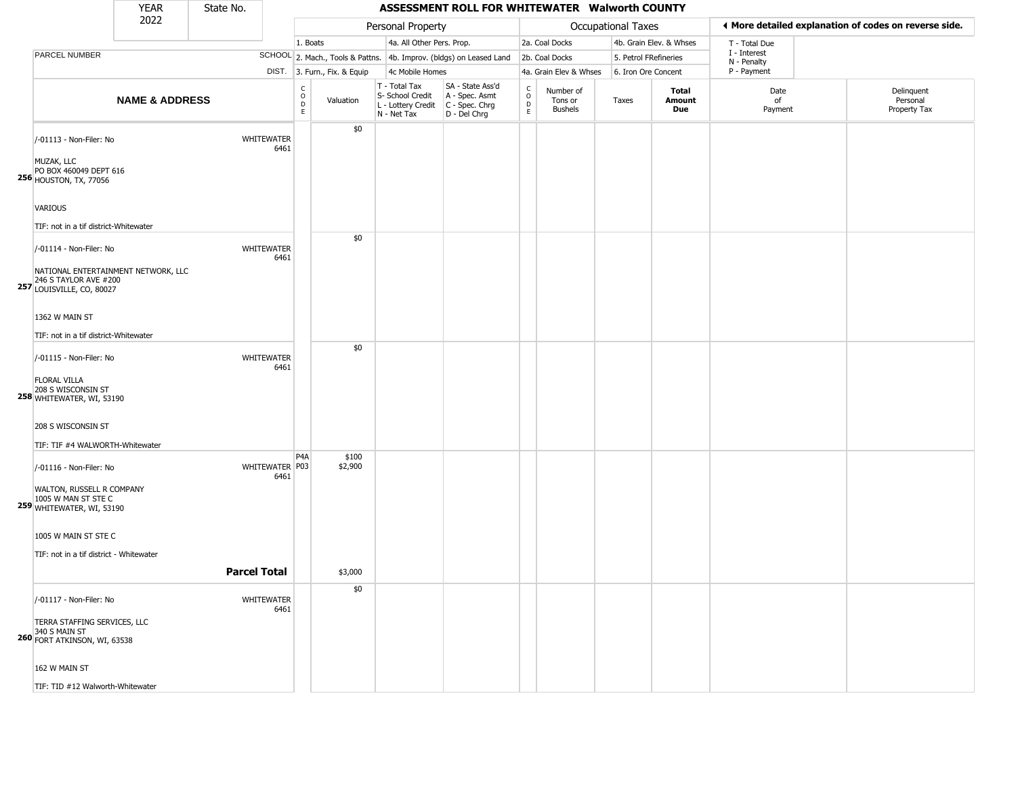|                                                                                                                                            | YEAR                      | State No.           |                           |                                             |                              |                                                                        | ASSESSMENT ROLL FOR WHITEWATER Walworth COUNTY                       |                         |                                        |                       |                               |                                                       |                                        |
|--------------------------------------------------------------------------------------------------------------------------------------------|---------------------------|---------------------|---------------------------|---------------------------------------------|------------------------------|------------------------------------------------------------------------|----------------------------------------------------------------------|-------------------------|----------------------------------------|-----------------------|-------------------------------|-------------------------------------------------------|----------------------------------------|
| 2022<br><b>PARCEL NUMBER</b>                                                                                                               |                           |                     |                           |                                             | Personal Property            |                                                                        |                                                                      |                         | <b>Occupational Taxes</b>              |                       |                               | ♦ More detailed explanation of codes on reverse side. |                                        |
|                                                                                                                                            |                           |                     |                           | 1. Boats                                    |                              | 4a. All Other Pers. Prop.                                              |                                                                      |                         | 2a. Coal Docks                         |                       | 4b. Grain Elev. & Whses       | T - Total Due<br>I - Interest                         |                                        |
|                                                                                                                                            |                           |                     |                           |                                             |                              |                                                                        | SCHOOL 2. Mach., Tools & Pattns. 4b. Improv. (bldgs) on Leased Land  |                         | 2b. Coal Docks                         | 5. Petrol FRefineries |                               | N - Penalty                                           |                                        |
|                                                                                                                                            |                           |                     |                           |                                             | DIST. 3. Furn., Fix. & Equip | 4c Mobile Homes                                                        |                                                                      |                         | 4a. Grain Elev & Whses                 | 6. Iron Ore Concent   |                               | P - Payment                                           |                                        |
|                                                                                                                                            | <b>NAME &amp; ADDRESS</b> |                     |                           | $\int_{0}^{c}$<br>$\mathsf{D}_{\mathsf{E}}$ | Valuation                    | T - Total Tax<br>S- School Credit<br>L - Lottery Credit<br>N - Net Tax | SA - State Ass'd<br>A - Spec. Asmt<br>C - Spec. Chrg<br>D - Del Chrg | C<br>$\circ$<br>D<br>E. | Number of<br>Tons or<br><b>Bushels</b> | Taxes                 | <b>Total</b><br>Amount<br>Due | Date<br>of<br>Payment                                 | Delinquent<br>Personal<br>Property Tax |
| /-01113 - Non-Filer: No<br>MUZAK, LLC<br>PO BOX 460049 DEPT 616<br><b>256 HOUSTON, TX, 77056</b>                                           |                           |                     | <b>WHITEWATER</b><br>6461 |                                             | \$0                          |                                                                        |                                                                      |                         |                                        |                       |                               |                                                       |                                        |
| <b>VARIOUS</b><br>TIF: not in a tif district-Whitewater                                                                                    |                           |                     |                           |                                             |                              |                                                                        |                                                                      |                         |                                        |                       |                               |                                                       |                                        |
| /-01114 - Non-Filer: No<br>NATIONAL ENTERTAINMENT NETWORK, LLC<br>246 S TAYLOR AVE #200                                                    |                           |                     | <b>WHITEWATER</b><br>6461 |                                             | \$0                          |                                                                        |                                                                      |                         |                                        |                       |                               |                                                       |                                        |
| 257 LOUISVILLE, CO, 80027<br>1362 W MAIN ST                                                                                                |                           |                     |                           |                                             |                              |                                                                        |                                                                      |                         |                                        |                       |                               |                                                       |                                        |
| TIF: not in a tif district-Whitewater<br>/-01115 - Non-Filer: No<br><b>FLORAL VILLA</b><br>208 S WISCONSIN ST<br>258 WHITEWATER, WI, 53190 |                           |                     | <b>WHITEWATER</b><br>6461 |                                             | \$0                          |                                                                        |                                                                      |                         |                                        |                       |                               |                                                       |                                        |
| 208 S WISCONSIN ST<br>TIF: TIF #4 WALWORTH-Whitewater                                                                                      |                           |                     |                           |                                             |                              |                                                                        |                                                                      |                         |                                        |                       |                               |                                                       |                                        |
| /-01116 - Non-Filer: No<br>WALTON, RUSSELL R COMPANY<br>1005 W MAN ST STE C<br>259 WHITEWATER, WI, 53190                                   |                           |                     | WHITEWATER P03<br>6461    | P <sub>4</sub> A                            | \$100<br>\$2,900             |                                                                        |                                                                      |                         |                                        |                       |                               |                                                       |                                        |
| 1005 W MAIN ST STE C<br>TIF: not in a tif district - Whitewater                                                                            |                           | <b>Parcel Total</b> |                           |                                             | \$3,000                      |                                                                        |                                                                      |                         |                                        |                       |                               |                                                       |                                        |
| /-01117 - Non-Filer: No<br>TERRA STAFFING SERVICES, LLC<br>340 S MAIN ST<br>260 FORT ATKINSON, WI, 63538                                   |                           |                     | WHITEWATER<br>6461        |                                             | \$0                          |                                                                        |                                                                      |                         |                                        |                       |                               |                                                       |                                        |

162 W MAIN ST TIF: TID #12 Walworth-Whitewater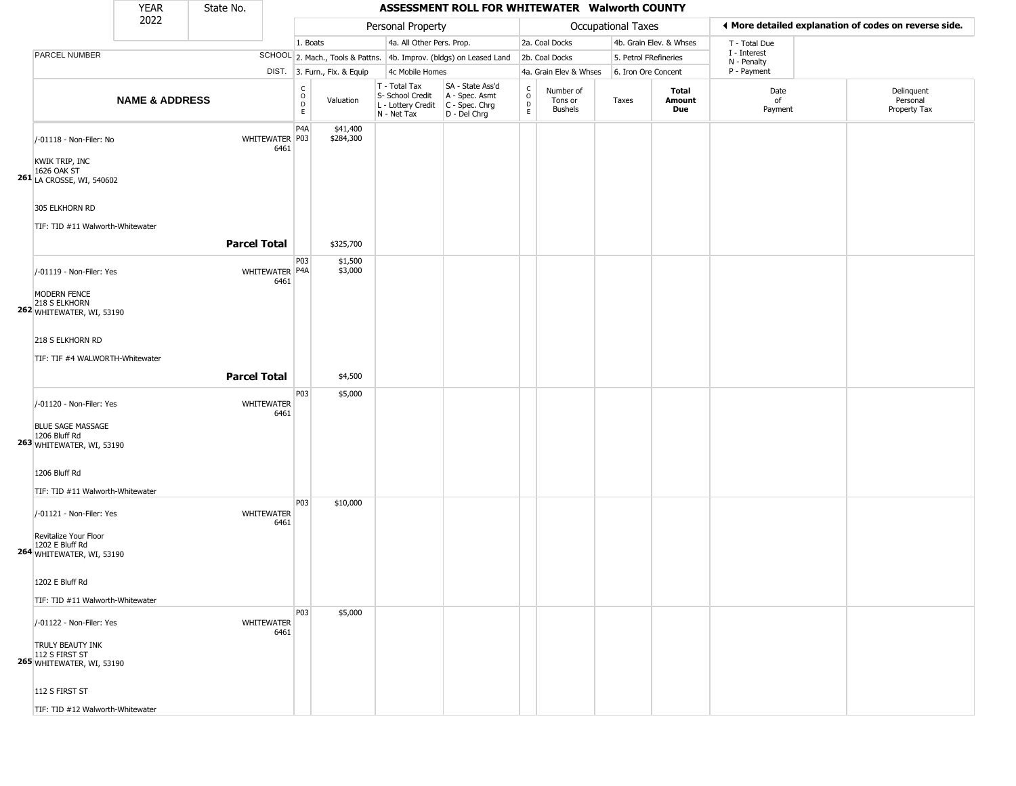|                                                                                 | <b>YEAR</b>               | State No.           |                           |                                       |                              |                                                                        | ASSESSMENT ROLL FOR WHITEWATER Walworth COUNTY                       |                        |                                        |                           |                         |                             |                                                       |
|---------------------------------------------------------------------------------|---------------------------|---------------------|---------------------------|---------------------------------------|------------------------------|------------------------------------------------------------------------|----------------------------------------------------------------------|------------------------|----------------------------------------|---------------------------|-------------------------|-----------------------------|-------------------------------------------------------|
|                                                                                 | 2022                      |                     |                           |                                       |                              | Personal Property                                                      |                                                                      |                        |                                        | <b>Occupational Taxes</b> |                         |                             | ♦ More detailed explanation of codes on reverse side. |
|                                                                                 |                           |                     |                           | 1. Boats                              |                              | 4a. All Other Pers. Prop.                                              |                                                                      |                        | 2a. Coal Docks                         |                           | 4b. Grain Elev. & Whses | T - Total Due               |                                                       |
| PARCEL NUMBER                                                                   |                           |                     |                           |                                       |                              |                                                                        | SCHOOL 2. Mach., Tools & Pattns. 4b. Improv. (bldgs) on Leased Land  |                        | 2b. Coal Docks                         |                           | 5. Petrol FRefineries   | I - Interest<br>N - Penalty |                                                       |
|                                                                                 |                           |                     |                           |                                       | DIST. 3. Furn., Fix. & Equip | 4c Mobile Homes                                                        |                                                                      |                        | 4a. Grain Elev & Whses                 |                           | 6. Iron Ore Concent     | P - Payment                 |                                                       |
|                                                                                 | <b>NAME &amp; ADDRESS</b> |                     |                           | $\rm_{o}^{\rm c}$<br>D<br>$\mathsf E$ | Valuation                    | T - Total Tax<br>S- School Credit<br>L - Lottery Credit<br>N - Net Tax | SA - State Ass'd<br>A - Spec. Asmt<br>C - Spec. Chrg<br>D - Del Chrg | C<br>$\circ$<br>D<br>E | Number of<br>Tons or<br><b>Bushels</b> | Taxes                     | Total<br>Amount<br>Due  | Date<br>of<br>Payment       | Delinquent<br>Personal<br>Property Tax                |
| /-01118 - Non-Filer: No<br>KWIK TRIP, INC<br>1626 OAK ST                        |                           |                     | WHITEWATER P03<br>6461    | P4A                                   | \$41,400<br>\$284,300        |                                                                        |                                                                      |                        |                                        |                           |                         |                             |                                                       |
| 261 LA CROSSE, WI, 540602<br>305 ELKHORN RD<br>TIF: TID #11 Walworth-Whitewater |                           |                     |                           |                                       |                              |                                                                        |                                                                      |                        |                                        |                           |                         |                             |                                                       |
|                                                                                 |                           | <b>Parcel Total</b> |                           |                                       | \$325,700                    |                                                                        |                                                                      |                        |                                        |                           |                         |                             |                                                       |
| /-01119 - Non-Filer: Yes<br><b>MODERN FENCE</b><br>218 S ELKHORN                |                           |                     | WHITEWATER P4A<br>6461    | P03                                   | \$1,500<br>\$3,000           |                                                                        |                                                                      |                        |                                        |                           |                         |                             |                                                       |
| 262 WHITEWATER, WI, 53190<br>218 S ELKHORN RD                                   |                           |                     |                           |                                       |                              |                                                                        |                                                                      |                        |                                        |                           |                         |                             |                                                       |
| TIF: TIF #4 WALWORTH-Whitewater                                                 |                           | <b>Parcel Total</b> |                           |                                       | \$4,500                      |                                                                        |                                                                      |                        |                                        |                           |                         |                             |                                                       |
| /-01120 - Non-Filer: Yes                                                        |                           |                     | WHITEWATER<br>6461        | P03                                   | \$5,000                      |                                                                        |                                                                      |                        |                                        |                           |                         |                             |                                                       |
| <b>BLUE SAGE MASSAGE</b><br>1206 Bluff Rd<br>263 WHITEWATER, WI, 53190          |                           |                     |                           |                                       |                              |                                                                        |                                                                      |                        |                                        |                           |                         |                             |                                                       |
| 1206 Bluff Rd<br>TIF: TID #11 Walworth-Whitewater                               |                           |                     |                           |                                       |                              |                                                                        |                                                                      |                        |                                        |                           |                         |                             |                                                       |
| /-01121 - Non-Filer: Yes<br>Revitalize Your Floor                               |                           |                     | <b>WHITEWATER</b><br>6461 | P03                                   | \$10,000                     |                                                                        |                                                                      |                        |                                        |                           |                         |                             |                                                       |
| 1202 E Bluff Rd<br>264 WHITEWATER, WI, 53190                                    |                           |                     |                           |                                       |                              |                                                                        |                                                                      |                        |                                        |                           |                         |                             |                                                       |
| 1202 E Bluff Rd<br>TIF: TID #11 Walworth-Whitewater                             |                           |                     |                           |                                       |                              |                                                                        |                                                                      |                        |                                        |                           |                         |                             |                                                       |
| /-01122 - Non-Filer: Yes                                                        |                           |                     | WHITEWATER<br>6461        | P03                                   | \$5,000                      |                                                                        |                                                                      |                        |                                        |                           |                         |                             |                                                       |
| TRULY BEAUTY INK<br>112 S FIRST ST<br>265 WHITEWATER, WI, 53190                 |                           |                     |                           |                                       |                              |                                                                        |                                                                      |                        |                                        |                           |                         |                             |                                                       |
| 112 S FIRST ST                                                                  |                           |                     |                           |                                       |                              |                                                                        |                                                                      |                        |                                        |                           |                         |                             |                                                       |

TIF: TID #12 Walworth-Whitewater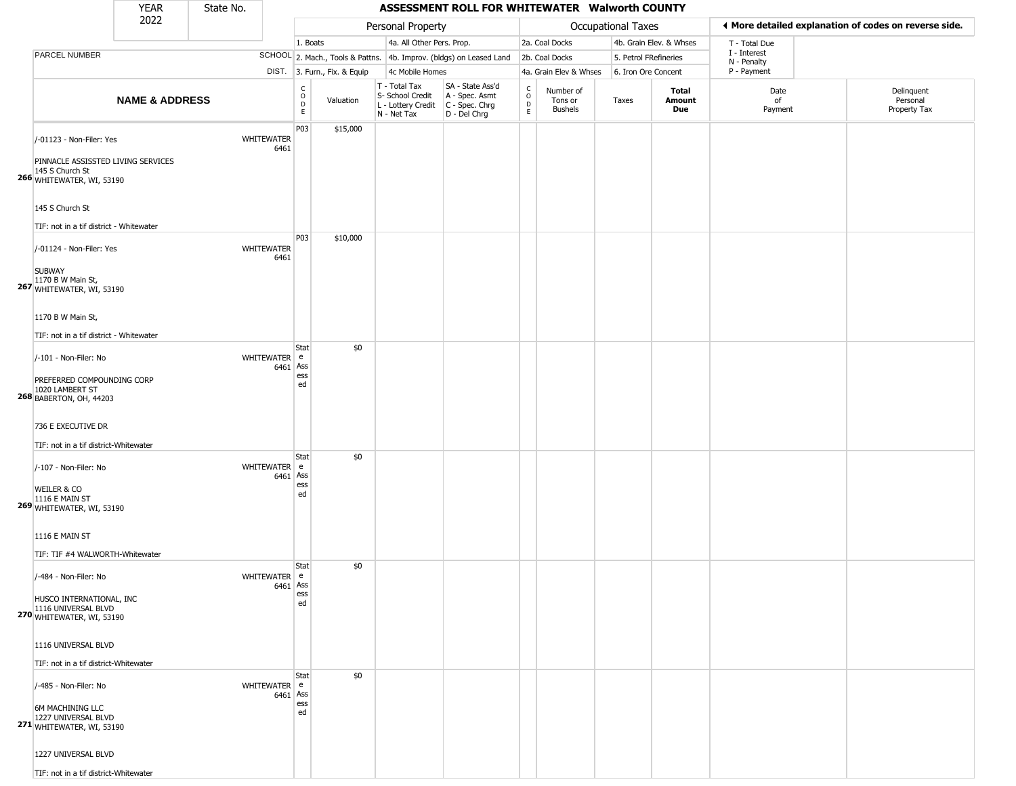#### YEAR **ASSESSMENT ROLL FOR WHITEWATER Walworth COUNTY** 2022 DIST. 3. Furn., Fix. & Equip PARCEL NUMBER **NAME & ADDRESS** State No. C O D E Valuation T - Total Tax S- School Credit A - Spec. Asmt L - Lottery Credit C - Spec. Chrg N - Net Tax SA - State Ass'd D - Del Chrg C O D E Number of Tons or Bushels Taxes **Total Amount Due** Date of Payment Delinquent Personal Property Tax Personal Property **Department Controller Service Controller** Occupational Taxes 1. Boats **4a. All Other Pers. Prop.** 2a. Coal Docks 4b. Grain Elev. & Whses SCHOOL 2. Mach., Tools & Pattns. 4b. Improv. (bldgs) on Leased Land 2b. Coal Docks 5. Petrol FRefineries 4c Mobile Homes 4a. Grain Elev & Whses 6. Iron Ore Concent T - Total Due I - Interest N - Penalty P - Payment 3**More detailed explanation of codes on reverse side. 266** WHITEWATER, WI, 53190 /-01123 - Non-Filer: Yes WHITEWATER 6461 PINNACLE ASSISSTED LIVING SERVICES 145 S Church St 145 S Church St TIF: not in a tif district - Whitewater P03 \$15,000 **267** WHITEWATER, WI, 53190 /-01124 - Non-Filer: Yes WHITEWATER 6461 SUBWAY 1170 B W Main St, 1170 B W Main St, TIF: not in a tif district - Whitewater P03 \$10,000 **268** BABERTON, OH, 44203 /-101 - Non-Filer: No 6461 Ass PREFERRED COMPOUNDING CORP 1020 LAMBERT ST 736 E EXECUTIVE DR TIF: not in a tif district-Whitewater **Stat** WHITEWATER e ess ed \$0 **269** WHITEWATER, WI, 53190 /-107 - Non-Filer: No 6461 WEILER & CO 1116 E MAIN ST 1116 E MAIN ST TIF: TIF #4 WALWORTH-Whitewater **Stat** WHITEWATER e Ass ess ed \$0 **270** WHITEWATER, WI, 53190 /-484 - Non-Filer: No 6461 HUSCO INTERNATIONAL, INC 1116 UNIVERSAL BLVD 1116 UNIVERSAL BLVD TIF: not in a tif district-Whitewater **Stat** WHITEWATER e Ass ess ed \$0 **271** WHITEWATER, WI, 53190 /-485 - Non-Filer: No 6461 Ass 6M MACHINING LLC 1227 UNIVERSAL BLVD 1227 UNIVERSAL BLVD **Stat** WHITEWATER e ess ed \$0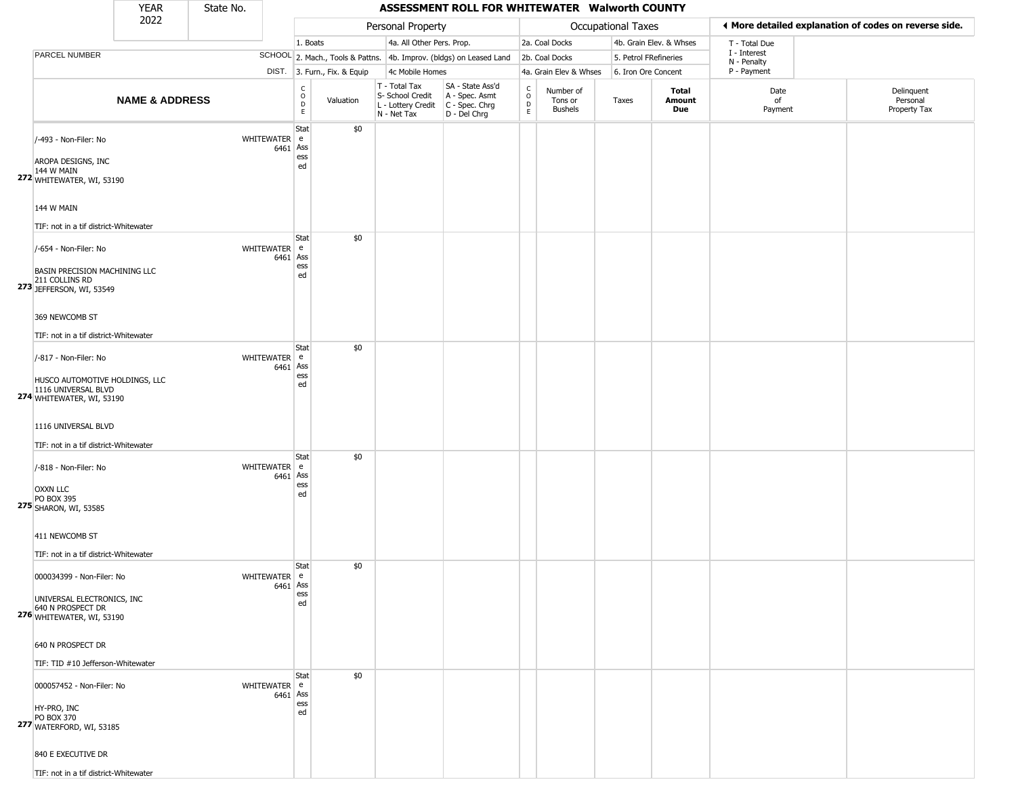#### YEAR **ASSESSMENT ROLL FOR WHITEWATER Walworth COUNTY** 2022 DIST. 3. Furn., Fix. & Equip PARCEL NUMBER **NAME & ADDRESS** State No. C O D E Valuation T - Total Tax S- School Credit A - Spec. Asmt L - Lottery Credit C - Spec. Chrg N - Net Tax SA - State Ass'd D - Del Chrg C O D E Number of Tons or Bushels Taxes **Total Amount Due** Date of Payment Delinquent Personal Property Tax Personal Property **Department Controller Service Controller** Occupational Taxes 1. Boats **4a. All Other Pers. Prop.** 2a. Coal Docks 4b. Grain Elev. & Whses SCHOOL 2. Mach., Tools & Pattns. 4b. Improv. (bldgs) on Leased Land 2b. Coal Docks 5. Petrol FRefineries 4c Mobile Homes 4a. Grain Elev & Whses 6. Iron Ore Concent T - Total Due I - Interest N - Penalty P - Payment 3**More detailed explanation of codes on reverse side. 272** WHITEWATER, WI, 53190 /-493 - Non-Filer: No 6461 Ass AROPA DESIGNS, INC 144 W MAIN 144 W MAIN TIF: not in a tif district-Whitewater **Stat** WHITEWATER e ess ed \$0 **273** JEFFERSON, WI, 53549 /-654 - Non-Filer: No 6461 Ass BASIN PRECISION MACHINING LLC 211 COLLINS RD 369 NEWCOMB ST TIF: not in a tif district-Whitewater **Stat** WHITEWATER e ess ed \$0 **274** WHITEWATER, WI, 53190 /-817 - Non-Filer: No 6461 Ass HUSCO AUTOMOTIVE HOLDINGS, LLC 1116 UNIVERSAL BLVD 1116 UNIVERSAL BLVD TIF: not in a tif district-Whitewater **Stat** WHITEWATER e ess ed \$0 **275** SHARON, WI, 53585 /-818 - Non-Filer: No 6461 OXXN LLC PO BOX 395 411 NEWCOMB ST TIF: not in a tif district-Whitewater **Stat** WHITEWATER e Ass ess ed \$0 **276** WHITEWATER, WI, 53190  $000034399$  - Non-Filer: No 6461 UNIVERSAL ELECTRONICS, INC 640 N PROSPECT DR 640 N PROSPECT DR TIF: TID #10 Jefferson-Whitewater **Stat** WHITEWATER e Ass ess ed \$0 **277** WATERFORD, WI, 53185  $000057452 - Non-Filer: No$ 6461 Ass HY-PRO, INC PO BOX 370 840 E EXECUTIVE DR **Stat** WHITEWATER e ess ed \$0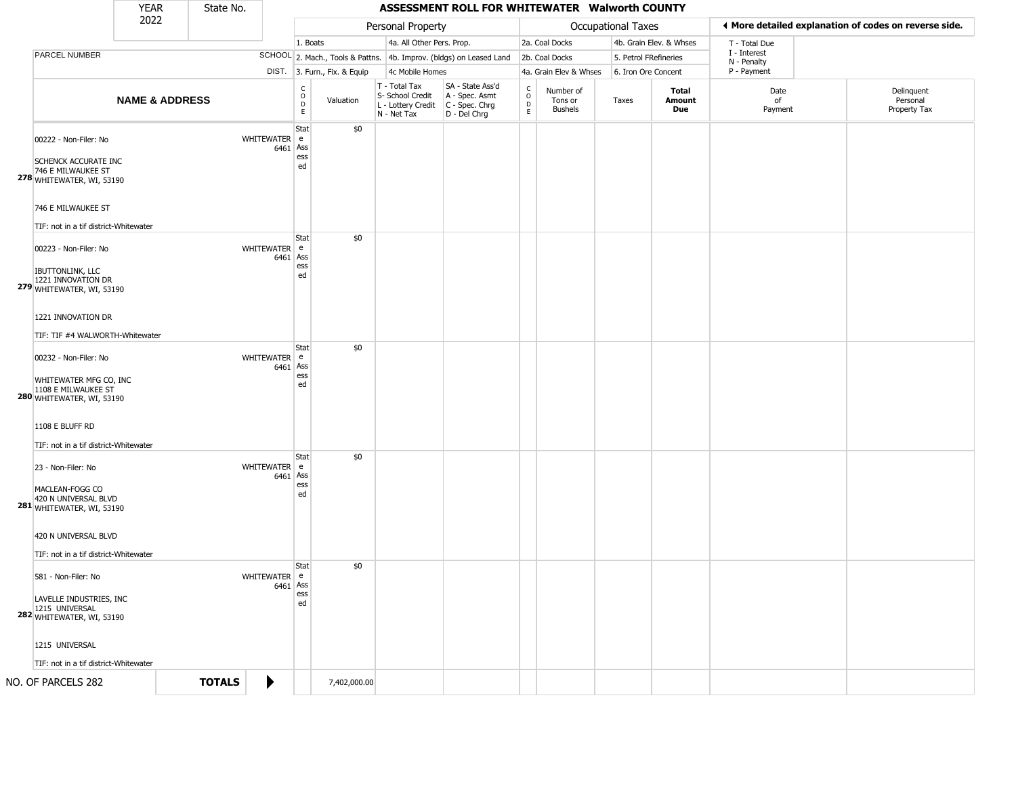|                                                                                                                        | <b>YEAR</b>               | State No.     |                            |                             |                              |                                                                                         | ASSESSMENT ROLL FOR WHITEWATER Walworth COUNTY                      |                                                |                                        |                     |                         |                             |                                                       |
|------------------------------------------------------------------------------------------------------------------------|---------------------------|---------------|----------------------------|-----------------------------|------------------------------|-----------------------------------------------------------------------------------------|---------------------------------------------------------------------|------------------------------------------------|----------------------------------------|---------------------|-------------------------|-----------------------------|-------------------------------------------------------|
|                                                                                                                        | 2022                      |               |                            |                             |                              | Personal Property                                                                       |                                                                     |                                                |                                        | Occupational Taxes  |                         |                             | ◀ More detailed explanation of codes on reverse side. |
|                                                                                                                        |                           |               |                            | 1. Boats                    |                              | 4a. All Other Pers. Prop.                                                               |                                                                     |                                                | 2a. Coal Docks                         |                     | 4b. Grain Elev. & Whses | T - Total Due               |                                                       |
| PARCEL NUMBER                                                                                                          |                           |               |                            |                             |                              |                                                                                         | SCHOOL 2. Mach., Tools & Pattns. 4b. Improv. (bldgs) on Leased Land |                                                | 2b. Coal Docks                         |                     | 5. Petrol FRefineries   | I - Interest<br>N - Penalty |                                                       |
|                                                                                                                        |                           |               |                            |                             | DIST. 3. Furn., Fix. & Equip | 4c Mobile Homes                                                                         |                                                                     |                                                | 4a. Grain Elev & Whses                 | 6. Iron Ore Concent |                         | P - Payment                 |                                                       |
|                                                                                                                        | <b>NAME &amp; ADDRESS</b> |               |                            | $\mathsf{C}$<br>0<br>D<br>E | Valuation                    | T - Total Tax<br>S- School Credit<br>L - Lottery Credit   C - Spec. Chrg<br>N - Net Tax | SA - State Ass'd<br>A - Spec. Asmt<br>D - Del Chrg                  | $\begin{matrix} 0 \\ 0 \\ D \end{matrix}$<br>E | Number of<br>Tons or<br><b>Bushels</b> | Taxes               | Total<br>Amount<br>Due  | Date<br>of<br>Payment       | Delinquent<br>Personal<br>Property Tax                |
| 00222 - Non-Filer: No<br>SCHENCK ACCURATE INC<br>746 E MILWAUKEE ST<br>278 WHITEWATER, WI, 53190<br>746 E MILWAUKEE ST |                           |               | WHITEWATER e<br>$6461$ Ass | Stat<br>ess<br>ed           | \$0                          |                                                                                         |                                                                     |                                                |                                        |                     |                         |                             |                                                       |
| TIF: not in a tif district-Whitewater                                                                                  |                           |               |                            |                             |                              |                                                                                         |                                                                     |                                                |                                        |                     |                         |                             |                                                       |
| 00223 - Non-Filer: No<br><b>IBUTTONLINK, LLC</b><br>1221 INNOVATION DR<br>279 WHITEWATER, WI, 53190                    |                           |               | WHITEWATER e<br>6461       | Stat<br>Ass<br>ess<br>ed    | \$0                          |                                                                                         |                                                                     |                                                |                                        |                     |                         |                             |                                                       |
| 1221 INNOVATION DR<br>TIF: TIF #4 WALWORTH-Whitewater<br>00232 - Non-Filer: No                                         |                           |               | WHITEWATER e               | Stat                        | \$0                          |                                                                                         |                                                                     |                                                |                                        |                     |                         |                             |                                                       |
| WHITEWATER MFG CO, INC<br>1108 E MILWAUKEE ST<br>280 WHITEWATER, WI, 53190                                             |                           |               | 6461                       | Ass<br>ess<br>ed            |                              |                                                                                         |                                                                     |                                                |                                        |                     |                         |                             |                                                       |
| 1108 E BLUFF RD                                                                                                        |                           |               |                            |                             |                              |                                                                                         |                                                                     |                                                |                                        |                     |                         |                             |                                                       |
| TIF: not in a tif district-Whitewater                                                                                  |                           |               |                            |                             |                              |                                                                                         |                                                                     |                                                |                                        |                     |                         |                             |                                                       |
| 23 - Non-Filer: No<br>MACLEAN-FOGG CO<br>420 N UNIVERSAL BLVD<br>281 WHITEWATER, WI, 53190                             |                           |               | WHITEWATER e<br>6461       | Stat<br>Ass<br>ess<br>ed    | \$0                          |                                                                                         |                                                                     |                                                |                                        |                     |                         |                             |                                                       |
| 420 N UNIVERSAL BLVD<br>TIF: not in a tif district-Whitewater                                                          |                           |               |                            |                             |                              |                                                                                         |                                                                     |                                                |                                        |                     |                         |                             |                                                       |
| 581 - Non-Filer: No<br>LAVELLE INDUSTRIES, INC<br>1215 UNIVERSAL<br>282 WHITEWATER, WI, 53190                          |                           |               | WHITEWATER e<br>$6461$ Ass | Stat<br>ess<br>ed           | \$0                          |                                                                                         |                                                                     |                                                |                                        |                     |                         |                             |                                                       |
| 1215 UNIVERSAL<br>TIF: not in a tif district-Whitewater                                                                |                           |               |                            |                             |                              |                                                                                         |                                                                     |                                                |                                        |                     |                         |                             |                                                       |
| NO. OF PARCELS 282                                                                                                     |                           | <b>TOTALS</b> | ▶                          |                             | 7,402,000.00                 |                                                                                         |                                                                     |                                                |                                        |                     |                         |                             |                                                       |
|                                                                                                                        |                           |               |                            |                             |                              |                                                                                         |                                                                     |                                                |                                        |                     |                         |                             |                                                       |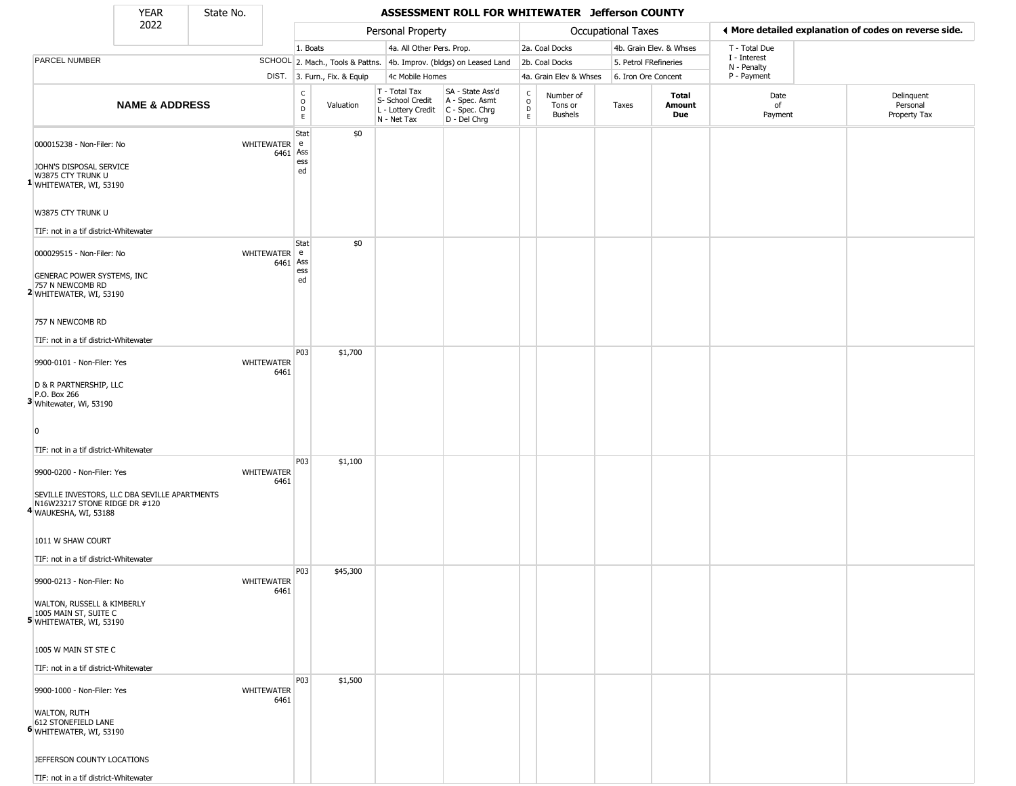State No.

## YEAR State No. **ASSESSMENT ROLL FOR WHITEWATER Jefferson COUNTY**

|                                                                                                                    | 2022                      |                   |      |                                        |                              | Personal Property                                                      |                                                                      |                                                   |                                        | Occupational Taxes    |                         |                             | ← More detailed explanation of codes on reverse side. |
|--------------------------------------------------------------------------------------------------------------------|---------------------------|-------------------|------|----------------------------------------|------------------------------|------------------------------------------------------------------------|----------------------------------------------------------------------|---------------------------------------------------|----------------------------------------|-----------------------|-------------------------|-----------------------------|-------------------------------------------------------|
|                                                                                                                    |                           |                   |      | 1. Boats                               |                              | 4a. All Other Pers. Prop.                                              |                                                                      |                                                   | 2a. Coal Docks                         |                       | 4b. Grain Elev. & Whses | T - Total Due               |                                                       |
| PARCEL NUMBER                                                                                                      |                           |                   |      |                                        |                              |                                                                        | SCHOOL 2. Mach., Tools & Pattns. 4b. Improv. (bldgs) on Leased Land  |                                                   | 2b. Coal Docks                         | 5. Petrol FRefineries |                         | I - Interest<br>N - Penalty |                                                       |
|                                                                                                                    |                           |                   |      |                                        | DIST. 3. Furn., Fix. & Equip | 4c Mobile Homes                                                        |                                                                      |                                                   | 4a. Grain Elev & Whses                 | 6. Iron Ore Concent   |                         | P - Payment                 |                                                       |
|                                                                                                                    | <b>NAME &amp; ADDRESS</b> |                   |      | c<br>$_{\rm D}^{\rm O}$<br>$\mathsf E$ | Valuation                    | T - Total Tax<br>S- School Credit<br>L - Lottery Credit<br>N - Net Tax | SA - State Ass'd<br>A - Spec. Asmt<br>C - Spec. Chrg<br>D - Del Chrg | C<br>$\begin{array}{c}\n0 \\ D \\ E\n\end{array}$ | Number of<br>Tons or<br><b>Bushels</b> | Taxes                 | Total<br>Amount<br>Due  | Date<br>of<br>Payment       | Delinquent<br>Personal<br>Property Tax                |
| 000015238 - Non-Filer: No                                                                                          |                           | WHITEWATER e      | 6461 | Stat<br>Ass<br>ess                     | \$0                          |                                                                        |                                                                      |                                                   |                                        |                       |                         |                             |                                                       |
| JOHN'S DISPOSAL SERVICE<br>W3875 CTY TRUNK U<br><sup>1</sup> WHITEWATER, WI, 53190                                 |                           |                   |      | ed                                     |                              |                                                                        |                                                                      |                                                   |                                        |                       |                         |                             |                                                       |
| W3875 CTY TRUNK U                                                                                                  |                           |                   |      |                                        |                              |                                                                        |                                                                      |                                                   |                                        |                       |                         |                             |                                                       |
| TIF: not in a tif district-Whitewater                                                                              |                           |                   |      | Stat                                   | \$0                          |                                                                        |                                                                      |                                                   |                                        |                       |                         |                             |                                                       |
| 000029515 - Non-Filer: No<br>GENERAC POWER SYSTEMS, INC                                                            |                           | WHITEWATER e      | 6461 | Ass<br>ess<br>ed                       |                              |                                                                        |                                                                      |                                                   |                                        |                       |                         |                             |                                                       |
| 757 N NEWCOMB RD<br><sup>2</sup> WHITEWATER, WI, 53190                                                             |                           |                   |      |                                        |                              |                                                                        |                                                                      |                                                   |                                        |                       |                         |                             |                                                       |
| 757 N NEWCOMB RD<br>TIF: not in a tif district-Whitewater                                                          |                           |                   |      |                                        |                              |                                                                        |                                                                      |                                                   |                                        |                       |                         |                             |                                                       |
| 9900-0101 - Non-Filer: Yes                                                                                         |                           | <b>WHITEWATER</b> |      | P03                                    | \$1,700                      |                                                                        |                                                                      |                                                   |                                        |                       |                         |                             |                                                       |
| D & R PARTNERSHIP, LLC<br>P.O. Box 266<br>3 Whitewater, Wi, 53190                                                  |                           |                   | 6461 |                                        |                              |                                                                        |                                                                      |                                                   |                                        |                       |                         |                             |                                                       |
| $\Omega$                                                                                                           |                           |                   |      |                                        |                              |                                                                        |                                                                      |                                                   |                                        |                       |                         |                             |                                                       |
| TIF: not in a tif district-Whitewater                                                                              |                           |                   |      |                                        |                              |                                                                        |                                                                      |                                                   |                                        |                       |                         |                             |                                                       |
| 9900-0200 - Non-Filer: Yes                                                                                         |                           | <b>WHITEWATER</b> | 6461 | P03                                    | \$1,100                      |                                                                        |                                                                      |                                                   |                                        |                       |                         |                             |                                                       |
| SEVILLE INVESTORS, LLC DBA SEVILLE APARTMENTS<br>N16W23217 STONE RIDGE DR #120<br><sup>4</sup> WAUKESHA, WI, 53188 |                           |                   |      |                                        |                              |                                                                        |                                                                      |                                                   |                                        |                       |                         |                             |                                                       |
| 1011 W SHAW COURT<br>TIF: not in a tif district-Whitewater                                                         |                           |                   |      |                                        |                              |                                                                        |                                                                      |                                                   |                                        |                       |                         |                             |                                                       |
| 9900-0213 - Non-Filer: No                                                                                          |                           | <b>WHITEWATER</b> | 6461 | P <sub>0</sub> 3                       | \$45,300                     |                                                                        |                                                                      |                                                   |                                        |                       |                         |                             |                                                       |
| WALTON, RUSSELL & KIMBERLY<br>1005 MAIN ST, SUITE C<br>5 WHITEWATER, WI, 53190                                     |                           |                   |      |                                        |                              |                                                                        |                                                                      |                                                   |                                        |                       |                         |                             |                                                       |
| 1005 W MAIN ST STE C                                                                                               |                           |                   |      |                                        |                              |                                                                        |                                                                      |                                                   |                                        |                       |                         |                             |                                                       |
| TIF: not in a tif district-Whitewater<br>9900-1000 - Non-Filer: Yes                                                |                           | <b>WHITEWATER</b> |      | P <sub>03</sub>                        | \$1,500                      |                                                                        |                                                                      |                                                   |                                        |                       |                         |                             |                                                       |
| <b>WALTON, RUTH</b><br>612 STONEFIELD LANE<br>6 WHITEWATER, WI, 53190                                              |                           |                   | 6461 |                                        |                              |                                                                        |                                                                      |                                                   |                                        |                       |                         |                             |                                                       |
| JEFFERSON COUNTY LOCATIONS                                                                                         |                           |                   |      |                                        |                              |                                                                        |                                                                      |                                                   |                                        |                       |                         |                             |                                                       |
| TIF: not in a tif district-Whitewater                                                                              |                           |                   |      |                                        |                              |                                                                        |                                                                      |                                                   |                                        |                       |                         |                             |                                                       |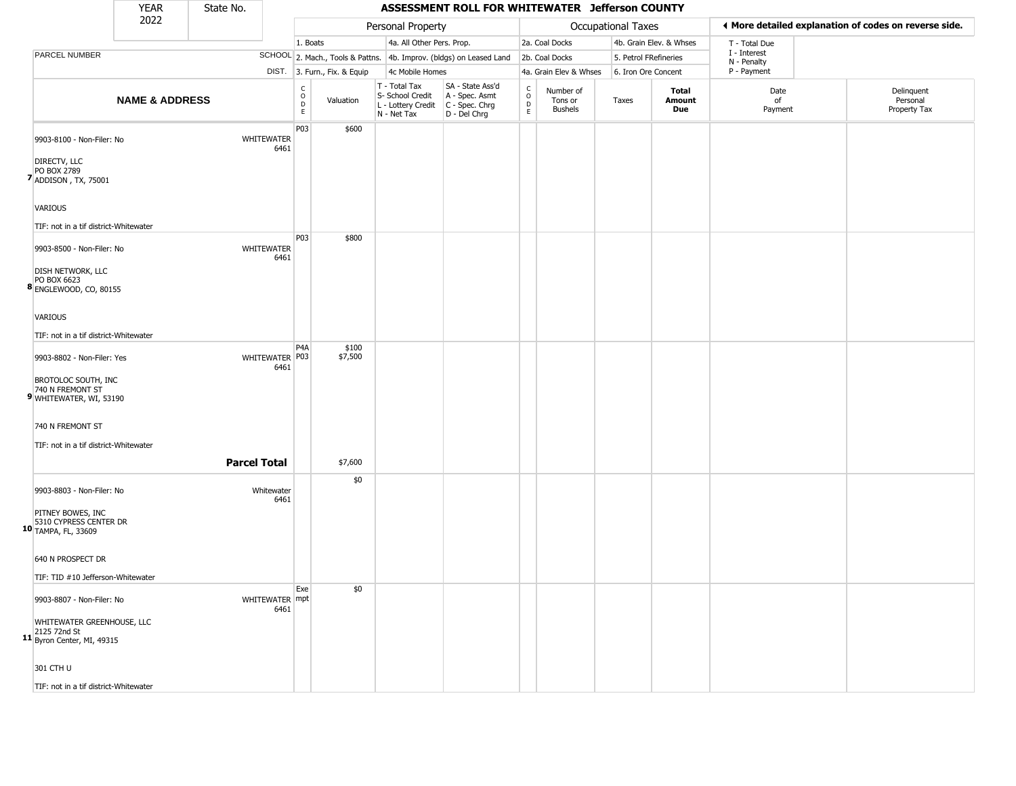|                                                                    | <b>YEAR</b>               | State No.           |                           |                                            |                              |                                                                        | ASSESSMENT ROLL FOR WHITEWATER Jefferson COUNTY                        |                                            |                                        |                       |                         |                             |                                                       |
|--------------------------------------------------------------------|---------------------------|---------------------|---------------------------|--------------------------------------------|------------------------------|------------------------------------------------------------------------|------------------------------------------------------------------------|--------------------------------------------|----------------------------------------|-----------------------|-------------------------|-----------------------------|-------------------------------------------------------|
|                                                                    | 2022                      |                     |                           |                                            |                              | Personal Property                                                      |                                                                        |                                            |                                        | Occupational Taxes    |                         |                             | ♦ More detailed explanation of codes on reverse side. |
|                                                                    |                           |                     |                           | 1. Boats                                   |                              | 4a. All Other Pers. Prop.                                              |                                                                        |                                            | 2a. Coal Docks                         |                       | 4b. Grain Elev. & Whses | T - Total Due               |                                                       |
| PARCEL NUMBER                                                      |                           |                     |                           |                                            |                              |                                                                        | SCHOOL 2. Mach., Tools & Pattns. 4b. Improv. (bldgs) on Leased Land    |                                            | 2b. Coal Docks                         | 5. Petrol FRefineries |                         | I - Interest<br>N - Penalty |                                                       |
|                                                                    |                           |                     |                           |                                            | DIST. 3. Furn., Fix. & Equip | 4c Mobile Homes                                                        |                                                                        |                                            | 4a. Grain Elev & Whses                 | 6. Iron Ore Concent   |                         | P - Payment                 |                                                       |
|                                                                    | <b>NAME &amp; ADDRESS</b> |                     |                           | C<br>$\circ$<br>$\mathsf D$<br>$\mathsf E$ | Valuation                    | T - Total Tax<br>S- School Credit<br>L - Lottery Credit<br>N - Net Tax | SA - State Ass'd<br>A - Spec. Asmt<br>$C - Spec. Chrg$<br>D - Del Chrg | $\begin{array}{c} C \\ 0 \\ E \end{array}$ | Number of<br>Tons or<br><b>Bushels</b> | Taxes                 | Total<br>Amount<br>Due  | Date<br>of<br>Payment       | Delinquent<br>Personal<br>Property Tax                |
| 9903-8100 - Non-Filer: No                                          |                           |                     | <b>WHITEWATER</b><br>6461 | P03                                        | \$600                        |                                                                        |                                                                        |                                            |                                        |                       |                         |                             |                                                       |
| DIRECTV, LLC<br>PO BOX 2789<br>7 ADDISON, TX, 75001                |                           |                     |                           |                                            |                              |                                                                        |                                                                        |                                            |                                        |                       |                         |                             |                                                       |
| <b>VARIOUS</b>                                                     |                           |                     |                           |                                            |                              |                                                                        |                                                                        |                                            |                                        |                       |                         |                             |                                                       |
| TIF: not in a tif district-Whitewater                              |                           |                     |                           |                                            |                              |                                                                        |                                                                        |                                            |                                        |                       |                         |                             |                                                       |
| 9903-8500 - Non-Filer: No                                          |                           |                     | WHITEWATER<br>6461        | P03                                        | \$800                        |                                                                        |                                                                        |                                            |                                        |                       |                         |                             |                                                       |
| <b>DISH NETWORK, LLC</b><br>PO BOX 6623<br>8 ENGLEWOOD, CO, 80155  |                           |                     |                           |                                            |                              |                                                                        |                                                                        |                                            |                                        |                       |                         |                             |                                                       |
| VARIOUS                                                            |                           |                     |                           |                                            |                              |                                                                        |                                                                        |                                            |                                        |                       |                         |                             |                                                       |
| TIF: not in a tif district-Whitewater                              |                           |                     |                           |                                            |                              |                                                                        |                                                                        |                                            |                                        |                       |                         |                             |                                                       |
| 9903-8802 - Non-Filer: Yes                                         |                           |                     | WHITEWATER P03<br>6461    | P <sub>4</sub> A                           | \$100<br>\$7,500             |                                                                        |                                                                        |                                            |                                        |                       |                         |                             |                                                       |
| BROTOLOC SOUTH, INC<br>740 N FREMONT ST<br>9 WHITEWATER, WI, 53190 |                           |                     |                           |                                            |                              |                                                                        |                                                                        |                                            |                                        |                       |                         |                             |                                                       |
| 740 N FREMONT ST                                                   |                           |                     |                           |                                            |                              |                                                                        |                                                                        |                                            |                                        |                       |                         |                             |                                                       |
| TIF: not in a tif district-Whitewater                              |                           |                     |                           |                                            |                              |                                                                        |                                                                        |                                            |                                        |                       |                         |                             |                                                       |
|                                                                    |                           | <b>Parcel Total</b> |                           |                                            | \$7,600                      |                                                                        |                                                                        |                                            |                                        |                       |                         |                             |                                                       |
| 9903-8803 - Non-Filer: No                                          |                           |                     | Whitewater<br>6461        |                                            | \$0                          |                                                                        |                                                                        |                                            |                                        |                       |                         |                             |                                                       |
| PITNEY BOWES, INC<br>5310 CYPRESS CENTER DR<br>10 TAMPA, FL, 33609 |                           |                     |                           |                                            |                              |                                                                        |                                                                        |                                            |                                        |                       |                         |                             |                                                       |
| 640 N PROSPECT DR                                                  |                           |                     |                           |                                            |                              |                                                                        |                                                                        |                                            |                                        |                       |                         |                             |                                                       |
| TIF: TID #10 Jefferson-Whitewater                                  |                           |                     |                           |                                            |                              |                                                                        |                                                                        |                                            |                                        |                       |                         |                             |                                                       |
| 9903-8807 - Non-Filer: No                                          |                           |                     | WHITEWATER mpt<br>6461    | Exe                                        | \$0                          |                                                                        |                                                                        |                                            |                                        |                       |                         |                             |                                                       |
| WHITEWATER GREENHOUSE, LLC<br>2125 72nd St                         |                           |                     |                           |                                            |                              |                                                                        |                                                                        |                                            |                                        |                       |                         |                             |                                                       |
| 11 Byron Center, MI, 49315                                         |                           |                     |                           |                                            |                              |                                                                        |                                                                        |                                            |                                        |                       |                         |                             |                                                       |
| 301 CTH U                                                          |                           |                     |                           |                                            |                              |                                                                        |                                                                        |                                            |                                        |                       |                         |                             |                                                       |
| TIF: not in a tif district-Whitewater                              |                           |                     |                           |                                            |                              |                                                                        |                                                                        |                                            |                                        |                       |                         |                             |                                                       |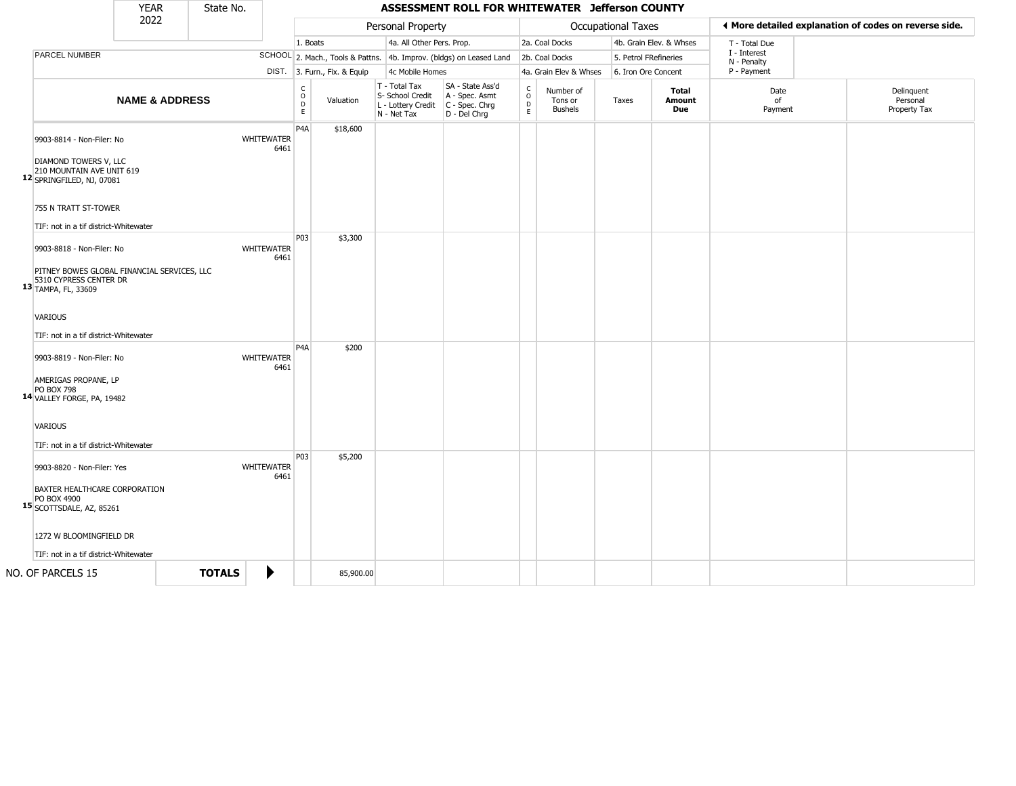|                                                                                                              | <b>YEAR</b>               | State No.     |                           |                                   |                              |                                                                        | ASSESSMENT ROLL FOR WHITEWATER Jefferson COUNTY                      |                                                        |                                        |                           |                         |                             |                                                       |
|--------------------------------------------------------------------------------------------------------------|---------------------------|---------------|---------------------------|-----------------------------------|------------------------------|------------------------------------------------------------------------|----------------------------------------------------------------------|--------------------------------------------------------|----------------------------------------|---------------------------|-------------------------|-----------------------------|-------------------------------------------------------|
|                                                                                                              | 2022                      |               |                           |                                   |                              | Personal Property                                                      |                                                                      |                                                        |                                        | <b>Occupational Taxes</b> |                         |                             | ♦ More detailed explanation of codes on reverse side. |
|                                                                                                              |                           |               |                           |                                   | 1. Boats                     | 4a. All Other Pers. Prop.                                              |                                                                      |                                                        | 2a. Coal Docks                         |                           | 4b. Grain Elev. & Whses | T - Total Due               |                                                       |
| PARCEL NUMBER                                                                                                |                           |               |                           |                                   |                              |                                                                        | SCHOOL 2. Mach., Tools & Pattns. 4b. Improv. (bldgs) on Leased Land  |                                                        | 2b. Coal Docks                         | 5. Petrol FRefineries     |                         | I - Interest<br>N - Penalty |                                                       |
|                                                                                                              |                           |               |                           |                                   | DIST. 3. Furn., Fix. & Equip | 4c Mobile Homes                                                        |                                                                      |                                                        | 4a. Grain Elev & Whses                 | 6. Iron Ore Concent       |                         | P - Payment                 |                                                       |
|                                                                                                              | <b>NAME &amp; ADDRESS</b> |               |                           | $\mathsf{C}$<br>$\circ$<br>D<br>E | Valuation                    | T - Total Tax<br>S- School Credit<br>L - Lottery Credit<br>N - Net Tax | SA - State Ass'd<br>A - Spec. Asmt<br>C - Spec. Chrg<br>D - Del Chrg | $\begin{smallmatrix} C\\ O\\ D \end{smallmatrix}$<br>E | Number of<br>Tons or<br><b>Bushels</b> | Taxes                     | Total<br>Amount<br>Due  | Date<br>of<br>Payment       | Delinquent<br>Personal<br>Property Tax                |
| 9903-8814 - Non-Filer: No<br>DIAMOND TOWERS V, LLC<br>210 MOUNTAIN AVE UNIT 619<br>12 SPRINGFILED, NJ, 07081 |                           |               | <b>WHITEWATER</b><br>6461 | P <sub>4</sub> A                  | \$18,600                     |                                                                        |                                                                      |                                                        |                                        |                           |                         |                             |                                                       |
| 755 N TRATT ST-TOWER                                                                                         |                           |               |                           |                                   |                              |                                                                        |                                                                      |                                                        |                                        |                           |                         |                             |                                                       |
| TIF: not in a tif district-Whitewater                                                                        |                           |               |                           |                                   |                              |                                                                        |                                                                      |                                                        |                                        |                           |                         |                             |                                                       |
| 9903-8818 - Non-Filer: No                                                                                    |                           |               | <b>WHITEWATER</b><br>6461 | P03                               | \$3,300                      |                                                                        |                                                                      |                                                        |                                        |                           |                         |                             |                                                       |
| PITNEY BOWES GLOBAL FINANCIAL SERVICES, LLC<br>5310 CYPRESS CENTER DR<br>13 TAMPA, FL, 33609                 |                           |               |                           |                                   |                              |                                                                        |                                                                      |                                                        |                                        |                           |                         |                             |                                                       |
| <b>VARIOUS</b>                                                                                               |                           |               |                           |                                   |                              |                                                                        |                                                                      |                                                        |                                        |                           |                         |                             |                                                       |
| TIF: not in a tif district-Whitewater                                                                        |                           |               |                           | P <sub>4</sub> A                  | \$200                        |                                                                        |                                                                      |                                                        |                                        |                           |                         |                             |                                                       |
| 9903-8819 - Non-Filer: No                                                                                    |                           |               | WHITEWATER<br>6461        |                                   |                              |                                                                        |                                                                      |                                                        |                                        |                           |                         |                             |                                                       |
| AMERIGAS PROPANE, LP<br><b>PO BOX 798</b><br>14 VALLEY FORGE, PA, 19482                                      |                           |               |                           |                                   |                              |                                                                        |                                                                      |                                                        |                                        |                           |                         |                             |                                                       |
| <b>VARIOUS</b>                                                                                               |                           |               |                           |                                   |                              |                                                                        |                                                                      |                                                        |                                        |                           |                         |                             |                                                       |
| TIF: not in a tif district-Whitewater                                                                        |                           |               |                           |                                   |                              |                                                                        |                                                                      |                                                        |                                        |                           |                         |                             |                                                       |
| 9903-8820 - Non-Filer: Yes                                                                                   |                           |               | <b>WHITEWATER</b><br>6461 | P03                               | \$5,200                      |                                                                        |                                                                      |                                                        |                                        |                           |                         |                             |                                                       |
| <b>BAXTER HEALTHCARE CORPORATION</b><br>PO BOX 4900<br>15 SCOTTSDALE, AZ, 85261                              |                           |               |                           |                                   |                              |                                                                        |                                                                      |                                                        |                                        |                           |                         |                             |                                                       |
| 1272 W BLOOMINGFIELD DR                                                                                      |                           |               |                           |                                   |                              |                                                                        |                                                                      |                                                        |                                        |                           |                         |                             |                                                       |
| TIF: not in a tif district-Whitewater                                                                        |                           |               |                           |                                   |                              |                                                                        |                                                                      |                                                        |                                        |                           |                         |                             |                                                       |
| NO. OF PARCELS 15                                                                                            |                           | <b>TOTALS</b> | ▶                         |                                   | 85,900.00                    |                                                                        |                                                                      |                                                        |                                        |                           |                         |                             |                                                       |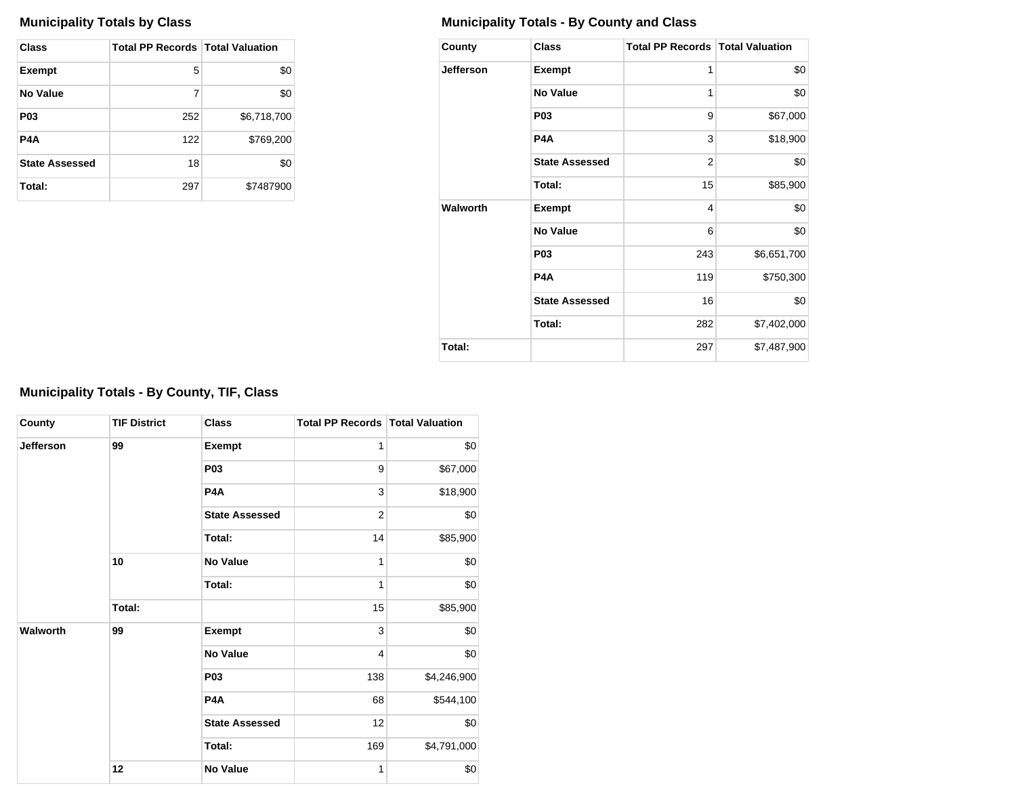| Class                 | <b>Total PP Records   Total Valuation</b> |             |
|-----------------------|-------------------------------------------|-------------|
| <b>Exempt</b>         | 5                                         | \$0         |
| No Value              | 7                                         | \$0         |
| P <sub>0</sub> 3      | 252                                       | \$6,718,700 |
| P4A                   | 122                                       | \$769,200   |
| <b>State Assessed</b> | 18                                        | \$0         |
| Total:                | 297                                       | \$7487900   |

# **Municipality Totals by Class Municipality Totals - By County and Class**

| County           | <b>Class</b>          | <b>Total PP Records   Total Valuation</b> |             |
|------------------|-----------------------|-------------------------------------------|-------------|
| <b>Jefferson</b> | <b>Exempt</b>         | 1                                         | \$0         |
|                  | <b>No Value</b>       | 1                                         | \$0         |
|                  | P <sub>0</sub> 3      | 9                                         | \$67,000    |
|                  | P4A                   | 3                                         | \$18,900    |
|                  | <b>State Assessed</b> | $\overline{2}$                            | \$0         |
|                  | Total:                | 15                                        | \$85,900    |
| Walworth         | <b>Exempt</b>         | 4                                         | \$0         |
|                  | <b>No Value</b>       | 6                                         | \$0         |
|                  | P <sub>0</sub> 3      | 243                                       | \$6,651,700 |
|                  | P4A                   | 119                                       | \$750,300   |
|                  | <b>State Assessed</b> | 16                                        | \$0         |
|                  | Total:                | 282                                       | \$7,402,000 |
| Total:           |                       | 297                                       | \$7,487,900 |

# **Municipality Totals - By County, TIF, Class**

| County           | <b>TIF District</b> | <b>Class</b>          | <b>Total PP Records Total Valuation</b> |             |
|------------------|---------------------|-----------------------|-----------------------------------------|-------------|
| <b>Jefferson</b> | 99                  | <b>Exempt</b>         | 1                                       | \$0         |
|                  |                     | P <sub>03</sub>       | 9                                       | \$67,000    |
|                  |                     | P <sub>4</sub> A      | 3                                       | \$18,900    |
|                  |                     | <b>State Assessed</b> | $\overline{2}$                          | \$0         |
|                  |                     | Total:                | 14                                      | \$85,900    |
|                  | 10                  | <b>No Value</b>       | 1                                       | \$0         |
|                  |                     | Total:                | 1                                       | \$0         |
|                  | Total:              |                       | 15                                      | \$85,900    |
| Walworth         | 99                  | <b>Exempt</b>         | 3                                       | \$0         |
|                  |                     | <b>No Value</b>       | $\overline{4}$                          | \$0         |
|                  |                     | <b>P03</b>            | 138                                     | \$4,246,900 |
|                  |                     | P <sub>4</sub> A      | 68                                      | \$544,100   |
|                  |                     | <b>State Assessed</b> | 12                                      | \$0         |
|                  |                     | Total:                | 169                                     | \$4,791,000 |
|                  | 12                  | <b>No Value</b>       | 1                                       | \$0         |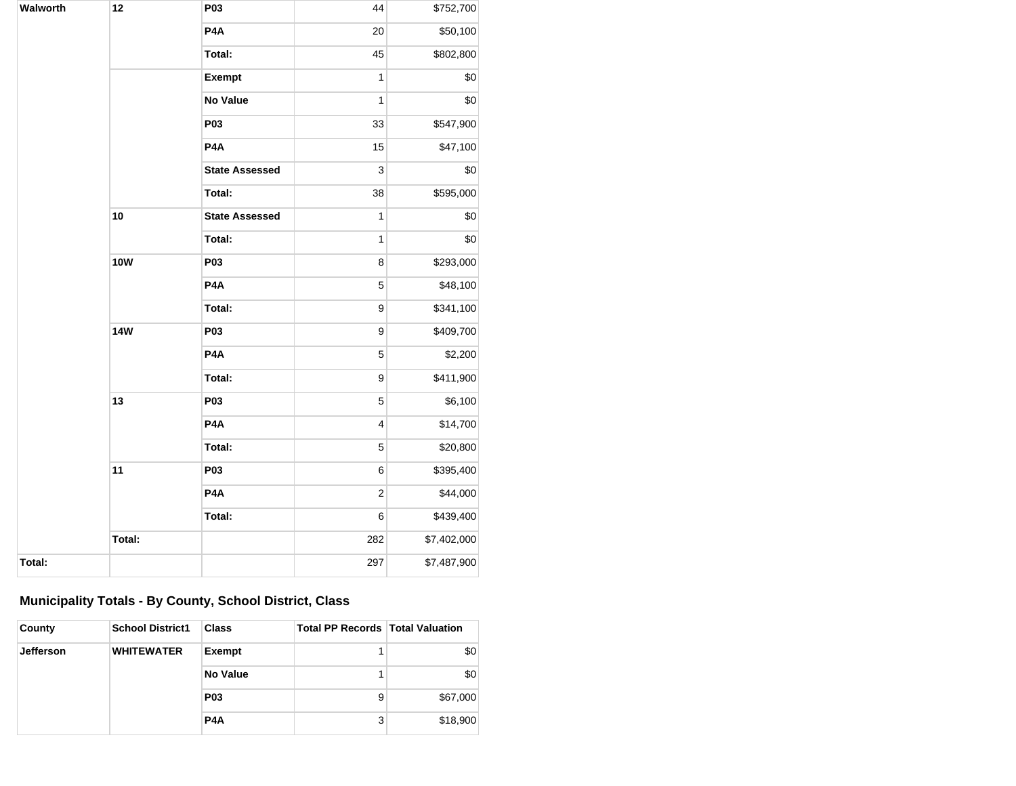| Walworth | 12         | P03                   | 44             | \$752,700   |
|----------|------------|-----------------------|----------------|-------------|
|          |            | P4A                   | 20             | \$50,100    |
|          |            | Total:                | 45             | \$802,800   |
|          |            | <b>Exempt</b>         | $\overline{1}$ | \$0         |
|          |            | <b>No Value</b>       | 1              | \$0         |
|          |            | P03                   | 33             | \$547,900   |
|          |            | P <sub>4</sub> A      | 15             | \$47,100    |
|          |            | <b>State Assessed</b> | 3              | \$0         |
|          |            | Total:                | 38             | \$595,000   |
|          | 10         | <b>State Assessed</b> | $\overline{1}$ | \$0         |
|          |            | Total:                | 1              | \$0         |
|          | <b>10W</b> | P03                   | 8              | \$293,000   |
|          |            | P4A                   | 5              | \$48,100    |
|          |            | Total:                | 9              | \$341,100   |
|          | <b>14W</b> | P03                   | 9              | \$409,700   |
|          |            | P4A                   | 5              | \$2,200     |
|          |            | Total:                | 9              | \$411,900   |
|          | 13         | P03                   | 5              | \$6,100     |
|          |            | P4A                   | 4              | \$14,700    |
|          |            | Total:                | 5              | \$20,800    |
|          | 11         | P03                   | 6              | \$395,400   |
|          |            | P4A                   | $\overline{c}$ | \$44,000    |
|          |            | Total:                | 6              | \$439,400   |
|          | Total:     |                       | 282            | \$7,402,000 |
| Total:   |            |                       | 297            | \$7,487,900 |

# **Municipality Totals - By County, School District, Class**

| County    | <b>School District1</b> | <b>Class</b>     | <b>Total PP Records Total Valuation</b> |          |
|-----------|-------------------------|------------------|-----------------------------------------|----------|
| Jefferson | <b>WHITEWATER</b>       | <b>Exempt</b>    |                                         | \$0      |
|           |                         | <b>No Value</b>  |                                         | \$0      |
|           |                         | <b>P03</b>       | 9                                       | \$67,000 |
|           |                         | P <sub>4</sub> A | 3                                       | \$18,900 |